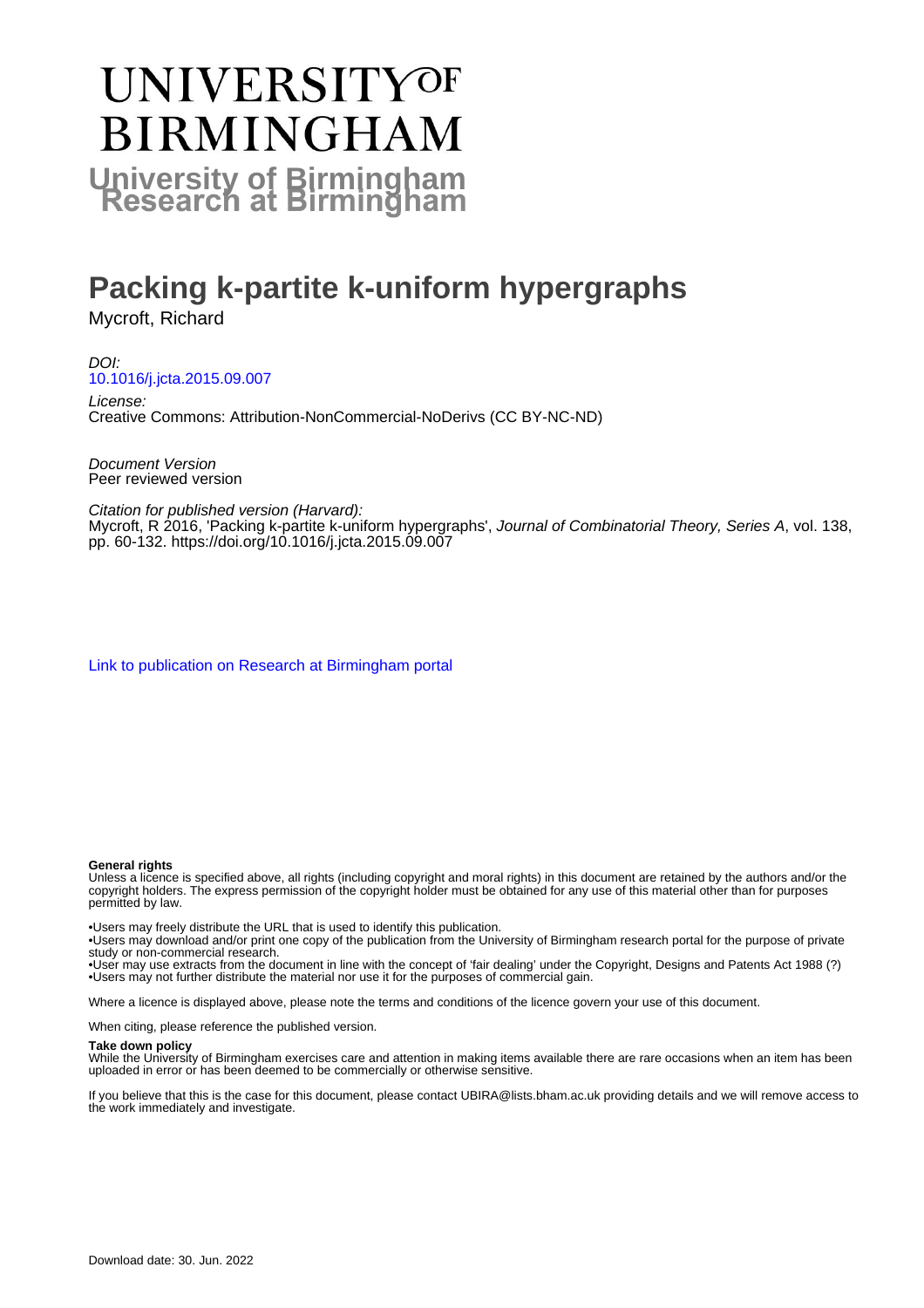# **UNIVERSITYOF BIRMINGHAM University of Birmingham**

# **Packing k-partite k-uniform hypergraphs**

Mycroft, Richard

DOI: [10.1016/j.jcta.2015.09.007](https://doi.org/10.1016/j.jcta.2015.09.007)

License: Creative Commons: Attribution-NonCommercial-NoDerivs (CC BY-NC-ND)

Document Version Peer reviewed version

Citation for published version (Harvard):

Mycroft, R 2016, 'Packing k-partite k-uniform hypergraphs', Journal of Combinatorial Theory, Series A, vol. 138, pp. 60-132.<https://doi.org/10.1016/j.jcta.2015.09.007>

[Link to publication on Research at Birmingham portal](https://birmingham.elsevierpure.com/en/publications/6778ecf7-00f8-4765-871d-82ae7af26283)

#### **General rights**

Unless a licence is specified above, all rights (including copyright and moral rights) in this document are retained by the authors and/or the copyright holders. The express permission of the copyright holder must be obtained for any use of this material other than for purposes permitted by law.

• Users may freely distribute the URL that is used to identify this publication.

• Users may download and/or print one copy of the publication from the University of Birmingham research portal for the purpose of private study or non-commercial research.

• User may use extracts from the document in line with the concept of 'fair dealing' under the Copyright, Designs and Patents Act 1988 (?) • Users may not further distribute the material nor use it for the purposes of commercial gain.

Where a licence is displayed above, please note the terms and conditions of the licence govern your use of this document.

When citing, please reference the published version.

#### **Take down policy**

While the University of Birmingham exercises care and attention in making items available there are rare occasions when an item has been uploaded in error or has been deemed to be commercially or otherwise sensitive.

If you believe that this is the case for this document, please contact UBIRA@lists.bham.ac.uk providing details and we will remove access to the work immediately and investigate.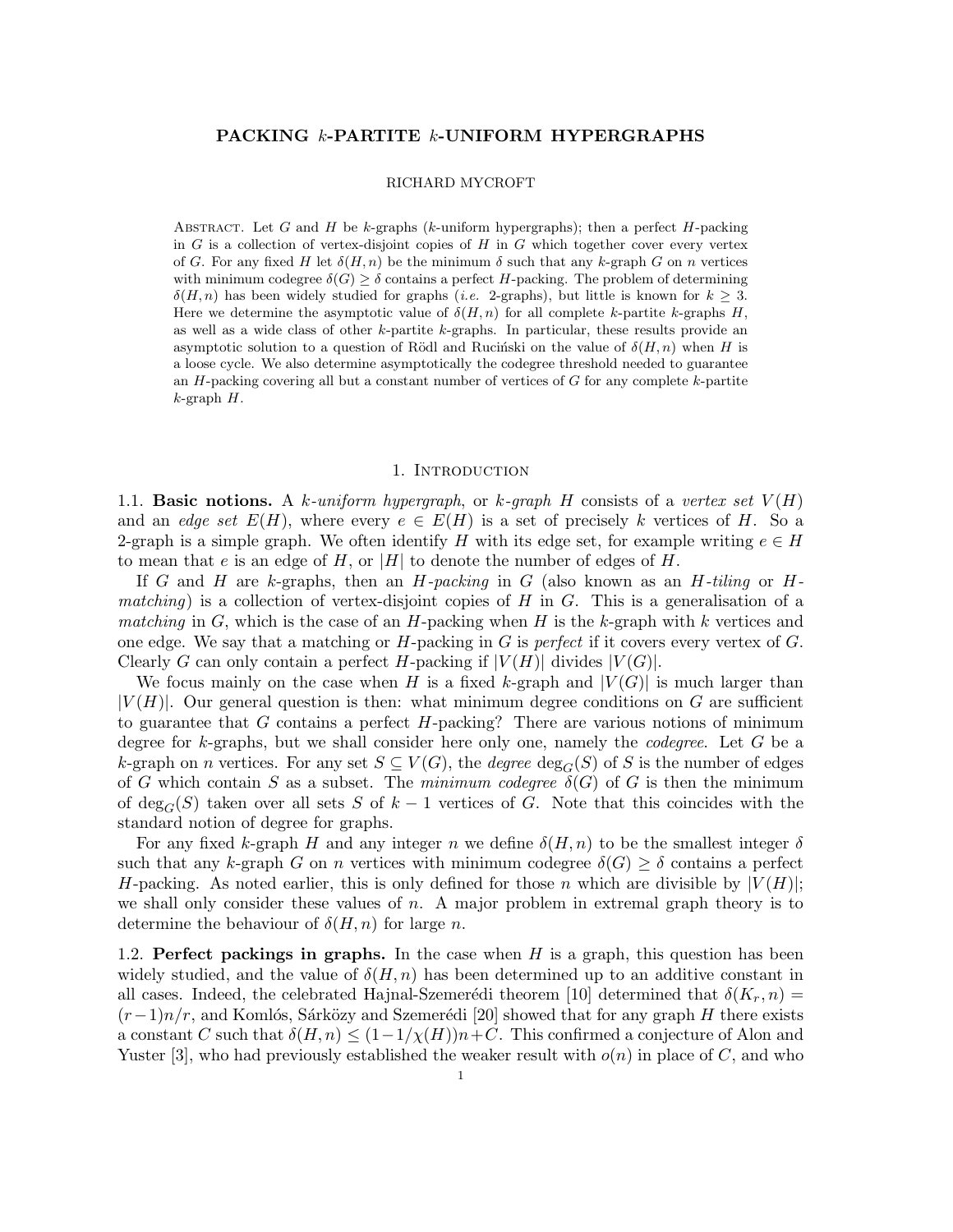### PACKING k-PARTITE k-UNIFORM HYPERGRAPHS

#### RICHARD MYCROFT

ABSTRACT. Let G and H be k-graphs (k-uniform hypergraphs); then a perfect  $H$ -packing in  $G$  is a collection of vertex-disjoint copies of  $H$  in  $G$  which together cover every vertex of G. For any fixed H let  $\delta(H, n)$  be the minimum  $\delta$  such that any k-graph G on n vertices with minimum codegree  $\delta(G) > \delta$  contains a perfect H-packing. The problem of determining  $\delta(H, n)$  has been widely studied for graphs (*i.e.* 2-graphs), but little is known for  $k \geq 3$ . Here we determine the asymptotic value of  $\delta(H, n)$  for all complete k-partite k-graphs H, as well as a wide class of other k-partite k-graphs. In particular, these results provide an asymptotic solution to a question of Rödl and Rucinski on the value of  $\delta(H, n)$  when H is a loose cycle. We also determine asymptotically the codegree threshold needed to guarantee an  $H$ -packing covering all but a constant number of vertices of  $G$  for any complete  $k$ -partite  $k$ -graph  $H$ .

#### 1. Introduction

1.1. **Basic notions.** A k-uniform hypergraph, or k-graph H consists of a vertex set  $V(H)$ and an edge set  $E(H)$ , where every  $e \in E(H)$  is a set of precisely k vertices of H. So a 2-graph is a simple graph. We often identify H with its edge set, for example writing  $e \in H$ to mean that e is an edge of H, or |H| to denote the number of edges of H.

If G and H are k-graphs, then an H-packing in G (also known as an H-tiling or Hmatching) is a collection of vertex-disjoint copies of H in G. This is a generalisation of a matching in G, which is the case of an H-packing when H is the k-graph with k vertices and one edge. We say that a matching or  $H$ -packing in  $G$  is perfect if it covers every vertex of  $G$ . Clearly G can only contain a perfect H-packing if  $|V(H)|$  divides  $|V(G)|$ .

We focus mainly on the case when H is a fixed k-graph and  $|V(G)|$  is much larger than  $|V(H)|$ . Our general question is then: what minimum degree conditions on G are sufficient to guarantee that  $G$  contains a perfect  $H$ -packing? There are various notions of minimum degree for k-graphs, but we shall consider here only one, namely the *codegree*. Let  $G$  be a k-graph on n vertices. For any set  $S \subseteq V(G)$ , the *degree*  $\deg_G(S)$  of S is the number of edges of G which contain S as a subset. The minimum codegree  $\delta(G)$  of G is then the minimum of deg<sub>G</sub>(S) taken over all sets S of  $k-1$  vertices of G. Note that this coincides with the standard notion of degree for graphs.

For any fixed k-graph H and any integer n we define  $\delta(H, n)$  to be the smallest integer  $\delta$ such that any k-graph G on n vertices with minimum codegree  $\delta(G) \geq \delta$  contains a perfect H-packing. As noted earlier, this is only defined for those n which are divisible by  $|V(H)|$ ; we shall only consider these values of  $n$ . A major problem in extremal graph theory is to determine the behaviour of  $\delta(H, n)$  for large n.

1.2. Perfect packings in graphs. In the case when  $H$  is a graph, this question has been widely studied, and the value of  $\delta(H, n)$  has been determined up to an additive constant in all cases. Indeed, the celebrated Hajnal-Szemerédi theorem [10] determined that  $\delta(K_r, n)$  =  $(r-1)n/r$ , and Komlós, Sárközy and Szemerédi [20] showed that for any graph H there exists a constant C such that  $\delta(H, n) \leq (1-1/\chi(H))n+C$ . This confirmed a conjecture of Alon and Yuster [3], who had previously established the weaker result with  $o(n)$  in place of C, and who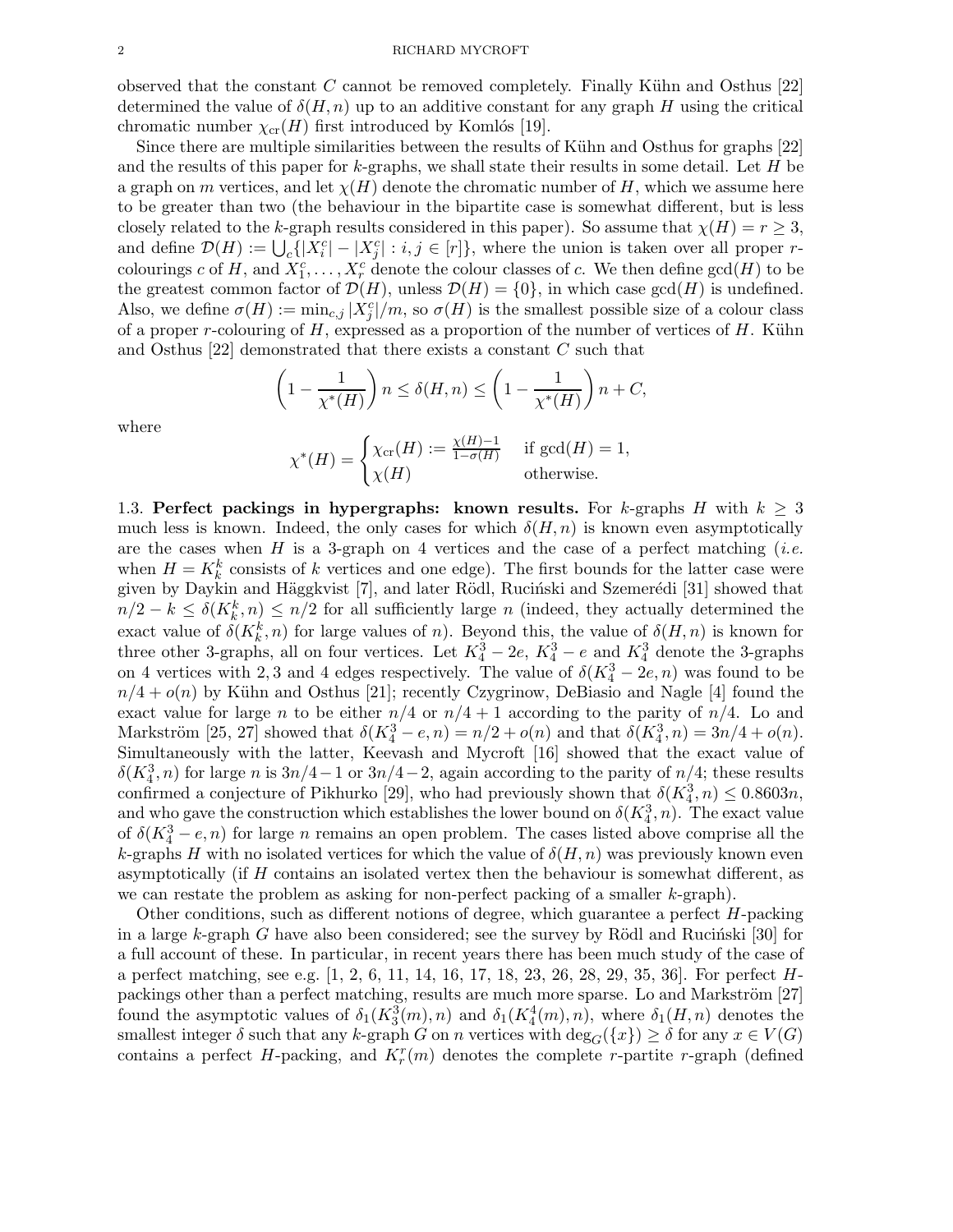observed that the constant C cannot be removed completely. Finally Kühn and Osthus  $[22]$ determined the value of  $\delta(H, n)$  up to an additive constant for any graph H using the critical chromatic number  $\chi_{cr}(H)$  first introduced by Komlós [19].

Since there are multiple similarities between the results of Kühn and Osthus for graphs [22] and the results of this paper for k-graphs, we shall state their results in some detail. Let  $H$  be a graph on m vertices, and let  $\chi(H)$  denote the chromatic number of H, which we assume here to be greater than two (the behaviour in the bipartite case is somewhat different, but is less closely related to the k-graph results considered in this paper). So assume that  $\chi(H) = r \geq 3$ , and define  $\mathcal{D}(H) := \bigcup_c \{ |X_i^c| - |X_j^c| : i, j \in [r] \},\$  where the union is taken over all proper rcolourings c of H, and  $X_1^c, \ldots, X_r^c$  denote the colour classes of c. We then define  $gcd(H)$  to be the greatest common factor of  $\mathcal{D}(H)$ , unless  $\mathcal{D}(H) = \{0\}$ , in which case gcd $(H)$  is undefined. Also, we define  $\sigma(H) := \min_{c,j} |X_j^c|/m$ , so  $\sigma(H)$  is the smallest possible size of a colour class of a proper r-colouring of  $H$ , expressed as a proportion of the number of vertices of  $H$ . Kühn and Osthus [22] demonstrated that there exists a constant C such that

$$
\left(1 - \frac{1}{\chi^*(H)}\right) n \le \delta(H, n) \le \left(1 - \frac{1}{\chi^*(H)}\right) n + C,
$$

where

$$
\chi^*(H) = \begin{cases} \chi_{\text{cr}}(H) := \frac{\chi(H) - 1}{1 - \sigma(H)} & \text{if } \gcd(H) = 1, \\ \chi(H) & \text{otherwise.} \end{cases}
$$

1.3. Perfect packings in hypergraphs: known results. For k-graphs H with  $k \geq 3$ much less is known. Indeed, the only cases for which  $\delta(H, n)$  is known even asymptotically are the cases when  $H$  is a 3-graph on 4 vertices and the case of a perfect matching (*i.e.* when  $H = K_k^k$  consists of k vertices and one edge). The first bounds for the latter case were given by Daykin and Häggkvist [7], and later Rödl, Ruciński and Szemerédi [31] showed that  $n/2 - k \leq \delta(K_k^k, n) \leq n/2$  for all sufficiently large n (indeed, they actually determined the exact value of  $\delta(K_k^k, n)$  for large values of n). Beyond this, the value of  $\delta(H, n)$  is known for three other 3-graphs, all on four vertices. Let  $K_4^3 - 2e$ ,  $K_4^3 - e$  and  $K_4^3$  denote the 3-graphs on 4 vertices with 2, 3 and 4 edges respectively. The value of  $\delta(K_4^3 - 2e, n)$  was found to be  $n/4 + o(n)$  by Kühn and Osthus [21]; recently Czygrinow, DeBiasio and Nagle [4] found the exact value for large n to be either  $n/4$  or  $n/4 + 1$  according to the parity of  $n/4$ . Lo and Markström [25, 27] showed that  $\delta(K_4^3 - e, n) = n/2 + o(n)$  and that  $\delta(K_4^3, n) = 3n/4 + o(n)$ . Simultaneously with the latter, Keevash and Mycroft [16] showed that the exact value of  $\delta(K_4^3, n)$  for large n is  $3n/4-1$  or  $3n/4-2$ , again according to the parity of  $n/4$ ; these results confirmed a conjecture of Pikhurko [29], who had previously shown that  $\delta(K_4^3, n) \leq 0.8603n$ , and who gave the construction which establishes the lower bound on  $\delta(K_4^3, n)$ . The exact value of  $\delta(K_4^3 - e, n)$  for large *n* remains an open problem. The cases listed above comprise all the k-graphs H with no isolated vertices for which the value of  $\delta(H, n)$  was previously known even asymptotically (if H contains an isolated vertex then the behaviour is somewhat different, as we can restate the problem as asking for non-perfect packing of a smaller k-graph).

Other conditions, such as different notions of degree, which guarantee a perfect H-packing in a large k-graph G have also been considered; see the survey by Rödl and Rucinski [30] for a full account of these. In particular, in recent years there has been much study of the case of a perfect matching, see e.g. [1, 2, 6, 11, 14, 16, 17, 18, 23, 26, 28, 29, 35, 36]. For perfect Hpackings other than a perfect matching, results are much more sparse. Lo and Markström [27] found the asymptotic values of  $\delta_1(K_3^3(m), n)$  and  $\delta_1(K_4^4(m), n)$ , where  $\delta_1(H, n)$  denotes the smallest integer  $\delta$  such that any k-graph G on n vertices with  $\deg_G({x}) \geq \delta$  for any  $x \in V(G)$ contains a perfect  $H$ -packing, and  $K_r^r(m)$  denotes the complete r-partite r-graph (defined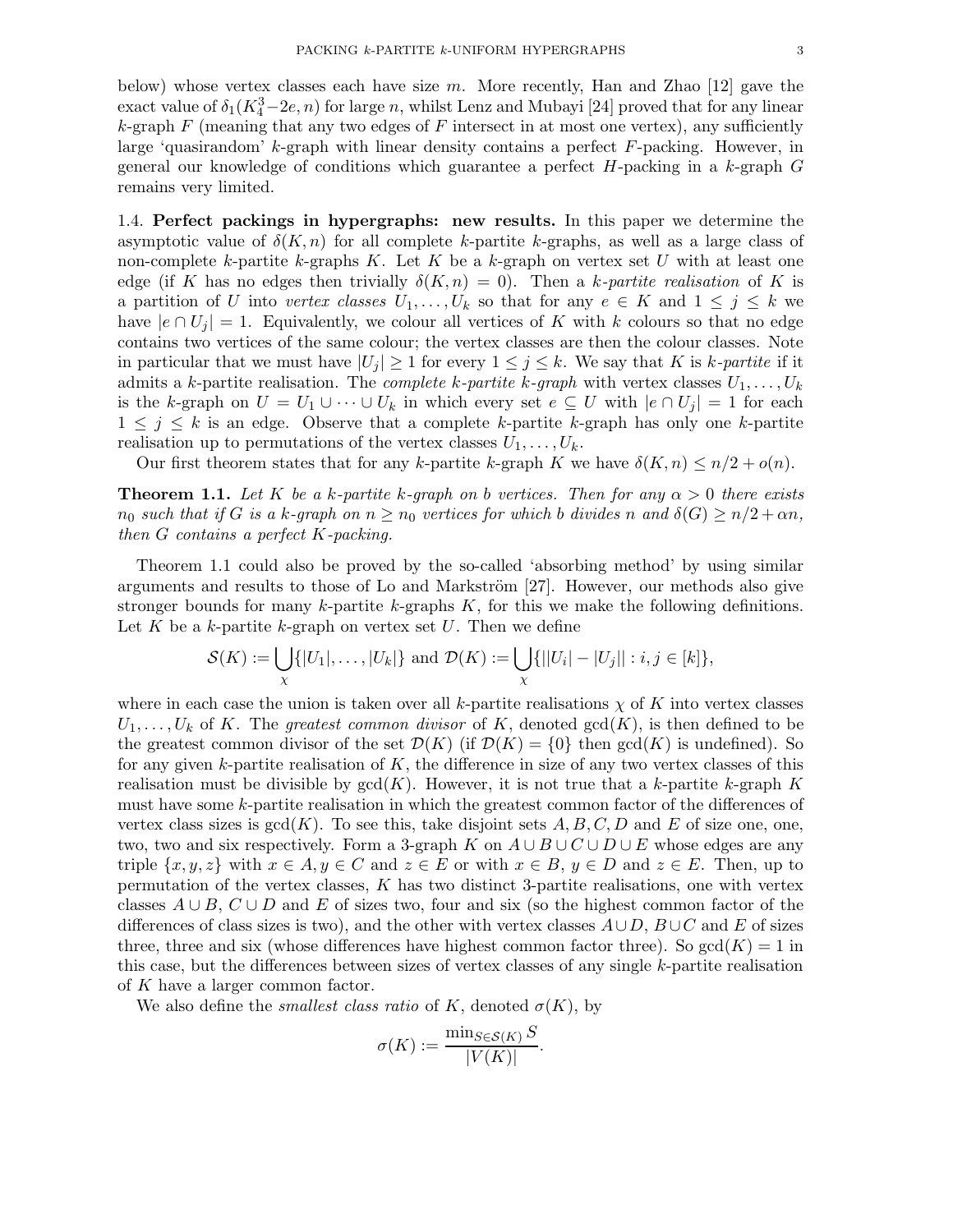below) whose vertex classes each have size  $m$ . More recently, Han and Zhao [12] gave the exact value of  $\delta_1(K_4^3 - 2e, n)$  for large n, whilst Lenz and Mubayi [24] proved that for any linear k-graph  $F$  (meaning that any two edges of  $F$  intersect in at most one vertex), any sufficiently large 'quasirandom' k-graph with linear density contains a perfect  $F$ -packing. However, in general our knowledge of conditions which guarantee a perfect  $H$ -packing in a k-graph  $G$ remains very limited.

1.4. Perfect packings in hypergraphs: new results. In this paper we determine the asymptotic value of  $\delta(K, n)$  for all complete k-partite k-graphs, as well as a large class of non-complete k-partite k-graphs K. Let K be a k-graph on vertex set U with at least one edge (if K has no edges then trivially  $\delta(K,n) = 0$ ). Then a k-partite realisation of K is a partition of U into vertex classes  $U_1, \ldots, U_k$  so that for any  $e \in K$  and  $1 \leq j \leq k$  we have  $|e \cap U_i| = 1$ . Equivalently, we colour all vertices of K with k colours so that no edge contains two vertices of the same colour; the vertex classes are then the colour classes. Note in particular that we must have  $|U_j| \geq 1$  for every  $1 \leq j \leq k$ . We say that K is k-partite if it admits a k-partite realisation. The *complete k-partite k-graph* with vertex classes  $U_1, \ldots, U_k$ is the k-graph on  $U = U_1 \cup \cdots \cup U_k$  in which every set  $e \subseteq U$  with  $|e \cap U_j| = 1$  for each  $1 \leq j \leq k$  is an edge. Observe that a complete k-partite k-graph has only one k-partite realisation up to permutations of the vertex classes  $U_1, \ldots, U_k$ .

Our first theorem states that for any k-partite k-graph K we have  $\delta(K, n) \leq n/2 + o(n)$ .

**Theorem 1.1.** Let K be a k-partite k-graph on b vertices. Then for any  $\alpha > 0$  there exists  $n_0$  such that if G is a k-graph on  $n \geq n_0$  vertices for which b divides n and  $\delta(G) \geq n/2 + \alpha n$ , then G contains a perfect K-packing.

Theorem 1.1 could also be proved by the so-called 'absorbing method' by using similar arguments and results to those of Lo and Markström  $[27]$ . However, our methods also give stronger bounds for many  $k$ -partite  $k$ -graphs  $K$ , for this we make the following definitions. Let K be a k-partite k-graph on vertex set  $U$ . Then we define

$$
\mathcal{S}(K) := \bigcup_{\chi} \{|U_1|, \ldots, |U_k|\} \text{ and } \mathcal{D}(K) := \bigcup_{\chi} \{||U_i| - |U_j|| : i, j \in [k]\},\
$$

where in each case the union is taken over all k-partite realisations  $\chi$  of K into vertex classes  $U_1, \ldots, U_k$  of K. The greatest common divisor of K, denoted  $gcd(K)$ , is then defined to be the greatest common divisor of the set  $\mathcal{D}(K)$  (if  $\mathcal{D}(K) = \{0\}$  then  $gcd(K)$  is undefined). So for any given k-partite realisation of  $K$ , the difference in size of any two vertex classes of this realisation must be divisible by  $gcd(K)$ . However, it is not true that a k-partite k-graph K must have some k-partite realisation in which the greatest common factor of the differences of vertex class sizes is  $gcd(K)$ . To see this, take disjoint sets A, B, C, D and E of size one, one, two, two and six respectively. Form a 3-graph K on  $A \cup B \cup C \cup D \cup E$  whose edges are any triple  $\{x, y, z\}$  with  $x \in A, y \in C$  and  $z \in E$  or with  $x \in B, y \in D$  and  $z \in E$ . Then, up to permutation of the vertex classes, K has two distinct 3-partite realisations, one with vertex classes  $A \cup B$ ,  $C \cup D$  and E of sizes two, four and six (so the highest common factor of the differences of class sizes is two), and the other with vertex classes  $A\cup D$ ,  $B\cup C$  and E of sizes three, three and six (whose differences have highest common factor three). So  $gcd(K) = 1$  in this case, but the differences between sizes of vertex classes of any single k-partite realisation of K have a larger common factor.

We also define the *smallest class ratio* of K, denoted  $\sigma(K)$ , by

$$
\sigma(K) := \frac{\min_{S \in \mathcal{S}(K)} S}{|V(K)|}.
$$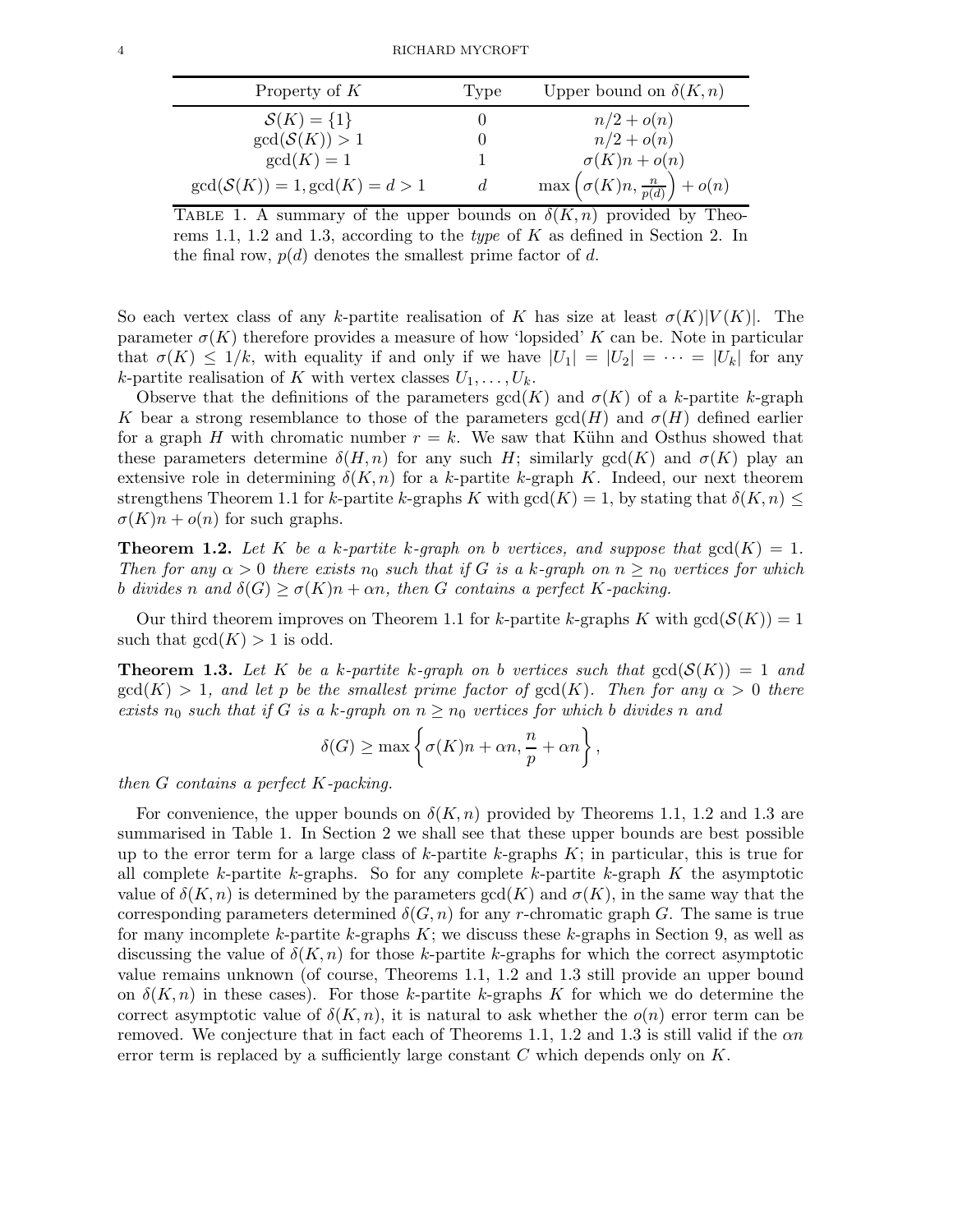| Property of $K$                 | 'Type          | Upper bound on $\delta(K, n)$                        |
|---------------------------------|----------------|------------------------------------------------------|
| $S(K) = \{1\}$                  |                | $n/2 + o(n)$                                         |
| gcd(S(K)) > 1                   |                | $n/2 + o(n)$                                         |
| $gcd(K) = 1$                    |                | $\sigma(K)n + o(n)$                                  |
| $gcd(S(K)) = 1, gcd(K) = d > 1$ | $\mathfrak{a}$ | $\max\left(\sigma(K)n, \frac{n}{p(d)}\right) + o(n)$ |

TABLE 1. A summary of the upper bounds on  $\delta(K, n)$  provided by Theorems 1.1, 1.2 and 1.3, according to the type of K as defined in Section 2. In the final row,  $p(d)$  denotes the smallest prime factor of d.

So each vertex class of any k-partite realisation of K has size at least  $\sigma(K)|V(K)|$ . The parameter  $\sigma(K)$  therefore provides a measure of how 'lopsided' K can be. Note in particular that  $\sigma(K) \leq 1/k$ , with equality if and only if we have  $|U_1| = |U_2| = \cdots = |U_k|$  for any k-partite realisation of K with vertex classes  $U_1, \ldots, U_k$ .

Observe that the definitions of the parameters  $gcd(K)$  and  $\sigma(K)$  of a k-partite k-graph K bear a strong resemblance to those of the parameters  $gcd(H)$  and  $\sigma(H)$  defined earlier for a graph H with chromatic number  $r = k$ . We saw that Kühn and Osthus showed that these parameters determine  $\delta(H, n)$  for any such H; similarly gcd(K) and  $\sigma(K)$  play an extensive role in determining  $\delta(K, n)$  for a k-partite k-graph K. Indeed, our next theorem strengthens Theorem 1.1 for k-partite k-graphs K with  $gcd(K) = 1$ , by stating that  $\delta(K, n) \leq$  $\sigma(K)n + o(n)$  for such graphs.

**Theorem 1.2.** Let K be a k-partite k-graph on b vertices, and suppose that  $gcd(K) = 1$ . Then for any  $\alpha > 0$  there exists  $n_0$  such that if G is a k-graph on  $n \geq n_0$  vertices for which b divides n and  $\delta(G) \ge \sigma(K)n + \alpha n$ , then G contains a perfect K-packing.

Our third theorem improves on Theorem 1.1 for k-partite k-graphs K with  $gcd(S(K)) = 1$ such that  $gcd(K) > 1$  is odd.

**Theorem 1.3.** Let K be a k-partite k-graph on b vertices such that  $gcd(S(K)) = 1$  and  $gcd(K) > 1$ , and let p be the smallest prime factor of  $gcd(K)$ . Then for any  $\alpha > 0$  there exists  $n_0$  such that if G is a k-graph on  $n \geq n_0$  vertices for which b divides n and

$$
\delta(G) \ge \max\left\{\sigma(K)n + \alpha n, \frac{n}{p} + \alpha n\right\},\
$$

then G contains a perfect K-packing.

For convenience, the upper bounds on  $\delta(K, n)$  provided by Theorems 1.1, 1.2 and 1.3 are summarised in Table 1. In Section 2 we shall see that these upper bounds are best possible up to the error term for a large class of  $k$ -partite  $k$ -graphs  $K$ ; in particular, this is true for all complete k-partite k-graphs. So for any complete k-partite k-graph  $K$  the asymptotic value of  $\delta(K, n)$  is determined by the parameters  $gcd(K)$  and  $\sigma(K)$ , in the same way that the corresponding parameters determined  $\delta(G, n)$  for any r-chromatic graph G. The same is true for many incomplete k-partite k-graphs  $K$ ; we discuss these k-graphs in Section 9, as well as discussing the value of  $\delta(K, n)$  for those k-partite k-graphs for which the correct asymptotic value remains unknown (of course, Theorems 1.1, 1.2 and 1.3 still provide an upper bound on  $\delta(K, n)$  in these cases). For those k-partite k-graphs K for which we do determine the correct asymptotic value of  $\delta(K, n)$ , it is natural to ask whether the  $o(n)$  error term can be removed. We conjecture that in fact each of Theorems 1.1, 1.2 and 1.3 is still valid if the  $\alpha n$ error term is replaced by a sufficiently large constant  $C$  which depends only on  $K$ .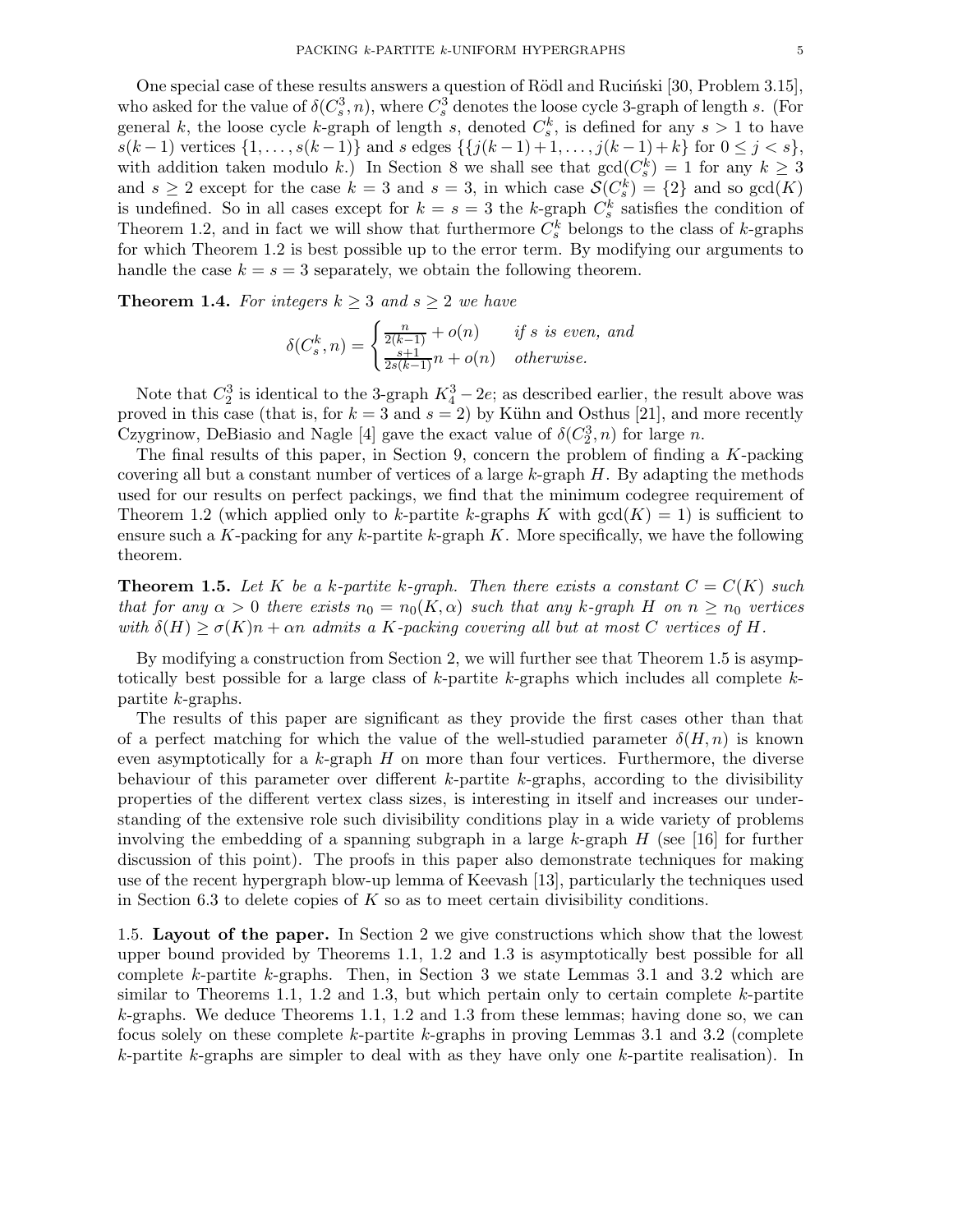One special case of these results answers a question of Rödl and Rucinski [30, Problem 3.15], who asked for the value of  $\delta(C_s^3, n)$ , where  $C_s^3$  denotes the loose cycle 3-graph of length s. (For general k, the loose cycle k-graph of length s, denoted  $C_s^k$ , is defined for any  $s > 1$  to have s(k − 1) vertices {1, ..., s(k − 1)} and s edges {{ $j(k-1)+1, ..., j(k-1)+k$ } for  $0 \le j < s$ }, with addition taken modulo k.) In Section 8 we shall see that  $gcd(C_s^k) = 1$  for any  $k \geq 3$ and  $s \geq 2$  except for the case  $k = 3$  and  $s = 3$ , in which case  $\mathcal{S}(C_s^k) = \{2\}$  and so  $gcd(K)$ is undefined. So in all cases except for  $k = s = 3$  the k-graph  $C_s^k$  satisfies the condition of Theorem 1.2, and in fact we will show that furthermore  $C_s^k$  belongs to the class of k-graphs for which Theorem 1.2 is best possible up to the error term. By modifying our arguments to handle the case  $k = s = 3$  separately, we obtain the following theorem.

**Theorem 1.4.** For integers  $k \geq 3$  and  $s \geq 2$  we have

$$
\delta(C_s^k, n) = \begin{cases} \frac{n}{2(k-1)} + o(n) & \text{if } s \text{ is even, and} \\ \frac{s+1}{2s(k-1)}n + o(n) & \text{otherwise.} \end{cases}
$$

Note that  $C_2^3$  is identical to the 3-graph  $K_4^3 - 2e$ ; as described earlier, the result above was proved in this case (that is, for  $k = 3$  and  $s = 2$ ) by Kühn and Osthus [21], and more recently Czygrinow, DeBiasio and Nagle [4] gave the exact value of  $\delta(C_2^3, n)$  for large n.

The final results of this paper, in Section 9, concern the problem of finding a  $K$ -packing covering all but a constant number of vertices of a large  $k$ -graph  $H$ . By adapting the methods used for our results on perfect packings, we find that the minimum codegree requirement of Theorem 1.2 (which applied only to k-partite k-graphs K with  $gcd(K) = 1$ ) is sufficient to ensure such a K-packing for any k-partite k-graph  $K$ . More specifically, we have the following theorem.

**Theorem 1.5.** Let K be a k-partite k-graph. Then there exists a constant  $C = C(K)$  such that for any  $\alpha > 0$  there exists  $n_0 = n_0(K, \alpha)$  such that any k-graph H on  $n \geq n_0$  vertices with  $\delta(H) \geq \sigma(K)n + \alpha n$  admits a K-packing covering all but at most C vertices of H.

By modifying a construction from Section 2, we will further see that Theorem 1.5 is asymptotically best possible for a large class of k-partite k-graphs which includes all complete  $k$ partite k-graphs.

The results of this paper are significant as they provide the first cases other than that of a perfect matching for which the value of the well-studied parameter  $\delta(H, n)$  is known even asymptotically for a  $k$ -graph  $H$  on more than four vertices. Furthermore, the diverse behaviour of this parameter over different  $k$ -partite  $k$ -graphs, according to the divisibility properties of the different vertex class sizes, is interesting in itself and increases our understanding of the extensive role such divisibility conditions play in a wide variety of problems involving the embedding of a spanning subgraph in a large  $k$ -graph  $H$  (see [16] for further discussion of this point). The proofs in this paper also demonstrate techniques for making use of the recent hypergraph blow-up lemma of Keevash [13], particularly the techniques used in Section 6.3 to delete copies of  $K$  so as to meet certain divisibility conditions.

1.5. Layout of the paper. In Section 2 we give constructions which show that the lowest upper bound provided by Theorems 1.1, 1.2 and 1.3 is asymptotically best possible for all complete  $k$ -partite  $k$ -graphs. Then, in Section 3 we state Lemmas 3.1 and 3.2 which are similar to Theorems 1.1, 1.2 and 1.3, but which pertain only to certain complete  $k$ -partite k-graphs. We deduce Theorems 1.1, 1.2 and 1.3 from these lemmas; having done so, we can focus solely on these complete k-partite k-graphs in proving Lemmas 3.1 and 3.2 (complete  $k$ -partite k-graphs are simpler to deal with as they have only one k-partite realisation). In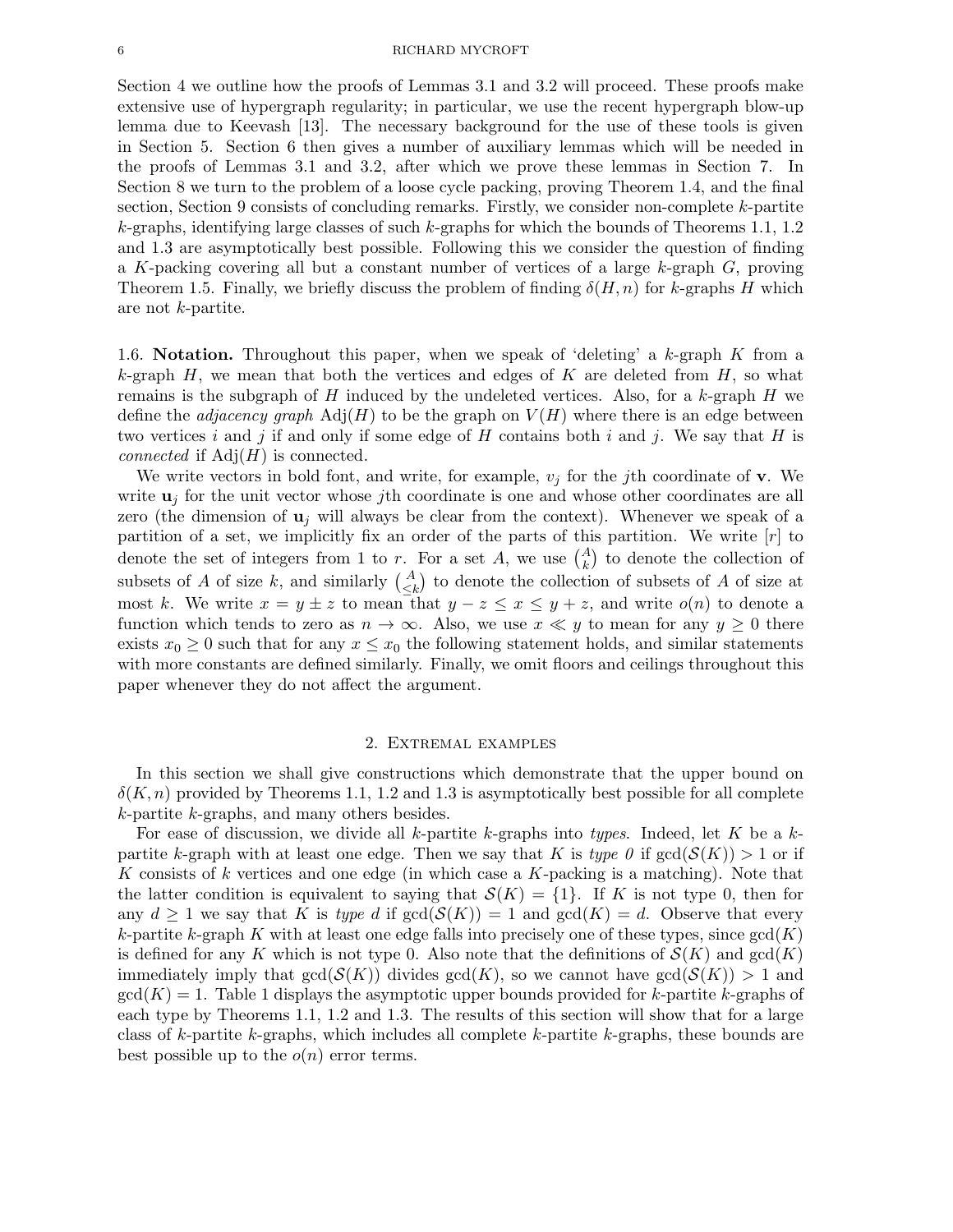#### 6 RICHARD MYCROFT

Section 4 we outline how the proofs of Lemmas 3.1 and 3.2 will proceed. These proofs make extensive use of hypergraph regularity; in particular, we use the recent hypergraph blow-up lemma due to Keevash [13]. The necessary background for the use of these tools is given in Section 5. Section 6 then gives a number of auxiliary lemmas which will be needed in the proofs of Lemmas 3.1 and 3.2, after which we prove these lemmas in Section 7. In Section 8 we turn to the problem of a loose cycle packing, proving Theorem 1.4, and the final section, Section 9 consists of concluding remarks. Firstly, we consider non-complete k-partite k-graphs, identifying large classes of such k-graphs for which the bounds of Theorems 1.1, 1.2 and 1.3 are asymptotically best possible. Following this we consider the question of finding a K-packing covering all but a constant number of vertices of a large k-graph G, proving Theorem 1.5. Finally, we briefly discuss the problem of finding  $\delta(H, n)$  for k-graphs H which are not k-partite.

1.6. **Notation.** Throughout this paper, when we speak of 'deleting' a  $k$ -graph  $K$  from a k-graph  $H$ , we mean that both the vertices and edges of K are deleted from  $H$ , so what remains is the subgraph of H induced by the undeleted vertices. Also, for a  $k$ -graph H we define the *adjacency graph*  $\text{Adj}(H)$  to be the graph on  $V(H)$  where there is an edge between two vertices i and j if and only if some edge of H contains both i and j. We say that H is *connected* if  $Adj(H)$  is connected.

We write vectors in bold font, and write, for example,  $v_j$  for the *j*th coordinate of **v**. We write  $\mathbf{u}_i$  for the unit vector whose jth coordinate is one and whose other coordinates are all zero (the dimension of  $\mathbf{u}_i$  will always be clear from the context). Whenever we speak of a partition of a set, we implicitly fix an order of the parts of this partition. We write  $[r]$  to denote the set of integers from 1 to r. For a set A, we use  $\binom{A}{k}$  to denote the collection of subsets of A of size k, and similarly  $\begin{pmatrix} A \\ \leq k \end{pmatrix}$  to denote the collection of subsets of A of size at most k. We write  $x = y \pm z$  to mean that  $y - z \le x \le y + z$ , and write  $o(n)$  to denote a function which tends to zero as  $n \to \infty$ . Also, we use  $x \ll y$  to mean for any  $y \ge 0$  there exists  $x_0 \geq 0$  such that for any  $x \leq x_0$  the following statement holds, and similar statements with more constants are defined similarly. Finally, we omit floors and ceilings throughout this paper whenever they do not affect the argument.

#### 2. Extremal examples

In this section we shall give constructions which demonstrate that the upper bound on  $\delta(K, n)$  provided by Theorems 1.1, 1.2 and 1.3 is asymptotically best possible for all complete k-partite k-graphs, and many others besides.

For ease of discussion, we divide all k-partite k-graphs into types. Indeed, let K be a  $k$ partite k-graph with at least one edge. Then we say that K is type 0 if  $gcd(S(K)) > 1$  or if K consists of k vertices and one edge (in which case a K-packing is a matching). Note that the latter condition is equivalent to saying that  $\mathcal{S}(K) = \{1\}$ . If K is not type 0, then for any  $d \geq 1$  we say that K is type d if  $gcd(S(K)) = 1$  and  $gcd(K) = d$ . Observe that every k-partite k-graph K with at least one edge falls into precisely one of these types, since  $gcd(K)$ is defined for any K which is not type 0. Also note that the definitions of  $\mathcal{S}(K)$  and  $gcd(K)$ immediately imply that  $gcd(S(K))$  divides  $gcd(K)$ , so we cannot have  $gcd(S(K)) > 1$  and  $gcd(K) = 1$ . Table 1 displays the asymptotic upper bounds provided for k-partite k-graphs of each type by Theorems 1.1, 1.2 and 1.3. The results of this section will show that for a large class of k-partite k-graphs, which includes all complete k-partite k-graphs, these bounds are best possible up to the  $o(n)$  error terms.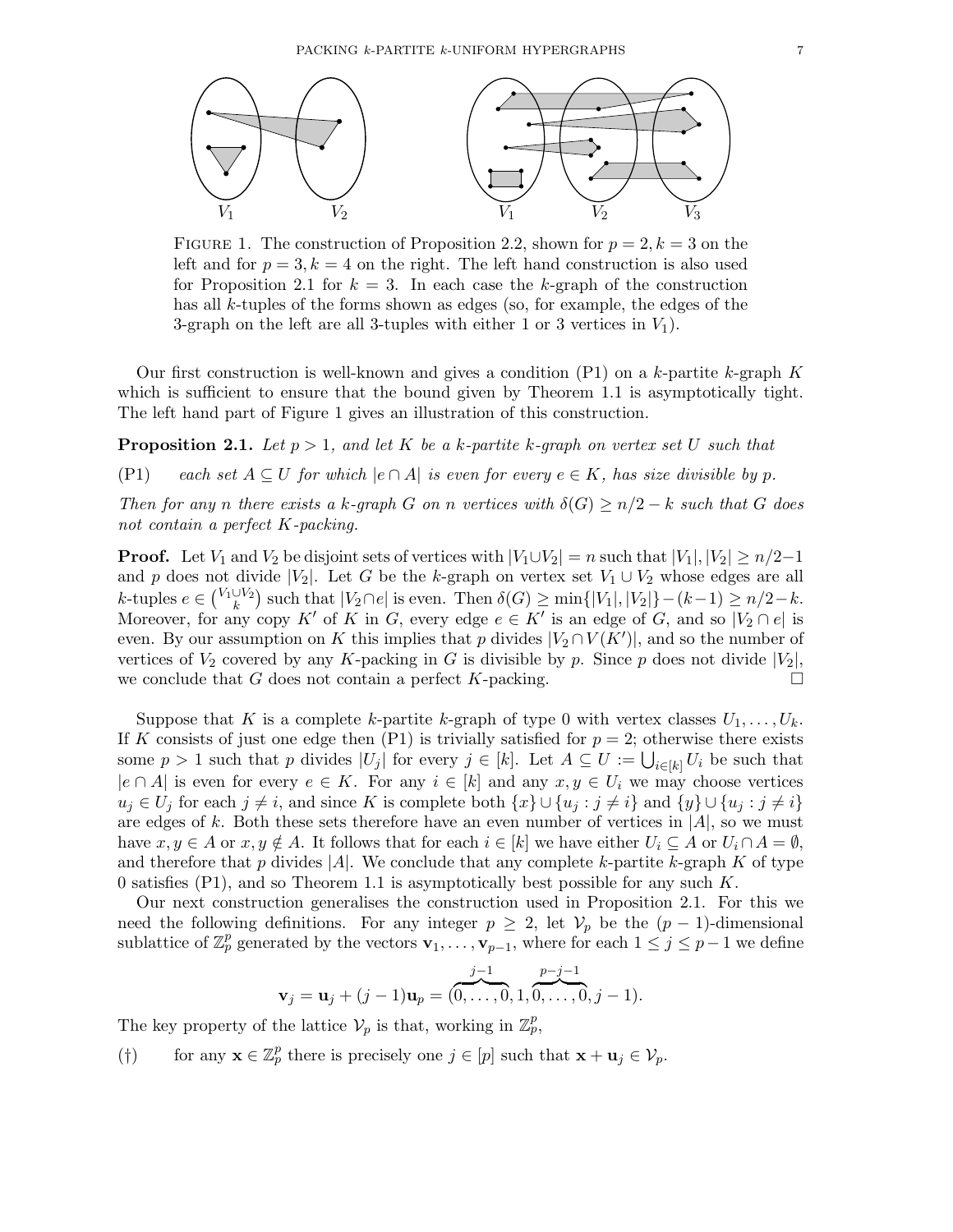

FIGURE 1. The construction of Proposition 2.2, shown for  $p = 2, k = 3$  on the left and for  $p = 3, k = 4$  on the right. The left hand construction is also used for Proposition 2.1 for  $k = 3$ . In each case the k-graph of the construction has all k-tuples of the forms shown as edges (so, for example, the edges of the 3-graph on the left are all 3-tuples with either 1 or 3 vertices in  $V_1$ ).

Our first construction is well-known and gives a condition  $(P1)$  on a k-partite k-graph K which is sufficient to ensure that the bound given by Theorem 1.1 is asymptotically tight. The left hand part of Figure 1 gives an illustration of this construction.

**Proposition 2.1.** Let  $p > 1$ , and let K be a k-partite k-graph on vertex set U such that

(P1) each set  $A \subseteq U$  for which  $|e \cap A|$  is even for every  $e \in K$ , has size divisible by p.

Then for any n there exists a k-graph G on n vertices with  $\delta(G) \geq n/2 - k$  such that G does not contain a perfect K-packing.

**Proof.** Let  $V_1$  and  $V_2$  be disjoint sets of vertices with  $|V_1 \cup V_2| = n$  such that  $|V_1|, |V_2| \geq n/2-1$ and p does not divide |V<sub>2</sub>|. Let G be the k-graph on vertex set  $V_1 \cup V_2$  whose edges are all k-tuples  $e \in {V_1 \cup V_2 \choose k}$  such that  $|V_2 \cap e|$  is even. Then  $\delta(G) \ge \min\{|V_1|, |V_2|\}-(k-1) \ge n/2-k$ . Moreover, for any copy K' of K in G, every edge  $e \in K'$  is an edge of G, and so  $|V_2 \cap e|$  is even. By our assumption on K this implies that p divides  $|V_2 \cap V(K')|$ , and so the number of vertices of  $V_2$  covered by any K-packing in G is divisible by p. Since p does not divide  $|V_2|$ , we conclude that G does not contain a perfect K-packing. we conclude that  $G$  does not contain a perfect  $K$ -packing.

Suppose that K is a complete k-partite k-graph of type 0 with vertex classes  $U_1, \ldots, U_k$ . If K consists of just one edge then  $(P1)$  is trivially satisfied for  $p = 2$ ; otherwise there exists some  $p > 1$  such that p divides  $|U_j|$  for every  $j \in [k]$ . Let  $A \subseteq U := \bigcup_{i \in [k]} U_i$  be such that  $|e \cap A|$  is even for every  $e \in K$ . For any  $i \in [k]$  and any  $x, y \in U_i$  we may choose vertices  $u_j \in U_j$  for each  $j \neq i$ , and since K is complete both  $\{x\} \cup \{u_j : j \neq i\}$  and  $\{y\} \cup \{u_j : j \neq i\}$ are edges of k. Both these sets therefore have an even number of vertices in  $|A|$ , so we must have  $x, y \in A$  or  $x, y \notin A$ . It follows that for each  $i \in [k]$  we have either  $U_i \subseteq A$  or  $U_i \cap A = \emptyset$ , and therefore that p divides  $|A|$ . We conclude that any complete k-partite k-graph K of type 0 satisfies (P1), and so Theorem 1.1 is asymptotically best possible for any such  $K$ .

Our next construction generalises the construction used in Proposition 2.1. For this we need the following definitions. For any integer  $p \geq 2$ , let  $\mathcal{V}_p$  be the  $(p-1)$ -dimensional sublattice of  $\mathbb{Z}_p^p$  generated by the vectors  $\mathbf{v}_1, \ldots, \mathbf{v}_{p-1}$ , where for each  $1 \leq j \leq p-1$  we define

$$
\mathbf{v}_j = \mathbf{u}_j + (j-1)\mathbf{u}_p = \underbrace{(0,\ldots,0,1,0,\ldots,0,0, j-1)}_{\text{max}}.
$$

The key property of the lattice  $\mathcal{V}_p$  is that, working in  $\mathbb{Z}_p^p$ ,

(†) for any  $\mathbf{x} \in \mathbb{Z}_p^p$  there is precisely one  $j \in [p]$  such that  $\mathbf{x} + \mathbf{u}_j \in \mathcal{V}_p$ .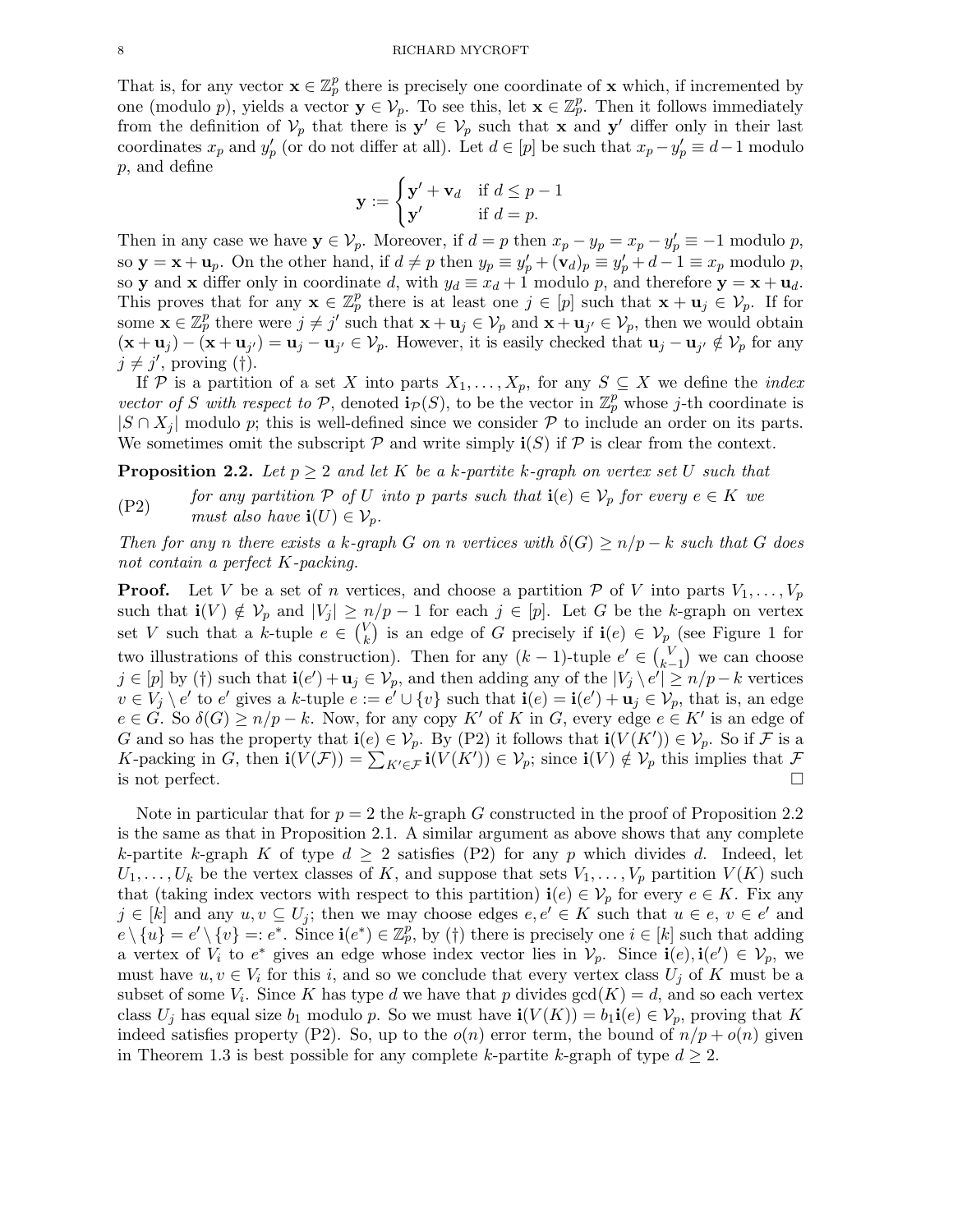That is, for any vector  $\mathbf{x} \in \mathbb{Z}_p^p$  there is precisely one coordinate of  $\mathbf{x}$  which, if incremented by one (modulo p), yields a vector  $y \in V_p$ . To see this, let  $x \in \mathbb{Z}_p^p$ . Then it follows immediately from the definition of  $\mathcal{V}_p$  that there is  $\mathbf{y}' \in \mathcal{V}_p$  such that x and  $\mathbf{y}'$  differ only in their last coordinates  $x_p$  and  $y'_p$  (or do not differ at all). Let  $d \in [p]$  be such that  $x_p - y'_p \equiv d - 1$  modulo p, and define

$$
\mathbf{y} := \begin{cases} \mathbf{y}' + \mathbf{v}_d & \text{if } d \le p - 1 \\ \mathbf{y}' & \text{if } d = p. \end{cases}
$$

Then in any case we have  $y \in V_p$ . Moreover, if  $d = p$  then  $x_p - y_p = x_p - y'_p \equiv -1$  modulo p, so  $\mathbf{y} = \mathbf{x} + \mathbf{u}_p$ . On the other hand, if  $d \neq p$  then  $y_p \equiv y'_p + (\mathbf{v}_d)_p \equiv y'_p + d - 1 \equiv x_p$  modulo p, so **y** and **x** differ only in coordinate d, with  $y_d \equiv x_d + 1$  modulo p, and therefore  $y = x + u_d$ . This proves that for any  $\mathbf{x} \in \mathbb{Z}_p^p$  there is at least one  $j \in [p]$  such that  $\mathbf{x} + \mathbf{u}_j \in \mathcal{V}_p$ . If for some  $\mathbf{x} \in \mathbb{Z}_p^p$  there were  $j \neq j'$  such that  $\mathbf{x} + \mathbf{u}_j \in V_p$  and  $\mathbf{x} + \mathbf{u}_{j'} \in V_p$ , then we would obtain  $(\mathbf{x} + \mathbf{u}_j) - (\mathbf{x} + \mathbf{u}_{j'}) = \mathbf{u}_j - \mathbf{u}_{j'} \in \mathcal{V}_p$ . However, it is easily checked that  $\mathbf{u}_j - \mathbf{u}_{j'} \notin \mathcal{V}_p$  for any  $j \neq j'$ , proving (†).

If P is a partition of a set X into parts  $X_1, \ldots, X_p$ , for any  $S \subseteq X$  we define the *index* vector of S with respect to P, denoted  $\mathbf{i}_{\mathcal{P}}(S)$ , to be the vector in  $\mathbb{Z}_p^p$  whose j-th coordinate is  $|S \cap X_i|$  modulo p; this is well-defined since we consider P to include an order on its parts. We sometimes omit the subscript  $P$  and write simply  $\mathbf{i}(S)$  if  $P$  is clear from the context.

**Proposition 2.2.** Let  $p \geq 2$  and let K be a k-partite k-graph on vertex set U such that

(P2) for any partition  $P$  of U into p parts such that  $\mathbf{i}(e) \in V_p$  for every  $e \in K$  we must also have  $\mathbf{i}(U) \in \mathcal{V}_n$ .

Then for any n there exists a k-graph G on n vertices with  $\delta(G) \ge n/p - k$  such that G does not contain a perfect K-packing.

**Proof.** Let V be a set of n vertices, and choose a partition P of V into parts  $V_1, \ldots, V_p$ such that  $\mathbf{i}(V) \notin \mathcal{V}_p$  and  $|V_j| \geq n/p - 1$  for each  $j \in [p]$ . Let G be the k-graph on vertex set V such that a k-tuple  $e \in {V \choose k}$  $\mathcal{V}_k$ ) is an edge of G precisely if  $\mathbf{i}(e) \in \mathcal{V}_{p}$  (see Figure 1 for two illustrations of this construction). Then for any  $(k-1)$ -tuple  $e' \in {V \choose k-1}$  $\binom{V}{k-1}$  we can choose  $j \in [p]$  by (†) such that  $\mathbf{i}(e') + \mathbf{u}_j \in V_p$ , and then adding any of the  $|V_j \setminus e'| \ge n/p - k$  vertices  $v \in V_j \setminus e'$  to  $e'$  gives a k-tuple  $e := e' \cup \{v\}$  such that  $\mathbf{i}(e) = \mathbf{i}(e') + \mathbf{u}_j \in V_p$ , that is, an edge  $e \in G$ . So  $\delta(G) \ge n/p - k$ . Now, for any copy K' of K in G, every edge  $e \in K'$  is an edge of G and so has the property that  $\mathbf{i}(e) \in \mathcal{V}_p$ . By (P2) it follows that  $\mathbf{i}(V(K')) \in \mathcal{V}_p$ . So if F is a K-packing in G, then  $\mathbf{i}(V(\mathcal{F})) = \sum_{K' \in \mathcal{F}} \mathbf{i}(V(K')) \in \mathcal{V}_p$ ; since  $\mathbf{i}(V) \notin \mathcal{V}_p$  this implies that  $\mathcal{F}$ is not perfect.  $\Box$ 

Note in particular that for  $p = 2$  the k-graph G constructed in the proof of Proposition 2.2 is the same as that in Proposition 2.1. A similar argument as above shows that any complete k-partite k-graph K of type  $d \geq 2$  satisfies (P2) for any p which divides d. Indeed, let  $U_1, \ldots, U_k$  be the vertex classes of K, and suppose that sets  $V_1, \ldots, V_p$  partition  $V(K)$  such that (taking index vectors with respect to this partition)  $\mathbf{i}(e) \in \mathcal{V}_p$  for every  $e \in K$ . Fix any  $j \in [k]$  and any  $u, v \subseteq U_j$ ; then we may choose edges  $e, e' \in K$  such that  $u \in e, v \in e'$  and  $e \setminus \{u\} = e' \setminus \{v\} =: e^*$ . Since  $\mathbf{i}(e^*) \in \mathbb{Z}_p^p$ , by (†) there is precisely one  $i \in [k]$  such that adding a vertex of  $V_i$  to  $e^*$  gives an edge whose index vector lies in  $\mathcal{V}_p$ . Since  $\mathbf{i}(e), \mathbf{i}(e') \in \mathcal{V}_p$ , we must have  $u, v \in V_i$  for this i, and so we conclude that every vertex class  $U_j$  of K must be a subset of some  $V_i$ . Since K has type d we have that p divides  $gcd(K) = d$ , and so each vertex class  $U_j$  has equal size  $b_1$  modulo p. So we must have  $\mathbf{i}(V(K)) = b_1 \mathbf{i}(e) \in V_p$ , proving that K indeed satisfies property (P2). So, up to the  $o(n)$  error term, the bound of  $n/p + o(n)$  given in Theorem 1.3 is best possible for any complete k-partite k-graph of type  $d \geq 2$ .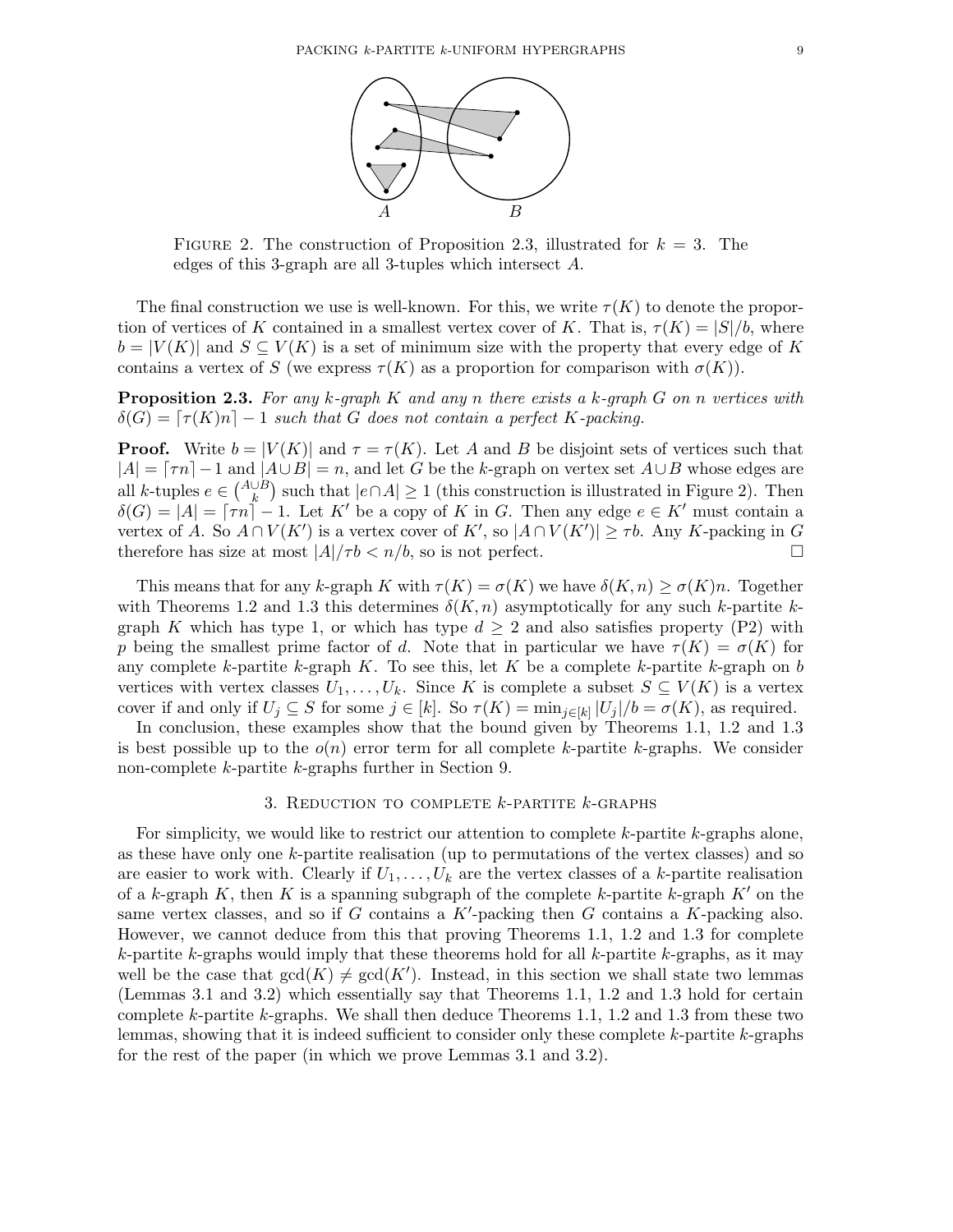

FIGURE 2. The construction of Proposition 2.3, illustrated for  $k = 3$ . The edges of this 3-graph are all 3-tuples which intersect A.

The final construction we use is well-known. For this, we write  $\tau(K)$  to denote the proportion of vertices of K contained in a smallest vertex cover of K. That is,  $\tau(K) = |S|/b$ , where  $b = |V(K)|$  and  $S \subseteq V(K)$  is a set of minimum size with the property that every edge of K contains a vertex of S (we express  $\tau(K)$  as a proportion for comparison with  $\sigma(K)$ ).

**Proposition 2.3.** For any k-graph K and any n there exists a k-graph G on n vertices with  $\delta(G) = [\tau(K)n] - 1$  such that G does not contain a perfect K-packing.

**Proof.** Write  $b = |V(K)|$  and  $\tau = \tau(K)$ . Let A and B be disjoint sets of vertices such that  $|A| = \lceil \tau n \rceil - 1$  and  $|A \cup B| = n$ , and let G be the k-graph on vertex set  $A \cup B$  whose edges are all k-tuples  $e \in {A \cup B \choose k}$  such that  $|e \cap A| \ge 1$  (this construction is illustrated in Figure 2). Then  $\delta(G) = |A| = \lceil \tau n \rceil - 1$ . Let K' be a copy of K in G. Then any edge  $e \in K'$  must contain a vertex of A. So  $A \cap V(K')$  is a vertex cover of K', so  $|A \cap V(K')| \geq \tau b$ . Any K-packing in G therefore has size at most  $|A|/\tau b < n/b$ , so is not perfect.

This means that for any k-graph K with  $\tau(K) = \sigma(K)$  we have  $\delta(K,n) \geq \sigma(K)n$ . Together with Theorems 1.2 and 1.3 this determines  $\delta(K, n)$  asymptotically for any such k-partite kgraph K which has type 1, or which has type  $d \geq 2$  and also satisfies property (P2) with p being the smallest prime factor of d. Note that in particular we have  $\tau(K) = \sigma(K)$  for any complete k-partite k-graph K. To see this, let K be a complete k-partite k-graph on b vertices with vertex classes  $U_1, \ldots, U_k$ . Since K is complete a subset  $S \subseteq V(K)$  is a vertex cover if and only if  $U_j \subseteq S$  for some  $j \in [k]$ . So  $\tau(K) = \min_{j \in [k]} |U_j|/b = \sigma(K)$ , as required.

In conclusion, these examples show that the bound given by Theorems 1.1, 1.2 and 1.3 is best possible up to the  $o(n)$  error term for all complete k-partite k-graphs. We consider non-complete k-partite k-graphs further in Section 9.

## 3. REDUCTION TO COMPLETE  $k$ -PARTITE  $k$ -GRAPHS

For simplicity, we would like to restrict our attention to complete  $k$ -partite  $k$ -graphs alone, as these have only one k-partite realisation (up to permutations of the vertex classes) and so are easier to work with. Clearly if  $U_1, \ldots, U_k$  are the vertex classes of a k-partite realisation of a k-graph K, then K is a spanning subgraph of the complete k-partite k-graph  $K'$  on the same vertex classes, and so if  $G$  contains a  $K'$ -packing then  $G$  contains a  $K$ -packing also. However, we cannot deduce from this that proving Theorems 1.1, 1.2 and 1.3 for complete  $k$ -partite k-graphs would imply that these theorems hold for all  $k$ -partite k-graphs, as it may well be the case that  $gcd(K) \neq gcd(K')$ . Instead, in this section we shall state two lemmas (Lemmas 3.1 and 3.2) which essentially say that Theorems 1.1, 1.2 and 1.3 hold for certain complete k-partite k-graphs. We shall then deduce Theorems 1.1, 1.2 and 1.3 from these two lemmas, showing that it is indeed sufficient to consider only these complete k-partite k-graphs for the rest of the paper (in which we prove Lemmas 3.1 and 3.2).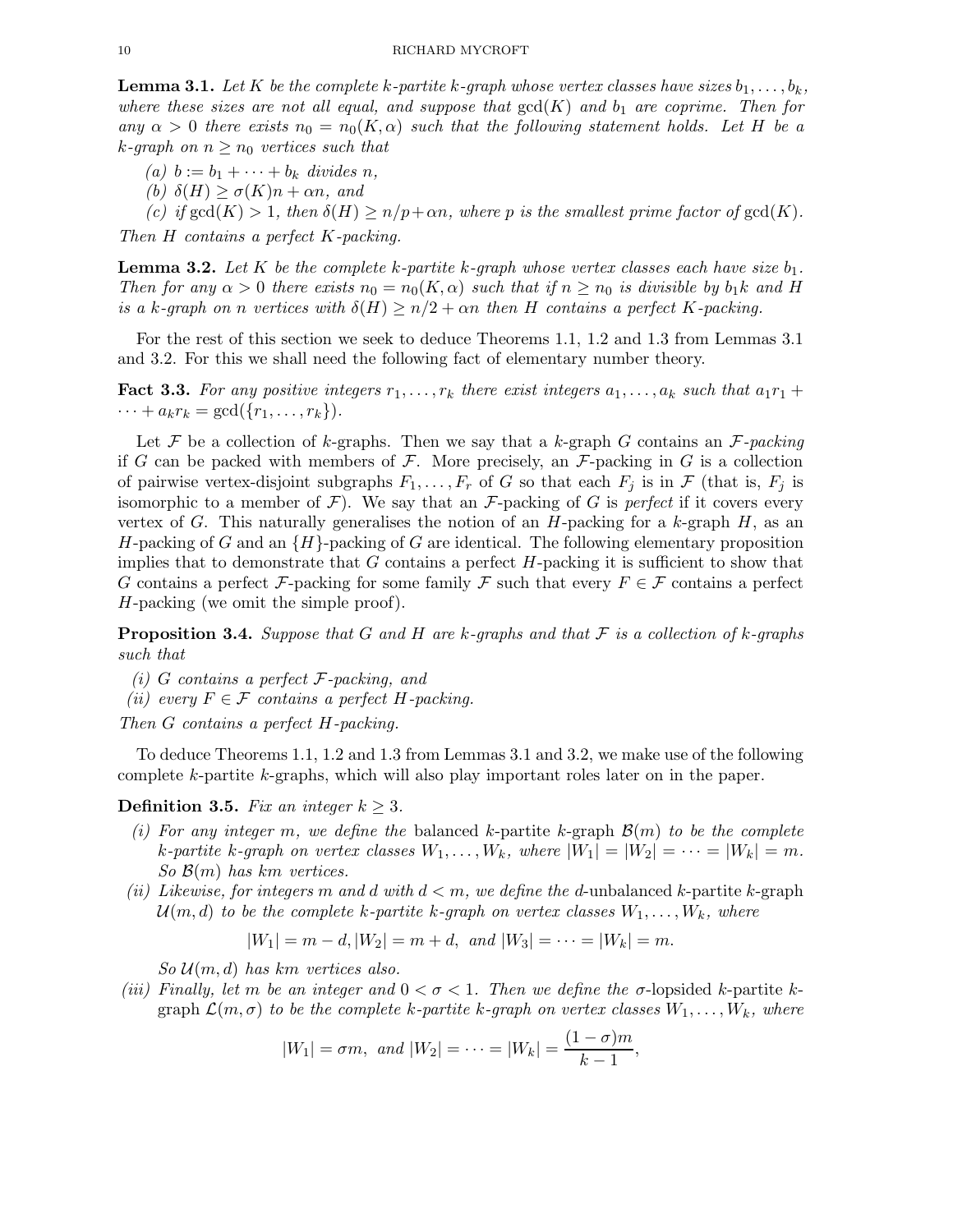**Lemma 3.1.** Let K be the complete k-partite k-graph whose vertex classes have sizes  $b_1, \ldots, b_k$ , where these sizes are not all equal, and suppose that  $gcd(K)$  and  $b<sub>1</sub>$  are coprime. Then for any  $\alpha > 0$  there exists  $n_0 = n_0(K, \alpha)$  such that the following statement holds. Let H be a k-graph on  $n \geq n_0$  vertices such that

- (a)  $b := b_1 + \cdots + b_k$  divides n,
- (b)  $\delta(H) \ge \sigma(K)n + \alpha n$ , and

(c) if  $gcd(K) > 1$ , then  $\delta(H) \ge n/p + \alpha n$ , where p is the smallest prime factor of  $gcd(K)$ .

Then H contains a perfect K-packing.

**Lemma 3.2.** Let K be the complete k-partite k-graph whose vertex classes each have size  $b_1$ . Then for any  $\alpha > 0$  there exists  $n_0 = n_0(K, \alpha)$  such that if  $n \geq n_0$  is divisible by  $b_1k$  and H is a k-graph on n vertices with  $\delta(H) \ge n/2 + \alpha n$  then H contains a perfect K-packing.

For the rest of this section we seek to deduce Theorems 1.1, 1.2 and 1.3 from Lemmas 3.1 and 3.2. For this we shall need the following fact of elementary number theory.

**Fact 3.3.** For any positive integers  $r_1, \ldots, r_k$  there exist integers  $a_1, \ldots, a_k$  such that  $a_1r_1 +$  $\cdots + a_k r_k = \gcd(\{r_1, \ldots, r_k\}).$ 

Let F be a collection of k-graphs. Then we say that a k-graph G contains an  $\mathcal{F}\text{-}packing$ if G can be packed with members of F. More precisely, an  $\mathcal{F}\text{-packing}$  in G is a collection of pairwise vertex-disjoint subgraphs  $F_1, \ldots, F_r$  of G so that each  $F_j$  is in F (that is,  $F_j$  is isomorphic to a member of  $\mathcal{F}$ ). We say that an  $\mathcal{F}$ -packing of G is perfect if it covers every vertex of G. This naturally generalises the notion of an  $H$ -packing for a k-graph  $H$ , as an H-packing of G and an  $\{H\}$ -packing of G are identical. The following elementary proposition implies that to demonstrate that  $G$  contains a perfect  $H$ -packing it is sufficient to show that G contains a perfect F-packing for some family F such that every  $F \in \mathcal{F}$  contains a perfect H-packing (we omit the simple proof).

**Proposition 3.4.** Suppose that G and H are k-graphs and that F is a collection of k-graphs such that

- (i) G contains a perfect  $F$ -packing, and
- (ii) every  $F \in \mathcal{F}$  contains a perfect H-packing.

Then G contains a perfect H-packing.

To deduce Theorems 1.1, 1.2 and 1.3 from Lemmas 3.1 and 3.2, we make use of the following complete k-partite k-graphs, which will also play important roles later on in the paper.

#### **Definition 3.5.** Fix an integer  $k \geq 3$ .

- (i) For any integer m, we define the balanced k-partite k-graph  $\mathcal{B}(m)$  to be the complete k-partite k-graph on vertex classes  $W_1, \ldots, W_k$ , where  $|W_1| = |W_2| = \cdots = |W_k| = m$ . So  $\mathcal{B}(m)$  has km vertices.
- (ii) Likewise, for integers m and d with  $d < m$ , we define the d-unbalanced k-partite k-graph  $\mathcal{U}(m, d)$  to be the complete k-partite k-graph on vertex classes  $W_1, \ldots, W_k$ , where

$$
|W_1| = m - d
$$
,  $|W_2| = m + d$ , and  $|W_3| = \cdots = |W_k| = m$ .

 $So U(m, d)$  has km vertices also.

(iii) Finally, let m be an integer and  $0 < \sigma < 1$ . Then we define the  $\sigma$ -lopsided k-partite kgraph  $\mathcal{L}(m, \sigma)$  to be the complete k-partite k-graph on vertex classes  $W_1, \ldots, W_k$ , where

$$
|W_1| = \sigma m
$$
, and  $|W_2| = \cdots = |W_k| = \frac{(1-\sigma)m}{k-1}$ ,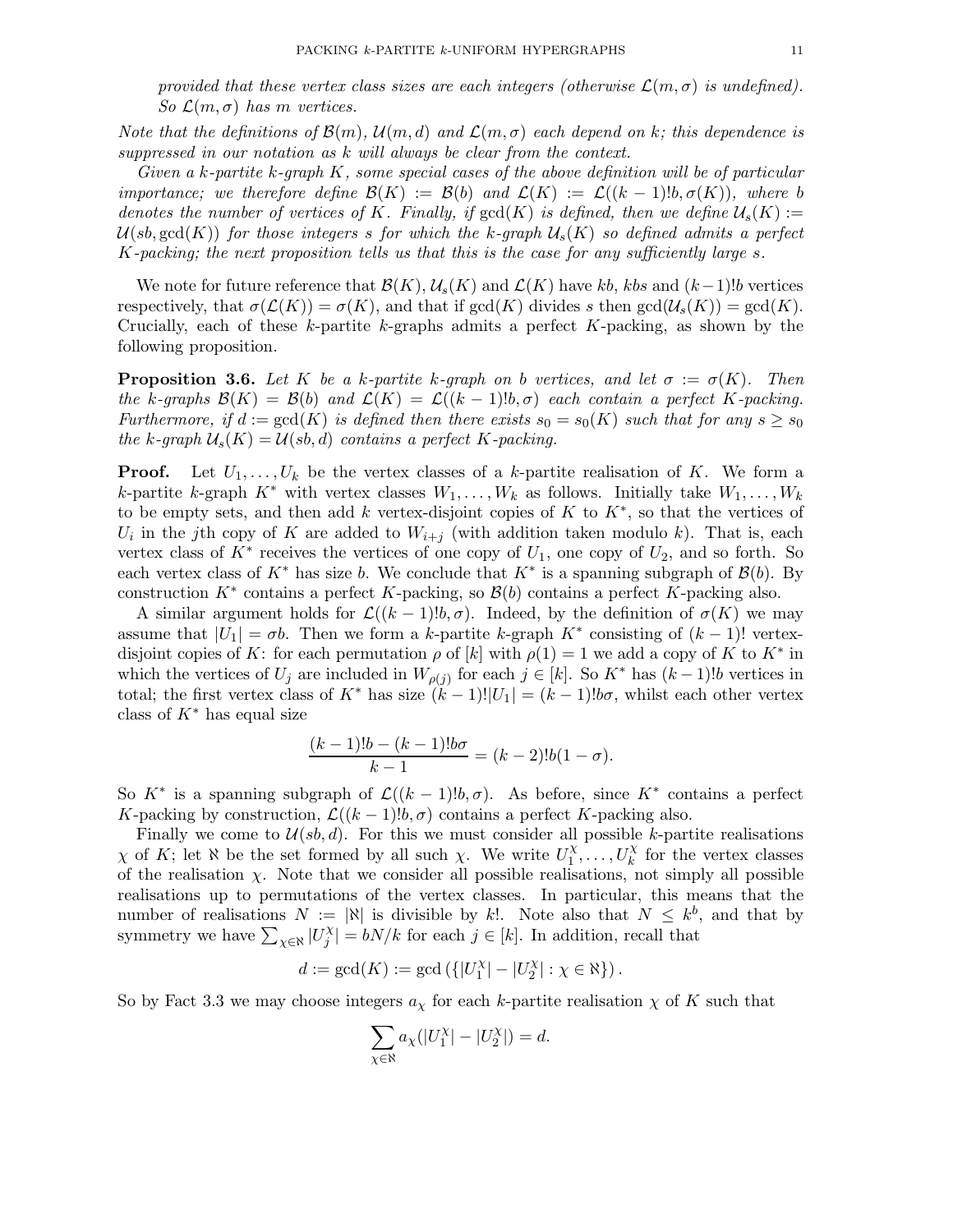provided that these vertex class sizes are each integers (otherwise  $\mathcal{L}(m, \sigma)$  is undefined). So  $\mathcal{L}(m, \sigma)$  has m vertices.

Note that the definitions of  $\mathcal{B}(m)$ ,  $\mathcal{U}(m,d)$  and  $\mathcal{L}(m,\sigma)$  each depend on k; this dependence is suppressed in our notation as k will always be clear from the context.

Given a k-partite k-graph  $K$ , some special cases of the above definition will be of particular importance; we therefore define  $\mathcal{B}(K) := \mathcal{B}(b)$  and  $\mathcal{L}(K) := \mathcal{L}((k-1)!b, \sigma(K)),$  where b denotes the number of vertices of K. Finally, if  $gcd(K)$  is defined, then we define  $\mathcal{U}_s(K) :=$  $\mathcal{U}(sb, \text{gcd}(K))$  for those integers s for which the k-graph  $\mathcal{U}_s(K)$  so defined admits a perfect K-packing; the next proposition tells us that this is the case for any sufficiently large s.

We note for future reference that  $\mathcal{B}(K)$ ,  $\mathcal{U}_s(K)$  and  $\mathcal{L}(K)$  have kb, kbs and  $(k-1)!$  vertices respectively, that  $\sigma(\mathcal{L}(K)) = \sigma(K)$ , and that if  $gcd(K)$  divides s then  $gcd(\mathcal{U}_s(K)) = gcd(K)$ . Crucially, each of these  $k$ -partite  $k$ -graphs admits a perfect  $K$ -packing, as shown by the following proposition.

**Proposition 3.6.** Let K be a k-partite k-graph on b vertices, and let  $\sigma := \sigma(K)$ . Then the k-graphs  $\mathcal{B}(K) = \mathcal{B}(b)$  and  $\mathcal{L}(K) = \mathcal{L}((k-1)!b, \sigma)$  each contain a perfect K-packing. Furthermore, if  $d := \gcd(K)$  is defined then there exists  $s_0 = s_0(K)$  such that for any  $s \geq s_0$ the k-graph  $\mathcal{U}_s(K) = \mathcal{U}(sb,d)$  contains a perfect K-packing.

**Proof.** Let  $U_1, \ldots, U_k$  be the vertex classes of a k-partite realisation of K. We form a k-partite k-graph  $K^*$  with vertex classes  $W_1, \ldots, W_k$  as follows. Initially take  $W_1, \ldots, W_k$ to be empty sets, and then add k vertex-disjoint copies of K to  $K^*$ , so that the vertices of  $U_i$  in the j<sup>th</sup> copy of K are added to  $W_{i+j}$  (with addition taken modulo k). That is, each vertex class of  $K^*$  receives the vertices of one copy of  $U_1$ , one copy of  $U_2$ , and so forth. So each vertex class of  $K^*$  has size b. We conclude that  $K^*$  is a spanning subgraph of  $\mathcal{B}(b)$ . By construction  $K^*$  contains a perfect K-packing, so  $\mathcal{B}(b)$  contains a perfect K-packing also.

A similar argument holds for  $\mathcal{L}((k-1)!b,\sigma)$ . Indeed, by the definition of  $\sigma(K)$  we may assume that  $|U_1| = \sigma b$ . Then we form a k-partite k-graph  $K^*$  consisting of  $(k-1)!$  vertexdisjoint copies of K: for each permutation  $\rho$  of [k] with  $\rho(1) = 1$  we add a copy of K to K<sup>\*</sup> in which the vertices of  $U_j$  are included in  $W_{\rho(j)}$  for each  $j \in [k]$ . So  $K^*$  has  $(k-1)!b$  vertices in total; the first vertex class of K<sup>\*</sup> has size  $(k-1)!|U_1| = (k-1)!b\sigma$ , whilst each other vertex class of  $K^*$  has equal size

$$
\frac{(k-1)!b - (k-1)!b\sigma}{k-1} = (k-2)!b(1-\sigma).
$$

So  $K^*$  is a spanning subgraph of  $\mathcal{L}((k-1)!b, \sigma)$ . As before, since  $K^*$  contains a perfect K-packing by construction,  $\mathcal{L}((k-1)!b, \sigma)$  contains a perfect K-packing also.

Finally we come to  $\mathcal{U}(sb,d)$ . For this we must consider all possible k-partite realisations  $\chi$  of K; let  $\aleph$  be the set formed by all such  $\chi$ . We write  $U_1^{\chi}$  $\overline{U}_1^{\chi}, \ldots, \overline{U}_k^{\chi}$  for the vertex classes of the realisation  $\chi$ . Note that we consider all possible realisations, not simply all possible realisations up to permutations of the vertex classes. In particular, this means that the number of realisations  $N := |x|$  is divisible by k!. Note also that  $N \leq k^{b}$ , and that by symmetry we have  $\sum_{\chi \in \aleph} |U_j^{\chi}|$  $|j^{\chi}| = bN/k$  for each  $j \in [k]$ . In addition, recall that

$$
d:=\gcd(K):=\gcd\left(\{|U_1^\chi|-|U_2^\chi|:\chi\in\aleph\}\right).
$$

So by Fact 3.3 we may choose integers  $a<sub>x</sub>$  for each k-partite realisation  $\chi$  of K such that

$$
\sum_{\chi \in \aleph} a_{\chi}(|U_1^{\chi}| - |U_2^{\chi}|) = d.
$$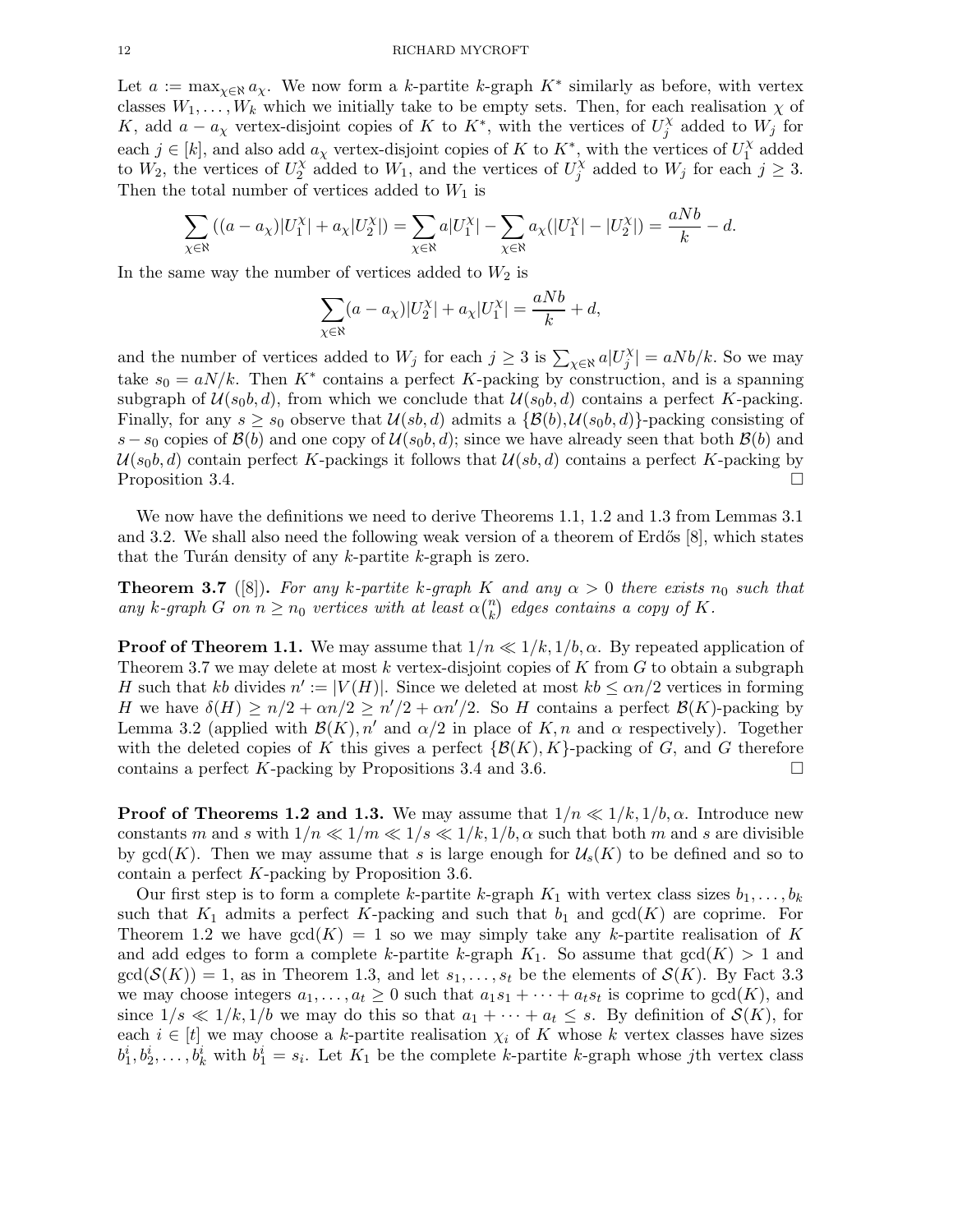#### 12 RICHARD MYCROFT

Let  $a := \max_{\chi \in \mathbb{R}} a_{\chi}$ . We now form a k-partite k-graph  $K^*$  similarly as before, with vertex classes  $W_1, \ldots, W_k$  which we initially take to be empty sets. Then, for each realisation  $\chi$  of K, add  $a - a<sub>\chi</sub>$  vertex-disjoint copies of K to K<sup>\*</sup>, with the vertices of  $U_j^{\chi}$  $j^{\chi}$  added to  $W_j$  for each  $j \in [k]$ , and also add  $a_{\chi}$  vertex-disjoint copies of K to  $K^*$ , with the vertices of  $U_1^{\chi}$  $i^{\chi}$  added to  $W_2$ , the vertices of  $U_2^{\chi}$  $\alpha_2^{\chi}$  added to  $W_1$ , and the vertices of  $U_j^{\chi}$  $j^{\chi}$  added to  $W_j$  for each  $j \geq 3$ . Then the total number of vertices added to  $W_1$  is

$$
\sum_{\chi \in \aleph} ((a - a_{\chi}) |U_1^{\chi}| + a_{\chi} |U_2^{\chi}|) = \sum_{\chi \in \aleph} a |U_1^{\chi}| - \sum_{\chi \in \aleph} a_{\chi} (|U_1^{\chi}| - |U_2^{\chi}|) = \frac{a N b}{k} - d.
$$

In the same way the number of vertices added to  $W_2$  is

$$
\sum_{\chi \in \aleph} (a - a_{\chi}) |U_2^{\chi}| + a_{\chi} |U_1^{\chi}| = \frac{a N b}{k} + d,
$$

and the number of vertices added to  $W_j$  for each  $j \geq 3$  is  $\sum_{\chi \in \aleph} a | U_j^{\chi}$  $\left|\frac{\partial X}{\partial y}\right| = aNb/k$ . So we may take  $s_0 = aN/k$ . Then K<sup>\*</sup> contains a perfect K-packing by construction, and is a spanning subgraph of  $\mathcal{U}(s_0, d)$ , from which we conclude that  $\mathcal{U}(s_0, d)$  contains a perfect K-packing. Finally, for any  $s \geq s_0$  observe that  $\mathcal{U}(s,b,d)$  admits a  $\{\mathcal{B}(b), \mathcal{U}(s_0, b,d)\}\$ -packing consisting of s – s<sub>0</sub> copies of  $\mathcal{B}(b)$  and one copy of  $\mathcal{U}(s_0, d)$ ; since we have already seen that both  $\mathcal{B}(b)$  and  $U(s_0, d)$  contain perfect K-packings it follows that  $U(s, d)$  contains a perfect K-packing by<br>Proposition 3.4. Proposition 3.4.

We now have the definitions we need to derive Theorems 1.1, 1.2 and 1.3 from Lemmas 3.1 and 3.2. We shall also need the following weak version of a theorem of Erdős  $[8]$ , which states that the Turán density of any  $k$ -partite  $k$ -graph is zero.

**Theorem 3.7** ([8]). For any k-partite k-graph K and any  $\alpha > 0$  there exists  $n_0$  such that any k-graph G on  $n \geq n_0$  vertices with at least  $\alpha \binom{n}{k}$  $\binom{n}{k}$  edges contains a copy of K.

**Proof of Theorem 1.1.** We may assume that  $1/n \ll 1/k, 1/b, \alpha$ . By repeated application of Theorem 3.7 we may delete at most k vertex-disjoint copies of K from  $G$  to obtain a subgraph H such that kb divides  $n' := |V(H)|$ . Since we deleted at most  $kb \le \alpha n/2$  vertices in forming H we have  $\delta(H) \ge n/2 + \alpha n/2 \ge n'/2 + \alpha n'/2$ . So H contains a perfect  $\mathcal{B}(K)$ -packing by Lemma 3.2 (applied with  $\mathcal{B}(K)$ , n' and  $\alpha/2$  in place of K, n and  $\alpha$  respectively). Together with the deleted copies of K this gives a perfect  $\{\mathcal{B}(K), K\}$ -packing of G, and G therefore contains a perfect K-packing by Propositions 3.4 and 3.6. contains a perfect K-packing by Propositions 3.4 and 3.6.

**Proof of Theorems 1.2 and 1.3.** We may assume that  $1/n \ll 1/k, 1/b, \alpha$ . Introduce new constants m and s with  $1/n \ll 1/m \ll 1/s \ll 1/k, 1/b, \alpha$  such that both m and s are divisible by  $gcd(K)$ . Then we may assume that s is large enough for  $\mathcal{U}_s(K)$  to be defined and so to contain a perfect K-packing by Proposition 3.6.

Our first step is to form a complete k-partite k-graph  $K_1$  with vertex class sizes  $b_1, \ldots, b_k$ such that  $K_1$  admits a perfect K-packing and such that  $b_1$  and  $gcd(K)$  are coprime. For Theorem 1.2 we have  $gcd(K) = 1$  so we may simply take any k-partite realisation of K and add edges to form a complete k-partite k-graph  $K_1$ . So assume that  $gcd(K) > 1$  and  $gcd(S(K)) = 1$ , as in Theorem 1.3, and let  $s_1, \ldots, s_t$  be the elements of  $S(K)$ . By Fact 3.3 we may choose integers  $a_1, \ldots, a_t \geq 0$  such that  $a_1s_1 + \cdots + a_ts_t$  is coprime to  $gcd(K)$ , and since  $1/s \ll 1/k, 1/b$  we may do this so that  $a_1 + \cdots + a_t \leq s$ . By definition of  $\mathcal{S}(K)$ , for each  $i \in [t]$  we may choose a k-partite realisation  $\chi_i$  of K whose k vertex classes have sizes  $b_1^i, b_2^i, \ldots, b_k^i$  with  $b_1^i = s_i$ . Let  $K_1$  be the complete k-partite k-graph whose jth vertex class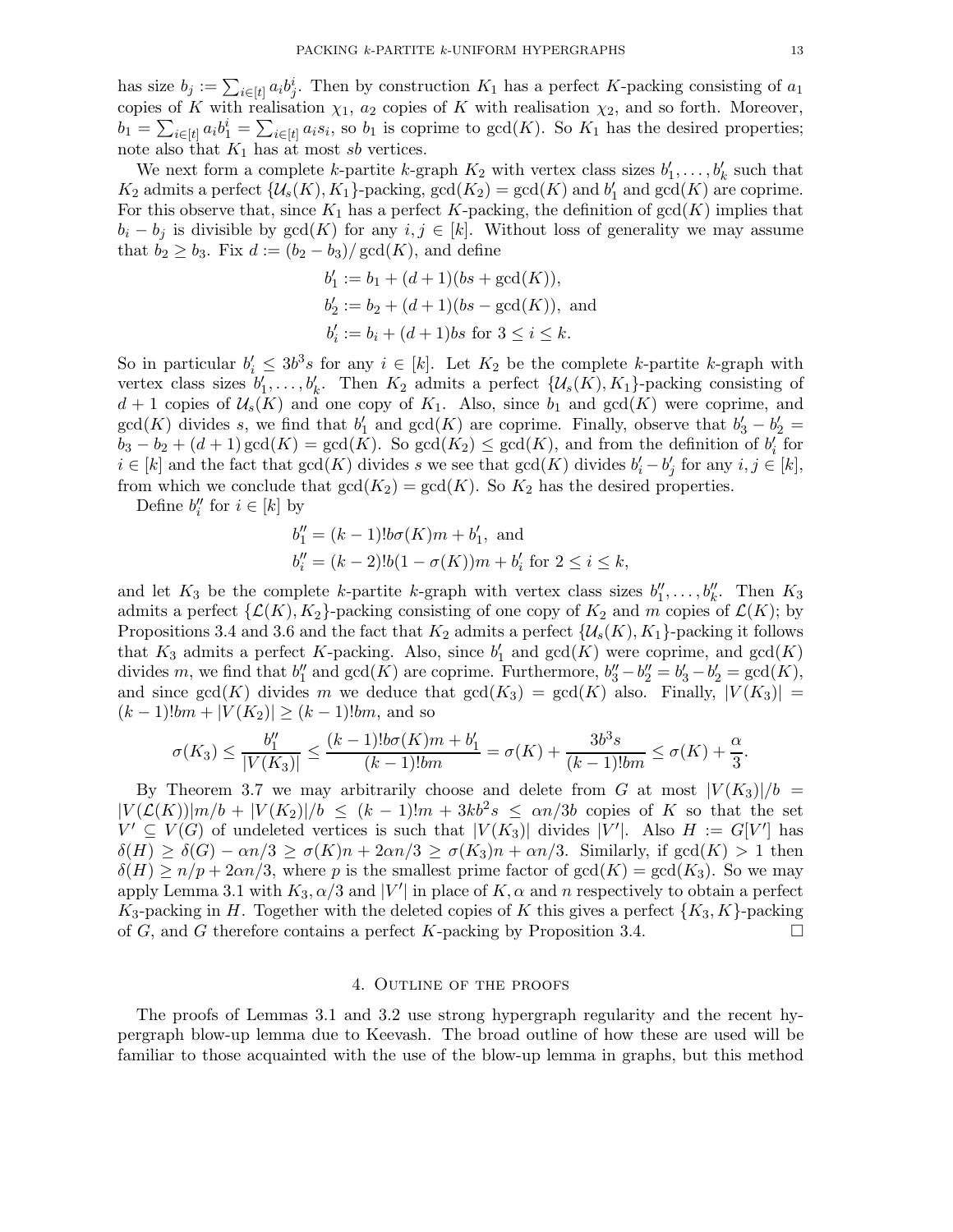has size  $b_j := \sum_{i \in [t]} a_i b_j^i$ . Then by construction  $K_1$  has a perfect K-packing consisting of  $a_1$ copies of K with realisation  $\chi_1$ ,  $a_2$  copies of K with realisation  $\chi_2$ , and so forth. Moreover,  $b_1 = \sum_{i \in [t]} a_i b_1^i = \sum_{i \in [t]} a_i s_i$ , so  $b_1$  is coprime to  $gcd(K)$ . So  $K_1$  has the desired properties; note also that  $K_1$  has at most sb vertices.

We next form a complete k-partite k-graph  $K_2$  with vertex class sizes  $b'_1, \ldots, b'_k$  such that  $K_2$  admits a perfect  $\{U_s(K), K_1\}$ -packing,  $gcd(K_2) = gcd(K)$  and  $b'_1$  and  $gcd(K)$  are coprime. For this observe that, since  $K_1$  has a perfect K-packing, the definition of  $gcd(K)$  implies that  $b_i - b_j$  is divisible by  $gcd(K)$  for any  $i, j \in [k]$ . Without loss of generality we may assume that  $b_2 \geq b_3$ . Fix  $d := (b_2 - b_3)/\text{gcd}(K)$ , and define

$$
b'_1 := b_1 + (d+1)(bs + \gcd(K)),
$$
  
\n
$$
b'_2 := b_2 + (d+1)(bs - \gcd(K)),
$$
 and  
\n
$$
b'_i := b_i + (d+1)bs \text{ for } 3 \le i \le k.
$$

So in particular  $b'_i \leq 3b^3s$  for any  $i \in [k]$ . Let  $K_2$  be the complete k-partite k-graph with vertex class sizes  $b'_1, \ldots, b'_k$ . Then  $K_2$  admits a perfect  $\{\mathcal{U}_s(K), K_1\}$ -packing consisting of  $d+1$  copies of  $\mathcal{U}_s(K)$  and one copy of  $K_1$ . Also, since  $b_1$  and  $gcd(K)$  were coprime, and  $gcd(K)$  divides s, we find that  $b'_1$  and  $gcd(K)$  are coprime. Finally, observe that  $b'_3 - b'_2 =$  $b_3 - b_2 + (d+1) \gcd(K) = \gcd(K)$ . So  $\gcd(K_2) \leq \gcd(K)$ , and from the definition of  $b'_i$  for  $i \in [k]$  and the fact that  $gcd(K)$  divides s we see that  $gcd(K)$  divides  $b'_i - b'_j$  for any  $i, j \in [k]$ , from which we conclude that  $gcd(K_2) = gcd(K)$ . So  $K_2$  has the desired properties.

Define  $b_i''$  for  $i \in [k]$  by

$$
b_1'' = (k-1)!b\sigma(K)m + b_1', \text{ and}
$$
  

$$
b_i'' = (k-2)!b(1 - \sigma(K))m + b_i' \text{ for } 2 \le i \le k,
$$

and let  $K_3$  be the complete k-partite k-graph with vertex class sizes  $b''_1, \ldots, b''_k$ . Then  $K_3$ admits a perfect  $\{\mathcal{L}(K), K_2\}$ -packing consisting of one copy of  $K_2$  and m copies of  $\mathcal{L}(K)$ ; by Propositions 3.4 and 3.6 and the fact that  $K_2$  admits a perfect  $\{\mathcal{U}_s(K), K_1\}$ -packing it follows that  $K_3$  admits a perfect K-packing. Also, since  $b'_1$  and  $gcd(K)$  were coprime, and  $gcd(K)$ divides m, we find that  $b''_1$  and  $gcd(K)$  are coprime. Furthermore,  $b''_3 - b''_2 = b'_3 - b'_2 = gcd(K)$ , and since  $gcd(K)$  divides m we deduce that  $gcd(K_3) = gcd(K)$  also. Finally,  $|V(K_3)| =$  $(k-1)!bm + |V(K_2)| \ge (k-1)!bm$ , and so

$$
\sigma(K_3) \le \frac{b_1''}{|V(K_3)|} \le \frac{(k-1)!b\sigma(K)m + b_1'}{(k-1)!bm} = \sigma(K) + \frac{3b^3s}{(k-1)!bm} \le \sigma(K) + \frac{\alpha}{3}.
$$

By Theorem 3.7 we may arbitrarily choose and delete from G at most  $|V(K_3)|/b =$  $|V(\mathcal{L}(K))|m/b + |V(K_2)|/b \le (k-1)!m + 3kb^2s \le \alpha n/3b$  copies of K so that the set  $V' \subseteq V(G)$  of undeleted vertices is such that  $|V(K_3)|$  divides  $|V'|$ . Also  $H := G[V']$  has  $\delta(H) \geq \delta(G) - \alpha n/3 \geq \sigma(K)n + 2\alpha n/3 \geq \sigma(K_3)n + \alpha n/3$ . Similarly, if  $gcd(K) > 1$  then  $\delta(H) \ge n/p + 2\alpha n/3$ , where p is the smallest prime factor of  $gcd(K) = gcd(K_3)$ . So we may apply Lemma 3.1 with  $K_3$ ,  $\alpha/3$  and  $|V'|$  in place of  $K$ ,  $\alpha$  and n respectively to obtain a perfect  $K_3$ -packing in H. Together with the deleted copies of K this gives a perfect  $\{K_3, K\}$ -packing of G, and G therefore contains a perfect K-packing by Proposition 3.4. of G, and G therefore contains a perfect K-packing by Proposition 3.4.

#### 4. Outline of the proofs

The proofs of Lemmas 3.1 and 3.2 use strong hypergraph regularity and the recent hypergraph blow-up lemma due to Keevash. The broad outline of how these are used will be familiar to those acquainted with the use of the blow-up lemma in graphs, but this method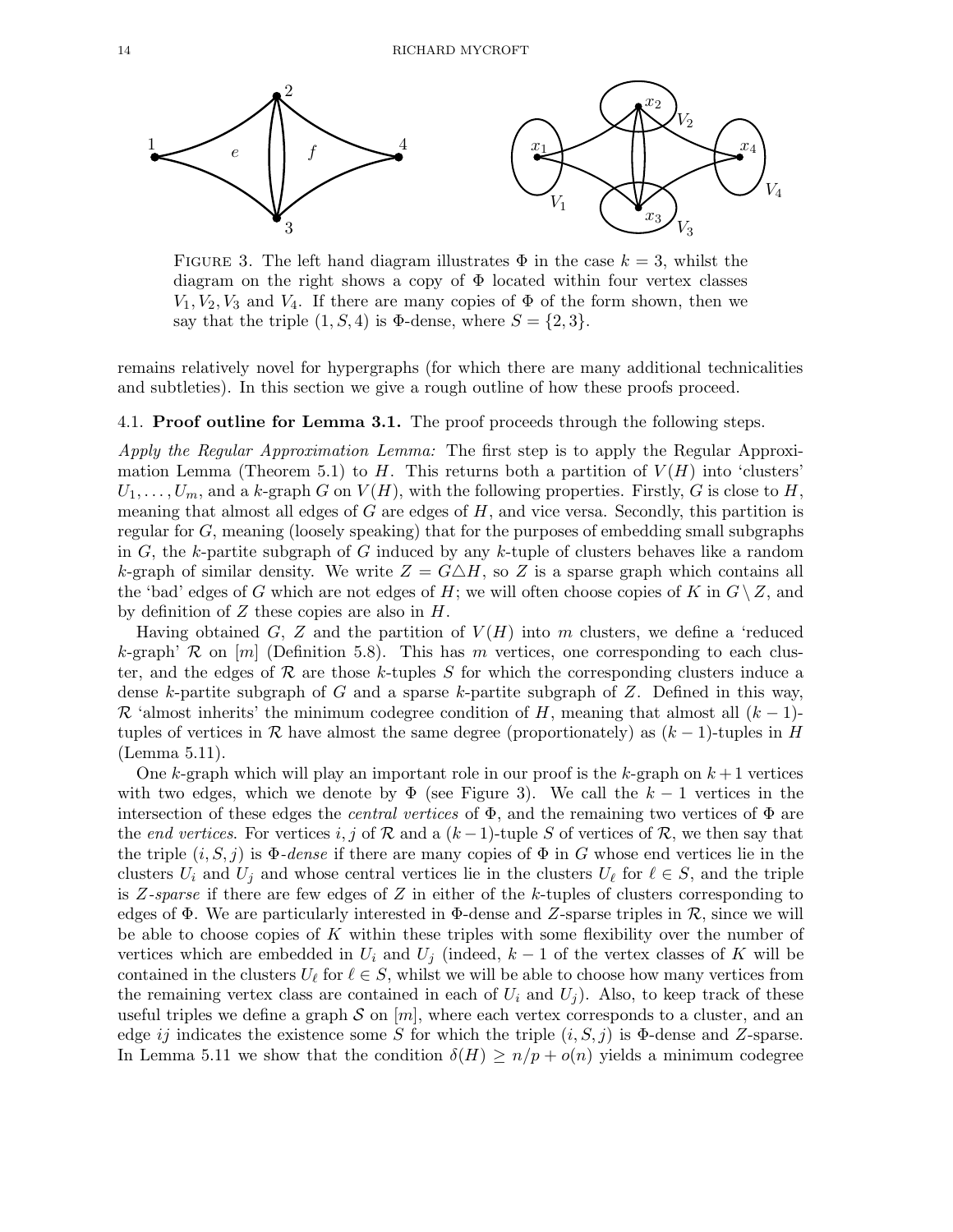

FIGURE 3. The left hand diagram illustrates  $\Phi$  in the case  $k = 3$ , whilst the diagram on the right shows a copy of Φ located within four vertex classes  $V_1, V_2, V_3$  and  $V_4$ . If there are many copies of  $\Phi$  of the form shown, then we say that the triple  $(1, S, 4)$  is  $\Phi$ -dense, where  $S = \{2, 3\}.$ 

remains relatively novel for hypergraphs (for which there are many additional technicalities and subtleties). In this section we give a rough outline of how these proofs proceed.

#### 4.1. Proof outline for Lemma 3.1. The proof proceeds through the following steps.

Apply the Regular Approximation Lemma: The first step is to apply the Regular Approximation Lemma (Theorem 5.1) to H. This returns both a partition of  $V(H)$  into 'clusters'  $U_1, \ldots, U_m$ , and a k-graph G on  $V(H)$ , with the following properties. Firstly, G is close to H, meaning that almost all edges of  $G$  are edges of  $H$ , and vice versa. Secondly, this partition is regular for G, meaning (loosely speaking) that for the purposes of embedding small subgraphs in  $G$ , the k-partite subgraph of  $G$  induced by any k-tuple of clusters behaves like a random k-graph of similar density. We write  $Z = G \triangle H$ , so Z is a sparse graph which contains all the 'bad' edges of G which are not edges of H; we will often choose copies of K in  $G \setminus Z$ , and by definition of  $Z$  these copies are also in  $H$ .

Having obtained G, Z and the partition of  $V(H)$  into m clusters, we define a 'reduced k-graph' R on  $[m]$  (Definition 5.8). This has m vertices, one corresponding to each cluster, and the edges of  $\mathcal R$  are those k-tuples S for which the corresponding clusters induce a dense k-partite subgraph of G and a sparse k-partite subgraph of Z. Defined in this way,  $\mathcal R$  'almost inherits' the minimum codegree condition of H, meaning that almost all  $(k-1)$ tuples of vertices in R have almost the same degree (proportionately) as  $(k-1)$ -tuples in H (Lemma 5.11).

One k-graph which will play an important role in our proof is the k-graph on  $k+1$  vertices with two edges, which we denote by  $\Phi$  (see Figure 3). We call the  $k-1$  vertices in the intersection of these edges the *central vertices* of  $\Phi$ , and the remaining two vertices of  $\Phi$  are the end vertices. For vertices i, j of R and a  $(k-1)$ -tuple S of vertices of R, we then say that the triple  $(i, S, j)$  is  $\Phi$ -dense if there are many copies of  $\Phi$  in G whose end vertices lie in the clusters  $U_i$  and  $U_j$  and whose central vertices lie in the clusters  $U_\ell$  for  $\ell \in S$ , and the triple is  $Z$ -sparse if there are few edges of  $Z$  in either of the k-tuples of clusters corresponding to edges of  $\Phi$ . We are particularly interested in  $\Phi$ -dense and Z-sparse triples in R, since we will be able to choose copies of  $K$  within these triples with some flexibility over the number of vertices which are embedded in  $U_i$  and  $U_j$  (indeed,  $k-1$  of the vertex classes of K will be contained in the clusters  $U_{\ell}$  for  $\ell \in S$ , whilst we will be able to choose how many vertices from the remaining vertex class are contained in each of  $U_i$  and  $U_j$ ). Also, to keep track of these useful triples we define a graph S on  $[m]$ , where each vertex corresponds to a cluster, and an edge ij indicates the existence some S for which the triple  $(i, S, j)$  is  $\Phi$ -dense and Z-sparse. In Lemma 5.11 we show that the condition  $\delta(H) \ge n/p + o(n)$  yields a minimum codegree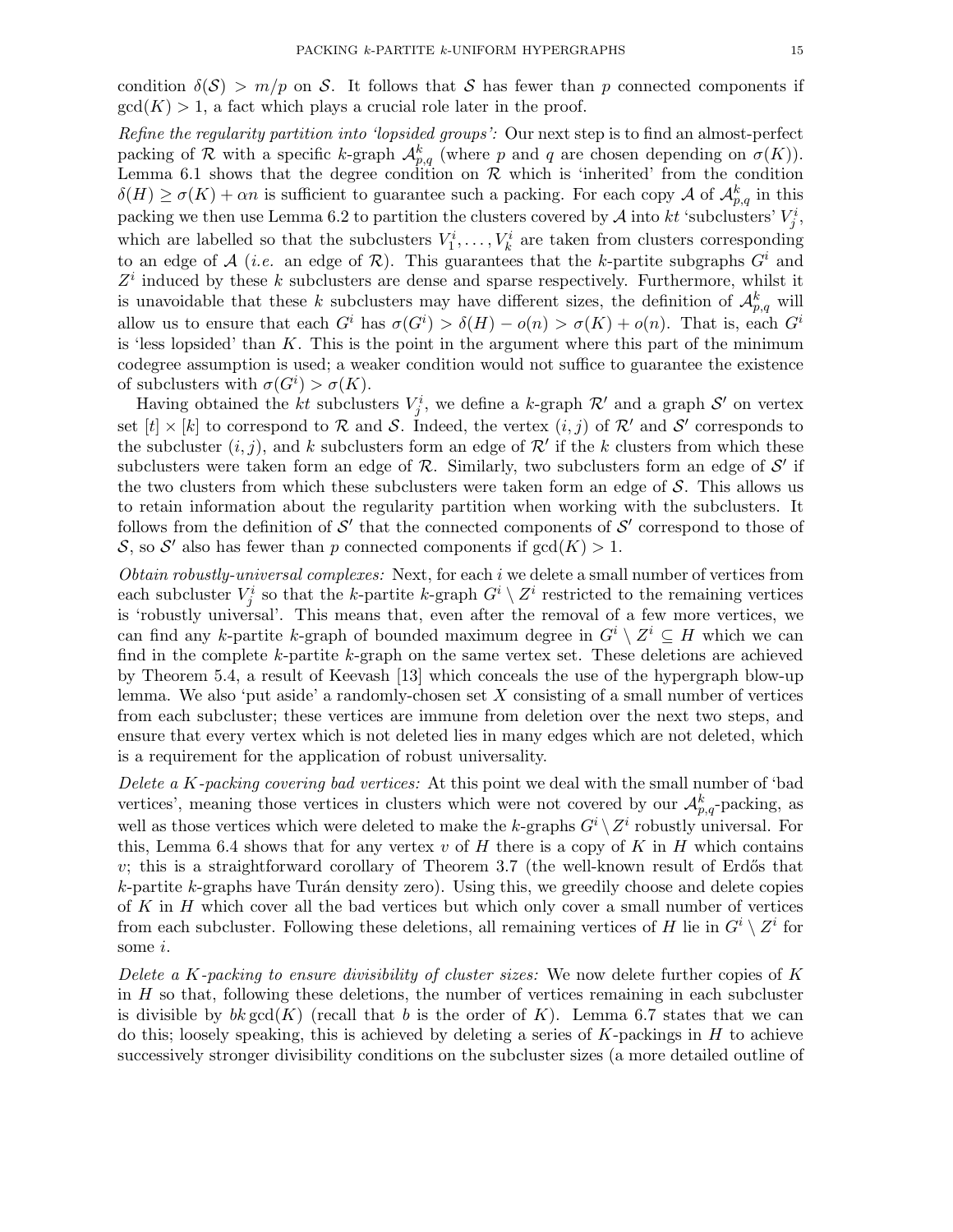condition  $\delta(\mathcal{S}) > m/p$  on S. It follows that S has fewer than p connected components if  $gcd(K) > 1$ , a fact which plays a crucial role later in the proof.

Refine the regularity partition into 'lopsided groups': Our next step is to find an almost-perfect packing of R with a specific k-graph  $\mathcal{A}_{p,q}^k$  (where p and q are chosen depending on  $\sigma(K)$ ). Lemma 6.1 shows that the degree condition on  $\mathcal R$  which is 'inherited' from the condition  $\delta(H) \ge \sigma(K) + \alpha n$  is sufficient to guarantee such a packing. For each copy A of  $\mathcal{A}_{p,q}^k$  in this packing we then use Lemma 6.2 to partition the clusters covered by  $A$  into  $kt$  'subclusters'  $V_j^i$ , which are labelled so that the subclusters  $V_1^i, \ldots, V_k^i$  are taken from clusters corresponding to an edge of  $\mathcal{A}$  (*i.e.* an edge of  $\mathcal{R}$ ). This guarantees that the k-partite subgraphs  $G^i$  and  $Z<sup>i</sup>$  induced by these k subclusters are dense and sparse respectively. Furthermore, whilst it is unavoidable that these k subclusters may have different sizes, the definition of  $\mathcal{A}_{p,q}^k$  will allow us to ensure that each  $G^i$  has  $\sigma(G^i) > \delta(H) - o(n) > \sigma(K) + o(n)$ . That is, each  $G^i$ is 'less lopsided' than  $K$ . This is the point in the argument where this part of the minimum codegree assumption is used; a weaker condition would not suffice to guarantee the existence of subclusters with  $\sigma(G^i) > \sigma(K)$ .

Having obtained the *kt* subclusters  $V_j^i$ , we define a *k*-graph  $\mathcal{R}'$  and a graph  $\mathcal{S}'$  on vertex set  $[t] \times [k]$  to correspond to R and S. Indeed, the vertex  $(i, j)$  of R' and S' corresponds to the subcluster  $(i, j)$ , and k subclusters form an edge of  $\mathcal{R}'$  if the k clusters from which these subclusters were taken form an edge of  $R$ . Similarly, two subclusters form an edge of  $S'$  if the two clusters from which these subclusters were taken form an edge of  $S$ . This allows us to retain information about the regularity partition when working with the subclusters. It follows from the definition of  $\mathcal{S}'$  that the connected components of  $\mathcal{S}'$  correspond to those of S, so S' also has fewer than p connected components if  $gcd(K) > 1$ .

Obtain robustly-universal complexes: Next, for each i we delete a small number of vertices from each subcluster  $V_j^i$  so that the k-partite k-graph  $G^i \setminus Z^i$  restricted to the remaining vertices is 'robustly universal'. This means that, even after the removal of a few more vertices, we can find any k-partite k-graph of bounded maximum degree in  $G^i \setminus Z^i \subseteq H$  which we can find in the complete  $k$ -partite  $k$ -graph on the same vertex set. These deletions are achieved by Theorem 5.4, a result of Keevash [13] which conceals the use of the hypergraph blow-up lemma. We also 'put aside' a randomly-chosen set  $X$  consisting of a small number of vertices from each subcluster; these vertices are immune from deletion over the next two steps, and ensure that every vertex which is not deleted lies in many edges which are not deleted, which is a requirement for the application of robust universality.

Delete a K-packing covering bad vertices: At this point we deal with the small number of 'bad vertices', meaning those vertices in clusters which were not covered by our  $\mathcal{A}_{p,q}^k$ -packing, as well as those vertices which were deleted to make the k-graphs  $G^i \setminus Z^i$  robustly universal. For this, Lemma 6.4 shows that for any vertex v of  $H$  there is a copy of  $K$  in  $H$  which contains  $v$ ; this is a straightforward corollary of Theorem 3.7 (the well-known result of Erdős that  $k$ -partite  $k$ -graphs have Turán density zero). Using this, we greedily choose and delete copies of  $K$  in  $H$  which cover all the bad vertices but which only cover a small number of vertices from each subcluster. Following these deletions, all remaining vertices of H lie in  $G^i \setminus Z^i$  for some i.

Delete a K-packing to ensure divisibility of cluster sizes: We now delete further copies of  $K$ in  $H$  so that, following these deletions, the number of vertices remaining in each subcluster is divisible by  $bk \gcd(K)$  (recall that b is the order of K). Lemma 6.7 states that we can do this; loosely speaking, this is achieved by deleting a series of  $K$ -packings in  $H$  to achieve successively stronger divisibility conditions on the subcluster sizes (a more detailed outline of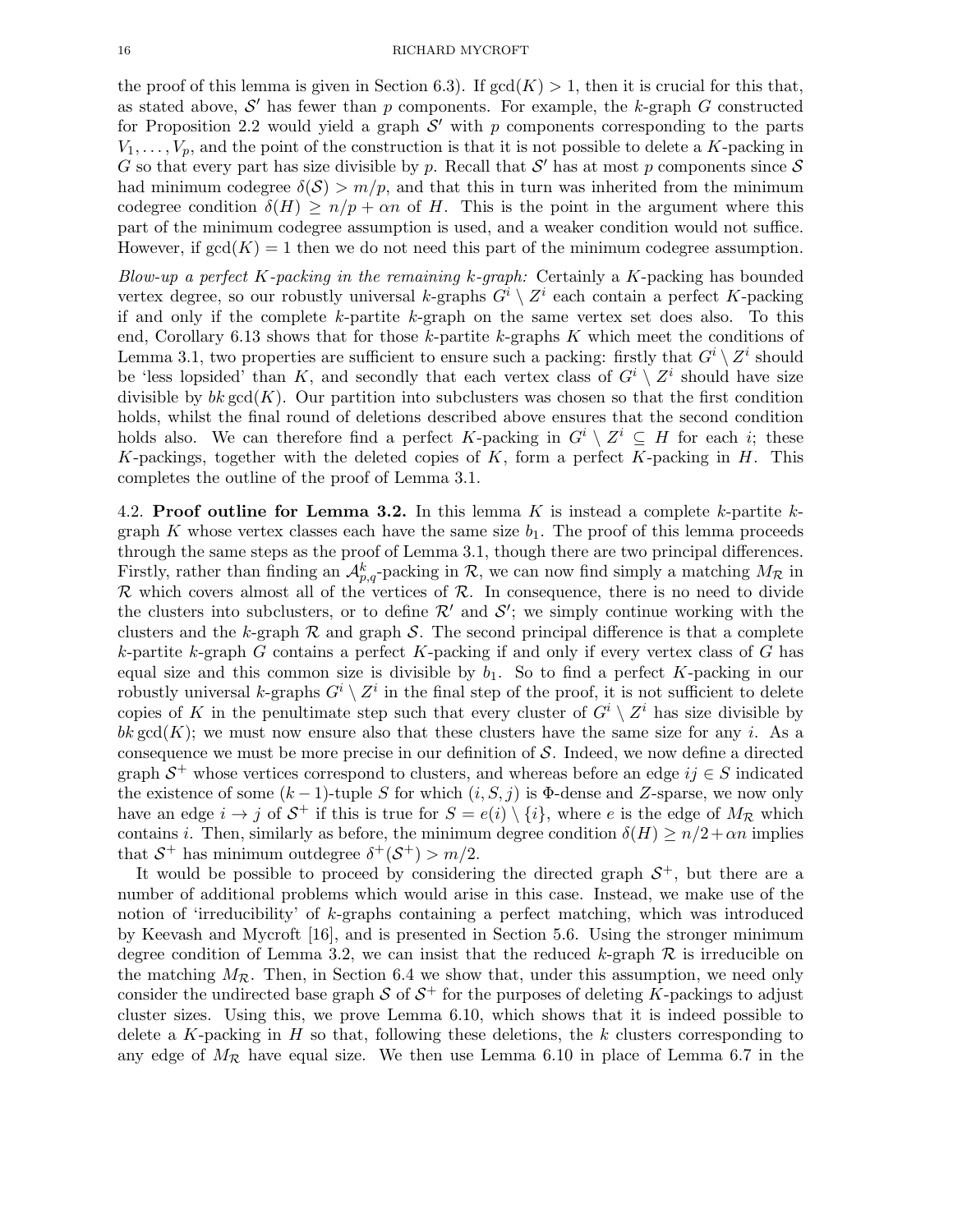the proof of this lemma is given in Section 6.3). If  $gcd(K) > 1$ , then it is crucial for this that, as stated above,  $\mathcal{S}'$  has fewer than p components. For example, the k-graph G constructed for Proposition 2.2 would yield a graph  $\mathcal{S}'$  with p components corresponding to the parts  $V_1, \ldots, V_p$ , and the point of the construction is that it is not possible to delete a K-packing in G so that every part has size divisible by p. Recall that  $\mathcal{S}'$  has at most p components since  $\mathcal{S}'$ had minimum codegree  $\delta(\mathcal{S}) > m/p$ , and that this in turn was inherited from the minimum codegree condition  $\delta(H) \ge n/p + \alpha n$  of H. This is the point in the argument where this part of the minimum codegree assumption is used, and a weaker condition would not suffice. However, if  $gcd(K) = 1$  then we do not need this part of the minimum codegree assumption.

Blow-up a perfect K-packing in the remaining  $k$ -graph: Certainly a K-packing has bounded vertex degree, so our robustly universal k-graphs  $G^i \setminus Z^i$  each contain a perfect K-packing if and only if the complete  $k$ -partite  $k$ -graph on the same vertex set does also. To this end, Corollary 6.13 shows that for those k-partite k-graphs  $K$  which meet the conditions of Lemma 3.1, two properties are sufficient to ensure such a packing: firstly that  $G^i \setminus Z^i$  should be 'less lopsided' than K, and secondly that each vertex class of  $G^i \setminus Z^i$  should have size divisible by  $bk \text{gcd}(K)$ . Our partition into subclusters was chosen so that the first condition holds, whilst the final round of deletions described above ensures that the second condition holds also. We can therefore find a perfect K-packing in  $G^i \setminus Z^i \subseteq H$  for each i; these K-packings, together with the deleted copies of  $K$ , form a perfect  $K$ -packing in  $H$ . This completes the outline of the proof of Lemma 3.1.

4.2. Proof outline for Lemma 3.2. In this lemma K is instead a complete k-partite  $k$ graph K whose vertex classes each have the same size  $b_1$ . The proof of this lemma proceeds through the same steps as the proof of Lemma 3.1, though there are two principal differences. Firstly, rather than finding an  $\mathcal{A}_{p,q}^k$ -packing in  $\mathcal{R}$ , we can now find simply a matching  $M_{\mathcal{R}}$  in  $\mathcal R$  which covers almost all of the vertices of  $\mathcal R$ . In consequence, there is no need to divide the clusters into subclusters, or to define  $\mathcal{R}'$  and  $\mathcal{S}'$ ; we simply continue working with the clusters and the k-graph  $\mathcal R$  and graph  $\mathcal S$ . The second principal difference is that a complete k-partite k-graph G contains a perfect K-packing if and only if every vertex class of G has equal size and this common size is divisible by  $b_1$ . So to find a perfect K-packing in our robustly universal k-graphs  $G^i \setminus Z^i$  in the final step of the proof, it is not sufficient to delete copies of K in the penultimate step such that every cluster of  $G^i \setminus Z^i$  has size divisible by bk gcd(K); we must now ensure also that these clusters have the same size for any i. As a consequence we must be more precise in our definition of  $S$ . Indeed, we now define a directed graph  $S^+$  whose vertices correspond to clusters, and whereas before an edge  $ij \in S$  indicated the existence of some  $(k-1)$ -tuple S for which  $(i, S, j)$  is  $\Phi$ -dense and Z-sparse, we now only have an edge  $i \to j$  of  $\mathcal{S}^+$  if this is true for  $S = e(i) \setminus \{i\}$ , where e is the edge of  $M_{\mathcal{R}}$  which contains *i*. Then, similarly as before, the minimum degree condition  $\delta(H) \ge n/2 + \alpha n$  implies that  $S^+$  has minimum outdegree  $\delta^+(\mathcal{S}^+) > m/2$ .

It would be possible to proceed by considering the directed graph  $S^+$ , but there are a number of additional problems which would arise in this case. Instead, we make use of the notion of 'irreducibility' of k-graphs containing a perfect matching, which was introduced by Keevash and Mycroft [16], and is presented in Section 5.6. Using the stronger minimum degree condition of Lemma 3.2, we can insist that the reduced k-graph  $\mathcal R$  is irreducible on the matching  $M_{\mathcal{R}}$ . Then, in Section 6.4 we show that, under this assumption, we need only consider the undirected base graph  $S$  of  $S^+$  for the purposes of deleting K-packings to adjust cluster sizes. Using this, we prove Lemma 6.10, which shows that it is indeed possible to delete a  $K$ -packing in  $H$  so that, following these deletions, the  $k$  clusters corresponding to any edge of  $M_{\mathcal{R}}$  have equal size. We then use Lemma 6.10 in place of Lemma 6.7 in the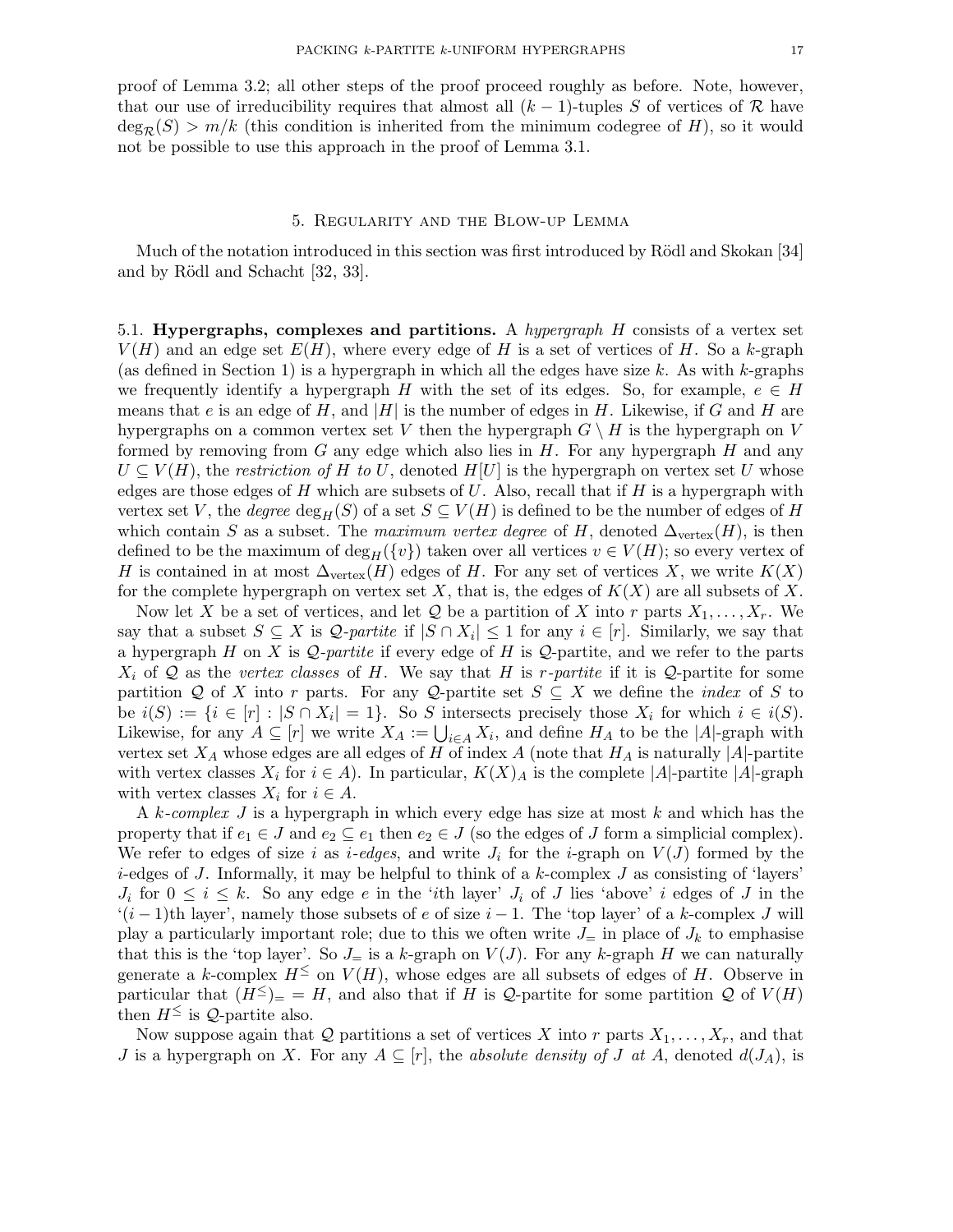proof of Lemma 3.2; all other steps of the proof proceed roughly as before. Note, however, that our use of irreducibility requires that almost all  $(k-1)$ -tuples S of vertices of R have  $deg_R(S) > m/k$  (this condition is inherited from the minimum codegree of H), so it would not be possible to use this approach in the proof of Lemma 3.1.

#### 5. Regularity and the Blow-up Lemma

Much of the notation introduced in this section was first introduced by Rödl and Skokan [34] and by Rödl and Schacht [32, 33].

5.1. Hypergraphs, complexes and partitions. A *hypergraph H* consists of a vertex set  $V(H)$  and an edge set  $E(H)$ , where every edge of H is a set of vertices of H. So a k-graph (as defined in Section 1) is a hypergraph in which all the edges have size k. As with k-graphs we frequently identify a hypergraph H with the set of its edges. So, for example,  $e \in H$ means that e is an edge of H, and  $|H|$  is the number of edges in H. Likewise, if G and H are hypergraphs on a common vertex set V then the hypergraph  $G \setminus H$  is the hypergraph on V formed by removing from G any edge which also lies in  $H$ . For any hypergraph  $H$  and any  $U \subseteq V(H)$ , the restriction of H to U, denoted  $H[U]$  is the hypergraph on vertex set U whose edges are those edges of H which are subsets of U. Also, recall that if H is a hypergraph with vertex set V, the degree  $\deg_H(S)$  of a set  $S \subseteq V(H)$  is defined to be the number of edges of H which contain S as a subset. The maximum vertex degree of H, denoted  $\Delta_{\text{vertex}}(H)$ , is then defined to be the maximum of deg<sub>H</sub> ({v}) taken over all vertices  $v \in V(H)$ ; so every vertex of H is contained in at most  $\Delta_{\text{vertex}}(H)$  edges of H. For any set of vertices X, we write  $K(X)$ for the complete hypergraph on vertex set X, that is, the edges of  $K(X)$  are all subsets of X.

Now let X be a set of vertices, and let Q be a partition of X into r parts  $X_1, \ldots, X_r$ . We say that a subset  $S \subseteq X$  is  $\mathcal{Q}$ -partite if  $|S \cap X_i| \leq 1$  for any  $i \in [r]$ . Similarly, we say that a hypergraph H on X is  $\mathcal Q$ -partite if every edge of H is  $\mathcal Q$ -partite, and we refer to the parts  $X_i$  of Q as the vertex classes of H. We say that H is r-partite if it is Q-partite for some partition Q of X into r parts. For any Q-partite set  $S \subseteq X$  we define the *index* of S to be  $i(S) := \{i \in [r] : |S \cap X_i| = 1\}$ . So S intersects precisely those  $X_i$  for which  $i \in i(S)$ . Likewise, for any  $A \subseteq [r]$  we write  $X_A := \bigcup_{i \in A} X_i$ , and define  $H_A$  to be the  $|A|$ -graph with vertex set  $X_A$  whose edges are all edges of H of index A (note that  $H_A$  is naturally |A|-partite with vertex classes  $X_i$  for  $i \in A$ ). In particular,  $K(X)_A$  is the complete  $|A|$ -partite  $|A|$ -graph with vertex classes  $X_i$  for  $i \in A$ .

A k-complex  $J$  is a hypergraph in which every edge has size at most  $k$  and which has the property that if  $e_1 \in J$  and  $e_2 \subseteq e_1$  then  $e_2 \in J$  (so the edges of J form a simplicial complex). We refer to edges of size i as i-edges, and write  $J_i$  for the i-graph on  $V(J)$  formed by the  $i$ -edges of J. Informally, it may be helpful to think of a k-complex J as consisting of 'layers'  $J_i$  for  $0 \leq i \leq k$ . So any edge e in the 'ith layer'  $J_i$  of  $J$  lies 'above' i edges of  $J$  in the  $'(i-1)$ th layer', namely those subsets of e of size  $i-1$ . The 'top layer' of a k-complex J will play a particularly important role; due to this we often write  $J_{\pm}$  in place of  $J_k$  to emphasise that this is the 'top layer'. So  $J_{=}$  is a k-graph on  $V(J)$ . For any k-graph H we can naturally generate a k-complex  $H^{\leq}$  on  $V(H)$ , whose edges are all subsets of edges of H. Observe in particular that  $(H^{\leq})_{-} = H$ , and also that if H is Q-partite for some partition Q of  $V(H)$ then  $H^{\leq}$  is Q-partite also.

Now suppose again that Q partitions a set of vertices X into r parts  $X_1, \ldots, X_r$ , and that J is a hypergraph on X. For any  $A \subseteq [r]$ , the absolute density of J at A, denoted  $d(J_A)$ , is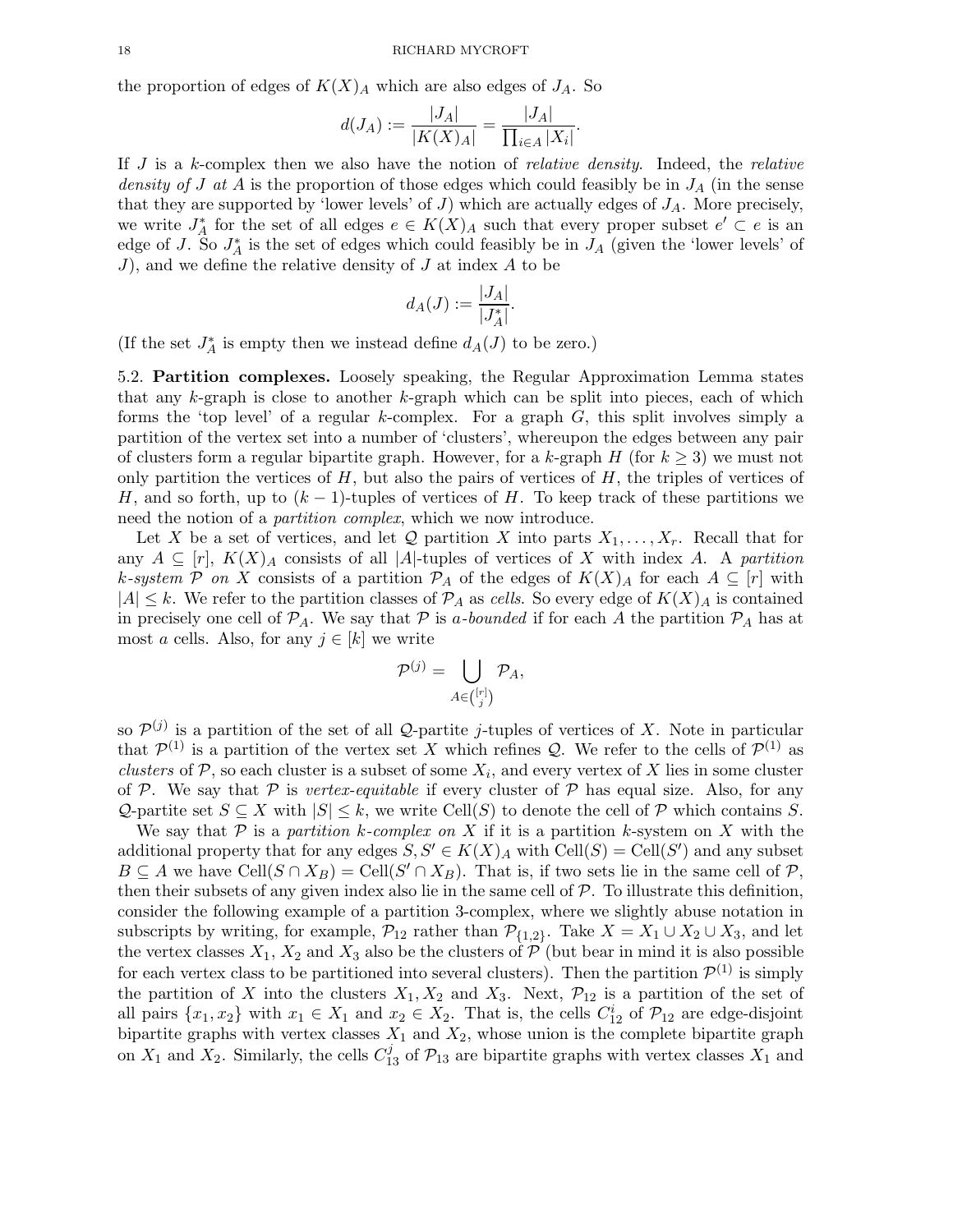the proportion of edges of  $K(X)<sub>A</sub>$  which are also edges of  $J<sub>A</sub>$ . So

$$
d(J_A) := \frac{|J_A|}{|K(X)_A|} = \frac{|J_A|}{\prod_{i \in A} |X_i|}.
$$

If  $J$  is a k-complex then we also have the notion of *relative density*. Indeed, the *relative* density of J at A is the proportion of those edges which could feasibly be in  $J_A$  (in the sense that they are supported by 'lower levels' of  $J$ ) which are actually edges of  $J_A$ . More precisely, we write  $J_A^*$  for the set of all edges  $e \in K(X)_A$  such that every proper subset  $e' \subset e$  is an edge of J. So  $J_A^*$  is the set of edges which could feasibly be in  $J_A$  (given the 'lower levels' of J), and we define the relative density of  $J$  at index  $A$  to be

$$
d_A(J) := \frac{|J_A|}{|J_A^*|}.
$$

(If the set  $J_A^*$  is empty then we instead define  $d_A(J)$  to be zero.)

5.2. Partition complexes. Loosely speaking, the Regular Approximation Lemma states that any k-graph is close to another k-graph which can be split into pieces, each of which forms the 'top level' of a regular k-complex. For a graph  $G$ , this split involves simply a partition of the vertex set into a number of 'clusters', whereupon the edges between any pair of clusters form a regular bipartite graph. However, for a k-graph H (for  $k \geq 3$ ) we must not only partition the vertices of  $H$ , but also the pairs of vertices of  $H$ , the triples of vertices of H, and so forth, up to  $(k-1)$ -tuples of vertices of H. To keep track of these partitions we need the notion of a *partition complex*, which we now introduce.

Let X be a set of vertices, and let Q partition X into parts  $X_1, \ldots, X_r$ . Recall that for any  $A \subseteq [r]$ ,  $K(X)_A$  consists of all |A|-tuples of vertices of X with index A. A partition k-system P on X consists of a partition  $\mathcal{P}_A$  of the edges of  $K(X)_A$  for each  $A \subseteq [r]$  with  $|A| \leq k$ . We refer to the partition classes of  $\mathcal{P}_A$  as cells. So every edge of  $K(X)_A$  is contained in precisely one cell of  $\mathcal{P}_A$ . We say that  $\mathcal P$  is a-bounded if for each A the partition  $\mathcal P_A$  has at most a cells. Also, for any  $j \in [k]$  we write

$$
\mathcal{P}^{(j)} = \bigcup_{A \in \binom{[r]}{j}} \mathcal{P}_A,
$$

so  $\mathcal{P}^{(j)}$  is a partition of the set of all Q-partite j-tuples of vertices of X. Note in particular that  $\mathcal{P}^{(1)}$  is a partition of the vertex set X which refines Q. We refer to the cells of  $\mathcal{P}^{(1)}$  as clusters of  $P$ , so each cluster is a subset of some  $X_i$ , and every vertex of X lies in some cluster of P. We say that P is vertex-equitable if every cluster of P has equal size. Also, for any Q-partite set  $S \subseteq X$  with  $|S| \leq k$ , we write Cell $(S)$  to denote the cell of  $P$  which contains S.

We say that P is a partition k-complex on X if it is a partition k-system on X with the additional property that for any edges  $S, S' \in K(X)_A$  with  $Cell(S) = Cell(S')$  and any subset  $B \subseteq A$  we have  $\text{Cell}(S \cap X_B) = \text{Cell}(S' \cap X_B)$ . That is, if two sets lie in the same cell of  $P$ , then their subsets of any given index also lie in the same cell of  $P$ . To illustrate this definition, consider the following example of a partition 3-complex, where we slightly abuse notation in subscripts by writing, for example,  $\mathcal{P}_{12}$  rather than  $\mathcal{P}_{\{1,2\}}$ . Take  $X = X_1 \cup X_2 \cup X_3$ , and let the vertex classes  $X_1, X_2$  and  $X_3$  also be the clusters of  $P$  (but bear in mind it is also possible for each vertex class to be partitioned into several clusters). Then the partition  $\mathcal{P}^{(1)}$  is simply the partition of X into the clusters  $X_1, X_2$  and  $X_3$ . Next,  $\mathcal{P}_{12}$  is a partition of the set of all pairs  $\{x_1, x_2\}$  with  $x_1 \in X_1$  and  $x_2 \in X_2$ . That is, the cells  $C_{12}^i$  of  $\mathcal{P}_{12}$  are edge-disjoint bipartite graphs with vertex classes  $X_1$  and  $X_2$ , whose union is the complete bipartite graph on  $X_1$  and  $X_2$ . Similarly, the cells  $C_{13}^j$  of  $\mathcal{P}_{13}$  are bipartite graphs with vertex classes  $X_1$  and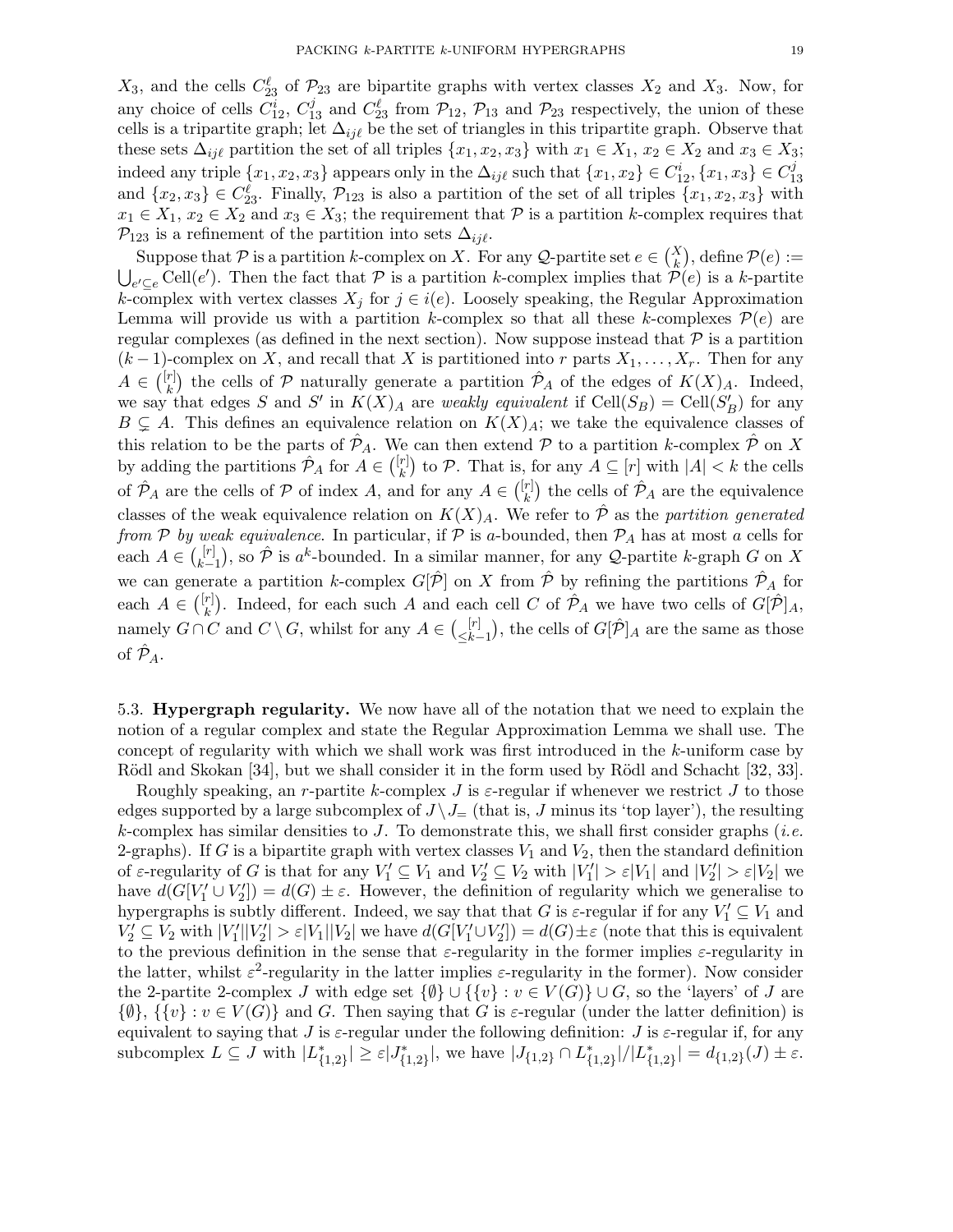$X_3$ , and the cells  $C_{23}^{\ell}$  of  $\mathcal{P}_{23}$  are bipartite graphs with vertex classes  $X_2$  and  $X_3$ . Now, for any choice of cells  $C_{12}^i$ ,  $C_{13}^j$  and  $C_{23}^{\ell}$  from  $\mathcal{P}_{12}$ ,  $\mathcal{P}_{13}$  and  $\mathcal{P}_{23}$  respectively, the union of these cells is a tripartite graph; let  $\Delta_{ij\ell}$  be the set of triangles in this tripartite graph. Observe that these sets  $\Delta_{ij\ell}$  partition the set of all triples  $\{x_1, x_2, x_3\}$  with  $x_1 \in X_1$ ,  $x_2 \in X_2$  and  $x_3 \in X_3$ ; indeed any triple  $\{x_1, x_2, x_3\}$  appears only in the  $\Delta_{ij\ell}$  such that  $\{x_1, x_2\} \in C_{12}^i, \{x_1, x_3\} \in C_1^j$ 13 and  $\{x_2, x_3\} \in C_{23}^{\ell}$ . Finally,  $\mathcal{P}_{123}$  is also a partition of the set of all triples  $\{x_1, x_2, x_3\}$  with  $x_1 \in X_1$ ,  $x_2 \in X_2$  and  $x_3 \in X_3$ ; the requirement that  $P$  is a partition k-complex requires that  $\mathcal{P}_{123}$  is a refinement of the partition into sets  $\Delta_{ij\ell}$ .

Suppose that P is a partition k-complex on X. For any Q-partite set  $e \in {X \choose k}$ , define  $\mathcal{P}(e) :=$  $\bigcup_{e' \subseteq e}$  Cell $(e')$ . Then the fact that  $P$  is a partition k-complex implies that  $\mathcal{P}(e)$  is a k-partite k-complex with vertex classes  $X_j$  for  $j \in i(e)$ . Loosely speaking, the Regular Approximation Lemma will provide us with a partition k-complex so that all these k-complexes  $\mathcal{P}(e)$  are regular complexes (as defined in the next section). Now suppose instead that  $P$  is a partition  $(k-1)$ -complex on X, and recall that X is partitioned into r parts  $X_1, \ldots, X_r$ . Then for any  $A \in \binom{[r]}{k}$  $(\hat{r})$  the cells of P naturally generate a partition  $\hat{\mathcal{P}}_A$  of the edges of  $K(X)_A$ . Indeed, we say that edges S and S' in  $K(X)_A$  are weakly equivalent if  $Cell(S_B) = Cell(S'_B)$  for any  $B \subsetneq A$ . This defines an equivalence relation on  $K(X)_A$ ; we take the equivalence classes of this relation to be the parts of  $\mathcal{P}_A$ . We can then extend P to a partition k-complex  $\mathcal{P}$  on X by adding the partitions  $\hat{\mathcal{P}}_A$  for  $A \in \binom{[r]}{k}$  $\binom{r}{k}$  to P. That is, for any  $A \subseteq [r]$  with  $|A| < k$  the cells of  $\hat{\mathcal{P}}_A$  are the cells of  $\mathcal P$  of index A, and for any  $A \in \binom{[r]}{k}$  $\hat{r}_{k}^{[r]}$ ) the cells of  $\hat{\mathcal{P}}_{A}$  are the equivalence classes of the weak equivalence relation on  $K(X)_A$ . We refer to  $\hat{\mathcal{P}}$  as the partition generated from P by weak equivalence. In particular, if P is a-bounded, then  $P_A$  has at most a cells for each  $A \in \binom{[r]}{k}$  $\hat{k-1}$ , so  $\hat{\mathcal{P}}$  is  $a^k$ -bounded. In a similar manner, for any  $\mathcal{Q}$ -partite k-graph G on X we can generate a partition k-complex  $G[\hat{\mathcal{P}}]$  on X from  $\hat{\mathcal{P}}$  by refining the partitions  $\hat{\mathcal{P}}_A$  for each  $A \in \binom{[r]}{k}$  $\hat{k}$ ). Indeed, for each such A and each cell C of  $\hat{\mathcal{P}}_A$  we have two cells of  $G[\hat{\mathcal{P}}]_A$ , namely  $G \cap C$  and  $C \setminus G$ , whilst for any  $A \in {\binom{[r]}{\leq k}}$  $\leq k-1 \choose k-1$ , the cells of  $G[\hat{P}]_A$  are the same as those of  $\hat{\mathcal{P}}_A$ .

5.3. Hypergraph regularity. We now have all of the notation that we need to explain the notion of a regular complex and state the Regular Approximation Lemma we shall use. The concept of regularity with which we shall work was first introduced in the k-uniform case by Rödl and Skokan [34], but we shall consider it in the form used by Rödl and Schacht [32, 33].

Roughly speaking, an r-partite k-complex J is  $\varepsilon$ -regular if whenever we restrict J to those edges supported by a large subcomplex of  $J \setminus J$  (that is, J minus its 'top layer'), the resulting k-complex has similar densities to J. To demonstrate this, we shall first consider graphs (*i.e.*) 2-graphs). If G is a bipartite graph with vertex classes  $V_1$  and  $V_2$ , then the standard definition of  $\varepsilon$ -regularity of G is that for any  $V_1' \subseteq V_1$  and  $V_2' \subseteq V_2$  with  $|V_1'| > \varepsilon |V_1|$  and  $|V_2'| > \varepsilon |V_2|$  we have  $d(G[V_1' \cup V_2']) = d(G) \pm \varepsilon$ . However, the definition of regularity which we generalise to hypergraphs is subtly different. Indeed, we say that that G is  $\varepsilon$ -regular if for any  $V'_1 \subseteq V_1$  and  $V_2' \subseteq V_2$  with  $|V_1'||V_2'| > \varepsilon |V_1||V_2|$  we have  $d(G[V_1' \cup V_2']) = d(G) \pm \varepsilon$  (note that this is equivalent to the previous definition in the sense that  $\varepsilon$ -regularity in the former implies  $\varepsilon$ -regularity in the latter, whilst  $\varepsilon^2$ -regularity in the latter implies  $\varepsilon$ -regularity in the former). Now consider the 2-partite 2-complex J with edge set  $\{\emptyset\} \cup \{\{v\} : v \in V(G)\} \cup G$ , so the 'layers' of J are  $\{\emptyset\}, \{\{v\}: v \in V(G)\}\$  and G. Then saying that G is  $\varepsilon$ -regular (under the latter definition) is equivalent to saying that J is  $\varepsilon$ -regular under the following definition: J is  $\varepsilon$ -regular if, for any subcomplex  $L \subseteq J$  with  $|L^*_{\{1,2\}}| \geq \varepsilon |J^*_{\{1,2\}}|$ , we have  $|J_{\{1,2\}} \cap L^*_{\{1,2\}}|/|L^*_{\{1,2\}}| = d_{\{1,2\}}(J) \pm \varepsilon$ .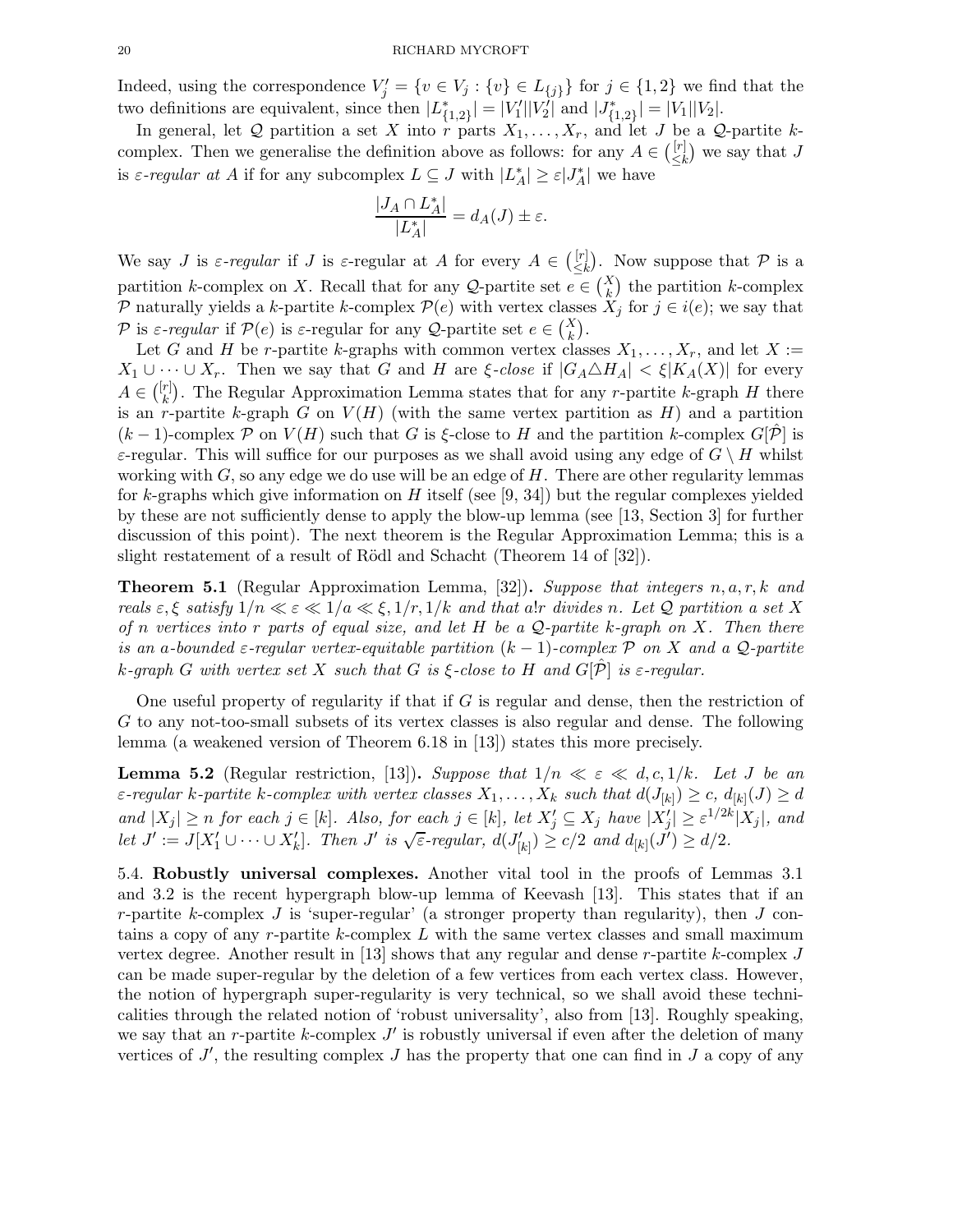Indeed, using the correspondence  $V'_j = \{v \in V_j : \{v\} \in L_{\{j\}}\}$  for  $j \in \{1, 2\}$  we find that the two definitions are equivalent, since then  $|L_{\{1,2\}}^*| = |V_1'||V_2'|$  and  $|J_{\{1,2\}}^*| = |V_1||V_2|$ .

In general, let Q partition a set X into r parts  $X_1, \ldots, X_r$ , and let J be a Q-partite kcomplex. Then we generalise the definition above as follows: for any  $A \in \binom{[r]}{\leq k}$  $\binom{[r]}{\leq k}$  we say that J is  $\varepsilon$ -regular at A if for any subcomplex  $L \subseteq J$  with  $|L_A^*| \geq \varepsilon |J_A^*|$  we have

$$
\frac{|J_A \cap L_A^*|}{|L_A^*|} = d_A(J) \pm \varepsilon.
$$

We say *J* is  $\varepsilon$ -regular if *J* is  $\varepsilon$ -regular at *A* for every  $A \in \binom{[r]}{\leq k}$  $\begin{bmatrix} [r] \leq k \end{bmatrix}$ . Now suppose that  $P$  is a partition k-complex on X. Recall that for any Q-partite set  $e \in {X \choose k}$  the partition k-complex P naturally yields a k-partite k-complex  $\mathcal{P}(e)$  with vertex classes  $\tilde{X}_i$  for  $j \in i(e)$ ; we say that P is  $\varepsilon$ -regular if  $\mathcal{P}(e)$  is  $\varepsilon$ -regular for any Q-partite set  $e \in {X \choose k}$ .

Let G and H be r-partite k-graphs with common vertex classes  $X_1, \ldots, X_r$ , and let  $X :=$  $X_1 \cup \cdots \cup X_r$ . Then we say that G and H are  $\xi$ -close if  $|G_A \triangle H_A| < \xi |K_A(X)|$  for every  $A \in \binom{[r]}{k}$  $\binom{r}{k}$ . The Regular Approximation Lemma states that for any *r*-partite k-graph H there is an r-partite k-graph G on  $V(H)$  (with the same vertex partition as H) and a partition  $(k-1)$ -complex P on  $V(H)$  such that G is  $\xi$ -close to H and the partition k-complex  $G[\mathcal{P}]$  is  $\varepsilon$ -regular. This will suffice for our purposes as we shall avoid using any edge of  $G \setminus H$  whilst working with  $G$ , so any edge we do use will be an edge of  $H$ . There are other regularity lemmas for k-graphs which give information on  $H$  itself (see [9, 34]) but the regular complexes yielded by these are not sufficiently dense to apply the blow-up lemma (see [13, Section 3] for further discussion of this point). The next theorem is the Regular Approximation Lemma; this is a slight restatement of a result of Rödl and Schacht (Theorem 14 of [32]).

**Theorem 5.1** (Regular Approximation Lemma, [32]). Suppose that integers  $n, a, r, k$  and reals  $\varepsilon, \xi$  satisfy  $1/n \ll \varepsilon \ll 1/a \ll \xi, 1/r, 1/k$  and that a!r divides n. Let Q partition a set X of n vertices into r parts of equal size, and let H be a Q-partite k-graph on X. Then there is an a-bounded  $\varepsilon$ -regular vertex-equitable partition  $(k-1)$ -complex P on X and a Q-partite k-graph G with vertex set X such that G is  $\xi$ -close to H and  $G[\hat{\mathcal{P}}]$  is  $\varepsilon$ -regular.

One useful property of regularity if that if G is regular and dense, then the restriction of G to any not-too-small subsets of its vertex classes is also regular and dense. The following lemma (a weakened version of Theorem 6.18 in [13]) states this more precisely.

**Lemma 5.2** (Regular restriction, [13]). Suppose that  $1/n \ll \varepsilon \ll d, c, 1/k$ . Let J be an  $\varepsilon$ -regular k-partite k-complex with vertex classes  $X_1,\ldots,X_k$  such that  $d(J_{[k]})\geq c,$   $d_{[k]}(J)\geq d$ and  $|X_j| \ge n$  for each  $j \in [k]$ . Also, for each  $j \in [k]$ , let  $X'_j \subseteq X_j$  have  $|X'_j| \ge \varepsilon^{1/2k} |X_j|$ , and Let  $J' := J[X'_1 \cup \cdots \cup X'_k]$ . Then  $J'$  is  $\sqrt{\varepsilon}$ -regular,  $d(J'_{[k]}) \ge c/2$  and  $d_{[k]}(J') \ge d/2$ .

5.4. Robustly universal complexes. Another vital tool in the proofs of Lemmas 3.1 and 3.2 is the recent hypergraph blow-up lemma of Keevash [13]. This states that if an r-partite k-complex  $J$  is 'super-regular' (a stronger property than regularity), then  $J$  contains a copy of any  $r$ -partite k-complex L with the same vertex classes and small maximum vertex degree. Another result in [13] shows that any regular and dense r-partite k-complex  $J$ can be made super-regular by the deletion of a few vertices from each vertex class. However, the notion of hypergraph super-regularity is very technical, so we shall avoid these technicalities through the related notion of 'robust universality', also from [13]. Roughly speaking, we say that an r-partite  $k$ -complex  $J'$  is robustly universal if even after the deletion of many vertices of  $J'$ , the resulting complex  $J$  has the property that one can find in  $J$  a copy of any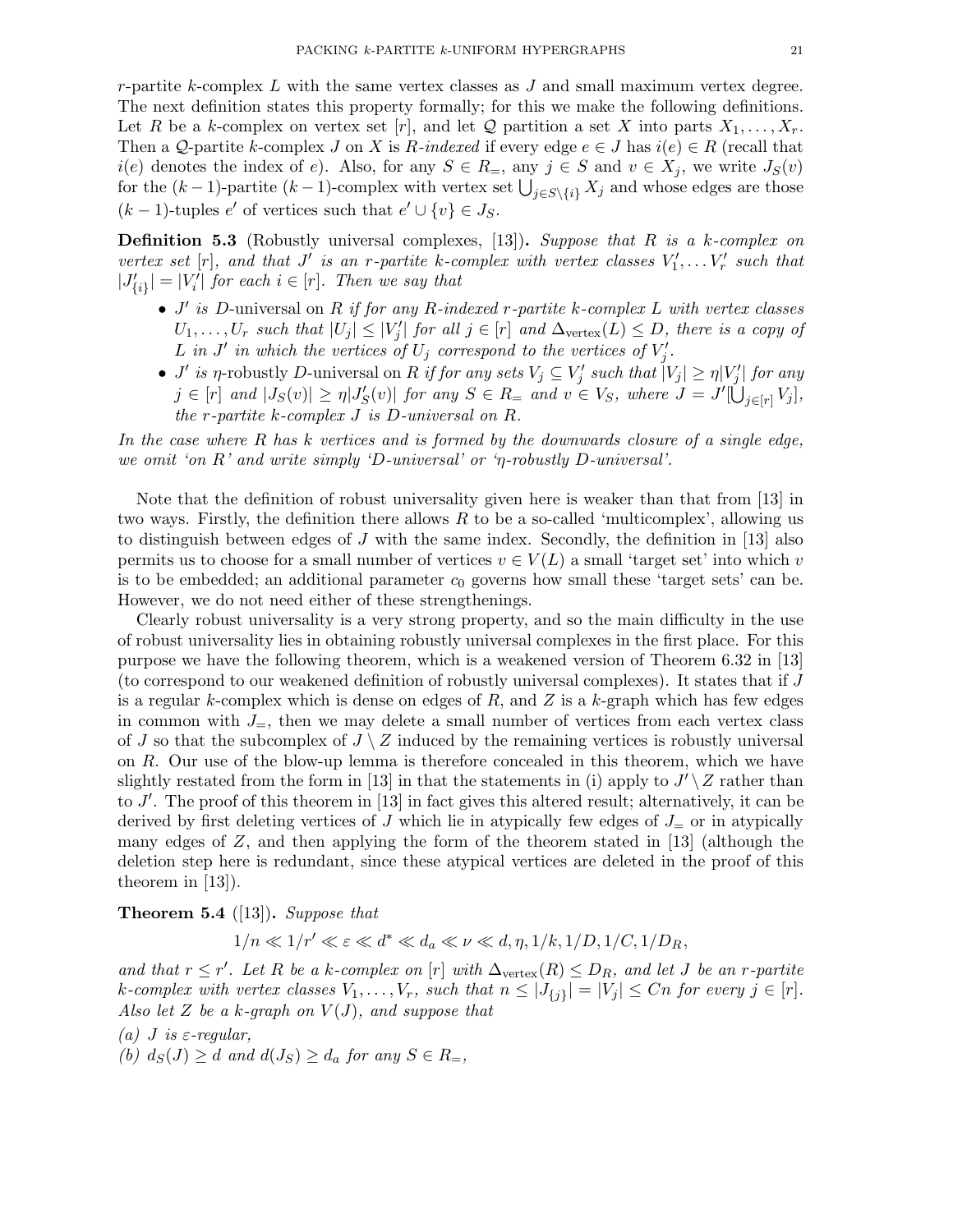$r$ -partite k-complex  $L$  with the same vertex classes as  $J$  and small maximum vertex degree. The next definition states this property formally; for this we make the following definitions. Let R be a k-complex on vertex set  $[r]$ , and let Q partition a set X into parts  $X_1, \ldots, X_r$ . Then a Q-partite k-complex J on X is R-indexed if every edge  $e \in J$  has  $i(e) \in R$  (recall that  $i(e)$  denotes the index of e). Also, for any  $S \in R_$ , any  $j \in S$  and  $v \in X_j$ , we write  $J_S(v)$ for the  $(k-1)$ -partite  $(k-1)$ -complex with vertex set  $\bigcup_{j\in S\setminus\{i\}} X_j$  and whose edges are those  $(k-1)$ -tuples  $e'$  of vertices such that  $e' \cup \{v\} \in J_S$ .

**Definition 5.3** (Robustly universal complexes, [13]). Suppose that R is a k-complex on vertex set  $[r]$ , and that J' is an r-partite k-complex with vertex classes  $V'_1, \ldots V'_r$  such that  $|J'_{\{i\}}| = |V'_i|$  for each  $i \in [r]$ . Then we say that

- $J'$  is D-universal on R if for any R-indexed r-partite k-complex L with vertex classes  $U_1, \ldots, U_r$  such that  $|U_j| \leq |V'_j|$  for all  $j \in [r]$  and  $\Delta_{\text{vertex}}(L) \leq D$ , there is a copy of L in J' in which the vertices of  $U_j$  correspond to the vertices of  $V'_j$ .
- *J'* is *η*-robustly *D*-universal on *R* if for any sets  $V_j \subseteq V'_j$  such that  $|V_j| \geq \eta |V'_j|$  for any  $j \in [r]$  and  $|J_S(v)| \geq \eta |J'_S(v)|$  for any  $S \in R =$  and  $v \in V_S$ , where  $J = J'[\dot{\bigcup}_{j \in [r]} V_j],$ the r-partite k-complex J is D-universal on R.

In the case where R has k vertices and is formed by the downwards closure of a single edge, we omit 'on R' and write simply 'D-universal' or 'η-robustly D-universal'.

Note that the definition of robust universality given here is weaker than that from [13] in two ways. Firstly, the definition there allows  $R$  to be a so-called 'multicomplex', allowing us to distinguish between edges of  $J$  with the same index. Secondly, the definition in [13] also permits us to choose for a small number of vertices  $v \in V(L)$  a small 'target set' into which v is to be embedded; an additional parameter  $c_0$  governs how small these 'target sets' can be. However, we do not need either of these strengthenings.

Clearly robust universality is a very strong property, and so the main difficulty in the use of robust universality lies in obtaining robustly universal complexes in the first place. For this purpose we have the following theorem, which is a weakened version of Theorem 6.32 in [13] (to correspond to our weakened definition of robustly universal complexes). It states that if J is a regular k-complex which is dense on edges of  $R$ , and  $Z$  is a k-graph which has few edges in common with  $J_{=}$ , then we may delete a small number of vertices from each vertex class of J so that the subcomplex of  $J \setminus Z$  induced by the remaining vertices is robustly universal on R. Our use of the blow-up lemma is therefore concealed in this theorem, which we have slightly restated from the form in [13] in that the statements in (i) apply to  $J' \setminus Z$  rather than to  $J'$ . The proof of this theorem in [13] in fact gives this altered result; alternatively, it can be derived by first deleting vertices of J which lie in atypically few edges of  $J_{\pm}$  or in atypically many edges of  $Z$ , and then applying the form of the theorem stated in [13] (although the deletion step here is redundant, since these atypical vertices are deleted in the proof of this theorem in [13]).

**Theorem 5.4** ([13]). Suppose that

 $1/n \ll 1/r' \ll \varepsilon \ll d^* \ll d_a \ll \nu \ll d, \eta, 1/k, 1/D, 1/C, 1/D_R,$ 

and that  $r \leq r'$ . Let R be a k-complex on [r] with  $\Delta_{\text{vertex}}(R) \leq D_R$ , and let J be an r-partite k-complex with vertex classes  $V_1, \ldots, V_r$ , such that  $n \leq |J_{\{j\}}| = |V_j| \leq Cn$  for every  $j \in [r]$ . Also let Z be a k-graph on  $V(J)$ , and suppose that

- (a) *J* is  $\varepsilon$ -regular,
- (b)  $d_S(J) \geq d$  and  $d(J_S) \geq d_a$  for any  $S \in R_{=}$ ,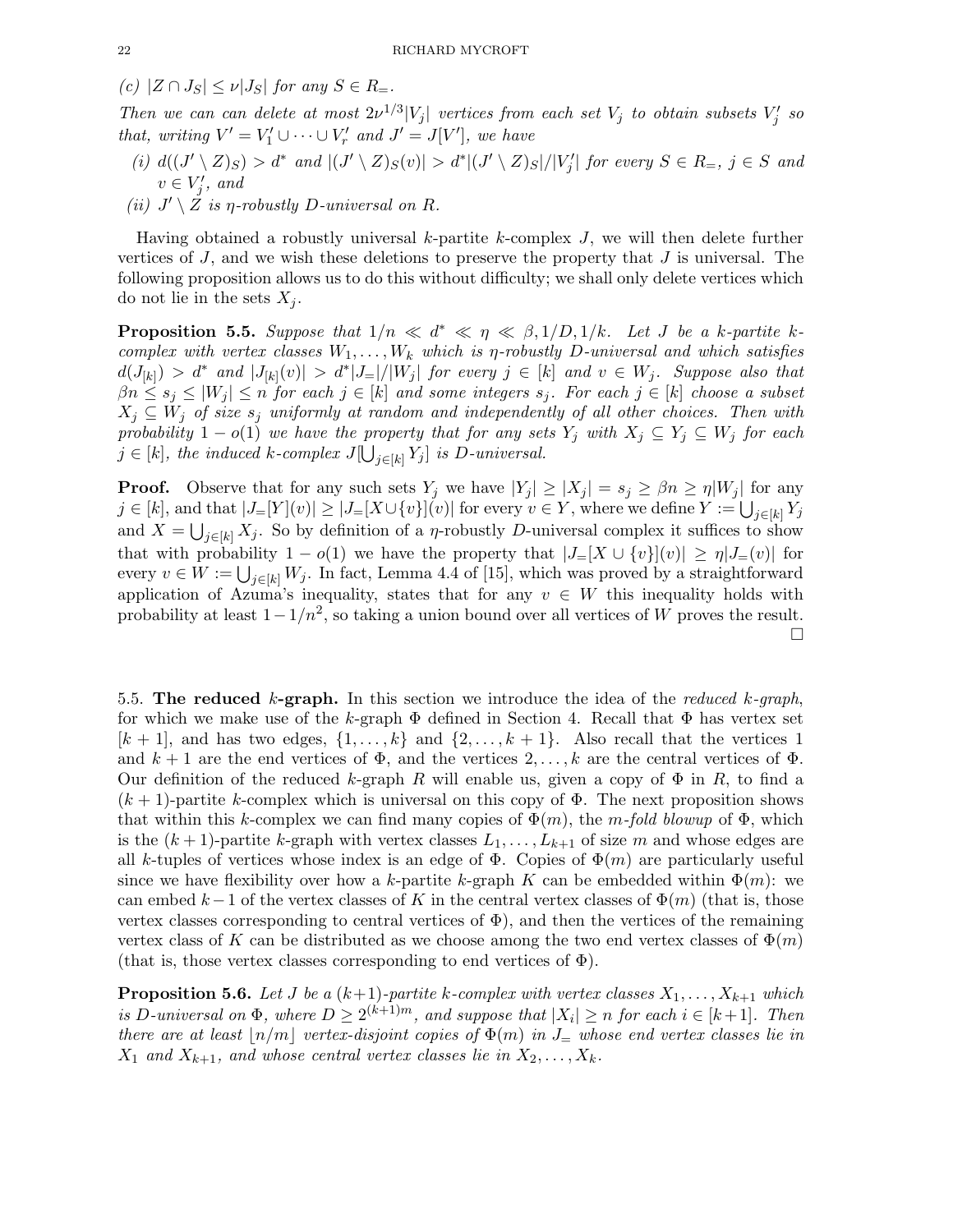(c)  $|Z \cap J_S| \leq \nu |J_S|$  for any  $S \in R_{\equiv}$ .

Then we can can delete at most  $2\nu^{1/3}|V_j|$  vertices from each set  $V_j$  to obtain subsets  $V'_j$  so that, writing  $V' = V'_1 \cup \cdots \cup V'_r$  and  $J' = J[V']$ , we have

- (i)  $d((J' \setminus Z)_S) > d^*$  and  $|(J' \setminus Z)_S(v)| > d^*|(J' \setminus Z)_S|/|V'_j|$  for every  $S \in R_-, j \in S$  and  $v \in V'_j$ , and
- (ii)  $J' \setminus \mathcal{Z}$  is  $\eta$ -robustly D-universal on R.

Having obtained a robustly universal  $k$ -partite  $k$ -complex  $J$ , we will then delete further vertices of  $J$ , and we wish these deletions to preserve the property that  $J$  is universal. The following proposition allows us to do this without difficulty; we shall only delete vertices which do not lie in the sets  $X_j$ .

**Proposition 5.5.** Suppose that  $1/n \ll d^* \ll \eta \ll \beta, 1/D, 1/k$ . Let J be a k-partite kcomplex with vertex classes  $W_1, \ldots, W_k$  which is *η*-robustly D-universal and which satisfies  $d(J_{[k]}) > d^*$  and  $|J_{[k]}(v)| > d^*|J_{=}|/|W_j|$  for every  $j \in [k]$  and  $v \in W_j$ . Suppose also that  $\beta n \leq s_i \leq |W_i| \leq n$  for each  $j \in [k]$  and some integers  $s_j$ . For each  $j \in [k]$  choose a subset  $X_j \subseteq W_j$  of size  $s_j$  uniformly at random and independently of all other choices. Then with probability  $1 - o(1)$  we have the property that for any sets  $Y_j$  with  $X_j \subseteq Y_j \subseteq W_j$  for each  $j \in [k]$ , the induced k-complex  $J[\bigcup_{j \in [k]} Y_j]$  is D-universal.

**Proof.** Observe that for any such sets  $Y_j$  we have  $|Y_j| \ge |X_j| = s_j \ge \beta n \ge \eta |W_j|$  for any  $j \in [k]$ , and that  $|J_{=}[Y](v)| \geq |J_{=}[X \cup \{v\}](v)|$  for every  $v \in Y$ , where we define  $Y := \bigcup_{j \in [k]} Y_j$ and  $X = \bigcup_{j \in [k]} X_j$ . So by definition of a  $\eta$ -robustly D-universal complex it suffices to show that with probability  $1 - o(1)$  we have the property that  $|J=[X \cup \{v\}|(v)] \geq \eta |J=(v)|$  for every  $v \in W := \bigcup_{j \in [k]} W_j$ . In fact, Lemma 4.4 of [15], which was proved by a straightforward application of Azuma's inequality, states that for any  $v \in W$  this inequality holds with probability at least  $1-1/n^2$ , so taking a union bound over all vertices of W proves the result.  $\Box$ 

5.5. The reduced k-graph. In this section we introduce the idea of the reduced k-graph, for which we make use of the k-graph  $\Phi$  defined in Section 4. Recall that  $\Phi$  has vertex set  $[k+1]$ , and has two edges,  $\{1,\ldots,k\}$  and  $\{2,\ldots,k+1\}$ . Also recall that the vertices 1 and  $k+1$  are the end vertices of  $\Phi$ , and the vertices  $2,\ldots,k$  are the central vertices of  $\Phi$ . Our definition of the reduced k-graph R will enable us, given a copy of  $\Phi$  in R, to find a  $(k+1)$ -partite k-complex which is universal on this copy of  $\Phi$ . The next proposition shows that within this k-complex we can find many copies of  $\Phi(m)$ , the m-fold blowup of  $\Phi$ , which is the  $(k+1)$ -partite k-graph with vertex classes  $L_1, \ldots, L_{k+1}$  of size m and whose edges are all k-tuples of vertices whose index is an edge of  $\Phi$ . Copies of  $\Phi(m)$  are particularly useful since we have flexibility over how a k-partite k-graph K can be embedded within  $\Phi(m)$ : we can embed  $k-1$  of the vertex classes of K in the central vertex classes of  $\Phi(m)$  (that is, those vertex classes corresponding to central vertices of  $\Phi$ ), and then the vertices of the remaining vertex class of K can be distributed as we choose among the two end vertex classes of  $\Phi(m)$ (that is, those vertex classes corresponding to end vertices of  $\Phi$ ).

**Proposition 5.6.** Let J be a  $(k+1)$ -partite k-complex with vertex classes  $X_1, \ldots, X_{k+1}$  which is D-universal on  $\Phi$ , where  $D \geq 2^{(k+1)m}$ , and suppose that  $|X_i| \geq n$  for each  $i \in [k+1]$ . Then there are at least  $\lfloor n/m \rfloor$  vertex-disjoint copies of  $\Phi(m)$  in  $J_{=}$  whose end vertex classes lie in  $X_1$  and  $X_{k+1}$ , and whose central vertex classes lie in  $X_2, \ldots, X_k$ .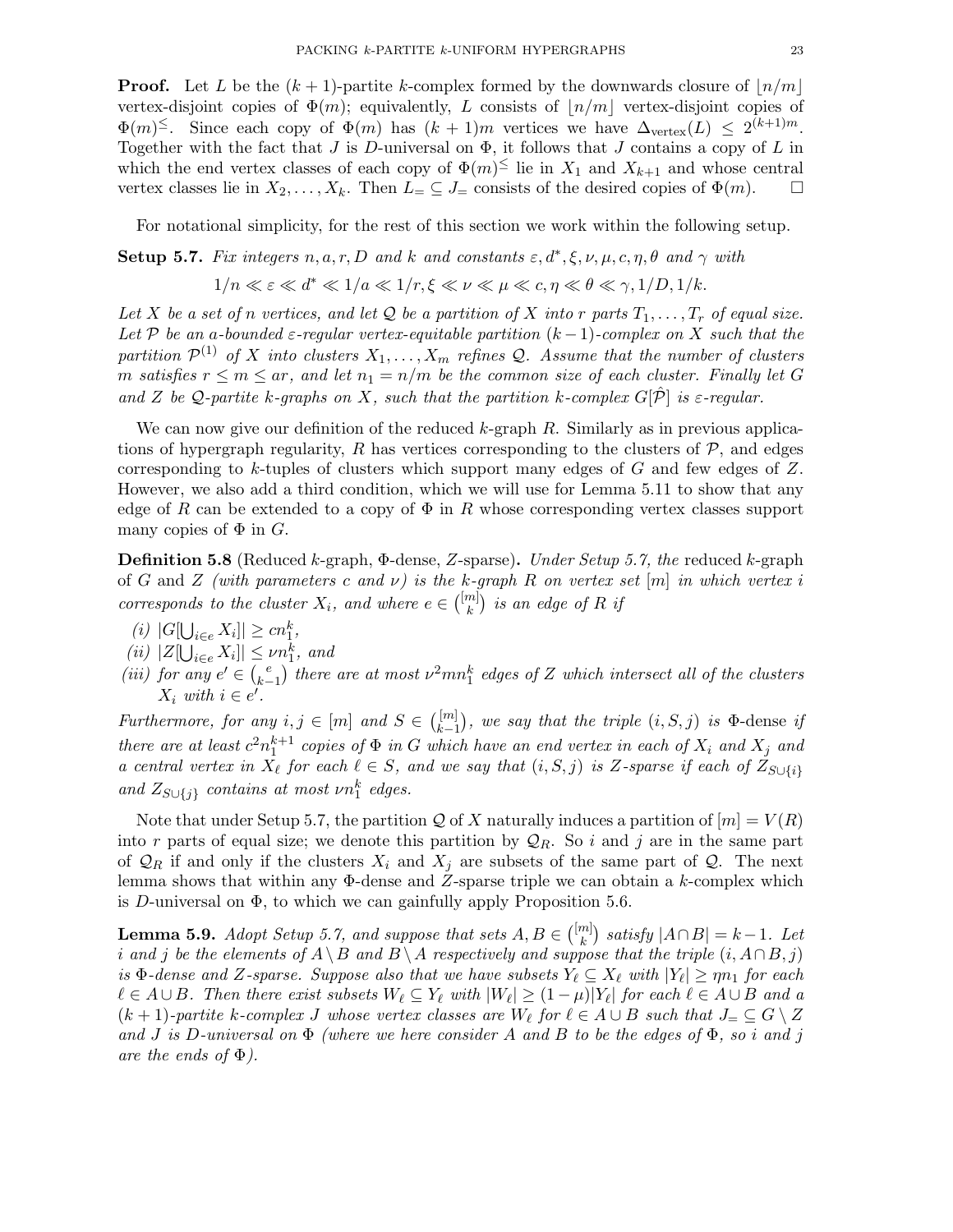**Proof.** Let L be the  $(k + 1)$ -partite k-complex formed by the downwards closure of  $\lfloor n/m \rfloor$ vertex-disjoint copies of  $\Phi(m)$ ; equivalently, L consists of  $\vert n/m \vert$  vertex-disjoint copies of  $\Phi(m)$ <sup>≤</sup>. Since each copy of  $\Phi(m)$  has  $(k + 1)m$  vertices we have  $\Delta_{\text{vertex}}(L) \leq 2^{(k+1)m}$ . Together with the fact that  $J$  is  $D$ -universal on  $\Phi$ , it follows that  $J$  contains a copy of  $L$  in which the end vertex classes of each copy of  $\Phi(m)^{\leq}$  lie in  $X_1$  and  $X_{k+1}$  and whose central vertex classes lie in  $X_2, \ldots, X_k$ . Then  $L = \subseteq J$  consists of the desired copies of  $\Phi(m)$ .

For notational simplicity, for the rest of this section we work within the following setup.

**Setup 5.7.** Fix integers n, a, r, D and k and constants 
$$
\varepsilon
$$
,  $d^*, \xi$ ,  $\nu$ ,  $\mu$ ,  $c$ ,  $\eta$ ,  $\theta$  and  $\gamma$  with

$$
1/n \ll \varepsilon \ll d^* \ll 1/a \ll 1/r, \xi \ll \nu \ll \mu \ll c, \eta \ll \theta \ll \gamma, 1/D, 1/k.
$$

Let X be a set of n vertices, and let Q be a partition of X into r parts  $T_1, \ldots, T_r$  of equal size. Let P be an a-bounded  $\varepsilon$ -regular vertex-equitable partition  $(k-1)$ -complex on X such that the partition  $\mathcal{P}^{(1)}$  of X into clusters  $X_1, \ldots, X_m$  refines Q. Assume that the number of clusters m satisfies  $r \le m \le ar$ , and let  $n_1 = n/m$  be the common size of each cluster. Finally let G and Z be Q-partite k-graphs on X, such that the partition k-complex  $G[\hat{\mathcal{P}}]$  is  $\varepsilon$ -regular.

We can now give our definition of the reduced  $k$ -graph  $R$ . Similarly as in previous applications of hypergraph regularity, R has vertices corresponding to the clusters of  $P$ , and edges corresponding to  $k$ -tuples of clusters which support many edges of  $G$  and few edges of  $Z$ . However, we also add a third condition, which we will use for Lemma 5.11 to show that any edge of R can be extended to a copy of  $\Phi$  in R whose corresponding vertex classes support many copies of  $\Phi$  in  $G$ .

**Definition 5.8** (Reduced k-graph,  $\Phi$ -dense, Z-sparse). Under Setup 5.7, the reduced k-graph of G and Z (with parameters c and  $\nu$ ) is the k-graph R on vertex set [m] in which vertex i corresponds to the cluster  $X_i$ , and where  $e \in \binom{[m]}{k}$  $\binom{m}{k}$  is an edge of R if

- (*i*)  $|G[\bigcup_{i \in e} X_i]| \ge cn_1^k$ ,
- (*ii*)  $|Z[\bigcup_{i \in e} X_i]| \leq \nu n_1^k$ , and
- (iii) for any  $e' \in {e \choose k-1}$  $\binom{e}{k-1}$  there are at most  $\nu^2 m n_1^k$  edges of Z which intersect all of the clusters  $X_i$  with  $i \in e'$ .

Furthermore, for any  $i, j \in [m]$  and  $S \in \binom{[m]}{k-1}$  $\vert_{k-1}^{[m]}$ ), we say that the triple  $(i, S, j)$  is  $\Phi$ -dense if there are at least  $c^2n_1^{k+1}$  copies of  $\Phi$  in G which have an end vertex in each of  $X_i$  and  $X_j$  and a central vertex in  $X_{\ell}$  for each  $\ell \in S$ , and we say that  $(i, S, j)$  is Z-sparse if each of  $Z_{S \cup \{i\}}$ and  $Z_{S\cup\{j\}}$  contains at most  $\nu n_1^k$  edges.

Note that under Setup 5.7, the partition Q of X naturally induces a partition of  $[m] = V(R)$ into r parts of equal size; we denote this partition by  $\mathcal{Q}_R$ . So i and j are in the same part of  $\mathcal{Q}_R$  if and only if the clusters  $X_i$  and  $X_j$  are subsets of the same part of  $\mathcal{Q}$ . The next lemma shows that within any  $\Phi$ -dense and Z-sparse triple we can obtain a k-complex which is D-universal on  $\Phi$ , to which we can gainfully apply Proposition 5.6.

**Lemma 5.9.** Adopt Setup 5.7, and suppose that sets  $A, B \in \binom{[m]}{k}$  ${k \choose k}$  satisfy  $|A \cap B| = k-1$ . Let i and j be the elements of  $A \setminus B$  and  $B \setminus A$  respectively and suppose that the triple  $(i, A \cap B, j)$ is  $\Phi$ -dense and Z-sparse. Suppose also that we have subsets  $Y_{\ell} \subseteq X_{\ell}$  with  $|Y_{\ell}| \ge \eta n_1$  for each  $\ell \in A \cup B$ . Then there exist subsets  $W_{\ell} \subseteq Y_{\ell}$  with  $|W_{\ell}| \geq (1 - \mu)|Y_{\ell}|$  for each  $\ell \in A \cup B$  and a  $(k+1)$ -partite k-complex J whose vertex classes are  $W_{\ell}$  for  $\ell \in A \cup B$  such that  $J_{=} \subseteq G \setminus Z$ and J is D-universal on  $\Phi$  (where we here consider A and B to be the edges of  $\Phi$ , so i and j are the ends of  $\Phi$ ).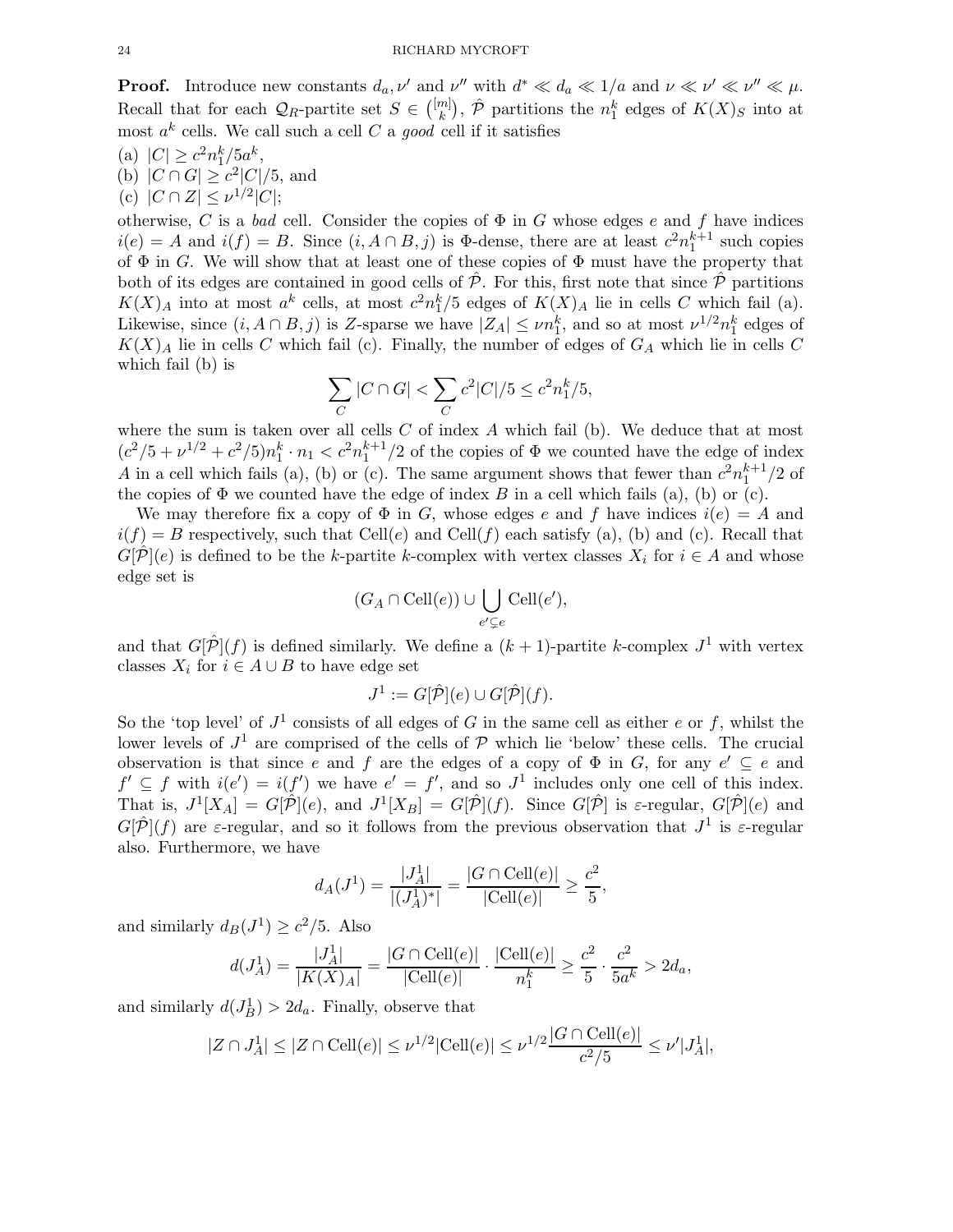**Proof.** Introduce new constants  $d_a, \nu'$  and  $\nu''$  with  $d^* \ll d_a \ll 1/a$  and  $\nu \ll \nu' \ll \nu'' \ll \mu$ . Recall that for each  $\mathcal{Q}_R$ -partite set  $S \in \binom{[m]}{k}$  $\binom{m}{k}$ ,  $\hat{\mathcal{P}}$  partitions the  $n_1^k$  edges of  $K(X)_S$  into at most  $a^k$  cells. We call such a cell C a good cell if it satisfies

(a)  $|C| \geq c^2 n_1^k / 5 a^k$ ,

(b)  $|C \cap G| \ge c^2 |C|/5$ , and

(c)  $|C \cap Z| \leq \nu^{1/2} |C|$ ;

otherwise, C is a bad cell. Consider the copies of  $\Phi$  in G whose edges e and f have indices  $i(e) = A$  and  $i(f) = B$ . Since  $(i, A \cap B, j)$  is  $\Phi$ -dense, there are at least  $c^2 n_1^{k+1}$  such copies of  $\Phi$  in G. We will show that at least one of these copies of  $\Phi$  must have the property that both of its edges are contained in good cells of  $\tilde{\mathcal{P}}$ . For this, first note that since  $\tilde{\mathcal{P}}$  partitions  $K(X)_A$  into at most  $a^k$  cells, at most  $c^2n_1^k/5$  edges of  $K(X)_A$  lie in cells C which fail (a). Likewise, since  $(i, A \cap B, j)$  is Z-sparse we have  $|Z_A| \le \nu n_1^k$ , and so at most  $\nu^{1/2} n_1^k$  edges of  $K(X)_A$  lie in cells C which fail (c). Finally, the number of edges of  $G_A$  which lie in cells C which fail (b) is

$$
\sum_C |C\cap G| < \sum_C c^2 |C|/5 \leq c^2 n_1^k/5,
$$

where the sum is taken over all cells  $C$  of index  $A$  which fail (b). We deduce that at most  $(c^2/5 + \nu^{1/2} + c^2/5)n_1^k \cdot n_1 < c^2n_1^{k+1}/2$  of the copies of  $\Phi$  we counted have the edge of index A in a cell which fails (a), (b) or (c). The same argument shows that fewer than  $c^2n_1^{k+1}/2$  of the copies of  $\Phi$  we counted have the edge of index B in a cell which fails (a), (b) or (c).

We may therefore fix a copy of  $\Phi$  in G, whose edges e and f have indices  $i(e) = A$  and  $i(f) = B$  respectively, such that Cell(e) and Cell(f) each satisfy (a), (b) and (c). Recall that  $G[\hat{\mathcal{P}}](e)$  is defined to be the k-partite k-complex with vertex classes  $X_i$  for  $i \in A$  and whose edge set is

$$
(G_A \cap \operatorname{Cell}(e)) \cup \bigcup_{e' \subsetneq e} \operatorname{Cell}(e'),
$$

and that  $G[\hat{P}](f)$  is defined similarly. We define a  $(k+1)$ -partite k-complex  $J^1$  with vertex classes  $X_i$  for  $i \in A \cup B$  to have edge set

$$
J^1 := G[\hat{\mathcal{P}}](e) \cup G[\hat{\mathcal{P}}](f).
$$

So the 'top level' of  $J^1$  consists of all edges of G in the same cell as either e or f, whilst the lower levels of  $J^1$  are comprised of the cells of  $P$  which lie 'below' these cells. The crucial observation is that since e and f are the edges of a copy of  $\Phi$  in G, for any  $e' \subseteq e$  and  $f' \subseteq f$  with  $i(e') = i(f')$  we have  $e' = f'$ , and so  $J^1$  includes only one cell of this index. That is,  $J^1[X_A] = G[\hat{\mathcal{P}}](e)$ , and  $J^1[X_B] = G[\hat{\mathcal{P}}](f)$ . Since  $G[\hat{\mathcal{P}}]$  is  $\varepsilon$ -regular,  $G[\hat{\mathcal{P}}](e)$  and  $G[\hat{\mathcal{P}}](f)$  are  $\varepsilon$ -regular, and so it follows from the previous observation that  $J^1$  is  $\varepsilon$ -regular also. Furthermore, we have

$$
d_A(J^1) = \frac{|J_A^1|}{|(J_A^1)^*|} = \frac{|G \cap \text{Cell}(e)|}{|\text{Cell}(e)|} \ge \frac{c^2}{5},
$$

and similarly  $d_B(J^1) \ge c^2/5$ . Also

$$
d(J_A^1) = \frac{|J_A^1|}{|K(X)_A|} = \frac{|G \cap \text{Cell}(e)|}{|\text{Cell}(e)|} \cdot \frac{|\text{Cell}(e)|}{n_1^k} \ge \frac{c^2}{5} \cdot \frac{c^2}{5a^k} > 2d_a,
$$

and similarly  $d(J_B^1) > 2d_a$ . Finally, observe that

$$
|Z \cap J_A^1| \le |Z \cap \text{Cell}(e)| \le \nu^{1/2} |\text{Cell}(e)| \le \nu^{1/2} \frac{|G \cap \text{Cell}(e)|}{c^2/5} \le \nu' |J_A^1|,
$$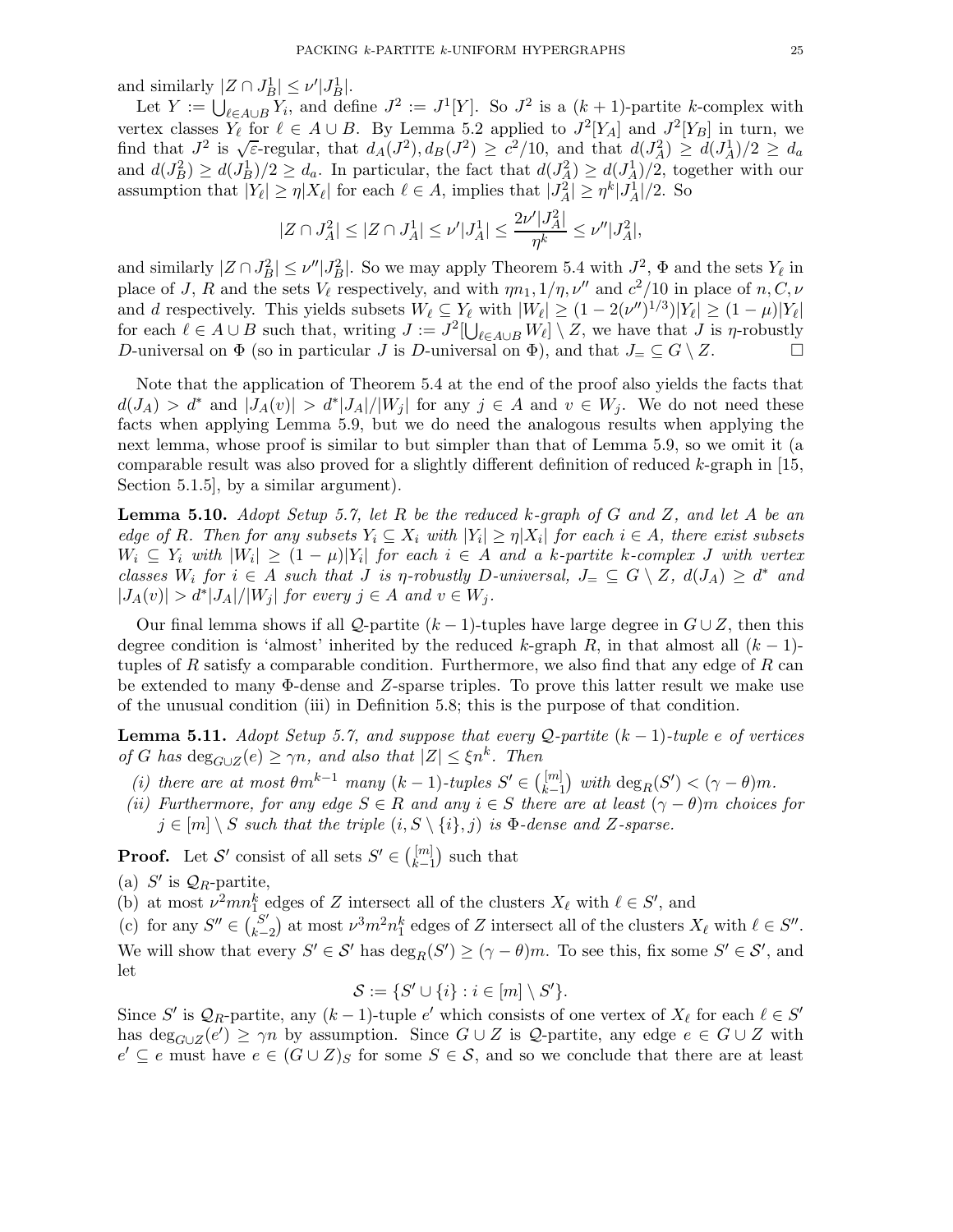and similarly  $|Z \cap J_B^1| \leq \nu' |J_B^1|$ .

Let  $Y := \bigcup_{\ell \in A \cup B} Y_i$ , and define  $J^2 := J^1[Y]$ . So  $J^2$  is a  $(k+1)$ -partite k-complex with vertex classes  $Y_{\ell}$  for  $\ell \in A \cup B$ . By Lemma 5.2 applied to  $J^2[Y_A]$  and  $J^2[Y_B]$  in turn, we find that  $J^2$  is  $\sqrt{\varepsilon}$ -regular, that  $d_A(J^2), d_B(J^2) \geq c^2/10$ , and that  $d(J_A^2) \geq d(J_A^1)/2 \geq d_a$ and  $d(J_B^2) \ge d(J_B^1)/2 \ge d_a$ . In particular, the fact that  $d(J_A^2) \ge d(J_A^1)/2$ , together with our assumption that  $|Y_{\ell}| \geq \eta |X_{\ell}|$  for each  $\ell \in A$ , implies that  $|J_A^2| \geq \eta^k |J_A^1|/2$ . So

$$
|Z \cap J_A^2| \leq |Z \cap J_A^1| \leq \nu'|J_A^1| \leq \frac{2\nu'|J_A^2|}{\eta^k} \leq \nu''|J_A^2|,
$$

and similarly  $|Z \cap J_B^2| \le \nu'' |J_B^2|$ . So we may apply Theorem 5.4 with  $J^2$ ,  $\Phi$  and the sets  $Y_\ell$  in place of J, R and the sets  $V_{\ell}$  respectively, and with  $\eta n_1$ ,  $1/\eta$ ,  $\nu''$  and  $c^2/10$  in place of  $n, C, \nu$ and d respectively. This yields subsets  $W_{\ell} \subseteq Y_{\ell}$  with  $|W_{\ell}| \geq (1 - 2(\nu'')^{1/3})|Y_{\ell}| \geq (1 - \mu)|Y_{\ell}|$ for each  $\ell \in A \cup B$  such that, writing  $J := J^2[\bigcup_{\ell \in A \cup B} W_{\ell}] \setminus Z$ , we have that  $J$  is  $\eta$ -robustly D-universal on  $\Phi$  (so in particular J is D-universal on  $\Phi$ ), and that  $J = \subseteq G \setminus Z$ .

Note that the application of Theorem 5.4 at the end of the proof also yields the facts that  $d(J_A) > d^*$  and  $|J_A(v)| > d^*|J_A|/|W_j|$  for any  $j \in A$  and  $v \in W_j$ . We do not need these facts when applying Lemma 5.9, but we do need the analogous results when applying the next lemma, whose proof is similar to but simpler than that of Lemma 5.9, so we omit it (a comparable result was also proved for a slightly different definition of reduced  $k$ -graph in [15, Section 5.1.5], by a similar argument).

**Lemma 5.10.** Adopt Setup 5.7, let R be the reduced k-graph of G and Z, and let A be an edge of R. Then for any subsets  $Y_i \subseteq X_i$  with  $|Y_i| \geq \eta |X_i|$  for each  $i \in A$ , there exist subsets  $W_i \subseteq Y_i$  with  $|W_i| \geq (1 - \mu)|Y_i|$  for each  $i \in A$  and a k-partite k-complex J with vertex classes  $W_i$  for  $i \in A$  such that J is  $\eta$ -robustly  $D$ -universal,  $J = \subseteq G \setminus Z$ ,  $d(J_A) \geq d^*$  and  $|J_A(v)| > d^*|J_A|/|W_j|$  for every  $j \in A$  and  $v \in W_j$ .

Our final lemma shows if all Q-partite  $(k-1)$ -tuples have large degree in  $G \cup Z$ , then this degree condition is 'almost' inherited by the reduced k-graph R, in that almost all  $(k-1)$ tuples of  $R$  satisfy a comparable condition. Furthermore, we also find that any edge of  $R$  can be extended to many Φ-dense and Z-sparse triples. To prove this latter result we make use of the unusual condition (iii) in Definition 5.8; this is the purpose of that condition.

**Lemma 5.11.** Adopt Setup 5.7, and suppose that every Q-partite  $(k-1)$ -tuple e of vertices of G has  $\deg_{G \cup Z}(e) \geq \gamma n$ , and also that  $|Z| \leq \xi n^k$ . Then

- (i) there are at most  $\theta m^{k-1}$  many  $(k-1)$ -tuples  $S' \in \binom{[m]}{k-1}$  $\binom{[m]}{k-1}$  with  $\deg_R(S') < (\gamma - \theta)m$ .
- (ii) Furthermore, for any edge  $S \in R$  and any  $i \in S$  there are at least  $(\gamma \theta)m$  choices for  $j \in [m] \setminus S$  such that the triple  $(i, S \setminus \{i\}, j)$  is  $\Phi$ -dense and Z-sparse.

**Proof.** Let S' consist of all sets  $S' \in \binom{[m]}{k-1}$  $\binom{[m]}{k-1}$  such that

(a)  $S'$  is  $\mathcal{Q}_R$ -partite,

(b) at most  $\nu^2 mn_1^k$  edges of Z intersect all of the clusters  $X_\ell$  with  $\ell \in S'$ , and

(c) for any  $S'' \in \begin{pmatrix} S' \\ k \end{pmatrix}$  $k-2$  at most  $\nu^3 m^2 n_1^k$  edges of Z intersect all of the clusters  $X_{\ell}$  with  $\ell \in S''$ . We will show that every  $S' \in \mathcal{S}'$  has  $\deg_R(S') \ge (\gamma - \theta)m$ . To see this, fix some  $S' \in \mathcal{S}'$ , and let

$$
\mathcal{S} := \{ S' \cup \{i\} : i \in [m] \setminus S' \}.
$$

Since S' is  $\mathcal{Q}_R$ -partite, any  $(k-1)$ -tuple e' which consists of one vertex of  $X_\ell$  for each  $\ell \in S'$ has  $\deg_{G\cup Z}(e') \ge \gamma n$  by assumption. Since  $G \cup Z$  is  $\mathcal Q$ -partite, any edge  $e \in G \cup Z$  with  $e' \subseteq e$  must have  $e \in (G \cup Z)_S$  for some  $S \in \mathcal{S}$ , and so we conclude that there are at least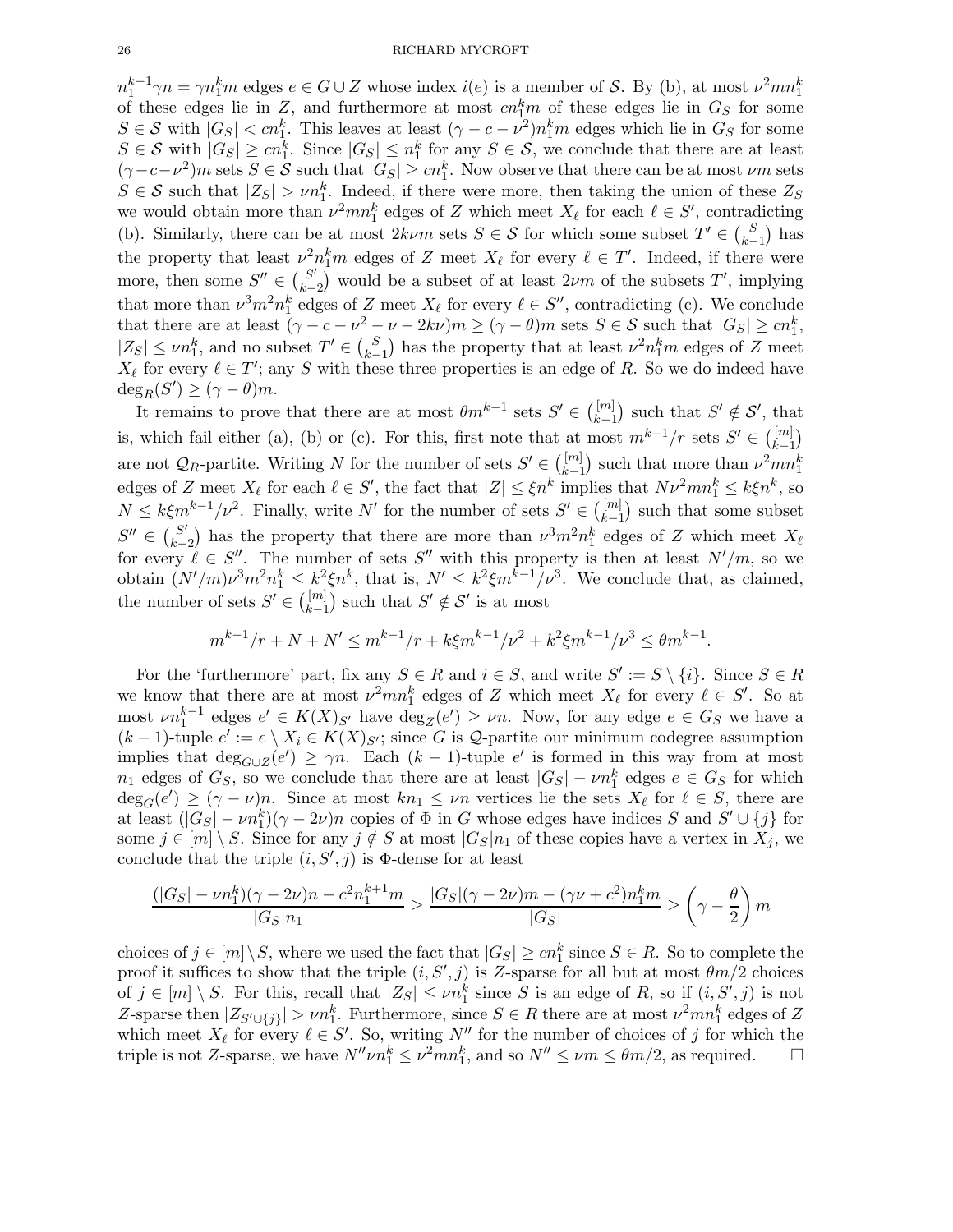$n_1^{k-1}\gamma n = \gamma n_1^k m$  edges  $e \in G \cup Z$  whose index  $i(e)$  is a member of S. By (b), at most  $\nu^2 mn_1^k$ of these edges lie in Z, and furthermore at most  $cn_{1}^{k}m$  of these edges lie in  $G_{S}$  for some  $S \in \mathcal{S}$  with  $|G_S| < cn_1^k$ . This leaves at least  $(\gamma - c - \nu^2)n_1^k m$  edges which lie in  $G_S$  for some  $S \in \mathcal{S}$  with  $|G_S| \geq cn_1^k$ . Since  $|G_S| \leq n_1^k$  for any  $S \in \mathcal{S}$ , we conclude that there are at least  $(\gamma-c-\nu^2)m$  sets  $S \in \mathcal{S}$  such that  $|G_S| \geq cn_1^k$ . Now observe that there can be at most  $\nu m$  sets  $S \in \mathcal{S}$  such that  $|Z_S| > \nu n_1^k$ . Indeed, if there were more, then taking the union of these  $Z_S$ we would obtain more than  $\nu^2 mn_1^k$  edges of Z which meet  $X_\ell$  for each  $\ell \in S'$ , contradicting (b). Similarly, there can be at most  $2k\nu m$  sets  $S \in \mathcal{S}$  for which some subset  $T' \in {S \choose k-1}$  $_{k-1}^S$ ) has the property that least  $\nu^2 n_1^k m$  edges of Z meet  $X_\ell$  for every  $\ell \in T'$ . Indeed, if there were more, then some  $S'' \in \binom{S'}{k-1}$  $\binom{S'}{k-2}$  would be a subset of at least  $2\nu m$  of the subsets  $T'$ , implying that more than  $\nu^3 m^2 n_1^k$  edges of Z meet  $X_\ell$  for every  $\ell \in S''$ , contradicting (c). We conclude that there are at least  $(\gamma - c - \nu^2 - \nu - 2k\nu) m \ge (\gamma - \theta)m$  sets  $S \in \mathcal{S}$  such that  $|G_S| \ge cn_1^k$ ,  $|Z_S| \le \nu n_1^k$ , and no subset  $T' \in {S \choose k-1}$  $\binom{S}{k-1}$  has the property that at least  $\nu^2 n_1^k m$  edges of Z meet  $X_{\ell}$  for every  $\ell \in T'$ ; any S with these three properties is an edge of R. So we do indeed have  $deg_R(S') \geq (\gamma - \theta)m$ .

It remains to prove that there are at most  $\theta m^{k-1}$  sets  $S' \in \binom{[m]}{k-1}$  $\binom{[m]}{k-1}$  such that  $S' \notin S'$ , that is, which fail either (a), (b) or (c). For this, first note that at most  $m^{k-1}/r$  sets  $S' \in \binom{[m]}{k-1}$  $\binom{[m]}{k-1}$ are not  $\mathcal{Q}_R$ -partite. Writing N for the number of sets  $S' \in \binom{[m]}{k-1}$  $\binom{[m]}{k-1}$  such that more than  $\nu^2 mn_1^k$ edges of Z meet  $X_{\ell}$  for each  $\ell \in S'$ , the fact that  $|Z| \leq \xi n^k$  implies that  $N\nu^2 mn_1^k \leq k\xi n^k$ , so  $N \leq k\xi m^{k-1}/\nu^2$ . Finally, write N' for the number of sets  $S' \in \binom{[m]}{k-1}$  $\binom{[m]}{k-1}$  such that some subset  $S'' \in {S' \choose k-1}$  $k-2$  has the property that there are more than  $\nu^3 m^2 n_1^k$  edges of Z which meet  $X_\ell$ for every  $\ell \in S''$ . The number of sets S'' with this property is then at least  $N'/m$ , so we obtain  $(N'/m)\nu^3m^2n_1^k \leq k^2\xi n^k$ , that is,  $N' \leq k^2\xi m^{k-1}/\nu^3$ . We conclude that, as claimed, the number of sets  $S' \in \binom{[m]}{k-1}$  $\binom{[m]}{k-1}$  such that  $S' \notin S'$  is at most

$$
m^{k-1}/r + N + N' \le m^{k-1}/r + k\xi m^{k-1}/\nu^2 + k^2\xi m^{k-1}/\nu^3 \le \theta m^{k-1}.
$$

For the 'furthermore' part, fix any  $S \in R$  and  $i \in S$ , and write  $S' := S \setminus \{i\}$ . Since  $S \in R$ we know that there are at most  $\nu^2 mn_1^k$  edges of Z which meet  $X_\ell$  for every  $\ell \in S'$ . So at most  $\nu n_1^{k-1}$  edges  $e' \in K(X)_{S'}$  have  $\deg_Z(e') \ge \nu n$ . Now, for any edge  $e \in G_S$  we have a  $(k-1)$ -tuple  $e' := e \setminus X_i \in K(X)_{S'}$ ; since G is Q-partite our minimum codegree assumption implies that  $\deg_{G\cup Z}(e') \geq \gamma n$ . Each  $(k-1)$ -tuple e' is formed in this way from at most  $n_1$  edges of  $G_S$ , so we conclude that there are at least  $|G_S| - \nu n_1^k$  edges  $e \in G_S$  for which  $deg_G(e') \geq (\gamma - \nu)n$ . Since at most  $kn_1 \leq \nu n$  vertices lie the sets  $X_{\ell}$  for  $\ell \in S$ , there are at least  $(|G_S| - \nu n_1^k)(\gamma - 2\nu)n$  copies of  $\Phi$  in G whose edges have indices S and  $S' \cup \{j\}$  for some  $j \in [m] \setminus S$ . Since for any  $j \notin S$  at most  $|G_S|n_1$  of these copies have a vertex in  $X_j$ , we conclude that the triple  $(i, S', j)$  is  $\Phi$ -dense for at least

$$
\frac{(|G_S| - \nu n_1^k)(\gamma - 2\nu)n - c^2 n_1^{k+1} m}{|G_S| n_1} \ge \frac{|G_S|(\gamma - 2\nu)m - (\gamma \nu + c^2)n_1^k m}{|G_S|} \ge \left(\gamma - \frac{\theta}{2}\right)m
$$

choices of  $j \in [m] \setminus S$ , where we used the fact that  $|G_S| \ge cn_1^k$  since  $S \in R$ . So to complete the proof it suffices to show that the triple  $(i, S', j)$  is Z-sparse for all but at most  $\theta m/2$  choices of  $j \in [m] \setminus S$ . For this, recall that  $|Z_S| \le \nu n_1^k$  since S is an edge of R, so if  $(i, S', j)$  is not Z-sparse then  $|Z_{S' \cup \{j\}}| > \nu n_1^k$ . Furthermore, since  $S \in R$  there are at most  $\nu^2 mn_1^k$  edges of Z which meet  $X_{\ell}$  for every  $\ell \in S'$ . So, writing  $N''$  for the number of choices of j for which the triple is not Z-sparse, we have  $N''\nu n_1^k \leq \nu^2 mn_1^k$ , and so  $N'' \leq \nu m \leq \theta m/2$ , as required.  $\square$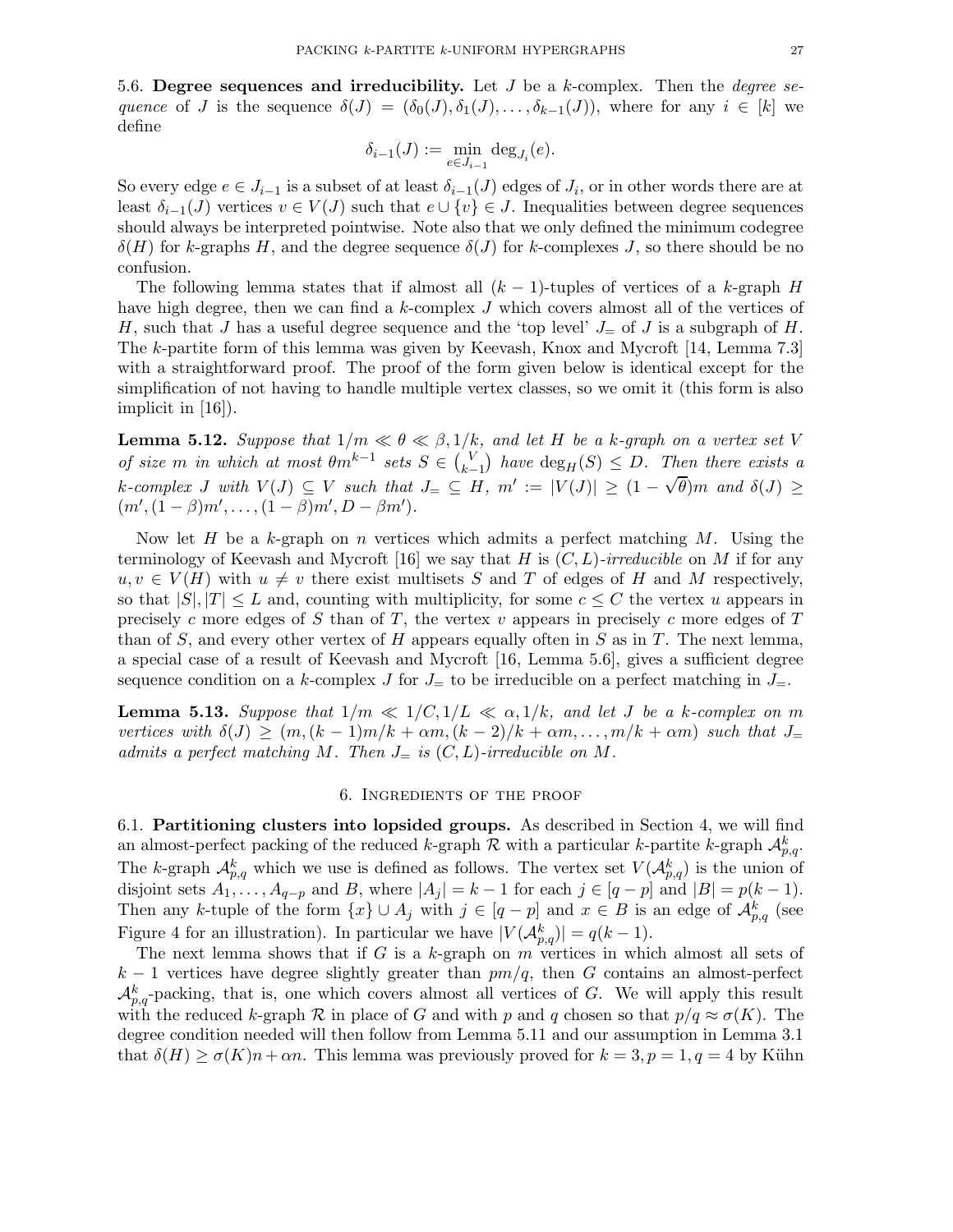5.6. Degree sequences and irreducibility. Let  $J$  be a k-complex. Then the *degree se*quence of J is the sequence  $\delta(J) = (\delta_0(J), \delta_1(J), \ldots, \delta_{k-1}(J)),$  where for any  $i \in [k]$  we define

$$
\delta_{i-1}(J):=\min_{e\in J_{i-1}}\deg_{J_i}(e).
$$

So every edge  $e \in J_{i-1}$  is a subset of at least  $\delta_{i-1}(J)$  edges of  $J_i$ , or in other words there are at least  $\delta_{i-1}(J)$  vertices  $v \in V(J)$  such that  $e \cup \{v\} \in J$ . Inequalities between degree sequences should always be interpreted pointwise. Note also that we only defined the minimum codegree  $\delta(H)$  for k-graphs H, and the degree sequence  $\delta(J)$  for k-complexes J, so there should be no confusion.

The following lemma states that if almost all  $(k-1)$ -tuples of vertices of a k-graph H have high degree, then we can find a k-complex J which covers almost all of the vertices of H, such that J has a useful degree sequence and the 'top level'  $J_{\pm}$  of J is a subgraph of H. The k-partite form of this lemma was given by Keevash, Knox and Mycroft [14, Lemma 7.3] with a straightforward proof. The proof of the form given below is identical except for the simplification of not having to handle multiple vertex classes, so we omit it (this form is also implicit in [16]).

**Lemma 5.12.** Suppose that  $1/m \ll \theta \ll \beta, 1/k$ , and let H be a k-graph on a vertex set V of size m in which at most  $\theta m^{k-1}$  sets  $S \in {V \choose k-1}$  $\binom{V}{k-1}$  have  $\deg_H(S) \leq D$ . Then there exists a k-complex J with  $V(J) \subseteq V$  such that  $J = \subseteq H$ ,  $m' := |V(J)| \geq (1 - \sqrt{\theta})m$  and  $\delta(J) \geq$  $(m', (1 - \beta)m', \ldots, (1 - \beta)m', D - \beta m')$ .

Now let H be a k-graph on n vertices which admits a perfect matching  $M$ . Using the terminology of Keevash and Mycroft [16] we say that H is  $(C, L)$ -irreducible on M if for any  $u, v \in V(H)$  with  $u \neq v$  there exist multisets S and T of edges of H and M respectively, so that  $|S|, |T| \leq L$  and, counting with multiplicity, for some  $c \leq C$  the vertex u appears in precisely c more edges of S than of T, the vertex v appears in precisely c more edges of  $T$ than of S, and every other vertex of H appears equally often in S as in T. The next lemma, a special case of a result of Keevash and Mycroft [16, Lemma 5.6], gives a sufficient degree sequence condition on a k-complex J for  $J_{\equiv}$  to be irreducible on a perfect matching in  $J_{\equiv}$ .

**Lemma 5.13.** Suppose that  $1/m \ll 1/C, 1/L \ll \alpha, 1/k$ , and let J be a k-complex on m vertices with  $\delta(J) \geq (m,(k-1)m/k + \alpha m,(k-2)/k + \alpha m, \ldots, m/k + \alpha m)$  such that  $J_{\pm}$ admits a perfect matching M. Then  $J_{=}$  is  $(C, L)$ -irreducible on M.

#### 6. Ingredients of the proof

6.1. Partitioning clusters into lopsided groups. As described in Section 4, we will find an almost-perfect packing of the reduced k-graph  $R$  with a particular k-partite k-graph  $\mathcal{A}_{p,q}^k$ . The k-graph  $\mathcal{A}_{p,q}^k$  which we use is defined as follows. The vertex set  $V(\mathcal{A}_{p,q}^k)$  is the union of disjoint sets  $A_1, \ldots, A_{q-p}$  and B, where  $|A_j| = k - 1$  for each  $j \in [q - p]$  and  $|B| = p(k - 1)$ . Then any k-tuple of the form  $\{x\} \cup A_j$  with  $j \in [q-p]$  and  $x \in B$  is an edge of  $\mathcal{A}_{p,q}^k$  (see Figure 4 for an illustration). In particular we have  $|V(A_{p,q}^k)| = q(k-1)$ .

The next lemma shows that if  $G$  is a  $k$ -graph on  $m$  vertices in which almost all sets of  $k-1$  vertices have degree slightly greater than  $pm/q$ , then G contains an almost-perfect  $\mathcal{A}_{p,q}^k$ -packing, that is, one which covers almost all vertices of G. We will apply this result with the reduced k-graph R in place of G and with p and q chosen so that  $p/q \approx \sigma(K)$ . The degree condition needed will then follow from Lemma 5.11 and our assumption in Lemma 3.1 that  $\delta(H) \ge \sigma(K)n + \alpha n$ . This lemma was previously proved for  $k = 3, p = 1, q = 4$  by Kühn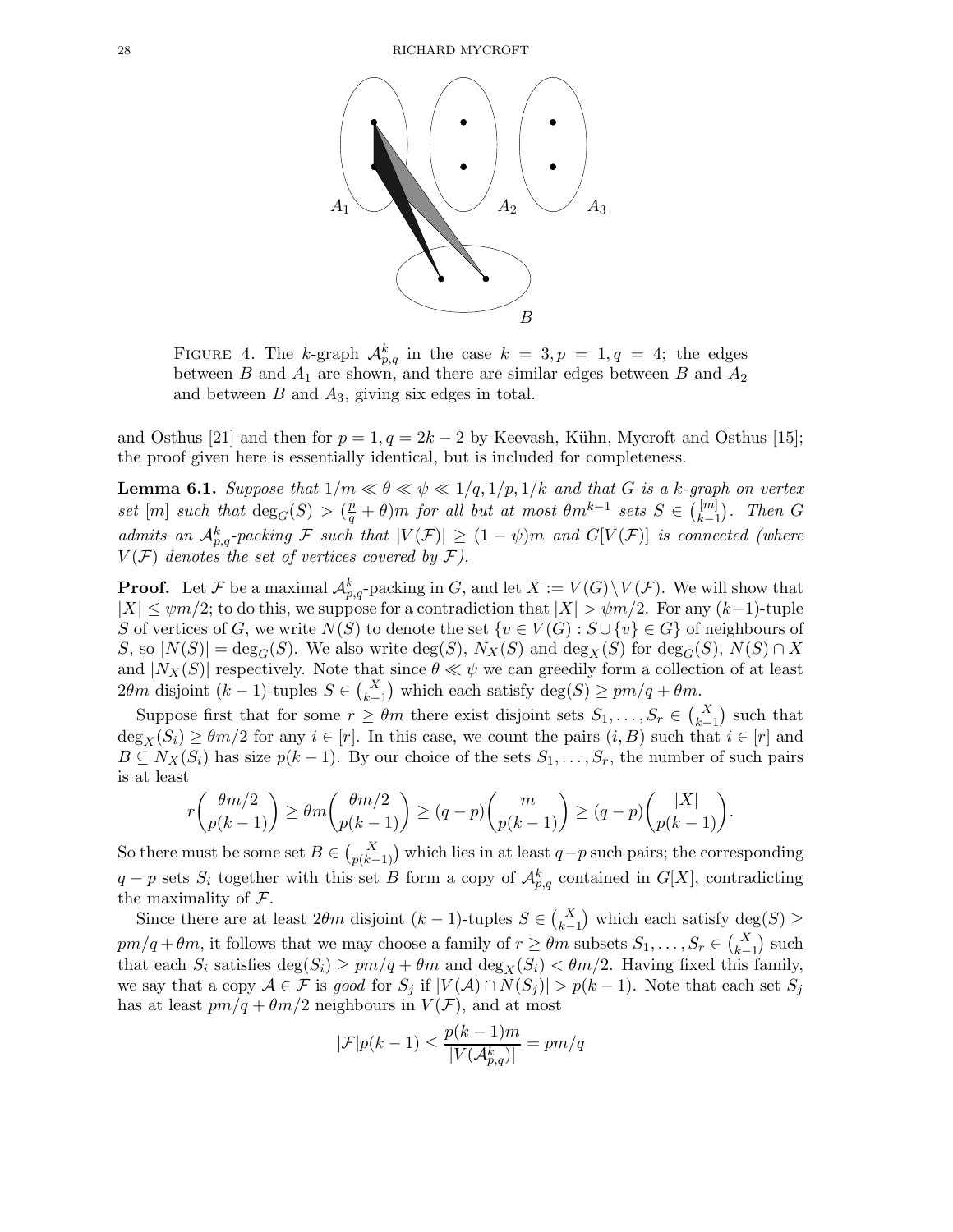

FIGURE 4. The k-graph  $\mathcal{A}_{p,q}^k$  in the case  $k = 3, p = 1, q = 4$ ; the edges between B and  $A_1$  are shown, and there are similar edges between B and  $A_2$ and between  $B$  and  $A_3$ , giving six edges in total.

and Osthus [21] and then for  $p = 1, q = 2k - 2$  by Keevash, Kühn, Mycroft and Osthus [15]; the proof given here is essentially identical, but is included for completeness.

**Lemma 6.1.** Suppose that  $1/m \ll \theta \ll \psi \ll 1/q, 1/p, 1/k$  and that G is a k-graph on vertex set  $[m]$  such that  $\deg_G(S) > (\frac{p}{q} + \theta)m$  for all but at most  $\theta m^{k-1}$  sets  $S \in \binom{[m]}{k-1}$  $\binom{[m]}{k-1}$ . Then G admits an  $\mathcal{A}_{p,q}^k$ -packing F such that  $|V(\mathcal{F})| \geq (1 - \psi)m$  and  $G[V(\mathcal{F})]$  is connected (where  $V(\mathcal{F})$  denotes the set of vertices covered by  $\mathcal{F}$ ).

**Proof.** Let F be a maximal  $\mathcal{A}_{p,q}^k$ -packing in G, and let  $X := V(G) \setminus V(\mathcal{F})$ . We will show that  $|X| \leq \psi m/2$ ; to do this, we suppose for a contradiction that  $|X| > \psi m/2$ . For any  $(k-1)$ -tuple S of vertices of G, we write  $N(S)$  to denote the set  $\{v \in V(G) : S \cup \{v\} \in G\}$  of neighbours of S, so  $|N(S)| = deg_G(S)$ . We also write  $deg(S)$ ,  $N_X(S)$  and  $deg_X(S)$  for  $deg_G(S)$ ,  $N(S) \cap X$ and  $|N_X(S)|$  respectively. Note that since  $\theta \ll \psi$  we can greedily form a collection of at least  $2\theta m$  disjoint  $(k-1)$ -tuples  $S \in {X \choose k-1}$  which each satisfy  $\deg(S) \geq pm/q + \theta m$ .

Suppose first that for some  $r \geq \theta m$  there exist disjoint sets  $S_1, \ldots, S_r \in \binom{X}{k-1}$  such that  $\deg_X(S_i) \geq \theta m/2$  for any  $i \in [r]$ . In this case, we count the pairs  $(i, B)$  such that  $i \in [r]$  and  $B \subseteq N_X(S_i)$  has size  $p(k-1)$ . By our choice of the sets  $S_1, \ldots, S_r$ , the number of such pairs is at least

$$
r{\theta m/2 \choose p(k-1)} \geq \theta m{\theta m/2 \choose p(k-1)} \geq (q-p){m \choose p(k-1)} \geq (q-p){|X| \choose p(k-1)}.
$$

So there must be some set  $B \in \binom{X}{p(k-1)}$  which lies in at least  $q-p$  such pairs; the corresponding  $q - p$  sets  $S_i$  together with this set B form a copy of  $\mathcal{A}_{p,q}^k$  contained in  $G[X]$ , contradicting the maximality of  $\mathcal{F}.$ 

Since there are at least  $2\theta m$  disjoint  $(k-1)$ -tuples  $S \in {X \choose k-1}$  which each satisfy  $\deg(S) \ge$  $pm/q + \theta m$ , it follows that we may choose a family of  $r \ge \theta m$  subsets  $S_1, \ldots, S_r \in \binom{X}{k-1}$  such that each  $S_i$  satisfies  $\deg(S_i) \geq pm/q + \theta m$  and  $\deg_X(S_i) < \theta m/2$ . Having fixed this family, we say that a copy  $A \in \mathcal{F}$  is good for  $S_j$  if  $|V(A) \cap N(S_j)| > p(k-1)$ . Note that each set  $S_j$ has at least  $pm/q + \theta m/2$  neighbours in  $V(\mathcal{F})$ , and at most

$$
|\mathcal{F}|p(k-1) \le \frac{p(k-1)m}{|V(\mathcal{A}_{p,q}^k)|} = pm/q
$$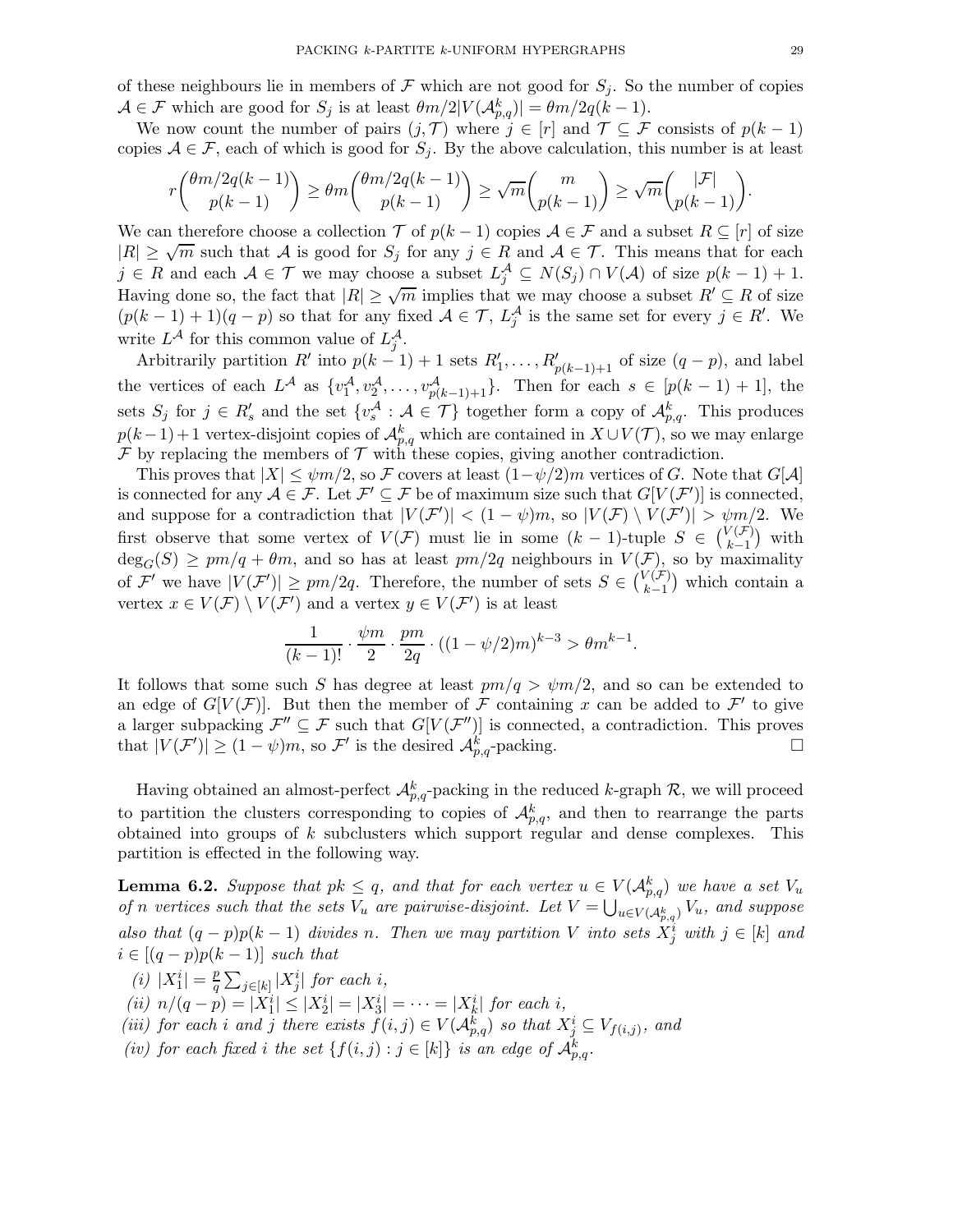of these neighbours lie in members of F which are not good for  $S_i$ . So the number of copies  $\mathcal{A} \in \mathcal{F}$  which are good for  $S_j$  is at least  $\theta m/2|V(\mathcal{A}_{p,q}^k)| = \theta m/2q(k-1)$ .

We now count the number of pairs  $(j, \mathcal{T})$  where  $j \in [r]$  and  $\mathcal{T} \subseteq \mathcal{F}$  consists of  $p(k-1)$ copies  $A \in \mathcal{F}$ , each of which is good for  $S_i$ . By the above calculation, this number is at least

$$
r\binom{\theta m/2q(k-1)}{p(k-1)} \ge \theta m\binom{\theta m/2q(k-1)}{p(k-1)} \ge \sqrt{m}\binom{m}{p(k-1)} \ge \sqrt{m}\binom{|\mathcal{F}|}{p(k-1)}.
$$

We can therefore choose a collection  $\mathcal T$  of  $p(k-1)$  copies  $\mathcal A \in \mathcal F$  and a subset  $R \subseteq [r]$  of size  $|R| \geq \sqrt{m}$  such that A is good for  $S_j$  for any  $j \in R$  and  $A \in \mathcal{T}$ . This means that for each  $j \in R$  and each  $A \in \mathcal{T}$  we may choose a subset  $L_j^{\mathcal{A}} \subseteq N(S_j) \cap V(\mathcal{A})$  of size  $p(k-1)+1$ . Having done so, the fact that  $|R| \ge \sqrt{m}$  implies that we may choose a subset  $R' \subseteq R$  of size  $(p(k-1)+1)(q-p)$  so that for any fixed  $A \in \mathcal{T}$ ,  $L_j^{\mathcal{A}}$  is the same set for every  $j \in R'$ . We write  $L^{\mathcal{A}}$  for this common value of  $L_j^{\mathcal{A}}$ .

Arbitrarily partition  $R'$  into  $p(k-1) + 1$  sets  $R'_1, \ldots, R'_{p(k-1)+1}$  of size  $(q-p)$ , and label the vertices of each  $L^{\mathcal{A}}$  as  $\{v_1^{\mathcal{A}}, v_2^{\mathcal{A}}, \ldots, v_{p(k-1)+1}^{\mathcal{A}}\}$ . Then for each  $s \in [p(k-1)+1]$ , the sets  $S_j$  for  $j \in R'_s$  and the set  $\{v_s^{\mathcal{A}} : \mathcal{A} \in \mathcal{T}\}\)$  together form a copy of  $\mathcal{A}_{p,q}^k$ . This produces  $p(k-1)+1$  vertex-disjoint copies of  $\mathcal{A}_{p,q}^k$  which are contained in  $X\cup V(\mathcal{T})$ , so we may enlarge  $\mathcal F$  by replacing the members of  $\mathcal T$  with these copies, giving another contradiction.

This proves that  $|X| \leq \psi m/2$ , so F covers at least  $(1-\psi/2)m$  vertices of G. Note that  $G[A]$ is connected for any  $A \in \mathcal{F}$ . Let  $\mathcal{F}' \subseteq \mathcal{F}$  be of maximum size such that  $G[V(\mathcal{F}')]$  is connected, and suppose for a contradiction that  $|V(F')| < (1 - \psi)m$ , so  $|V(F) \setminus V(F')| > \psi m/2$ . We first observe that some vertex of  $V(\mathcal{F})$  must lie in some  $(k-1)$ -tuple  $S \in {V(\mathcal{F}) \choose k-1}$  $_{k-1}^{\vee(F)}$  with  $deg_G(S) \geq pm/q + \theta m$ , and so has at least  $pm/2q$  neighbours in  $V(\mathcal{F})$ , so by maximality of  $\mathcal{F}'$  we have  $|V(\mathcal{F}')| \geq pm/2q$ . Therefore, the number of sets  $S \in \binom{V(\mathcal{F})}{k-1}$  $\binom{(\mathcal{F})}{k-1}$  which contain a vertex  $x \in V(\mathcal{F}) \setminus V(\mathcal{F}')$  and a vertex  $y \in V(\mathcal{F}')$  is at least

$$
\frac{1}{(k-1)!} \cdot \frac{\psi m}{2} \cdot \frac{pm}{2q} \cdot ((1 - \psi/2)m)^{k-3} > \theta m^{k-1}.
$$

It follows that some such S has degree at least  $pm/q > \psi m/2$ , and so can be extended to an edge of  $G[V(\mathcal{F})]$ . But then the member of  $\mathcal F$  containing x can be added to  $\mathcal F'$  to give a larger subpacking  $\mathcal{F}'' \subseteq \mathcal{F}$  such that  $G[V(\mathcal{F}'')]$  is connected, a contradiction. This proves that  $|V(F')| \ge (1 - \psi)m$ , so F' is the desired  $\mathcal{A}_{p,q}^k$ -packing.

Having obtained an almost-perfect  $\mathcal{A}_{p,q}^k$ -packing in the reduced k-graph  $\mathcal{R}$ , we will proceed to partition the clusters corresponding to copies of  $\mathcal{A}_{p,q}^k$ , and then to rearrange the parts obtained into groups of  $k$  subclusters which support regular and dense complexes. This partition is effected in the following way.

**Lemma 6.2.** Suppose that  $pk \leq q$ , and that for each vertex  $u \in V(\mathcal{A}_{p,q}^k)$  we have a set  $V_u$ of n vertices such that the sets  $V_u$  are pairwise-disjoint. Let  $V = \bigcup_{u \in V(\mathcal{A}_{p,q}^k)} V_u$ , and suppose also that  $(q-p)p(k-1)$  divides n. Then we may partition V into sets  $X_j^i$  with  $j \in [k]$  and  $i \in [(q-p)p(k-1)]$  such that

- $(i)$   $|X_1^i| = \frac{p}{q}$  $\frac{p}{q}\sum_{j\in[k]}|X_j^i|$  for each i,
- (ii)  $n/(q-p) = |X_1^i| \le |X_2^i| = |X_3^i| = \cdots = |X_k^i|$  for each i,
- (iii) for each i and j there exists  $f(i, j) \in V(\mathcal{A}_{p,q}^k)$  so that  $X_j^i \subseteq V_{f(i,j)}$ , and
- (iv) for each fixed i the set  $\{f(i, j) : j \in [k]\}$  is an edge of  $\mathcal{A}_{p,q}^k$ .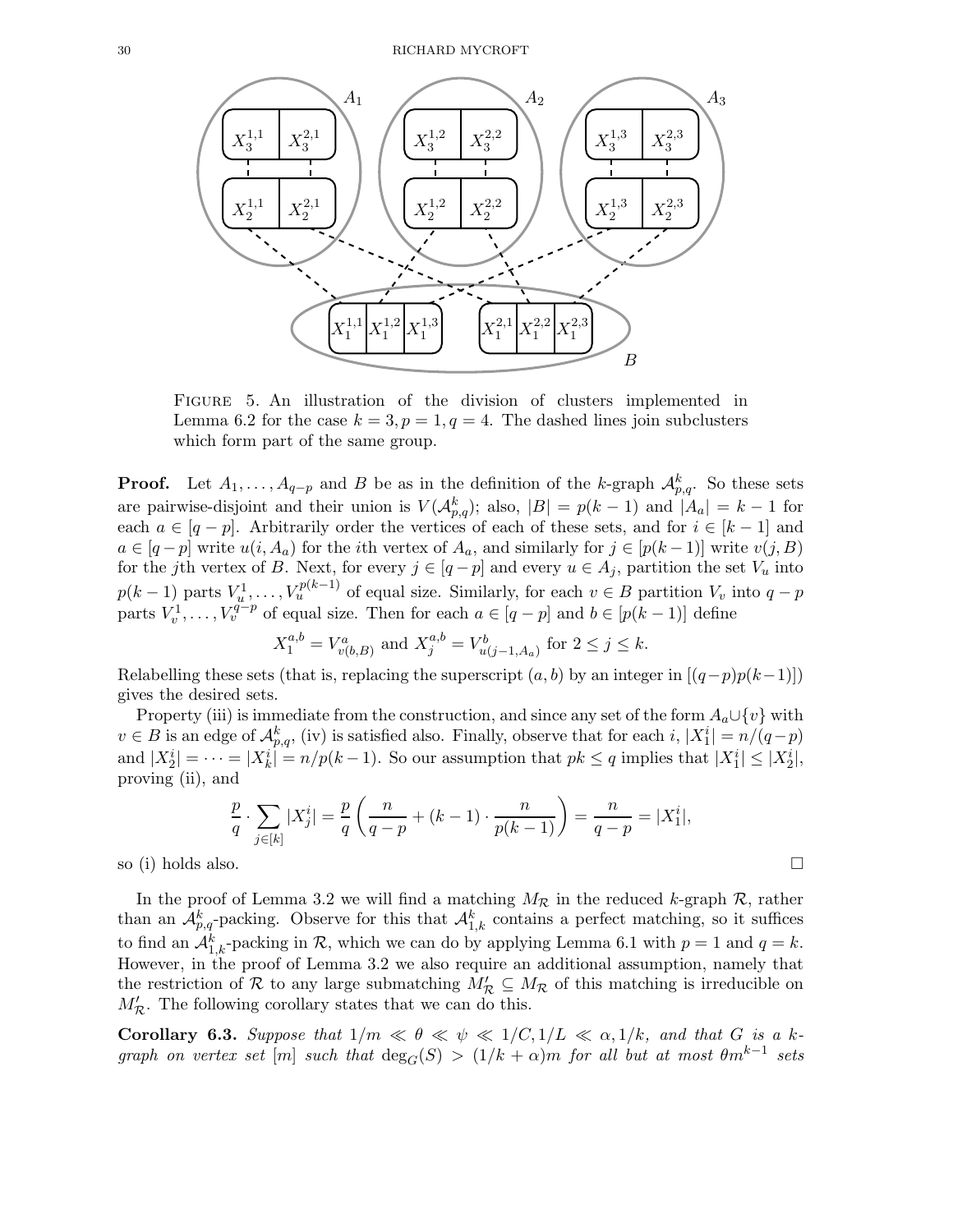

Figure 5. An illustration of the division of clusters implemented in Lemma 6.2 for the case  $k = 3, p = 1, q = 4$ . The dashed lines join subclusters which form part of the same group.

**Proof.** Let  $A_1, \ldots, A_{q-p}$  and B be as in the definition of the k-graph  $\mathcal{A}_{p,q}^k$ . So these sets are pairwise-disjoint and their union is  $V(A_{p,q}^k)$ ; also,  $|B| = p(k-1)$  and  $|A_a| = k-1$  for each  $a \in [q - p]$ . Arbitrarily order the vertices of each of these sets, and for  $i \in [k - 1]$  and  $a \in [q-p]$  write  $u(i, A_a)$  for the *i*th vertex of  $A_a$ , and similarly for  $j \in [p(k-1)]$  write  $v(j, B)$ for the jth vertex of B. Next, for every  $j \in [q-p]$  and every  $u \in A_j$ , partition the set  $V_u$  into  $p(k-1)$  parts  $V_u^1, \ldots, V_u^{p(k-1)}$  of equal size. Similarly, for each  $v \in B$  partition  $V_v$  into  $q-p$ parts  $V_v^1, \ldots, V_v^{q-p}$  of equal size. Then for each  $a \in [q-p]$  and  $b \in [p(k-1)]$  define

$$
X_1^{a,b} = V_{v(b,B)}^a
$$
 and  $X_j^{a,b} = V_{u(j-1,A_a)}^b$  for  $2 \le j \le k$ .

Relabelling these sets (that is, replacing the superscript  $(a, b)$  by an integer in  $[(q-p)p(k-1)]$ ) gives the desired sets.

Property (iii) is immediate from the construction, and since any set of the form  $A_a \cup \{v\}$  with  $v \in B$  is an edge of  $\mathcal{A}_{p,q}^k$ , (iv) is satisfied also. Finally, observe that for each i,  $|X_1^i| = n/(q-p)$ and  $|X_2^i| = \cdots = |X_k^i| = n/p(k-1)$ . So our assumption that  $pk \leq q$  implies that  $|X_1^i| \leq |X_2^i|$ , proving (ii), and

$$
\frac{p}{q} \cdot \sum_{j \in [k]} |X_j^i| = \frac{p}{q} \left( \frac{n}{q-p} + (k-1) \cdot \frac{n}{p(k-1)} \right) = \frac{n}{q-p} = |X_1^i|,
$$

so (i) holds also.  $\square$ 

In the proof of Lemma 3.2 we will find a matching  $M_{\mathcal{R}}$  in the reduced k-graph  $\mathcal{R}$ , rather than an  $\mathcal{A}_{p,q}^k$ -packing. Observe for this that  $\mathcal{A}_{1,k}^k$  contains a perfect matching, so it suffices to find an  $\mathcal{A}_{1,k}^k$ -packing in  $\mathcal{R}$ , which we can do by applying Lemma 6.1 with  $p = 1$  and  $q = k$ . However, in the proof of Lemma 3.2 we also require an additional assumption, namely that the restriction of R to any large submatching  $M'_{\mathcal{R}} \subseteq M_{\mathcal{R}}$  of this matching is irreducible on  $M'_{\mathcal{R}}$ . The following corollary states that we can do this.

Corollary 6.3. Suppose that  $1/m \ll \theta \ll \psi \ll 1/C, 1/L \ll \alpha, 1/k$ , and that G is a kgraph on vertex set  $[m]$  such that  $\deg_G(S) > (1/k + \alpha)m$  for all but at most  $\theta m^{k-1}$  sets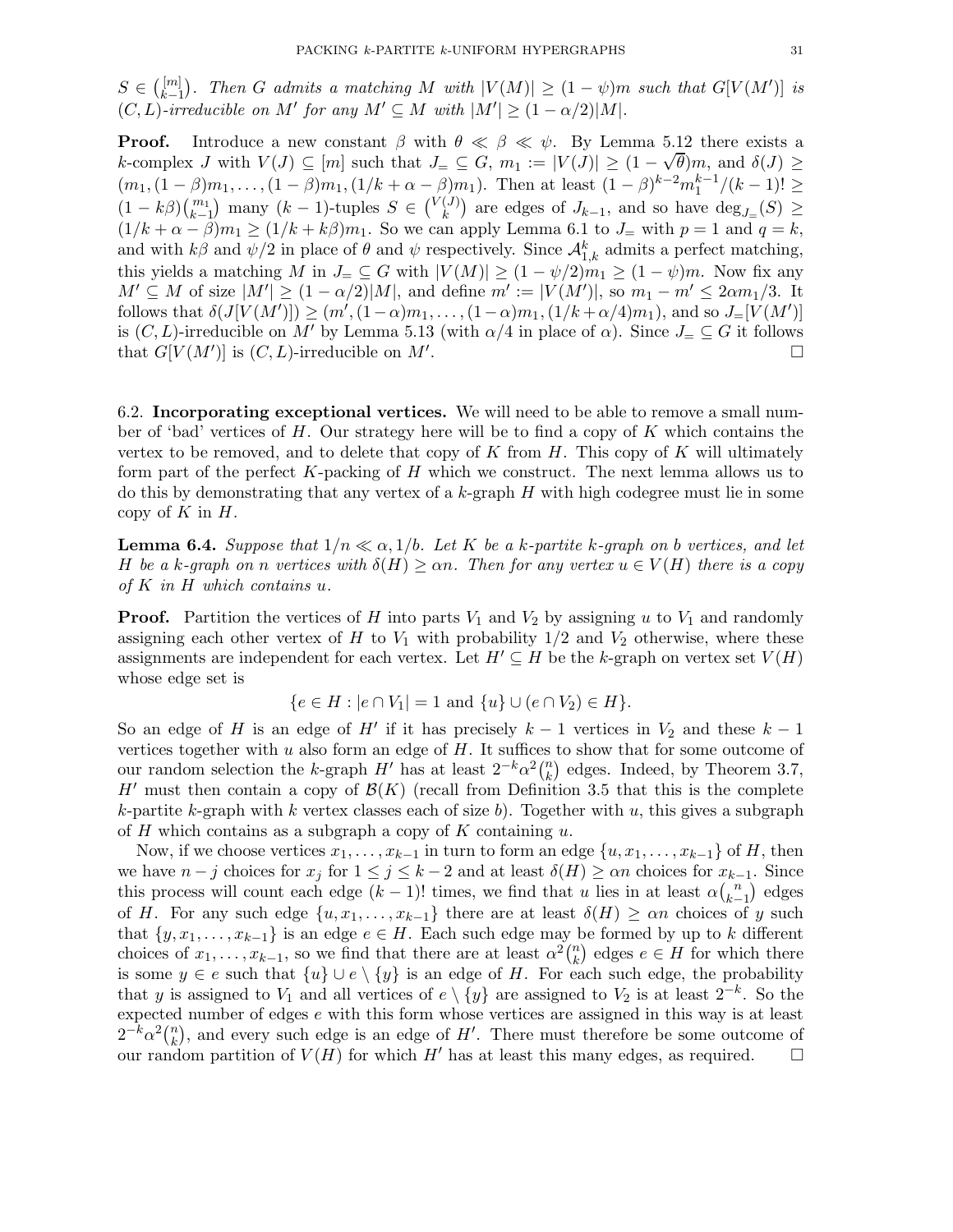$S \in \binom{[m]}{k-1}$  $\vert_{k-1}^{[m]}$ . Then G admits a matching M with  $|V(M)| \geq (1 - \psi)m$  such that  $G[V(M')]$  is  $(C, L)$ -irreducible on M' for any  $M' \subseteq M$  with  $|M'| \geq (1 - \alpha/2)|M|$ .

**Proof.** Introduce a new constant  $\beta$  with  $\theta \ll \beta \ll \psi$ . By Lemma 5.12 there exists a k-complex J with  $V(J) \subseteq [m]$  such that  $J = \subseteq G$ ,  $m_1 := |V(J)| \ge (1 - \sqrt{\theta})m$ , and  $\delta(J) \ge$  $(m_1,(1-\beta)m_1,\ldots,(1-\beta)m_1,(1/k+\alpha-\beta)m_1)$ . Then at least  $(1-\beta)^{k-2}m_1^{k-1}/(k-1)! \ge$  $(1 - k\beta) {m_1 \choose k-1}$  many  $(k-1)$ -tuples  $S \in {V(J) \choose k}$  $\binom{J}{k}$  are edges of  $J_{k-1}$ , and so have  $\deg_{J=}(S) \geq$  $(1/k + \alpha - \beta)m_1 \ge (1/k + k\beta)m_1$ . So we can apply Lemma 6.1 to  $J_\pm$  with  $p = 1$  and  $q = k$ , and with  $k\beta$  and  $\psi/2$  in place of  $\theta$  and  $\psi$  respectively. Since  $\mathcal{A}^k_{1,k}$  admits a perfect matching, this yields a matching M in  $J_{=} \subseteq G$  with  $|V(M)| \geq (1 - \psi/2)m_1 \geq (1 - \psi)m$ . Now fix any  $M' \subseteq M$  of size  $|M'| \geq (1 - \alpha/2)|M|$ , and define  $m' := |V(M')|$ , so  $m_1 - m' \leq 2\alpha m_1/3$ . It follows that  $\delta(J[V(M')]) \ge (m', (1-\alpha)m_1, \ldots, (1-\alpha)m_1, (1/k + \alpha/4)m_1)$ , and so  $J=[V(M')]$ is  $(C, L)$ -irreducible on M' by Lemma 5.13 (with  $\alpha/4$  in place of  $\alpha$ ). Since  $J = \subseteq G$  it follows that  $G[V(M')]$  is  $(C, L)$ -irreducible on M'. that  $G[V(M')]$  is  $(C, L)$ -irreducible on M' . The contract of the contract of  $\Box$ 

6.2. Incorporating exceptional vertices. We will need to be able to remove a small number of 'bad' vertices of  $H$ . Our strategy here will be to find a copy of  $K$  which contains the vertex to be removed, and to delete that copy of  $K$  from  $H$ . This copy of  $K$  will ultimately form part of the perfect  $K$ -packing of  $H$  which we construct. The next lemma allows us to do this by demonstrating that any vertex of a  $k$ -graph  $H$  with high codegree must lie in some copy of  $K$  in  $H$ .

**Lemma 6.4.** Suppose that  $1/n \ll \alpha$ ,  $1/b$ . Let K be a k-partite k-graph on b vertices, and let H be a k-graph on n vertices with  $\delta(H) \ge \alpha n$ . Then for any vertex  $u \in V(H)$  there is a copy of  $K$  in  $H$  which contains  $u$ .

**Proof.** Partition the vertices of H into parts  $V_1$  and  $V_2$  by assigning u to  $V_1$  and randomly assigning each other vertex of H to  $V_1$  with probability  $1/2$  and  $V_2$  otherwise, where these assignments are independent for each vertex. Let  $H' \subseteq H$  be the k-graph on vertex set  $V(H)$ whose edge set is

$$
\{e \in H : |e \cap V_1| = 1 \text{ and } \{u\} \cup (e \cap V_2) \in H\}.
$$

So an edge of H' if it has precisely  $k-1$  vertices in  $V_2$  and these  $k-1$ vertices together with  $u$  also form an edge of  $H$ . It suffices to show that for some outcome of our random selection the k-graph  $H'$  has at least  $2^{-k} \alpha^2 {n \choose k}$  $\binom{n}{k}$  edges. Indeed, by Theorem 3.7, H' must then contain a copy of  $\mathcal{B}(K)$  (recall from Definition 3.5 that this is the complete k-partite k-graph with k vertex classes each of size b). Together with u, this gives a subgraph of  $H$  which contains as a subgraph a copy of  $K$  containing  $u$ .

Now, if we choose vertices  $x_1, \ldots, x_{k-1}$  in turn to form an edge  $\{u, x_1, \ldots, x_{k-1}\}$  of H, then we have  $n - j$  choices for  $x_j$  for  $1 \le j \le k - 2$  and at least  $\delta(H) \ge \alpha n$  choices for  $x_{k-1}$ . Since this process will count each edge  $(k-1)!$  times, we find that u lies in at least  $\alpha \binom{n}{k-1}$  $\binom{n}{k-1}$  edges of H. For any such edge  $\{u, x_1, \ldots, x_{k-1}\}\$  there are at least  $\delta(H) \geq \alpha n$  choices of y such that  $\{y, x_1, \ldots, x_{k-1}\}\$ is an edge  $e \in H$ . Each such edge may be formed by up to k different choices of  $x_1, \ldots, x_{k-1}$ , so we find that there are at least  $\alpha^2 {n \choose k}$  ${k \choose k}$  edges  $e \in H$  for which there is some  $y \in e$  such that  $\{u\} \cup e \setminus \{y\}$  is an edge of H. For each such edge, the probability that y is assigned to  $V_1$  and all vertices of  $e \setminus \{y\}$  are assigned to  $V_2$  is at least  $2^{-k}$ . So the expected number of edges e with this form whose vertices are assigned in this way is at least  $2^{-k} \alpha^2 {n \choose k}$  $\binom{n}{k}$ , and every such edge is an edge of H'. There must therefore be some outcome of our random partition of  $V(H)$  for which H' has at least this many edges, as required.  $\square$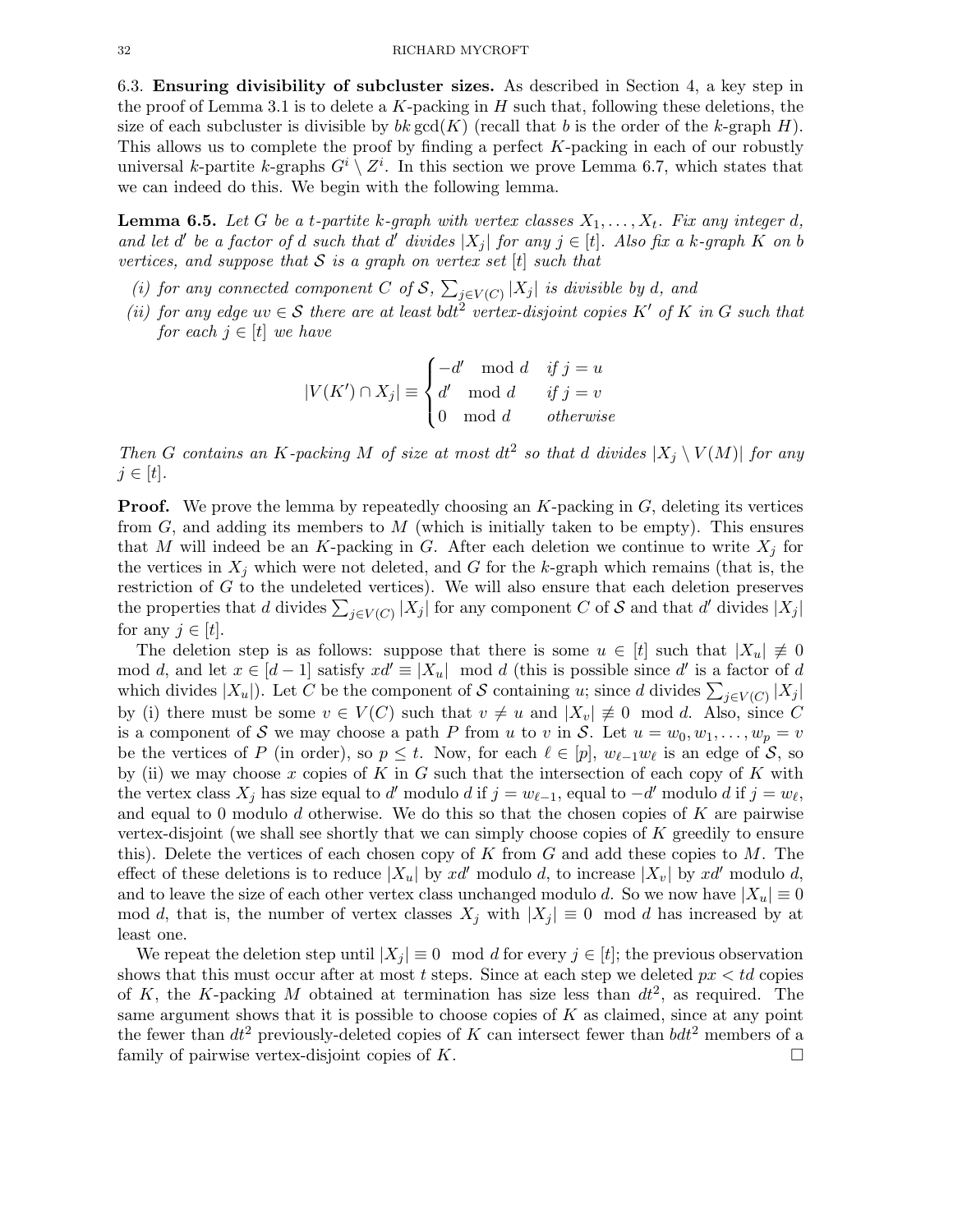6.3. Ensuring divisibility of subcluster sizes. As described in Section 4, a key step in the proof of Lemma 3.1 is to delete a  $K$ -packing in  $H$  such that, following these deletions, the size of each subcluster is divisible by  $bk \gcd(K)$  (recall that b is the order of the k-graph H). This allows us to complete the proof by finding a perfect  $K$ -packing in each of our robustly universal k-partite k-graphs  $G^i \setminus Z^i$ . In this section we prove Lemma 6.7, which states that we can indeed do this. We begin with the following lemma.

**Lemma 6.5.** Let G be a t-partite k-graph with vertex classes  $X_1, \ldots, X_t$ . Fix any integer d, and let d' be a factor of d such that d' divides  $|X_j|$  for any  $j \in [t]$ . Also fix a k-graph K on b vertices, and suppose that  $S$  is a graph on vertex set  $[t]$  such that

- (i) for any connected component C of S,  $\sum_{j\in V(C)} |X_j|$  is divisible by d, and
- (ii) for any edge  $uv \in S$  there are at least bdt<sup>2</sup> vertex-disjoint copies K' of K in G such that for each  $j \in [t]$  we have

$$
|V(K') \cap X_j| \equiv \begin{cases} -d' \mod d & \text{if } j = u \\ d' \mod d & \text{if } j = v \\ 0 \mod d & \text{otherwise} \end{cases}
$$

Then G contains an K-packing M of size at most  $dt^2$  so that d divides  $|X_j \setminus V(M)|$  for any  $j \in [t]$ .

**Proof.** We prove the lemma by repeatedly choosing an  $K$ -packing in  $G$ , deleting its vertices from  $G$ , and adding its members to  $M$  (which is initially taken to be empty). This ensures that M will indeed be an K-packing in G. After each deletion we continue to write  $X_i$  for the vertices in  $X_j$  which were not deleted, and G for the k-graph which remains (that is, the restriction of G to the undeleted vertices). We will also ensure that each deletion preserves the properties that d divides  $\sum_{j\in V(C)} |X_j|$  for any component C of S and that d' divides  $|X_j|$ for any  $j \in [t]$ .

The deletion step is as follows: suppose that there is some  $u \in [t]$  such that  $|X_u| \neq 0$ mod d, and let  $x \in [d-1]$  satisfy  $xd' \equiv |X_u| \mod d$  (this is possible since d' is a factor of d which divides  $|X_u|$ ). Let C be the component of S containing u; since d divides  $\sum_{j\in V(C)} |X_j|$ by (i) there must be some  $v \in V(C)$  such that  $v \neq u$  and  $|X_v| \neq 0 \mod d$ . Also, since C is a component of S we may choose a path P from u to v in S. Let  $u = w_0, w_1, \ldots, w_p = v$ be the vertices of P (in order), so  $p \leq t$ . Now, for each  $\ell \in [p]$ ,  $w_{\ell-1}w_{\ell}$  is an edge of S, so by (ii) we may choose x copies of K in G such that the intersection of each copy of K with the vertex class  $X_j$  has size equal to d' modulo d if  $j = w_{\ell-1}$ , equal to  $-d'$  modulo d if  $j = w_{\ell}$ , and equal to 0 modulo d otherwise. We do this so that the chosen copies of  $K$  are pairwise vertex-disjoint (we shall see shortly that we can simply choose copies of  $K$  greedily to ensure this). Delete the vertices of each chosen copy of K from  $G$  and add these copies to  $M$ . The effect of these deletions is to reduce  $|X_u|$  by  $xd'$  modulo d, to increase  $|X_v|$  by  $xd'$  modulo d, and to leave the size of each other vertex class unchanged modulo d. So we now have  $|X_u| \equiv 0$ mod d, that is, the number of vertex classes  $X_j$  with  $|X_j| \equiv 0 \mod d$  has increased by at least one.

We repeat the deletion step until  $|X_i| \equiv 0 \mod d$  for every  $j \in [t]$ ; the previous observation shows that this must occur after at most t steps. Since at each step we deleted  $px < td$  copies of K, the K-packing M obtained at termination has size less than  $dt^2$ , as required. The same argument shows that it is possible to choose copies of  $K$  as claimed, since at any point the fewer than  $dt^2$  previously-deleted copies of K can intersect fewer than  $bdt^2$  members of a family of pairwise vertex-disjoint copies of K.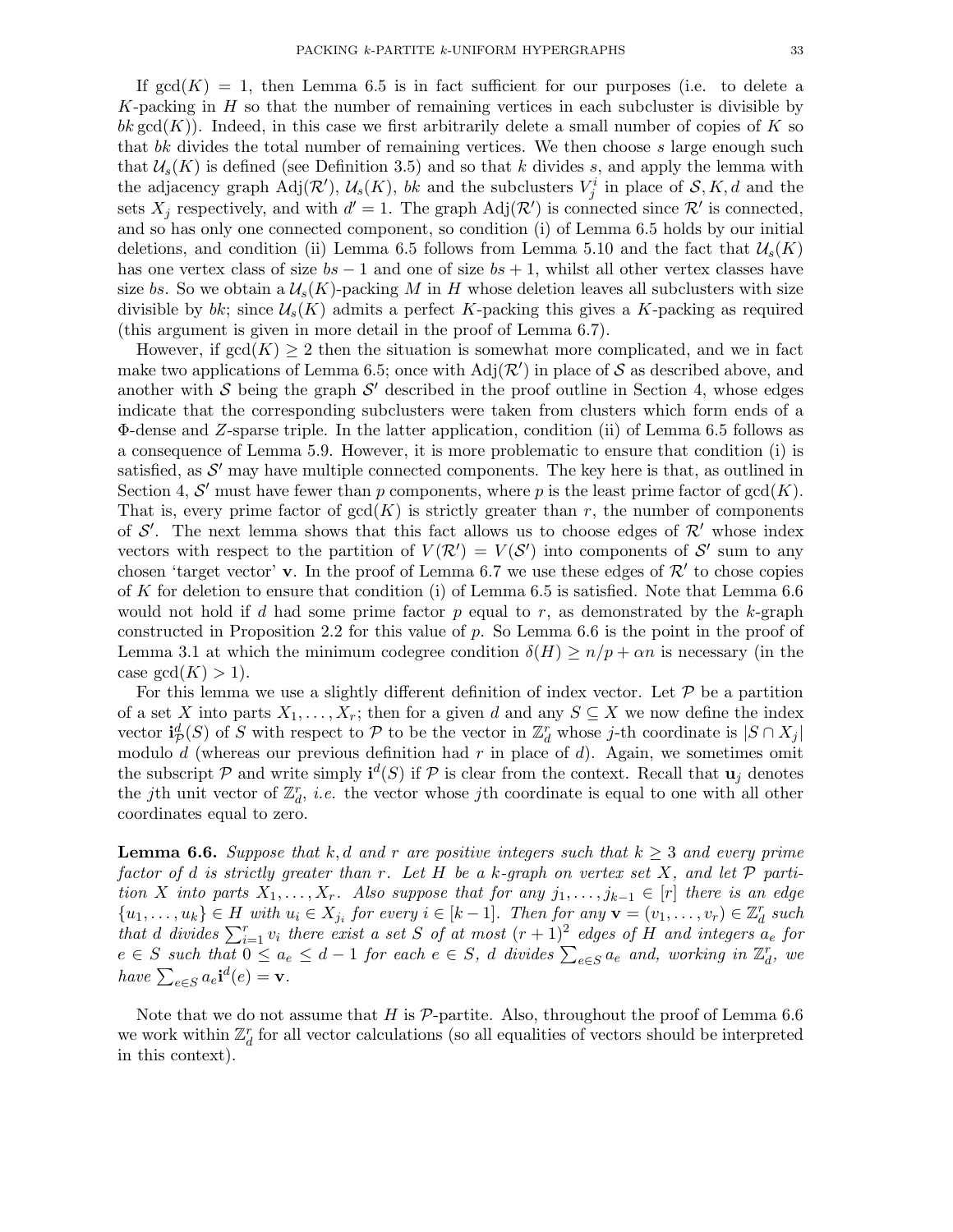If  $gcd(K) = 1$ , then Lemma 6.5 is in fact sufficient for our purposes (i.e. to delete a K-packing in  $H$  so that the number of remaining vertices in each subcluster is divisible by bk gcd(K)). Indeed, in this case we first arbitrarily delete a small number of copies of K so that bk divides the total number of remaining vertices. We then choose s large enough such that  $\mathcal{U}_s(K)$  is defined (see Definition 3.5) and so that k divides s, and apply the lemma with the adjacency graph  $\text{Adj}(\mathcal{R}'), \mathcal{U}_s(K)$ , bk and the subclusters  $V_j^i$  in place of  $\mathcal{S}, K, d$  and the sets  $X_j$  respectively, and with  $d' = 1$ . The graph  $\text{Adj}(\mathcal{R}')$  is connected since  $\mathcal{R}'$  is connected, and so has only one connected component, so condition (i) of Lemma 6.5 holds by our initial deletions, and condition (ii) Lemma 6.5 follows from Lemma 5.10 and the fact that  $\mathcal{U}_s(K)$ has one vertex class of size  $bs - 1$  and one of size  $bs + 1$ , whilst all other vertex classes have size bs. So we obtain a  $\mathcal{U}_s(K)$ -packing M in H whose deletion leaves all subclusters with size divisible by bk; since  $\mathcal{U}_s(K)$  admits a perfect K-packing this gives a K-packing as required (this argument is given in more detail in the proof of Lemma 6.7).

However, if  $gcd(K) \geq 2$  then the situation is somewhat more complicated, and we in fact make two applications of Lemma 6.5; once with  $Adj(\mathcal{R}')$  in place of S as described above, and another with  $S$  being the graph  $S'$  described in the proof outline in Section 4, whose edges indicate that the corresponding subclusters were taken from clusters which form ends of a Φ-dense and Z-sparse triple. In the latter application, condition (ii) of Lemma 6.5 follows as a consequence of Lemma 5.9. However, it is more problematic to ensure that condition (i) is satisfied, as  $\mathcal{S}'$  may have multiple connected components. The key here is that, as outlined in Section 4, S' must have fewer than p components, where p is the least prime factor of  $gcd(K)$ . That is, every prime factor of  $gcd(K)$  is strictly greater than r, the number of components of S'. The next lemma shows that this fact allows us to choose edges of  $\mathcal{R}'$  whose index vectors with respect to the partition of  $V(\mathcal{R}') = V(\mathcal{S}')$  into components of  $\mathcal{S}'$  sum to any chosen 'target vector' v. In the proof of Lemma 6.7 we use these edges of  $\mathcal{R}'$  to chose copies of K for deletion to ensure that condition (i) of Lemma 6.5 is satisfied. Note that Lemma 6.6 would not hold if d had some prime factor  $p$  equal to  $r$ , as demonstrated by the k-graph constructed in Proposition 2.2 for this value of  $p$ . So Lemma 6.6 is the point in the proof of Lemma 3.1 at which the minimum codegree condition  $\delta(H) \ge n/p + \alpha n$  is necessary (in the case  $gcd(K) > 1$ .

For this lemma we use a slightly different definition of index vector. Let  $\mathcal P$  be a partition of a set X into parts  $X_1, \ldots, X_r$ ; then for a given d and any  $S \subseteq X$  we now define the index vector  $\mathbf{i}_{\mathcal{P}}^d(S)$  of S with respect to P to be the vector in  $\mathbb{Z}_d^r$  whose j-th coordinate is  $|S \cap X_j|$ modulo d (whereas our previous definition had  $r$  in place of d). Again, we sometimes omit the subscript  $P$  and write simply  $\mathbf{i}^d(S)$  if  $P$  is clear from the context. Recall that  $\mathbf{u}_j$  denotes the jth unit vector of  $\mathbb{Z}_d^r$ , *i.e.* the vector whose jth coordinate is equal to one with all other coordinates equal to zero.

**Lemma 6.6.** Suppose that k,d and r are positive integers such that  $k \geq 3$  and every prime factor of d is strictly greater than r. Let H be a k-graph on vertex set X, and let  $\mathcal P$  partition X into parts  $X_1, \ldots, X_r$ . Also suppose that for any  $j_1, \ldots, j_{k-1} \in [r]$  there is an edge  ${u_1, \ldots, u_k} \in H$  with  $u_i \in X_{j_i}$  for every  $i \in [k-1]$ . Then for any  $\mathbf{v} = (v_1, \ldots, v_r) \in \mathbb{Z}_d^r$  such that d divides  $\sum_{i=1}^r v_i$  there exist a set S of at most  $(r+1)^2$  edges of H and integers  $a_e$  for  $e \in S$  such that  $0 \le a_e \le d-1$  for each  $e \in S$ , d divides  $\sum_{e \in S} a_e$  and, working in  $\mathbb{Z}_d^r$ , we have  $\sum_{e \in S} a_e \mathbf{i}^d(e) = \mathbf{v}$ .

Note that we do not assume that H is  $\mathcal{P}$ -partite. Also, throughout the proof of Lemma 6.6 we work within  $\mathbb{Z}_d^r$  for all vector calculations (so all equalities of vectors should be interpreted in this context).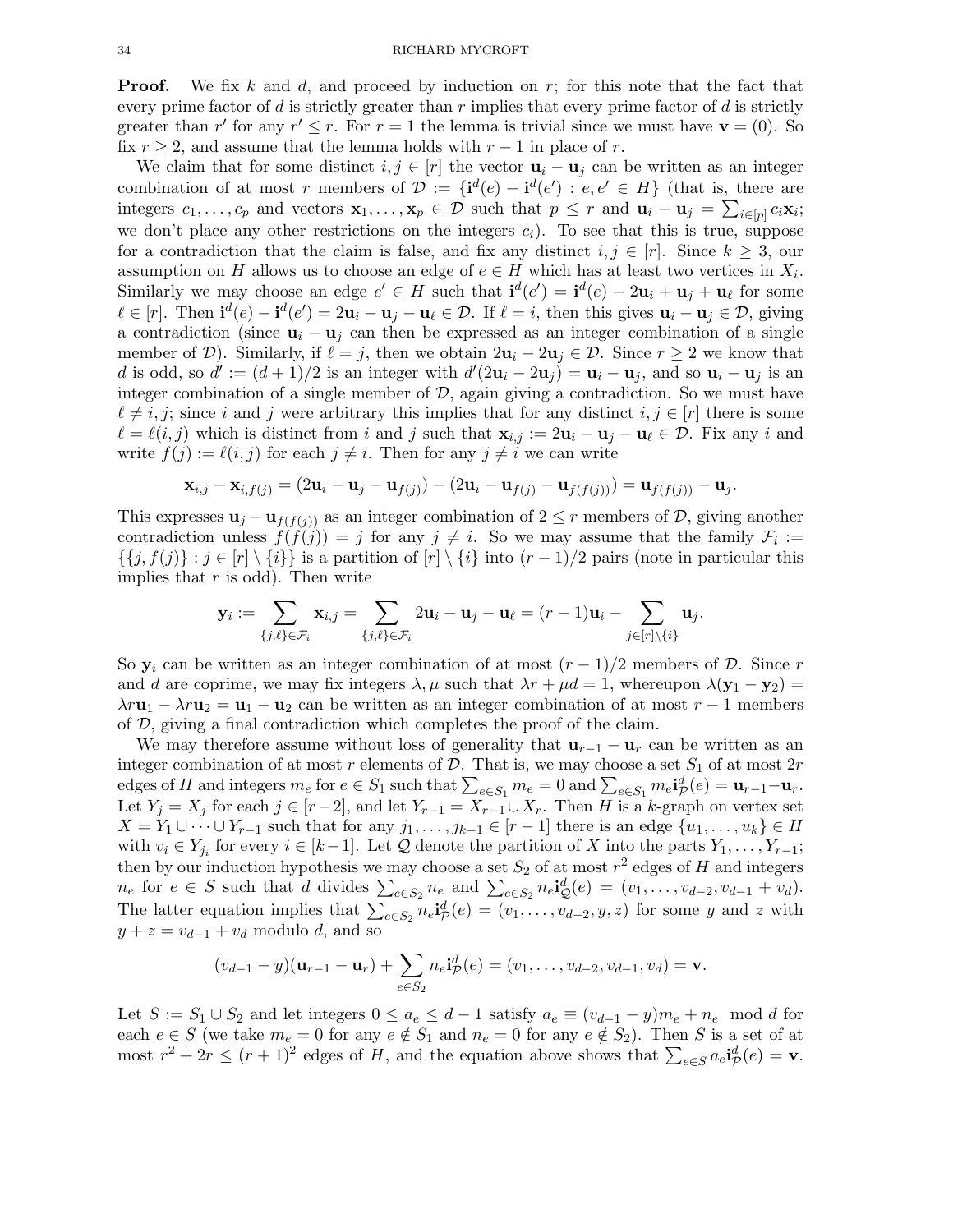**Proof.** We fix k and d, and proceed by induction on  $r$ ; for this note that the fact that every prime factor of d is strictly greater than  $r$  implies that every prime factor of d is strictly greater than r' for any  $r' \le r$ . For  $r = 1$  the lemma is trivial since we must have  $\mathbf{v} = (0)$ . So fix  $r \geq 2$ , and assume that the lemma holds with  $r-1$  in place of r.

We claim that for some distinct  $i, j \in [r]$  the vector  $\mathbf{u}_i - \mathbf{u}_j$  can be written as an integer combination of at most r members of  $\mathcal{D} := \{ \mathbf{i}^d(e) - \mathbf{i}^d(e') : e, e' \in H \}$  (that is, there are integers  $c_1, \ldots, c_p$  and vectors  $\mathbf{x}_1, \ldots, \mathbf{x}_p \in \mathcal{D}$  such that  $p \leq r$  and  $\mathbf{u}_i - \mathbf{u}_j = \sum_{i \in [p]} c_i \mathbf{x}_i$ ; we don't place any other restrictions on the integers  $c_i$ ). To see that this is true, suppose for a contradiction that the claim is false, and fix any distinct  $i, j \in [r]$ . Since  $k \geq 3$ , our assumption on H allows us to choose an edge of  $e \in H$  which has at least two vertices in  $X_i$ . Similarly we may choose an edge  $e' \in H$  such that  $\mathbf{i}^d(e') = \mathbf{i}^d(e) - 2\mathbf{u}_i + \mathbf{u}_j + \mathbf{u}_\ell$  for some  $\ell \in [r]$ . Then  $\mathbf{i}^d(e) - \mathbf{i}^d(e') = 2\mathbf{u}_i - \mathbf{u}_j - \mathbf{u}_\ell \in \mathcal{D}$ . If  $\ell = i$ , then this gives  $\mathbf{u}_i - \mathbf{u}_j \in \mathcal{D}$ , giving a contradiction (since  $\mathbf{u}_i - \mathbf{u}_j$  can then be expressed as an integer combination of a single member of D). Similarly, if  $\ell = j$ , then we obtain  $2u_i - 2u_j \in \mathcal{D}$ . Since  $r \geq 2$  we know that d is odd, so  $d' := (d+1)/2$  is an integer with  $d'(2\mathbf{u}_i - 2\mathbf{u}_j) = \mathbf{u}_i - \mathbf{u}_j$ , and so  $\mathbf{u}_i - \mathbf{u}_j$  is an integer combination of a single member of  $D$ , again giving a contradiction. So we must have  $\ell \neq i, j$ ; since i and j were arbitrary this implies that for any distinct  $i, j \in [r]$  there is some  $\ell = \ell(i, j)$  which is distinct from i and j such that  $\mathbf{x}_{i,j} := 2\mathbf{u}_i - \mathbf{u}_j - \mathbf{u}_\ell \in \mathcal{D}$ . Fix any i and write  $f(j) := \ell(i, j)$  for each  $j \neq i$ . Then for any  $j \neq i$  we can write

$$
\mathbf{x}_{i,j} - \mathbf{x}_{i,f(j)} = (2\mathbf{u}_i - \mathbf{u}_j - \mathbf{u}_{f(j)}) - (2\mathbf{u}_i - \mathbf{u}_{f(j)} - \mathbf{u}_{f(f(j))}) = \mathbf{u}_{f(f(j))} - \mathbf{u}_j.
$$

This expresses  $\mathbf{u}_j - \mathbf{u}_{f(f(j))}$  as an integer combination of  $2 \leq r$  members of  $\mathcal{D}$ , giving another contradiction unless  $f(f(j)) = j$  for any  $j \neq i$ . So we may assume that the family  $\mathcal{F}_i :=$  $\{\{j, f(j)\} : j \in [r] \setminus \{i\}\}\$ is a partition of  $[r] \setminus \{i\}$  into  $(r-1)/2$  pairs (note in particular this implies that  $r$  is odd). Then write

$$
\mathbf{y}_i := \sum_{\{j,\ell\} \in \mathcal{F}_i} \mathbf{x}_{i,j} = \sum_{\{j,\ell\} \in \mathcal{F}_i} 2\mathbf{u}_i - \mathbf{u}_j - \mathbf{u}_\ell = (r-1)\mathbf{u}_i - \sum_{j \in [r] \setminus \{i\}} \mathbf{u}_j.
$$

So  $y_i$  can be written as an integer combination of at most  $(r-1)/2$  members of D. Since r and d are coprime, we may fix integers  $\lambda, \mu$  such that  $\lambda r + \mu d = 1$ , whereupon  $\lambda (\mathbf{y}_1 - \mathbf{y}_2) =$  $\lambda r \mathbf{u}_1 - \lambda r \mathbf{u}_2 = \mathbf{u}_1 - \mathbf{u}_2$  can be written as an integer combination of at most  $r - 1$  members of D, giving a final contradiction which completes the proof of the claim.

We may therefore assume without loss of generality that  $\mathbf{u}_{r-1} - \mathbf{u}_r$  can be written as an integer combination of at most r elements of  $\mathcal{D}$ . That is, we may choose a set  $S_1$  of at most  $2r$ edges of H and integers  $m_e$  for  $e \in S_1$  such that  $\sum_{e \in S_1} m_e = 0$  and  $\sum_{e \in S_1} m_e \mathbf{i}_{\mathcal{P}}^d(e) = \mathbf{u}_{r-1} - \mathbf{u}_r$ . Let  $Y_j = X_j$  for each  $j \in [r-2]$ , and let  $Y_{r-1} = X_{r-1} \cup X_r$ . Then H is a k-graph on vertex set  $X = Y_1 \cup \cdots \cup Y_{r-1}$  such that for any  $j_1, \ldots, j_{k-1} \in [r-1]$  there is an edge  $\{u_1, \ldots, u_k\} \in H$ with  $v_i \in Y_{j_i}$  for every  $i \in [k-1]$ . Let  $\mathcal Q$  denote the partition of X into the parts  $Y_1, \ldots, Y_{r-1}$ ; then by our induction hypothesis we may choose a set  $S_2$  of at most  $r^2$  edges of H and integers  $n_e$  for  $e \in S$  such that d divides  $\sum_{e \in S_2} n_e$  and  $\sum_{e \in S_2} n_e \mathbf{i}_{\mathcal{Q}}^d(e) = (v_1, \ldots, v_{d-2}, v_{d-1} + v_d)$ . The latter equation implies that  $\sum_{e \in S_2} n_e \mathbf{i}_{\mathcal{P}}^d(e) = (v_1, \dots, v_{d-2}, y, z)$  for some y and z with  $y + z = v_{d-1} + v_d$  modulo d, and so

$$
(v_{d-1}-y)(\mathbf{u}_{r-1}-\mathbf{u}_r)+\sum_{e\in S_2}n_e\mathbf{i}_{\mathcal{P}}^d(e)=(v_1,\ldots,v_{d-2},v_{d-1},v_d)=\mathbf{v}.
$$

Let  $S := S_1 \cup S_2$  and let integers  $0 \le a_e \le d-1$  satisfy  $a_e \equiv (v_{d-1} - y)m_e + n_e \mod d$  for each  $e \in S$  (we take  $m_e = 0$  for any  $e \notin S_1$  and  $n_e = 0$  for any  $e \notin S_2$ ). Then S is a set of at most  $r^2 + 2r \le (r+1)^2$  edges of H, and the equation above shows that  $\sum_{e \in S} a_e \mathbf{i}_{\mathcal{P}}^d(e) = \mathbf{v}$ .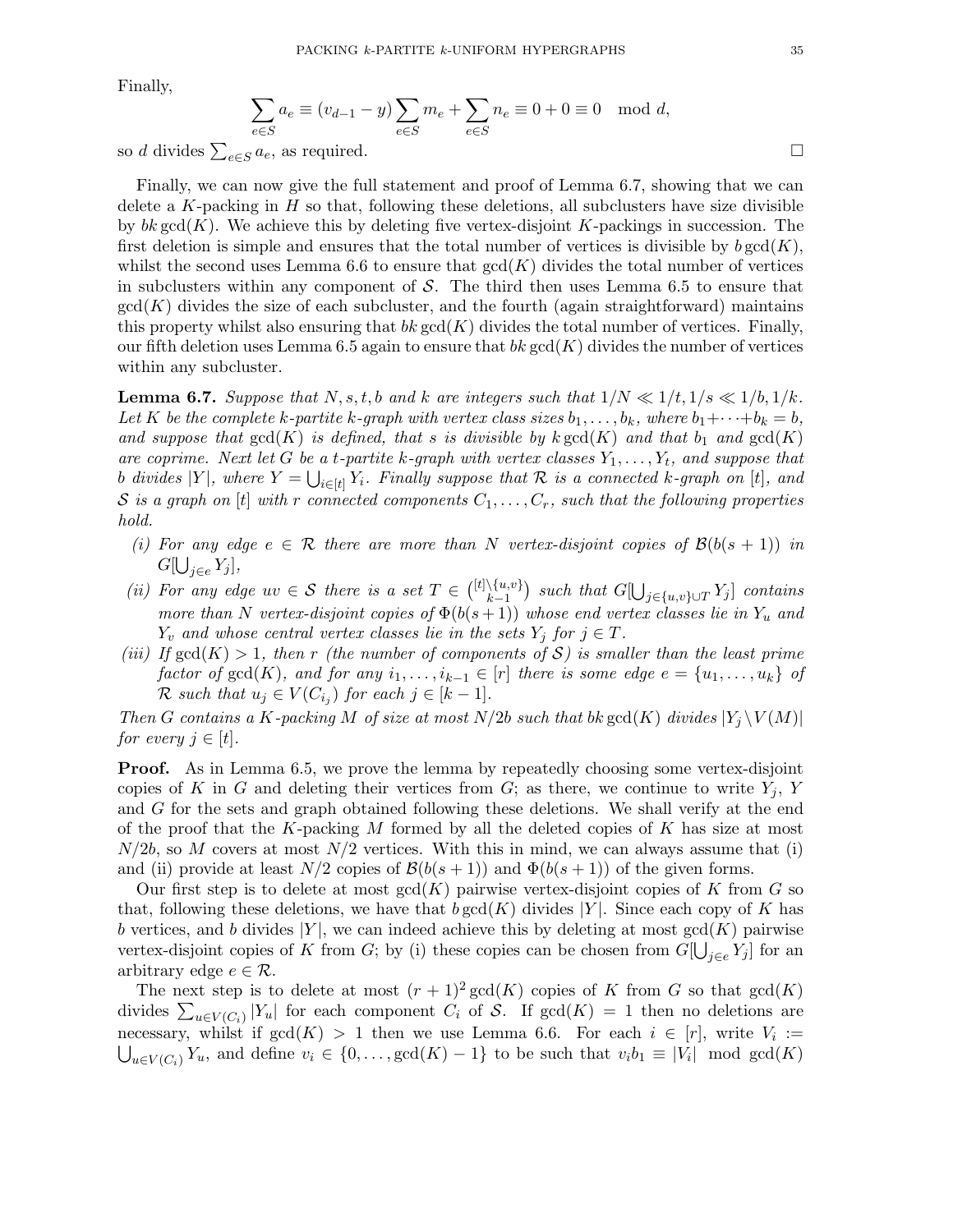Finally,

$$
\sum_{e \in S} a_e \equiv (v_{d-1} - y) \sum_{e \in S} m_e + \sum_{e \in S} n_e \equiv 0 + 0 \equiv 0 \mod d,
$$

so d divides  $\sum_{e \in S} a_e$ , as required.

Finally, we can now give the full statement and proof of Lemma 6.7, showing that we can delete a K-packing in  $H$  so that, following these deletions, all subclusters have size divisible by bk  $gcd(K)$ . We achieve this by deleting five vertex-disjoint K-packings in succession. The first deletion is simple and ensures that the total number of vertices is divisible by  $b \gcd(K)$ , whilst the second uses Lemma 6.6 to ensure that  $gcd(K)$  divides the total number of vertices in subclusters within any component of  $S$ . The third then uses Lemma 6.5 to ensure that  $gcd(K)$  divides the size of each subcluster, and the fourth (again straightforward) maintains this property whilst also ensuring that  $bk \gcd(K)$  divides the total number of vertices. Finally, our fifth deletion uses Lemma 6.5 again to ensure that bk  $gcd(K)$  divides the number of vertices within any subcluster.

**Lemma 6.7.** Suppose that  $N, s, t, b$  and k are integers such that  $1/N \ll 1/t, 1/s \ll 1/b, 1/k$ . Let K be the complete k-partite k-graph with vertex class sizes  $b_1, \ldots, b_k$ , where  $b_1 + \cdots + b_k = b$ , and suppose that  $gcd(K)$  is defined, that s is divisible by  $k gcd(K)$  and that  $b_1$  and  $gcd(K)$ are coprime. Next let G be a t-partite k-graph with vertex classes  $Y_1, \ldots, Y_t$ , and suppose that b divides  $|Y|$ , where  $Y = \bigcup_{i \in [t]} Y_i$ . Finally suppose that  $\mathcal R$  is a connected k-graph on [t], and S is a graph on [t] with r connected components  $C_1, \ldots, C_r$ , such that the following properties hold.

- (i) For any edge  $e \in \mathcal{R}$  there are more than N vertex-disjoint copies of  $\mathcal{B}(b(s+1))$  in  $G[\bigcup_{j\in e} Y_j],$
- (ii) For any edge  $uv \in S$  there is a set  $T \in \binom{[t]\setminus\{u,v\}}{k-1}$  $\setlength{\abovedisplayskip}{3pt} \setlength{\belowdisplayskip}{3pt} \setlength{\belowdisplayskip}{3pt} \setlength{\belowdisplayskip}{3pt} \setlength{\belowdisplayskip}{3pt} \setlength{\belowdisplayskip}{3pt} \setlength{\belowdisplayskip}{3pt} \setlength{\belowdisplayskip}{3pt} \setlength{\belowdisplayskip}{3pt} \setlength{\belowdisplayskip}{3pt} \setlength{\belowdisplayskip}{3pt} \setlength{\belowdisplayskip}{3pt} \setlength{\belowdisplayskip}{3pt} \setlength{\belowdisplayskip}{3pt} \setlength{\belowdisplayskip}{3pt} \setlength{\belowdisplayskip}{3pt} \setlength{\belowdisplayskip}{3pt} \setlength{\belowdisplayskip}{3pt} \setlength$ more than N vertex-disjoint copies of  $\Phi(b(s+1))$  whose end vertex classes lie in Y<sub>u</sub> and  $Y_v$  and whose central vertex classes lie in the sets  $Y_i$  for  $j \in T$ .
- (iii) If  $gcd(K) > 1$ , then r (the number of components of S) is smaller than the least prime factor of  $gcd(K)$ , and for any  $i_1, \ldots, i_{k-1} \in [r]$  there is some edge  $e = \{u_1, \ldots, u_k\}$  of  $\mathcal R$  such that  $u_j \in V(C_{i_j})$  for each  $j \in [k-1]$ .

Then G contains a K-packing M of size at most  $N/2b$  such that bk gcd(K) divides  $|Y_i \setminus V(M)|$ for every  $j \in [t]$ .

**Proof.** As in Lemma 6.5, we prove the lemma by repeatedly choosing some vertex-disjoint copies of K in G and deleting their vertices from G; as there, we continue to write  $Y_i$ , Y and G for the sets and graph obtained following these deletions. We shall verify at the end of the proof that the K-packing M formed by all the deleted copies of K has size at most  $N/2b$ , so M covers at most  $N/2$  vertices. With this in mind, we can always assume that (i) and (ii) provide at least  $N/2$  copies of  $\mathcal{B}(b(s+1))$  and  $\Phi(b(s+1))$  of the given forms.

Our first step is to delete at most  $gcd(K)$  pairwise vertex-disjoint copies of K from G so that, following these deletions, we have that  $b \gcd(K)$  divides |Y|. Since each copy of K has b vertices, and b divides  $|Y|$ , we can indeed achieve this by deleting at most  $gcd(K)$  pairwise vertex-disjoint copies of K from G; by (i) these copies can be chosen from  $G[\bigcup_{j\in e} Y_j]$  for an arbitrary edge  $e \in \mathcal{R}$ .

The next step is to delete at most  $(r + 1)^2 \gcd(K)$  copies of K from G so that  $gcd(K)$ divides  $\sum_{u\in V(C_i)} |Y_u|$  for each component  $C_i$  of S. If  $gcd(K) = 1$  then no deletions are necessary, whilst if  $gcd(K) > 1$  then we use Lemma 6.6. For each  $i \in [r]$ , write  $V_i :=$  $\bigcup_{u \in V(C_i)} Y_u$ , and define  $v_i \in \{0, \ldots, \gcd(K) - 1\}$  to be such that  $v_i b_1 \equiv |V_i| \mod \gcd(K)$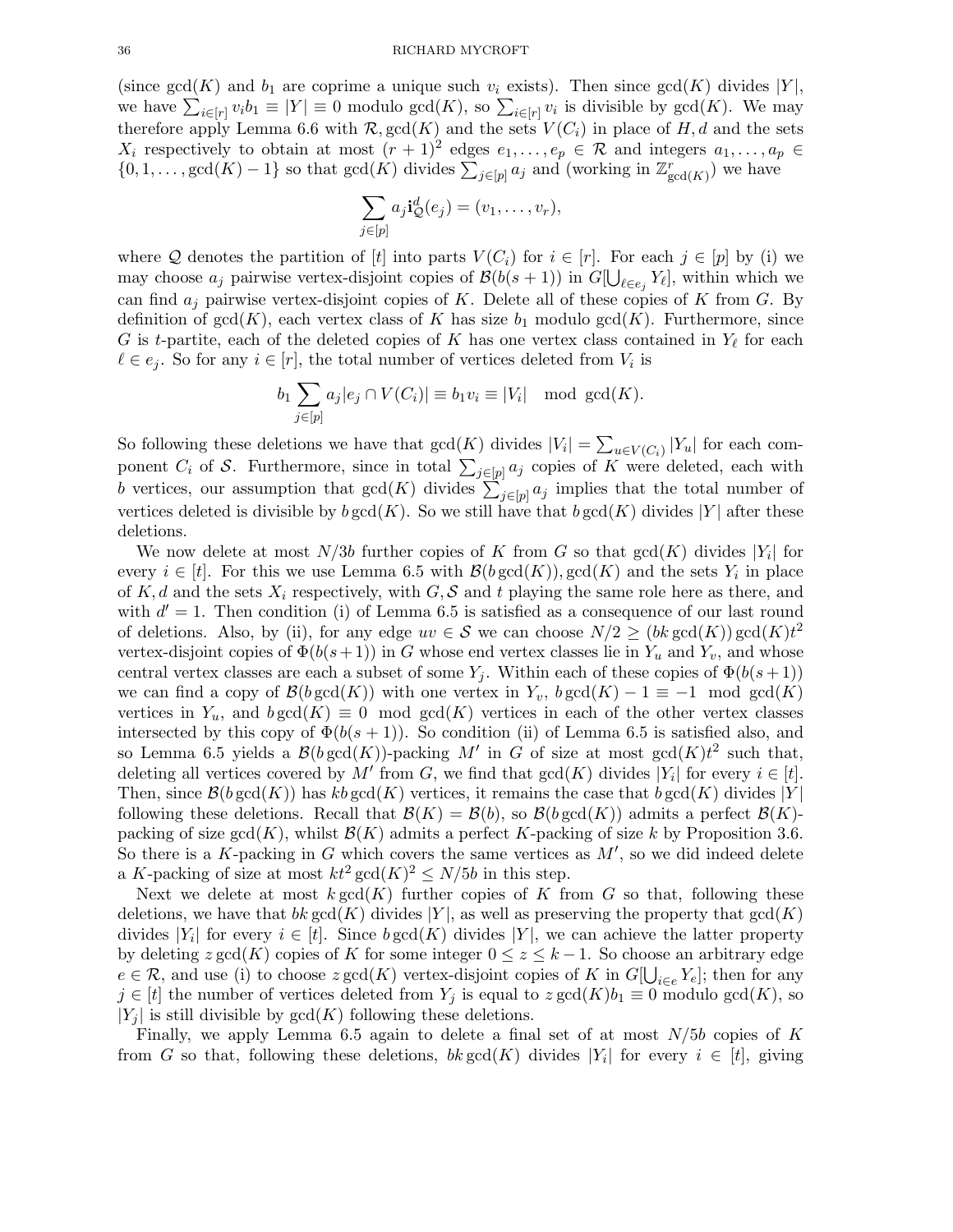(since  $gcd(K)$  and  $b_1$  are coprime a unique such  $v_i$  exists). Then since  $gcd(K)$  divides |Y|, we have  $\sum_{i\in[r]} v_i b_1 \equiv |Y| \equiv 0$  modulo  $gcd(K)$ , so  $\sum_{i\in[r]} v_i$  is divisible by  $gcd(K)$ . We may therefore apply Lemma 6.6 with  $\mathcal{R}$ ,  $gcd(K)$  and the sets  $V(C_i)$  in place of H, d and the sets  $X_i$  respectively to obtain at most  $(r + 1)^2$  edges  $e_1, \ldots, e_p \in \mathcal{R}$  and integers  $a_1, \ldots, a_p \in \mathcal{R}$  $\{0,1,\ldots,\text{gcd}(K)-1\}$  so that  $\text{gcd}(K)$  divides  $\sum_{j\in[p]}a_j$  and (working in  $\mathbb{Z}_{\text{gcd}(K)}^r$ ) we have

$$
\sum_{j\in[p]} a_j \mathbf{i}_Q^d(e_j) = (v_1,\ldots,v_r),
$$

where Q denotes the partition of [t] into parts  $V(C_i)$  for  $i \in [r]$ . For each  $j \in [p]$  by (i) we may choose  $a_j$  pairwise vertex-disjoint copies of  $\mathcal{B}(b(s+1))$  in  $G[\bigcup_{\ell \in e_j} Y_{\ell}],$  within which we can find  $a_j$  pairwise vertex-disjoint copies of K. Delete all of these copies of K from G. By definition of  $gcd(K)$ , each vertex class of K has size  $b_1$  modulo  $gcd(K)$ . Furthermore, since G is t-partite, each of the deleted copies of K has one vertex class contained in  $Y_{\ell}$  for each  $\ell \in e_j$ . So for any  $i \in [r]$ , the total number of vertices deleted from  $V_i$  is

$$
b_1 \sum_{j \in [p]} a_j |e_j \cap V(C_i)| \equiv b_1 v_i \equiv |V_i| \mod \gcd(K).
$$

So following these deletions we have that  $gcd(K)$  divides  $|V_i| = \sum_{u \in V(C_i)} |Y_u|$  for each component  $C_i$  of S. Furthermore, since in total  $\sum_{j\in [p]} a_j$  copies of K were deleted, each with b vertices, our assumption that  $gcd(K)$  divides  $\sum_{j\in [p]} a_j$  implies that the total number of vertices deleted is divisible by  $b \gcd(K)$ . So we still have that  $b \gcd(K)$  divides |Y| after these deletions.

We now delete at most  $N/3b$  further copies of K from G so that  $gcd(K)$  divides  $|Y_i|$  for every  $i \in [t]$ . For this we use Lemma 6.5 with  $\mathcal{B}(b \gcd(K))$ ,  $\gcd(K)$  and the sets  $Y_i$  in place of K, d and the sets  $X_i$  respectively, with G, S and t playing the same role here as there, and with  $d' = 1$ . Then condition (i) of Lemma 6.5 is satisfied as a consequence of our last round of deletions. Also, by (ii), for any edge  $uv \in S$  we can choose  $N/2 \ge (bk \gcd(K)) \gcd(K)t^2$ vertex-disjoint copies of  $\Phi(b(s+1))$  in G whose end vertex classes lie in  $Y_u$  and  $Y_v$ , and whose central vertex classes are each a subset of some  $Y_j$ . Within each of these copies of  $\Phi(b(s+1))$ we can find a copy of  $\mathcal{B}(b \gcd(K))$  with one vertex in  $Y_v$ ,  $b \gcd(K) - 1 \equiv -1 \mod \gcd(K)$ vertices in  $Y_u$ , and  $b \gcd(K) \equiv 0 \mod \gcd(K)$  vertices in each of the other vertex classes intersected by this copy of  $\Phi(b(s + 1))$ . So condition (ii) of Lemma 6.5 is satisfied also, and so Lemma 6.5 yields a  $\mathcal{B}(b \gcd(K))$ -packing M' in G of size at most  $gcd(K)t^2$  such that, deleting all vertices covered by M' from G, we find that  $gcd(K)$  divides  $|Y_i|$  for every  $i \in [t]$ . Then, since  $\mathcal{B}(b \gcd(K))$  has kb gcd(K) vertices, it remains the case that b gcd(K) divides |Y| following these deletions. Recall that  $\mathcal{B}(K) = \mathcal{B}(b)$ , so  $\mathcal{B}(b \gcd(K))$  admits a perfect  $\mathcal{B}(K)$ packing of size  $gcd(K)$ , whilst  $\mathcal{B}(K)$  admits a perfect K-packing of size k by Proposition 3.6. So there is a  $K$ -packing in  $G$  which covers the same vertices as  $M'$ , so we did indeed delete a K-packing of size at most  $kt^2 \gcd(K)^2 \le N/5b$  in this step.

Next we delete at most  $k \gcd(K)$  further copies of K from G so that, following these deletions, we have that bk gcd(K) divides |Y|, as well as preserving the property that  $gcd(K)$ divides  $|Y_i|$  for every  $i \in [t]$ . Since  $b \gcd(K)$  divides  $|Y|$ , we can achieve the latter property by deleting  $z \gcd(K)$  copies of K for some integer  $0 \leq z \leq k-1$ . So choose an arbitrary edge  $e \in \mathcal{R}$ , and use (i) to choose  $z \gcd(K)$  vertex-disjoint copies of K in  $G[\bigcup_{i \in e} Y_e]$ ; then for any  $j \in [t]$  the number of vertices deleted from  $Y_j$  is equal to  $z \gcd(K)b_1 \equiv 0$  modulo  $gcd(K)$ , so  $|Y_i|$  is still divisible by  $gcd(K)$  following these deletions.

Finally, we apply Lemma 6.5 again to delete a final set of at most  $N/5b$  copies of K from G so that, following these deletions,  $bk \gcd(K)$  divides  $|Y_i|$  for every  $i \in [t]$ , giving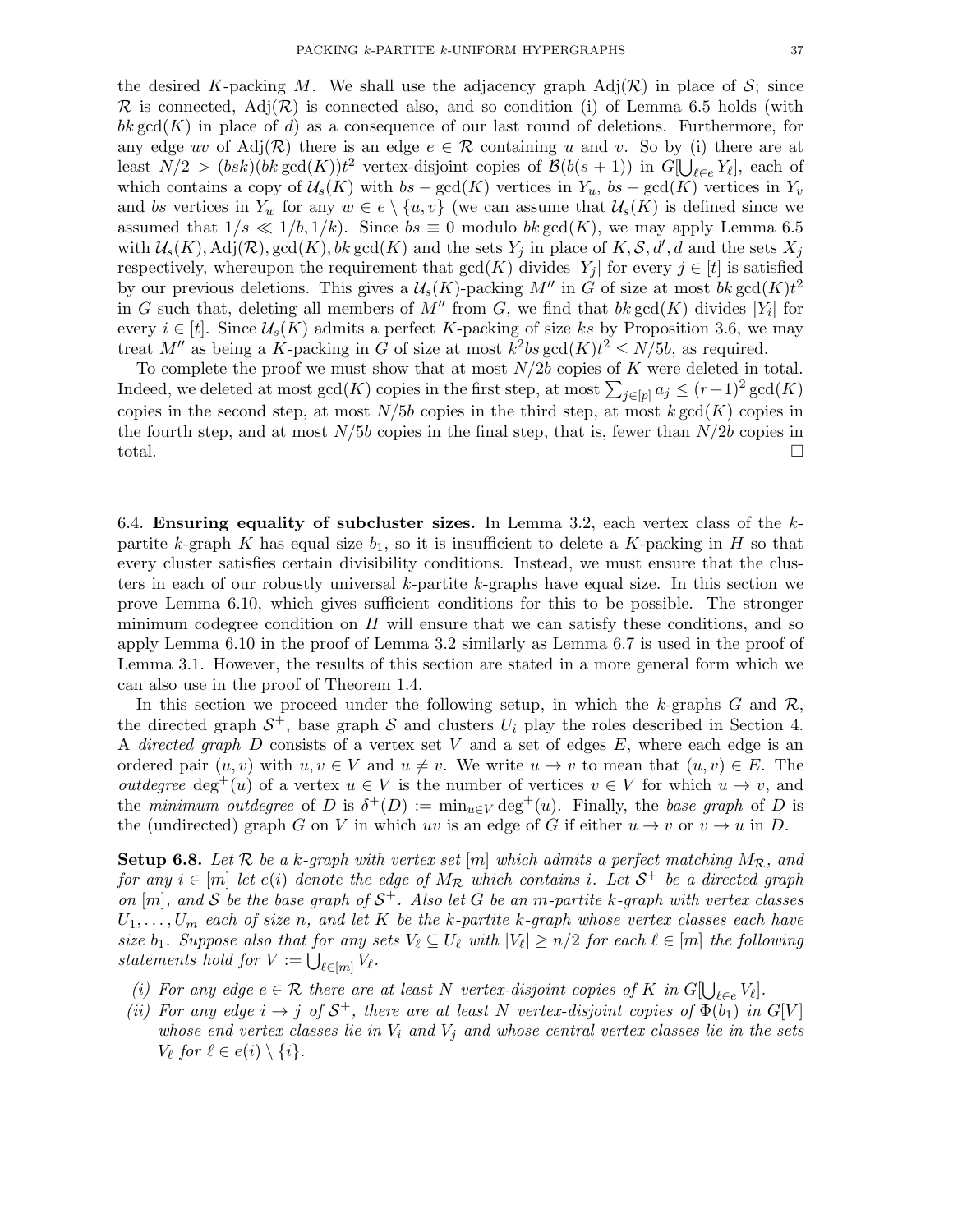the desired K-packing M. We shall use the adjacency graph  $\text{Adj}(\mathcal{R})$  in place of S; since  $\mathcal R$  is connected, Adj $(\mathcal R)$  is connected also, and so condition (i) of Lemma 6.5 holds (with bk gcd(K) in place of d) as a consequence of our last round of deletions. Furthermore, for any edge uv of Adj $(\mathcal{R})$  there is an edge  $e \in \mathcal{R}$  containing u and v. So by (i) there are at least  $N/2 > (bsk)(bk \gcd(K))t^2$  vertex-disjoint copies of  $\mathcal{B}(b(s+1))$  in  $G[\bigcup_{\ell \in e} Y_{\ell}],$  each of which contains a copy of  $\mathcal{U}_s(K)$  with  $bs - \gcd(K)$  vertices in  $Y_u$ ,  $bs + \gcd(K)$  vertices in  $Y_v$ and bs vertices in  $Y_w$  for any  $w \in e \setminus \{u, v\}$  (we can assume that  $\mathcal{U}_s(K)$  is defined since we assumed that  $1/s \ll 1/b, 1/k$ . Since  $bs \equiv 0$  modulo  $bk \gcd(K)$ , we may apply Lemma 6.5 with  $\mathcal{U}_s(K)$ ,  $\mathrm{Adj}(\mathcal{R})$ ,  $\mathrm{gcd}(K)$ ,  $bk \gcd(K)$  and the sets  $Y_j$  in place of  $K, \mathcal{S}, d', d$  and the sets  $X_j$ respectively, whereupon the requirement that  $gcd(K)$  divides  $|Y_j|$  for every  $j \in [t]$  is satisfied by our previous deletions. This gives a  $\mathcal{U}_s(K)$ -packing  $M''$  in G of size at most bk gcd $(K)t^2$ in G such that, deleting all members of  $M''$  from G, we find that  $bk \gcd(K)$  divides  $|Y_i|$  for every  $i \in [t]$ . Since  $\mathcal{U}_s(K)$  admits a perfect K-packing of size ks by Proposition 3.6, we may treat M'' as being a K-packing in G of size at most  $k^2bs\gcd(K)t^2 \le N/5b$ , as required.

To complete the proof we must show that at most  $N/2b$  copies of K were deleted in total. Indeed, we deleted at most  $gcd(K)$  copies in the first step, at most  $\sum_{j\in [p]} a_j \le (r+1)^2 gcd(K)$ copies in the second step, at most  $N/5b$  copies in the third step, at most k gcd(K) copies in the fourth step, and at most  $N/5b$  copies in the final step, that is, fewer than  $N/2b$  copies in total.

6.4. Ensuring equality of subcluster sizes. In Lemma 3.2, each vertex class of the  $k$ partite k-graph K has equal size  $b_1$ , so it is insufficient to delete a K-packing in H so that every cluster satisfies certain divisibility conditions. Instead, we must ensure that the clusters in each of our robustly universal  $k$ -partite  $k$ -graphs have equal size. In this section we prove Lemma 6.10, which gives sufficient conditions for this to be possible. The stronger minimum codegree condition on  $H$  will ensure that we can satisfy these conditions, and so apply Lemma 6.10 in the proof of Lemma 3.2 similarly as Lemma 6.7 is used in the proof of Lemma 3.1. However, the results of this section are stated in a more general form which we can also use in the proof of Theorem 1.4.

In this section we proceed under the following setup, in which the k-graphs  $G$  and  $\mathcal{R}$ , the directed graph  $S^+$ , base graph S and clusters  $U_i$  play the roles described in Section 4. A directed graph D consists of a vertex set V and a set of edges  $E$ , where each edge is an ordered pair  $(u, v)$  with  $u, v \in V$  and  $u \neq v$ . We write  $u \to v$  to mean that  $(u, v) \in E$ . The *outdegree* deg<sup>+</sup>(u) of a vertex  $u \in V$  is the number of vertices  $v \in V$  for which  $u \to v$ , and the minimum outdegree of D is  $\delta^+(D) := \min_{u \in V} \deg^+(u)$ . Finally, the base graph of D is the (undirected) graph G on V in which uv is an edge of G if either  $u \to v$  or  $v \to u$  in D.

**Setup 6.8.** Let  $\mathcal{R}$  be a k-graph with vertex set [m] which admits a perfect matching  $M_{\mathcal{R}}$ , and for any  $i \in [m]$  let  $e(i)$  denote the edge of  $M_{\mathcal{R}}$  which contains i. Let  $\mathcal{S}^+$  be a directed graph on  $[m]$ , and S be the base graph of  $S^+$ . Also let G be an m-partite k-graph with vertex classes  $U_1, \ldots, U_m$  each of size n, and let K be the k-partite k-graph whose vertex classes each have size  $b_1$ . Suppose also that for any sets  $V_\ell \subseteq U_\ell$  with  $|V_\ell| \geq n/2$  for each  $\ell \in [m]$  the following statements hold for  $V := \bigcup_{\ell \in [m]} V_{\ell}$ .

- (i) For any edge  $e \in \mathcal{R}$  there are at least N vertex-disjoint copies of K in  $G[\bigcup_{\ell \in e} V_{\ell}].$
- (ii) For any edge  $i \to j$  of  $S^+$ , there are at least N vertex-disjoint copies of  $\Phi(b_1)$  in  $G[V]$ whose end vertex classes lie in  $V_i$  and  $V_j$  and whose central vertex classes lie in the sets  $V_{\ell}$  for  $\ell \in e(i) \setminus \{i\}.$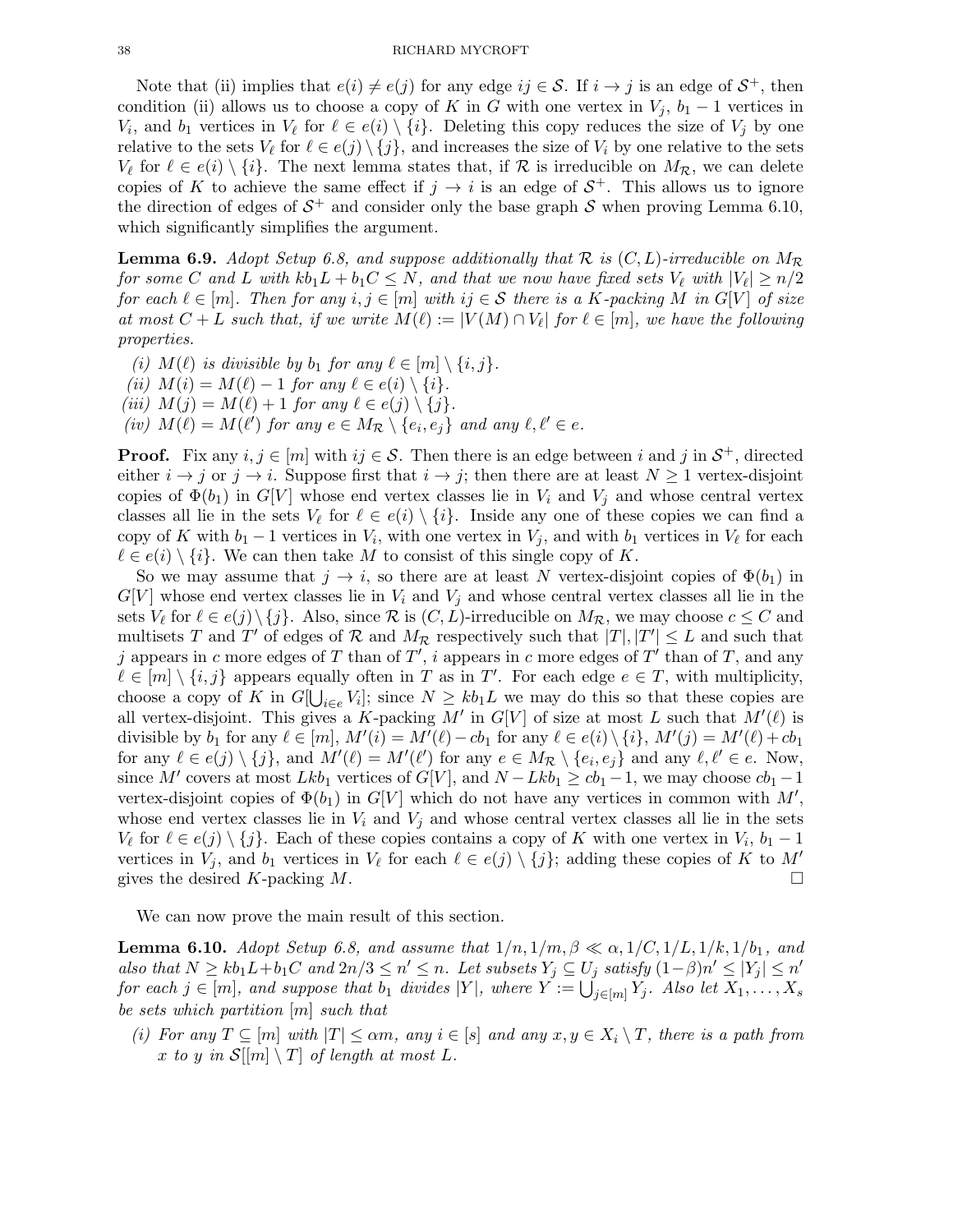Note that (ii) implies that  $e(i) \neq e(j)$  for any edge  $ij \in S$ . If  $i \to j$  is an edge of  $S^+$ , then condition (ii) allows us to choose a copy of K in G with one vertex in  $V_j$ ,  $b_1 - 1$  vertices in  $V_i$ , and  $b_1$  vertices in  $V_\ell$  for  $\ell \in e(i) \setminus \{i\}$ . Deleting this copy reduces the size of  $V_j$  by one relative to the sets  $V_{\ell}$  for  $\ell \in e(j) \setminus \{j\}$ , and increases the size of  $V_i$  by one relative to the sets  $V_{\ell}$  for  $\ell \in e(i) \setminus \{i\}$ . The next lemma states that, if  $\mathcal{R}$  is irreducible on  $M_{\mathcal{R}}$ , we can delete copies of K to achieve the same effect if  $j \to i$  is an edge of  $S^+$ . This allows us to ignore the direction of edges of  $S^+$  and consider only the base graph S when proving Lemma 6.10, which significantly simplifies the argument.

**Lemma 6.9.** Adopt Setup 6.8, and suppose additionally that R is  $(C, L)$ -irreducible on  $M_{\mathcal{R}}$ for some C and L with  $kb_1L + b_1C \leq N$ , and that we now have fixed sets  $V_{\ell}$  with  $|V_{\ell}| \geq n/2$ for each  $\ell \in [m]$ . Then for any  $i, j \in [m]$  with  $ij \in S$  there is a K-packing M in  $G[V]$  of size at most  $C + L$  such that, if we write  $M(\ell) := |V(M) \cap V_{\ell}|$  for  $\ell \in [m]$ , we have the following properties.

(i)  $M(\ell)$  is divisible by  $b_1$  for any  $\ell \in [m] \setminus \{i, j\}.$ 

(ii)  $M(i) = M(\ell) - 1$  for any  $\ell \in e(i) \setminus \{i\}.$ 

(iii)  $M(j) = M(\ell) + 1$  for any  $\ell \in e(j) \setminus \{j\}.$ 

(iv)  $M(\ell) = M(\ell')$  for any  $e \in M_{\mathcal{R}} \setminus \{e_i, e_j\}$  and any  $\ell, \ell' \in e$ .

**Proof.** Fix any  $i, j \in [m]$  with  $ij \in S$ . Then there is an edge between i and j in  $S^+$ , directed either  $i \to j$  or  $j \to i$ . Suppose first that  $i \to j$ ; then there are at least  $N \geq 1$  vertex-disjoint copies of  $\Phi(b_1)$  in  $G[V]$  whose end vertex classes lie in  $V_i$  and  $V_j$  and whose central vertex classes all lie in the sets  $V_{\ell}$  for  $\ell \in e(i) \setminus \{i\}$ . Inside any one of these copies we can find a copy of K with  $b_1 - 1$  vertices in  $V_i$ , with one vertex in  $V_j$ , and with  $b_1$  vertices in  $V_\ell$  for each  $\ell \in e(i) \setminus \{i\}$ . We can then take M to consist of this single copy of K.

So we may assume that  $j \to i$ , so there are at least N vertex-disjoint copies of  $\Phi(b_1)$  in  $G[V]$  whose end vertex classes lie in  $V_i$  and  $V_j$  and whose central vertex classes all lie in the sets  $V_{\ell}$  for  $\ell \in e(j) \setminus \{j\}$ . Also, since  $\mathcal R$  is  $(C, L)$ -irreducible on  $M_{\mathcal R}$ , we may choose  $c \leq C$  and multisets T and T' of edges of R and  $M_R$  respectively such that  $|T|, |T'| \leq L$  and such that j appears in c more edges of T than of T', i appears in c more edges of T' than of T, and any  $\ell \in [m] \setminus \{i, j\}$  appears equally often in T as in T'. For each edge  $e \in T$ , with multiplicity, choose a copy of K in  $G[\bigcup_{i\in e} V_i]$ ; since  $N \ge kb_1L$  we may do this so that these copies are all vertex-disjoint. This gives a K-packing M' in  $G[V]$  of size at most L such that  $M'(\ell)$  is divisible by  $b_1$  for any  $\ell \in [m]$ ,  $M'(i) = M'(\ell) - cb_1$  for any  $\ell \in e(i) \setminus \{i\}$ ,  $M'(j) = M'(\ell) + cb_1$ for any  $\ell \in e(j) \setminus \{j\}$ , and  $M'(\ell) = M'(\ell')$  for any  $e \in M_{\mathcal{R}} \setminus \{e_i, e_j\}$  and any  $\ell, \ell' \in e$ . Now, since M' covers at most  $Lkb_1$  vertices of  $G[V]$ , and  $N - Lkb_1 \geq cb_1 - 1$ , we may choose  $cb_1 - 1$ vertex-disjoint copies of  $\Phi(b_1)$  in  $G[V]$  which do not have any vertices in common with  $M'$ , whose end vertex classes lie in  $V_i$  and  $V_j$  and whose central vertex classes all lie in the sets  $V_{\ell}$  for  $\ell \in e(j) \setminus \{j\}$ . Each of these copies contains a copy of K with one vertex in  $V_i$ ,  $b_1 - 1$ vertices in  $V_j$ , and  $b_1$  vertices in  $V_\ell$  for each  $\ell \in e(j) \setminus \{j\}$ ; adding these copies of K to  $M'$ gives the desired K-packing M.

We can now prove the main result of this section.

**Lemma 6.10.** Adopt Setup 6.8, and assume that  $1/n, 1/m, \beta \ll \alpha, 1/C, 1/L, 1/k, 1/b_1$ , and also that  $N \geq kb_1L+b_1C$  and  $2n/3 \leq n' \leq n$ . Let subsets  $Y_j \subseteq U_j$  satisfy  $(1-\beta)n' \leq |Y_j| \leq n'$ for each  $j \in [m]$ , and suppose that  $b_1$  divides  $|Y|$ , where  $Y := \bigcup_{j \in [m]} Y_j$ . Also let  $X_1, \ldots, X_s$ be sets which partition [m] such that

(i) For any  $T \subseteq [m]$  with  $|T| \le \alpha m$ , any  $i \in [s]$  and any  $x, y \in X_i \setminus T$ , there is a path from x to y in  $\mathcal{S}[[m] \setminus T]$  of length at most L.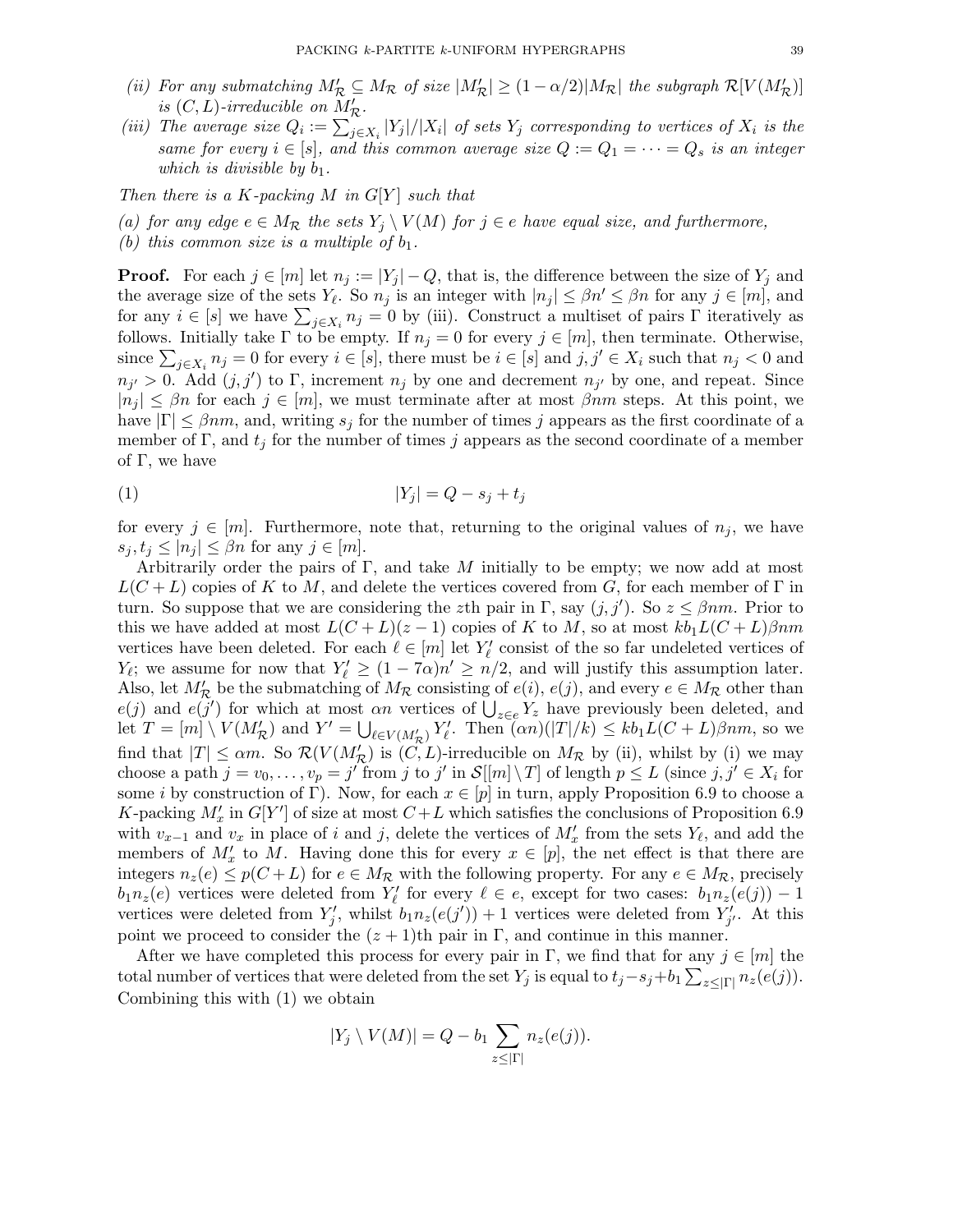- (ii) For any submatching  $M'_{\mathcal{R}} \subseteq M_{\mathcal{R}}$  of size  $|M'_{\mathcal{R}}| \geq (1 \alpha/2)|M_{\mathcal{R}}|$  the subgraph  $\mathcal{R}[V(M'_{\mathcal{R}})]$ is  $(C, L)$ -irreducible on  $M'_{\mathcal{R}}$ .
- (iii) The average size  $Q_i := \sum_{j \in X_i} |Y_j|/|X_i|$  of sets  $Y_j$  corresponding to vertices of  $X_i$  is the same for every  $i \in [s]$ , and this common average size  $Q := Q_1 = \cdots = Q_s$  is an integer which is divisible by  $b_1$ .

Then there is a K-packing M in  $G[Y]$  such that

(a) for any edge  $e \in M_{\mathcal{R}}$  the sets  $Y_i \setminus V(M)$  for  $j \in e$  have equal size, and furthermore,

(b) this common size is a multiple of  $b_1$ .

**Proof.** For each  $j \in [m]$  let  $n_j := |Y_j| - Q$ , that is, the difference between the size of  $Y_j$  and the average size of the sets  $Y_{\ell}$ . So  $n_j$  is an integer with  $|n_j| \leq \beta n' \leq \beta n$  for any  $j \in [m]$ , and for any  $i \in [s]$  we have  $\sum_{j \in X_i} n_j = 0$  by (iii). Construct a multiset of pairs  $\Gamma$  iteratively as follows. Initially take  $\Gamma$  to be empty. If  $n_j = 0$  for every  $j \in [m]$ , then terminate. Otherwise, since  $\sum_{j\in X_i} n_j = 0$  for every  $i \in [s]$ , there must be  $i \in [s]$  and  $j, j' \in X_i$  such that  $n_j < 0$  and  $n_{j'} > 0$ . Add  $(j, j')$  to  $\Gamma$ , increment  $n_j$  by one and decrement  $n_{j'}$  by one, and repeat. Since  $|n_j| \leq \beta n$  for each  $j \in [m]$ , we must terminate after at most  $\beta nm$  steps. At this point, we have  $|\Gamma| \leq \beta nm$ , and, writing  $s_j$  for the number of times j appears as the first coordinate of a member of Γ, and  $t_j$  for the number of times j appears as the second coordinate of a member of  $\Gamma$ , we have

$$
|Y_j| = Q - s_j + t_j
$$

for every  $j \in [m]$ . Furthermore, note that, returning to the original values of  $n_j$ , we have  $s_i, t_j \leq |n_j| \leq \beta n$  for any  $j \in [m]$ .

Arbitrarily order the pairs of  $\Gamma$ , and take M initially to be empty; we now add at most  $L(C + L)$  copies of K to M, and delete the vertices covered from G, for each member of  $\Gamma$  in turn. So suppose that we are considering the zth pair in Γ, say  $(j, j')$ . So  $z \leq \beta nm$ . Prior to this we have added at most  $L(C+L)(z-1)$  copies of K to M, so at most  $kb_1L(C+L)\beta nm$ vertices have been deleted. For each  $\ell \in [m]$  let  $Y'_{\ell}$  consist of the so far undeleted vertices of  $Y_{\ell}$ ; we assume for now that  $Y'_{\ell} \geq (1 - 7\alpha)n' \geq n/2$ , and will justify this assumption later. Also, let  $M'_{\mathcal{R}}$  be the submatching of  $M_{\mathcal{R}}$  consisting of  $e(i)$ ,  $e(j)$ , and every  $e \in M_{\mathcal{R}}$  other than  $e(j)$  and  $e(j')$  for which at most an vertices of  $\bigcup_{z \in e} Y_z$  have previously been deleted, and let  $T = [m] \setminus V(M'_{\mathcal{R}})$  and  $Y' = \bigcup_{\ell \in V(M'_{\mathcal{R}})} Y'_{\ell}$ . Then  $(\alpha n)(|T|/k) \leq k b_1 L(C+L)\beta nm$ , so we find that  $|T| \le \alpha m$ . So  $\mathcal{R}(V(M'_{\mathcal{R}}))$  is  $(C, L)$ -irreducible on  $M_{\mathcal{R}}$  by (ii), whilst by (i) we may choose a path  $j = v_0, \ldots, v_p = j'$  from j to j' in  $\mathcal{S}[[m] \setminus T]$  of length  $p \leq L$  (since  $j, j' \in X_i$  for some i by construction of Γ). Now, for each  $x \in [p]$  in turn, apply Proposition 6.9 to choose a K-packing  $M'_x$  in  $G[Y']$  of size at most  $C+L$  which satisfies the conclusions of Proposition 6.9 with  $v_{x-1}$  and  $v_x$  in place of i and j, delete the vertices of  $M'_x$  from the sets  $Y_\ell$ , and add the members of  $M'_x$  to M. Having done this for every  $x \in [p]$ , the net effect is that there are integers  $n_z(e) \leq p(C+L)$  for  $e \in M_{\mathcal{R}}$  with the following property. For any  $e \in M_{\mathcal{R}}$ , precisely  $b_1 n_z(e)$  vertices were deleted from  $Y'_\ell$  for every  $\ell \in e$ , except for two cases:  $b_1 n_z(e(j)) - 1$ vertices were deleted from  $Y'_j$ , whilst  $b_1 n_z(e(j')) + 1$  vertices were deleted from  $Y'_{j'}$ . At this point we proceed to consider the  $(z + 1)$ th pair in Γ, and continue in this manner.

After we have completed this process for every pair in Γ, we find that for any  $j \in [m]$  the total number of vertices that were deleted from the set  $Y_j$  is equal to  $t_j - s_j + b_1 \sum_{z \leq |\Gamma|} n_z(e(j))$ . Combining this with (1) we obtain

$$
|Y_j \setminus V(M)| = Q - b_1 \sum_{z \leq |\Gamma|} n_z(e(j)).
$$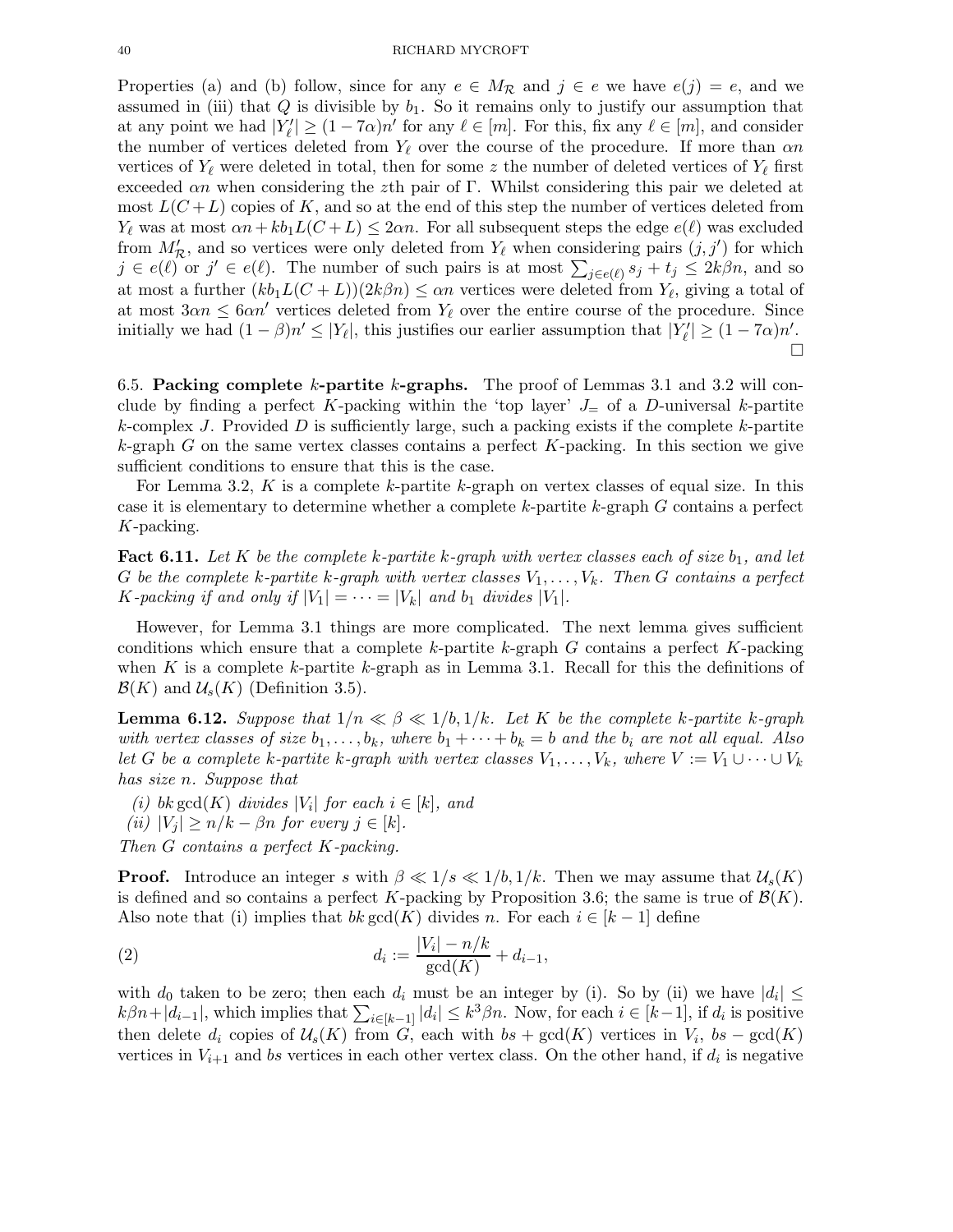Properties (a) and (b) follow, since for any  $e \in M_{\mathcal{R}}$  and  $j \in e$  we have  $e(j) = e$ , and we assumed in (iii) that  $Q$  is divisible by  $b_1$ . So it remains only to justify our assumption that at any point we had  $|Y'_{\ell}| \ge (1 - 7\alpha)n'$  for any  $\ell \in [m]$ . For this, fix any  $\ell \in [m]$ , and consider the number of vertices deleted from  $Y_{\ell}$  over the course of the procedure. If more than  $\alpha n$ vertices of  $Y_{\ell}$  were deleted in total, then for some z the number of deleted vertices of  $Y_{\ell}$  first exceeded  $\alpha n$  when considering the zth pair of Γ. Whilst considering this pair we deleted at most  $L(C+L)$  copies of K, and so at the end of this step the number of vertices deleted from  $Y_{\ell}$  was at most  $\alpha n + k b_1 L(C + L) \leq 2\alpha n$ . For all subsequent steps the edge  $e(\ell)$  was excluded from  $M'_{\mathcal{R}}$ , and so vertices were only deleted from  $Y_{\ell}$  when considering pairs  $(j, j')$  for which  $j \in e(\ell)$  or  $j' \in e(\ell)$ . The number of such pairs is at most  $\sum_{j \in e(\ell)} s_j + t_j \leq 2k\beta n$ , and so at most a further  $(kb_1L(C+L))(2k\beta n) \leq \alpha n$  vertices were deleted from  $Y_{\ell}$ , giving a total of at most  $3\alpha n \leq 6\alpha n'$  vertices deleted from  $Y_{\ell}$  over the entire course of the procedure. Since initially we had  $(1 - \beta)n' \leq |Y_{\ell}|$ , this justifies our earlier assumption that  $|Y_{\ell}'| \geq (1 - 7\alpha)n'$ .  $\Box$ 

6.5. Packing complete k-partite k-graphs. The proof of Lemmas 3.1 and 3.2 will conclude by finding a perfect K-packing within the 'top layer'  $J_{\pm}$  of a D-universal k-partite k-complex J. Provided  $D$  is sufficiently large, such a packing exists if the complete k-partite  $k$ -graph G on the same vertex classes contains a perfect K-packing. In this section we give sufficient conditions to ensure that this is the case.

For Lemma 3.2, K is a complete k-partite k-graph on vertex classes of equal size. In this case it is elementary to determine whether a complete  $k$ -partite  $k$ -graph  $G$  contains a perfect K-packing.

**Fact 6.11.** Let K be the complete k-partite k-graph with vertex classes each of size  $b_1$ , and let G be the complete k-partite k-graph with vertex classes  $V_1, \ldots, V_k$ . Then G contains a perfect K-packing if and only if  $|V_1| = \cdots = |V_k|$  and  $b_1$  divides  $|V_1|$ .

However, for Lemma 3.1 things are more complicated. The next lemma gives sufficient conditions which ensure that a complete k-partite k-graph  $G$  contains a perfect  $K$ -packing when K is a complete k-partite k-graph as in Lemma 3.1. Recall for this the definitions of  $\mathcal{B}(K)$  and  $\mathcal{U}_s(K)$  (Definition 3.5).

**Lemma 6.12.** Suppose that  $1/n \ll \beta \ll 1/b, 1/k$ . Let K be the complete k-partite k-graph with vertex classes of size  $b_1, \ldots, b_k$ , where  $b_1 + \cdots + b_k = b$  and the  $b_i$  are not all equal. Also let G be a complete k-partite k-graph with vertex classes  $V_1, \ldots, V_k$ , where  $V := V_1 \cup \cdots \cup V_k$ has size n. Suppose that

(i) bk gcd(K) divides | $V_i$ | for each  $i \in [k]$ , and (ii)  $|V_i| \ge n/k - \beta n$  for every  $j \in [k]$ .

Then G contains a perfect K-packing.

**Proof.** Introduce an integer s with  $\beta \ll 1/s \ll 1/b, 1/k$ . Then we may assume that  $\mathcal{U}_s(K)$ is defined and so contains a perfect K-packing by Proposition 3.6; the same is true of  $\mathcal{B}(K)$ . Also note that (i) implies that  $bk \gcd(K)$  divides n. For each  $i \in [k-1]$  define

(2) 
$$
d_i := \frac{|V_i| - n/k}{\gcd(K)} + d_{i-1},
$$

with  $d_0$  taken to be zero; then each  $d_i$  must be an integer by (i). So by (ii) we have  $|d_i| \leq$  $k\beta n+|d_{i-1}|$ , which implies that  $\sum_{i\in[k-1]}|d_i|\leq k^3\beta n$ . Now, for each  $i\in[k-1]$ , if  $d_i$  is positive then delete  $d_i$  copies of  $\mathcal{U}_s(K)$  from G, each with  $bs + \gcd(K)$  vertices in  $V_i$ ,  $bs - \gcd(K)$ vertices in  $V_{i+1}$  and bs vertices in each other vertex class. On the other hand, if  $d_i$  is negative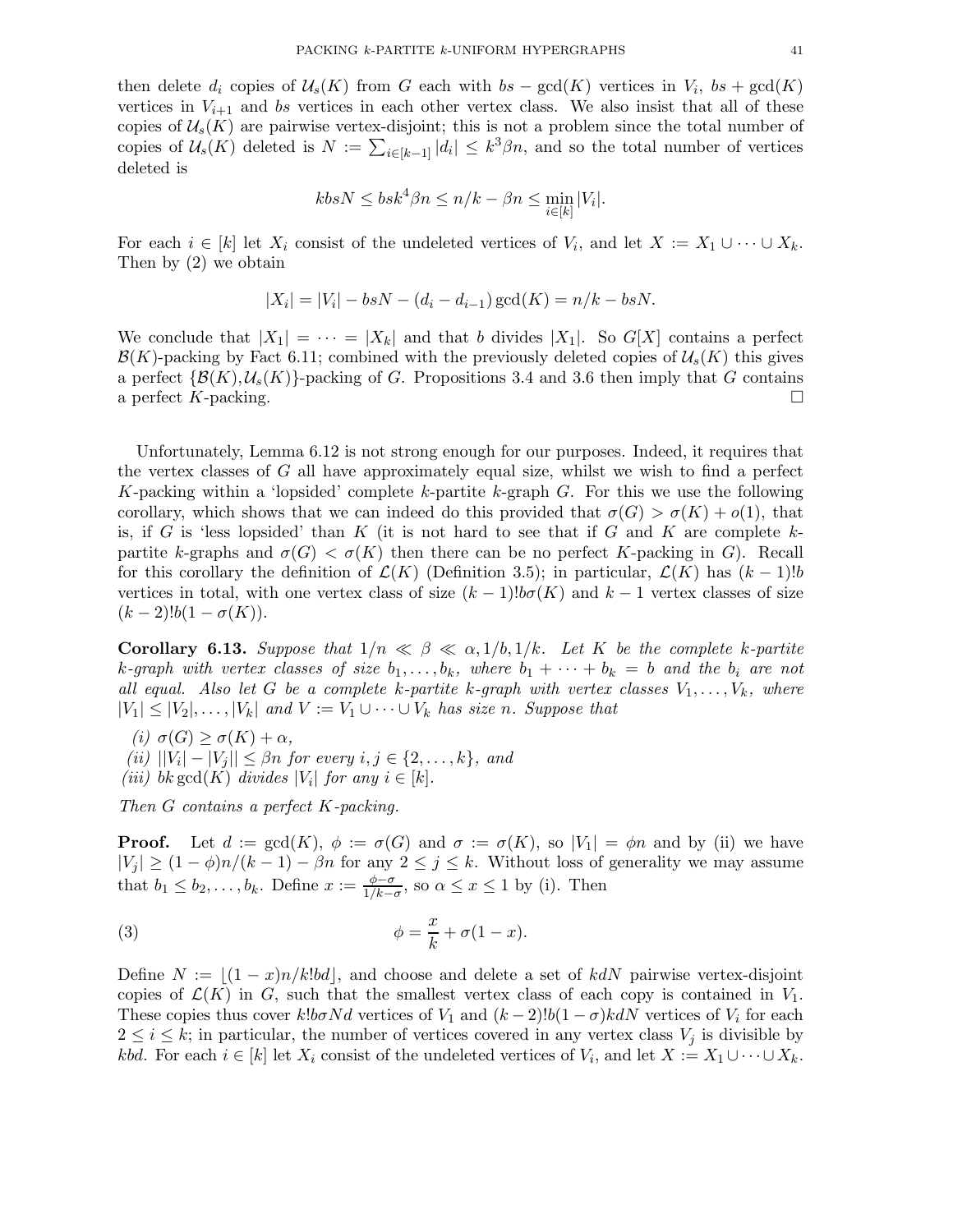then delete  $d_i$  copies of  $\mathcal{U}_s(K)$  from G each with  $bs - \gcd(K)$  vertices in  $V_i$ ,  $bs + \gcd(K)$ vertices in  $V_{i+1}$  and bs vertices in each other vertex class. We also insist that all of these copies of  $\mathcal{U}_s(K)$  are pairwise vertex-disjoint; this is not a problem since the total number of copies of  $\mathcal{U}_s(K)$  deleted is  $N := \sum_{i \in [k-1]} |d_i| \leq k^3 \beta n$ , and so the total number of vertices deleted is

$$
kbsN \leq bsk^4\beta n \leq n/k - \beta n \leq \min_{i \in [k]} |V_i|.
$$

For each  $i \in [k]$  let  $X_i$  consist of the undeleted vertices of  $V_i$ , and let  $X := X_1 \cup \cdots \cup X_k$ . Then by (2) we obtain

$$
|X_i| = |V_i| - b s N - (d_i - d_{i-1}) \gcd(K) = n/k - b s N.
$$

We conclude that  $|X_1| = \cdots = |X_k|$  and that b divides  $|X_1|$ . So  $G[X]$  contains a perfect  $\mathcal{B}(K)$ -packing by Fact 6.11; combined with the previously deleted copies of  $\mathcal{U}_s(K)$  this gives a perfect  $\{\mathcal{B}(K), \mathcal{U}_s(K)\}$ -packing of G. Propositions 3.4 and 3.6 then imply that G contains a perfect K-packing. a perfect K-packing.

Unfortunately, Lemma 6.12 is not strong enough for our purposes. Indeed, it requires that the vertex classes of  $G$  all have approximately equal size, whilst we wish to find a perfect K-packing within a 'lopsided' complete k-partite k-graph  $G$ . For this we use the following corollary, which shows that we can indeed do this provided that  $\sigma(G) > \sigma(K) + o(1)$ , that is, if G is 'less lopsided' than K (it is not hard to see that if G and K are complete  $k$ partite k-graphs and  $\sigma(G) < \sigma(K)$  then there can be no perfect K-packing in G). Recall for this corollary the definition of  $\mathcal{L}(K)$  (Definition 3.5); in particular,  $\mathcal{L}(K)$  has  $(k-1)!b$ vertices in total, with one vertex class of size  $(k-1)!b\sigma(K)$  and  $k-1$  vertex classes of size  $(k-2)!b(1-\sigma(K)).$ 

**Corollary 6.13.** Suppose that  $1/n \ll \beta \ll \alpha, 1/b, 1/k$ . Let K be the complete k-partite k-graph with vertex classes of size  $b_1, \ldots, b_k$ , where  $b_1 + \cdots + b_k = b$  and the  $b_i$  are not all equal. Also let G be a complete k-partite k-graph with vertex classes  $V_1, \ldots, V_k$ , where  $|V_1| \leq |V_2|, \ldots, |V_k|$  and  $V := V_1 \cup \cdots \cup V_k$  has size n. Suppose that

(i)  $\sigma(G) \geq \sigma(K) + \alpha$ ,  $(iii)$   $||V_i| - |V_j|| \leq \beta n$  for every  $i, j \in \{2, \ldots, k\}$ , and (iii) bk gcd(K) divides | $V_i$ | for any  $i \in [k]$ .

Then G contains a perfect K-packing.

**Proof.** Let  $d := \text{gcd}(K)$ ,  $\phi := \sigma(G)$  and  $\sigma := \sigma(K)$ , so  $|V_1| = \phi n$  and by (ii) we have  $|V_j| \ge (1 - \phi)n/(k - 1) - \beta n$  for any  $2 \le j \le k$ . Without loss of generality we may assume that  $b_1 \leq b_2, \ldots, b_k$ . Define  $x := \frac{\phi - \sigma}{1/k - \sigma}$  $\frac{\varphi-\sigma}{1/k-\sigma}$ , so  $\alpha \leq x \leq 1$  by (i). Then

(3) 
$$
\phi = \frac{x}{k} + \sigma(1-x).
$$

Define  $N := |(1-x)n/k!bd|$ , and choose and delete a set of kdN pairwise vertex-disjoint copies of  $\mathcal{L}(K)$  in G, such that the smallest vertex class of each copy is contained in  $V_1$ . These copies thus cover  $k!b\sigma Nd$  vertices of  $V_1$  and  $(k-2)!b(1-\sigma)kdN$  vertices of  $V_i$  for each  $2 \leq i \leq k$ ; in particular, the number of vertices covered in any vertex class  $V_j$  is divisible by *kbd.* For each  $i \in [k]$  let  $X_i$  consist of the undeleted vertices of  $V_i$ , and let  $X := X_1 \cup \cdots \cup X_k$ .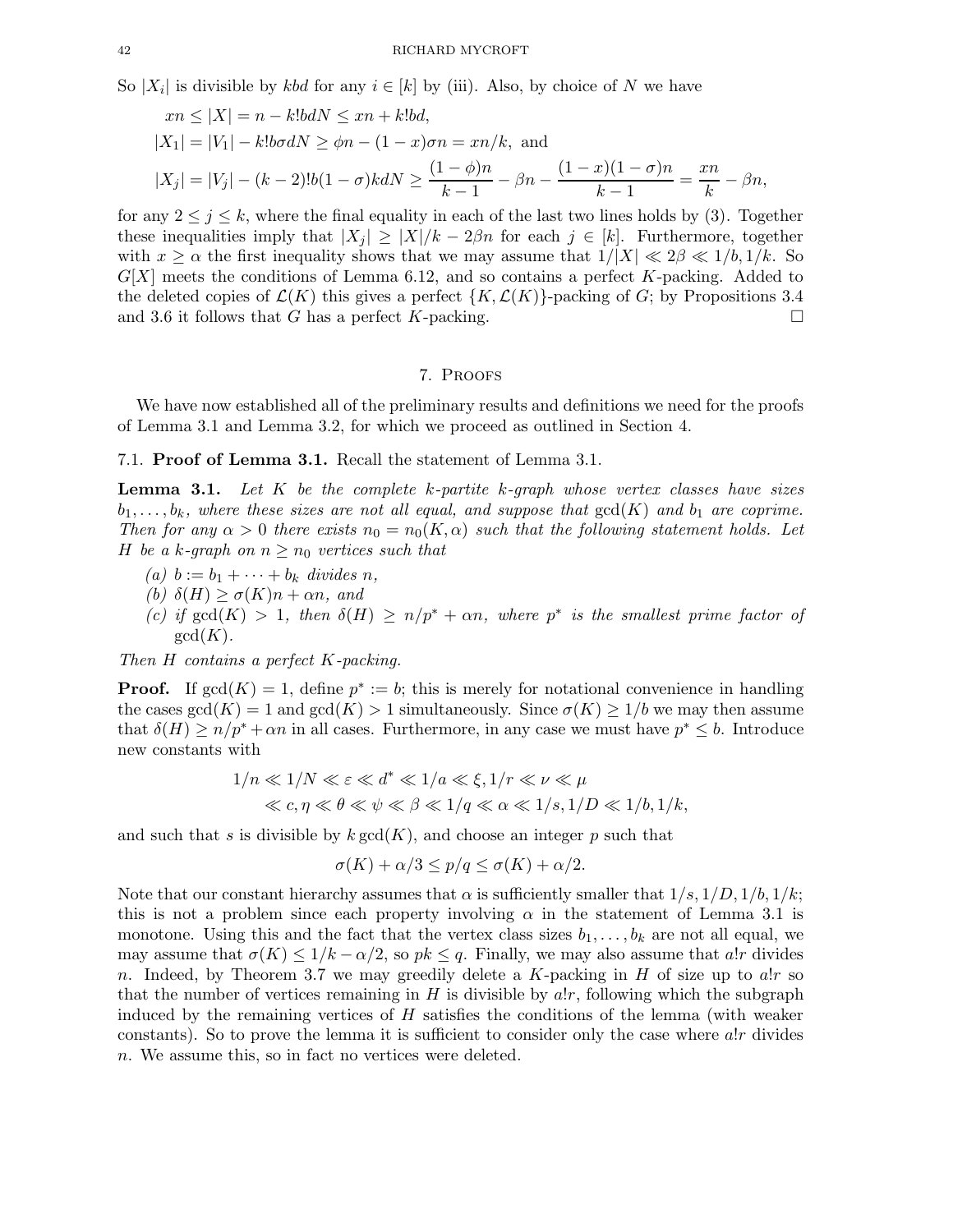So  $|X_i|$  is divisible by *kbd* for any  $i \in [k]$  by (iii). Also, by choice of N we have

$$
xn \le |X| = n - k!bdN \le xn + k!bd,
$$
  
\n
$$
|X_1| = |V_1| - k!bdN \ge \phi n - (1 - x)\sigma n = xn/k, \text{ and}
$$
  
\n
$$
|X_j| = |V_j| - (k-2)!b(1-\sigma)k dN \ge \frac{(1-\phi)n}{k-1} - \beta n - \frac{(1-x)(1-\sigma)n}{k-1} = \frac{xn}{k} - \beta n,
$$

for any  $2 \leq j \leq k$ , where the final equality in each of the last two lines holds by (3). Together these inequalities imply that  $|X_i| \geq |X|/k - 2\beta n$  for each  $j \in [k]$ . Furthermore, together with  $x \ge \alpha$  the first inequality shows that we may assume that  $1/|X| \ll 2\beta \ll 1/b, 1/k$ . So  $G[X]$  meets the conditions of Lemma 6.12, and so contains a perfect K-packing. Added to the deleted copies of  $\mathcal{L}(K)$  this gives a perfect  $\{K,\mathcal{L}(K)\}$ -packing of G; by Propositions 3.4 and 3.6 it follows that G has a perfect K-packing. and 3.6 it follows that  $G$  has a perfect  $K$ -packing.

#### 7. Proofs

We have now established all of the preliminary results and definitions we need for the proofs of Lemma 3.1 and Lemma 3.2, for which we proceed as outlined in Section 4.

#### 7.1. Proof of Lemma 3.1. Recall the statement of Lemma 3.1.

**Lemma 3.1.** Let  $K$  be the complete k-partite k-graph whose vertex classes have sizes  $b_1, \ldots, b_k$ , where these sizes are not all equal, and suppose that  $gcd(K)$  and  $b_1$  are coprime. Then for any  $\alpha > 0$  there exists  $n_0 = n_0(K, \alpha)$  such that the following statement holds. Let H be a k-graph on  $n \geq n_0$  vertices such that

- (a)  $b := b_1 + \cdots + b_k$  divides n,
- (b)  $\delta(H) \geq \sigma(K)n + \alpha n$ , and
- (c) if  $gcd(K) > 1$ , then  $\delta(H) \ge n/p^* + \alpha n$ , where  $p^*$  is the smallest prime factor of  $gcd(K)$ .

Then H contains a perfect K-packing.

**Proof.** If  $gcd(K) = 1$ , define  $p^* := b$ ; this is merely for notational convenience in handling the cases  $gcd(K) = 1$  and  $gcd(K) > 1$  simultaneously. Since  $\sigma(K) \geq 1/b$  we may then assume that  $\delta(H) \ge n/p^* + \alpha n$  in all cases. Furthermore, in any case we must have  $p^* \le b$ . Introduce new constants with

$$
\label{eq:ineq:1/2} \begin{split} 1/n \ll 1/N \ll \varepsilon \ll d^* \ll 1/a \ll \xi, 1/r \ll \nu \ll \mu \\ \ll c, \eta \ll \theta \ll \psi \ll \beta \ll 1/q \ll \alpha \ll 1/s, 1/D \ll 1/b, 1/k, \end{split}
$$

and such that s is divisible by  $k \gcd(K)$ , and choose an integer p such that

$$
\sigma(K) + \alpha/3 \le p/q \le \sigma(K) + \alpha/2.
$$

Note that our constant hierarchy assumes that  $\alpha$  is sufficiently smaller that  $1/s, 1/D, 1/b, 1/k$ ; this is not a problem since each property involving  $\alpha$  in the statement of Lemma 3.1 is monotone. Using this and the fact that the vertex class sizes  $b_1, \ldots, b_k$  are not all equal, we may assume that  $\sigma(K) \leq 1/k - \alpha/2$ , so  $pk \leq q$ . Finally, we may also assume that a!r divides n. Indeed, by Theorem 3.7 we may greedily delete a K-packing in  $H$  of size up to alr so that the number of vertices remaining in  $H$  is divisible by  $a!r$ , following which the subgraph induced by the remaining vertices of  $H$  satisfies the conditions of the lemma (with weaker constants). So to prove the lemma it is sufficient to consider only the case where  $a!r$  divides n. We assume this, so in fact no vertices were deleted.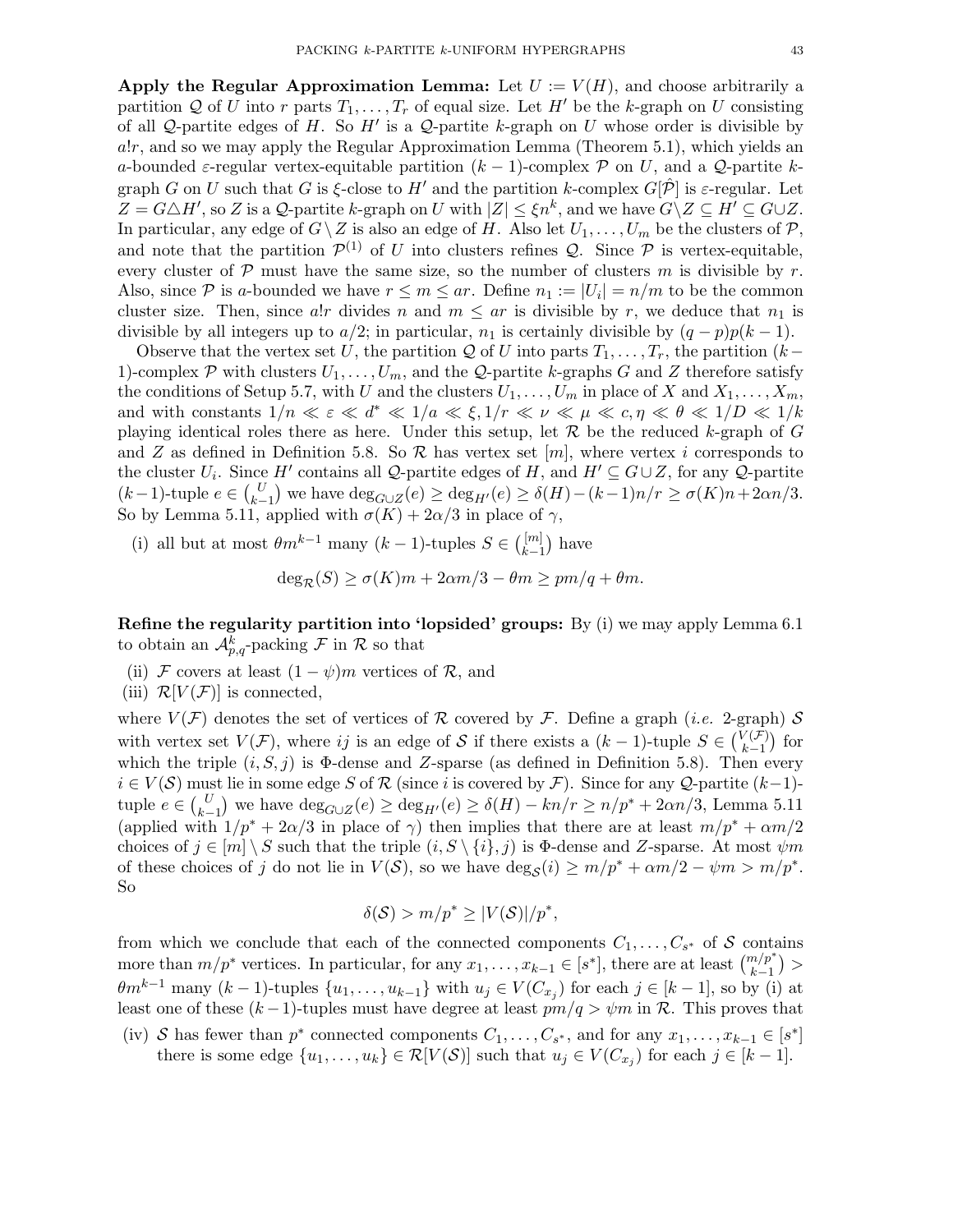Apply the Regular Approximation Lemma: Let  $U := V(H)$ , and choose arbitrarily a partition Q of U into r parts  $T_1, \ldots, T_r$  of equal size. Let H' be the k-graph on U consisting of all Q-partite edges of H. So  $H'$  is a Q-partite k-graph on U whose order is divisible by  $a!r$ , and so we may apply the Regular Approximation Lemma (Theorem 5.1), which yields an a-bounded  $\varepsilon$ -regular vertex-equitable partition  $(k-1)$ -complex P on U, and a Q-partite kgraph G on U such that G is  $\xi$ -close to H' and the partition k-complex  $G[\hat{\mathcal{P}}]$  is  $\varepsilon$ -regular. Let  $Z = G \triangle H'$ , so Z is a Q-partite k-graph on U with  $|Z| \leq \xi n^k$ , and we have  $G \setminus Z \subseteq H' \subseteq G \cup Z$ . In particular, any edge of  $G\setminus Z$  is also an edge of H. Also let  $U_1,\ldots,U_m$  be the clusters of  $\mathcal{P},$ and note that the partition  $\mathcal{P}^{(1)}$  of U into clusters refines Q. Since  $\mathcal P$  is vertex-equitable, every cluster of  $P$  must have the same size, so the number of clusters m is divisible by r. Also, since  $P$  is a-bounded we have  $r \leq m \leq ar$ . Define  $n_1 := |U_i| = n/m$  to be the common cluster size. Then, since a!r divides n and  $m \leq ar$  is divisible by r, we deduce that  $n_1$  is divisible by all integers up to  $a/2$ ; in particular,  $n_1$  is certainly divisible by  $(q - p)p(k - 1)$ .

Observe that the vertex set U, the partition Q of U into parts  $T_1, \ldots, T_r$ , the partition  $(k-$ 1)-complex P with clusters  $U_1, \ldots, U_m$ , and the Q-partite k-graphs G and Z therefore satisfy the conditions of Setup 5.7, with U and the clusters  $U_1, \ldots, U_m$  in place of X and  $X_1, \ldots, X_m$ , and with constants  $1/n \ll \varepsilon \ll d^* \ll 1/a \ll \xi, 1/r \ll \nu \ll \mu \ll c, \eta \ll \theta \ll 1/D \ll 1/k$ playing identical roles there as here. Under this setup, let  $\mathcal R$  be the reduced k-graph of G and Z as defined in Definition 5.8. So  $R$  has vertex set  $[m]$ , where vertex i corresponds to the cluster  $U_i$ . Since  $H'$  contains all Q-partite edges of H, and  $H' \subseteq G \cup Z$ , for any Q-partite  $(k-1)$ -tuple  $e \in {U \choose k-1}$  we have  $\deg_{G \cup Z}(e) \ge \deg_{H'}(e) \ge \delta(H) - (k-1)n/r \ge \sigma(K)n + 2\alpha n/3$ . So by Lemma 5.11, applied with  $\sigma(K) + 2\alpha/3$  in place of  $\gamma$ ,

(i) all but at most  $\theta m^{k-1}$  many  $(k-1)$ -tuples  $S \in \binom{[m]}{k-1}$  $\binom{[m]}{k-1}$  have

$$
deg_{\mathcal{R}}(S) \ge \sigma(K)m + 2\alpha m/3 - \theta m \ge pm/q + \theta m.
$$

Refine the regularity partition into 'lopsided' groups: By (i) we may apply Lemma 6.1 to obtain an  $\mathcal{A}_{p,q}^k$ -packing F in R so that

- (ii) F covers at least  $(1 \psi)m$  vertices of R, and
- (iii)  $\mathcal{R}[V(\mathcal{F})]$  is connected,

where  $V(\mathcal{F})$  denotes the set of vertices of  $\mathcal R$  covered by  $\mathcal F$ . Define a graph (*i.e.* 2-graph)  $\mathcal S$ with vertex set  $V(\mathcal{F})$ , where ij is an edge of S if there exists a  $(k-1)$ -tuple  $S \in \binom{V(\mathcal{F})}{k-1}$  $\binom{k+1}{k-1}$  for which the triple  $(i, S, j)$  is  $\Phi$ -dense and Z-sparse (as defined in Definition 5.8). Then every  $i \in V(\mathcal{S})$  must lie in some edge S of R (since i is covered by F). Since for any Q-partite  $(k-1)$ tuple  $e \in {U \choose k-1}$  we have  $\deg_{G \cup Z}(e) \ge \deg_{H'}(e) \ge \delta(H) - kn/r \ge n/p^* + 2\alpha n/3$ , Lemma 5.11 (applied with  $1/p^* + 2\alpha/3$  in place of  $\gamma$ ) then implies that there are at least  $m/p^* + \alpha m/2$ choices of  $j \in [m] \setminus S$  such that the triple  $(i, S \setminus \{i\}, j)$  is  $\Phi$ -dense and Z-sparse. At most  $\psi m$ of these choices of j do not lie in  $V(S)$ , so we have  $\deg_{S}(i) \ge m/p^* + \alpha m/2 - \psi m > m/p^*$ . So

$$
\delta(\mathcal{S}) > m/p^* \geq |V(\mathcal{S})|/p^*,
$$

from which we conclude that each of the connected components  $C_1, \ldots, C_{s^*}$  of S contains more than  $m/p^*$  vertices. In particular, for any  $x_1, \ldots, x_{k-1} \in [s^*]$ , there are at least  $\binom{m/p^*}{k-1}$  $\theta m^{k-1}$  many  $(k-1)$ -tuples  $\{u_1, \ldots, u_{k-1}\}$  with  $u_j \in V(C_{x_j})$  for each  $j \in [k-1]$ , so by (i) at least one of these  $(k-1)$ -tuples must have degree at least  $pm/q > \psi m$  in R. This proves that

(iv) S has fewer than  $p^*$  connected components  $C_1, \ldots, C_{s^*}$ , and for any  $x_1, \ldots, x_{k-1} \in [s^*]$ there is some edge  $\{u_1, \ldots, u_k\} \in \mathcal{R}[V(\mathcal{S})]$  such that  $u_j \in V(C_{x_j})$  for each  $j \in [k-1]$ .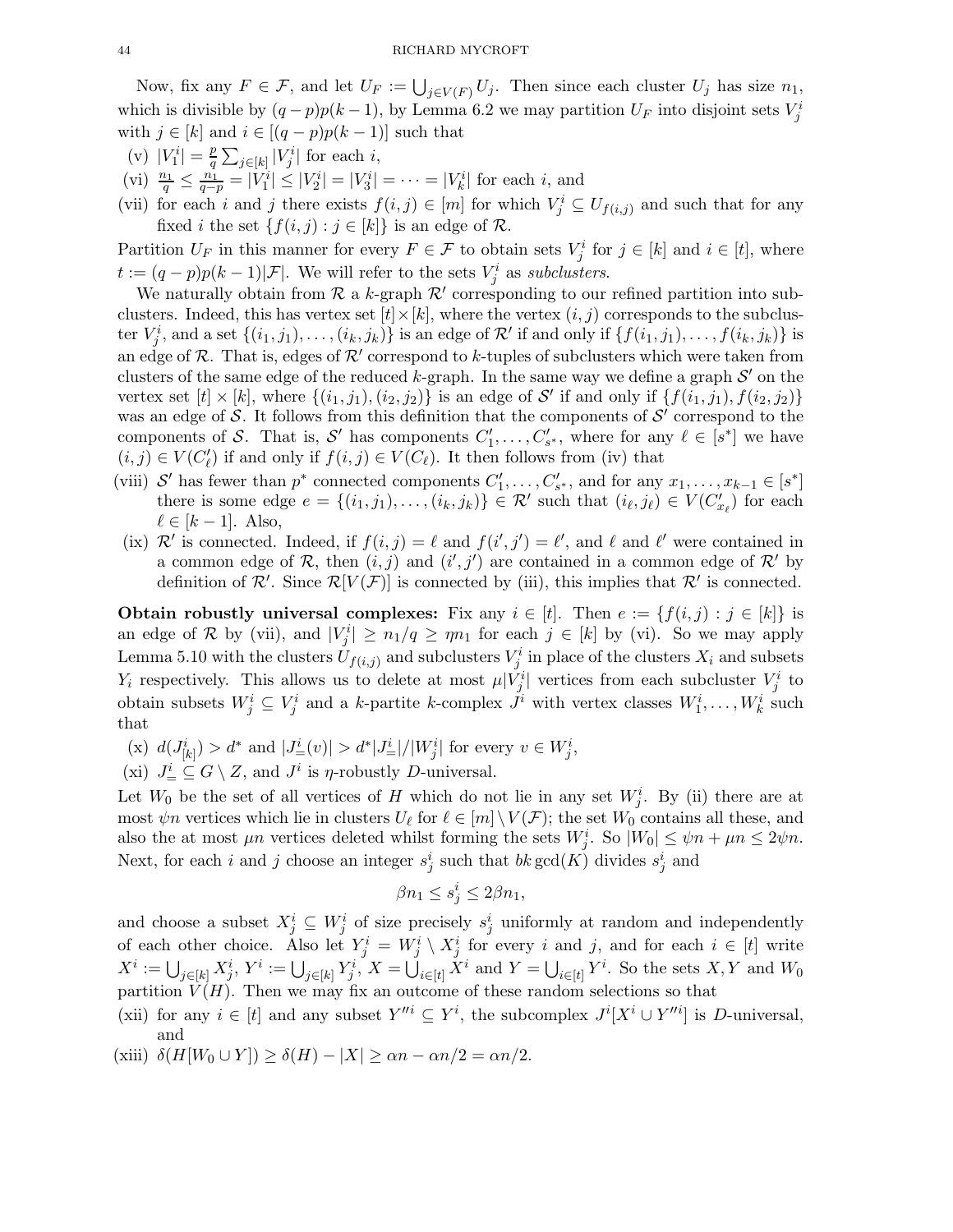Now, fix any  $F \in \mathcal{F}$ , and let  $U_F := \bigcup_{j \in V(F)} U_j$ . Then since each cluster  $U_j$  has size  $n_1$ , which is divisible by  $(q-p)p(k-1)$ , by Lemma 6.2 we may partition  $U_F$  into disjoint sets  $V_j^i$ with  $j \in [k]$  and  $i \in [(q-p)p(k-1)]$  such that

- (v)  $|V_1^i| = \frac{p}{q}$  $\frac{p}{q}\sum_{j\in[k]}|V_j^i|$  for each i,
- (vi)  $\frac{n_1}{q} \leq \frac{n_1}{q-p} = |V_1^i| \leq |V_2^i| = |V_3^i| = \cdots = |V_k^i|$  for each i, and
- (vii) for each i and j there exists  $f(i, j) \in [m]$  for which  $V_j^i \subseteq U_{f(i,j)}$  and such that for any fixed *i* the set  $\{f(i, j) : j \in [k]\}$  is an edge of  $\mathcal{R}$ .

Partition  $U_F$  in this manner for every  $F \in \mathcal{F}$  to obtain sets  $V_j^i$  for  $j \in [k]$  and  $i \in [t]$ , where  $t := (q - p)p(k - 1)|\mathcal{F}|.$  We will refer to the sets  $V_j^i$  as subclusters.

We naturally obtain from  $R$  a k-graph  $R'$  corresponding to our refined partition into subclusters. Indeed, this has vertex set  $[t] \times [k]$ , where the vertex  $(i, j)$  corresponds to the subcluster  $V_j^i$ , and a set  $\{(i_1, j_1), \ldots, (i_k, j_k)\}$  is an edge of  $\mathcal{R}'$  if and only if  $\{f(i_1, j_1), \ldots, f(i_k, j_k)\}$  is an edge of R. That is, edges of  $\mathcal{R}'$  correspond to k-tuples of subclusters which were taken from clusters of the same edge of the reduced k-graph. In the same way we define a graph  $\mathcal{S}'$  on the vertex set  $[t] \times [k]$ , where  $\{(i_1, j_1), (i_2, j_2)\}$  is an edge of S' if and only if  $\{f(i_1, j_1), f(i_2, j_2)\}$ was an edge of S. It follows from this definition that the components of  $\mathcal{S}'$  correspond to the components of S. That is, S' has components  $C'_1, \ldots, C'_{s^*}$ , where for any  $\ell \in [s^*]$  we have  $(i, j) \in V(C'_{\ell})$  if and only if  $f(i, j) \in V(C_{\ell})$ . It then follows from (iv) that

- (viii) S' has fewer than  $p^*$  connected components  $C'_1, \ldots, C'_{s^*}$ , and for any  $x_1, \ldots, x_{k-1} \in [s^*]$ there is some edge  $e = \{(i_1, j_1), \ldots, (i_k, j_k)\} \in \mathcal{R}'$  such that  $(i_\ell, j_\ell) \in V(C'_{x_\ell})$  for each  $\ell \in [k-1]$ . Also,
- (ix)  $\mathcal{R}'$  is connected. Indeed, if  $f(i, j) = \ell$  and  $f(i', j') = \ell'$ , and  $\ell$  and  $\ell'$  were contained in a common edge of  $R$ , then  $(i, j)$  and  $(i', j')$  are contained in a common edge of  $R'$  by definition of  $\mathcal{R}'$ . Since  $\mathcal{R}[V(\mathcal{F})]$  is connected by (iii), this implies that  $\mathcal{R}'$  is connected.

Obtain robustly universal complexes: Fix any  $i \in [t]$ . Then  $e := \{f(i, j) : j \in [k]\}$  is an edge of R by (vii), and  $|V_j^i| \ge n_1/q \ge \eta n_1$  for each  $j \in [k]$  by (vi). So we may apply Lemma 5.10 with the clusters  $U_{f(i,j)}$  and subclusters  $V_j^i$  in place of the clusters  $X_i$  and subsets  $Y_i$  respectively. This allows us to delete at most  $\mu |V_j^i|$  vertices from each subcluster  $V_j^i$  to obtain subsets  $W_j^i \subseteq V_j^i$  and a k-partite k-complex  $J^i$  with vertex classes  $W_1^i, \ldots, W_k^i$  such that

- (x)  $d(J^i_{[k]}) > d^*$  and  $|J^i_{=}(v)| > d^*|J^i_{=}|/|W^i_j|$  for every  $v \in W^i_j$ ,
- (xi)  $J^i_{\equiv} \subseteq G \setminus Z$ , and  $J^i$  is  $\eta$ -robustly D-universal.

Let  $W_0$  be the set of all vertices of H which do not lie in any set  $W_j^i$ . By (ii) there are at most  $\psi$ n vertices which lie in clusters  $U_{\ell}$  for  $\ell \in [m] \setminus V(\mathcal{F})$ ; the set  $W_0$  contains all these, and also the at most  $\mu n$  vertices deleted whilst forming the sets  $W_j^i$ . So  $|W_0| \le \psi n + \mu n \le 2\psi n$ . Next, for each i and j choose an integer  $s_j^i$  such that  $bk \gcd(K)$  divides  $s_j^i$  and

$$
\beta n_1 \le s_j^i \le 2\beta n_1,
$$

and choose a subset  $X_j^i \subseteq W_j^i$  of size precisely  $s_j^i$  uniformly at random and independently of each other choice. Also let  $Y_j^i = W_j^i \setminus X_j^i$  for every i and j, and for each  $i \in [t]$  write  $X^i := \bigcup_{j \in [k]} X^i_j, Y^i := \bigcup_{j \in [k]} Y^i_j, X = \bigcup_{i \in [t]} X^i$  and  $Y = \bigcup_{i \in [t]} Y^i$ . So the sets  $X, Y$  and  $W_0$ partition  $V(H)$ . Then we may fix an outcome of these random selections so that

- (xii) for any  $i \in [t]$  and any subset  $Y''^i \subseteq Y^i$ , the subcomplex  $J^i[X^i \cup Y''^i]$  is D-universal, and
- (xiii)  $\delta(H[W_0 \cup Y]) \ge \delta(H) |X| \ge \alpha n \alpha n/2 = \alpha n/2.$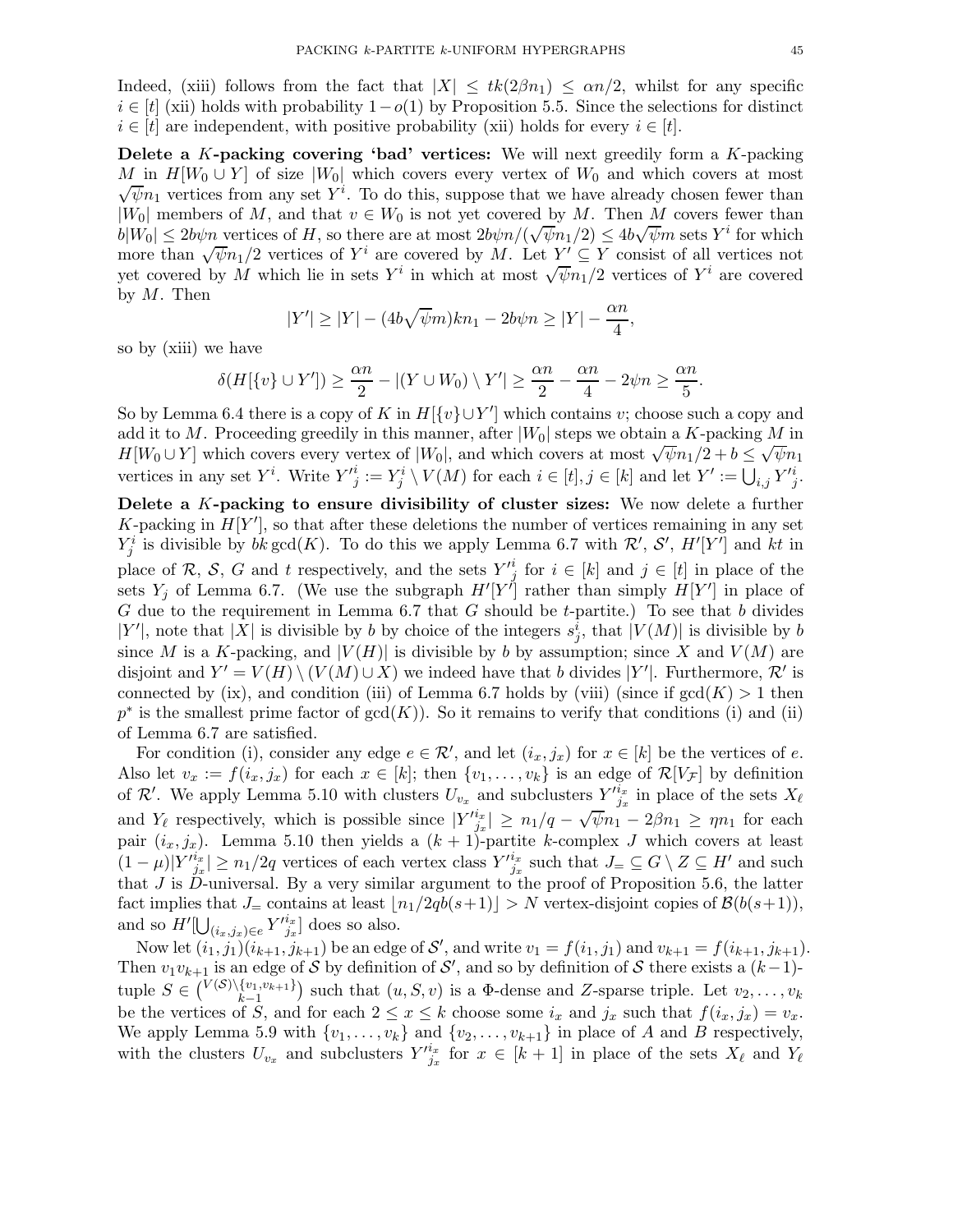Indeed, (xiii) follows from the fact that  $|X| \leq tk(2\beta n_1) \leq \alpha n/2$ , whilst for any specific  $i \in [t]$  (xii) holds with probability  $1-o(1)$  by Proposition 5.5. Since the selections for distinct  $i \in [t]$  are independent, with positive probability (xii) holds for every  $i \in [t]$ .

Delete a  $K$ -packing covering 'bad' vertices: We will next greedily form a  $K$ -packing M in  $H[W_0 \cup Y]$  of size |W<sub>0</sub>| which covers every vertex of W<sub>0</sub> and which covers at most  $\sqrt{\psi}n_1$  vertices from any set  $Y^i$ . To do this, suppose that we have already chosen fewer than |W<sub>0</sub>| members of M, and that  $v \in W_0$  is not yet covered by M. Then M covers fewer than  $|b|W_0| \le 2b\psi n$  vertices of H, so there are at most  $2b\psi n/(\sqrt{\psi}n_1/2) \le 4b\sqrt{\psi}m$  sets  $Y^i$  for which more than  $\sqrt{\psi n_1/2}$  vertices of  $Y^i$  are covered by M. Let  $Y' \subseteq Y$  consist of all vertices not yet covered by M which lie in sets Y<sup>i</sup> in which at most  $\sqrt{\psi n_1}/2$  vertices of Y<sup>i</sup> are covered by  $M$ . Then

$$
|Y'| \ge |Y| - (4b\sqrt{\psi}m)kn_1 - 2b\psi n \ge |Y| - \frac{\alpha n}{4},
$$

so by (xiii) we have

$$
\delta(H[\{v\} \cup Y']) \ge \frac{\alpha n}{2} - |(Y \cup W_0) \setminus Y'| \ge \frac{\alpha n}{2} - \frac{\alpha n}{4} - 2\psi n \ge \frac{\alpha n}{5}.
$$

So by Lemma 6.4 there is a copy of K in  $H[\{v\} \cup Y']$  which contains v; choose such a copy and add it to M. Proceeding greedily in this manner, after  $|W_0|$  steps we obtain a K-packing M in  $H[W_0 \cup Y]$  which covers every vertex of  $|W_0|$ , and which covers at most  $\sqrt{\psi}n_1/2 + b \leq \sqrt{\psi}n_1$ vertices in any set Y<sup>*i*</sup>. Write  $Y'^i_j := Y^i_j \setminus V(M)$  for each  $i \in [t], j \in [k]$  and let  $Y' := \bigcup_{i,j} Y'^i_j$ .

Delete a K-packing to ensure divisibility of cluster sizes: We now delete a further K-packing in  $H[Y']$ , so that after these deletions the number of vertices remaining in any set  $Y_j^i$  is divisible by  $bk \gcd(K)$ . To do this we apply Lemma 6.7 with  $\mathcal{R}', S', H'[Y']$  and  $kt$  in place of R, S, G and t respectively, and the sets  $Y^i_{\underline{j}}$  for  $i \in [k]$  and  $j \in [t]$  in place of the sets  $Y_j$  of Lemma 6.7. (We use the subgraph  $H'[Y^j]$  rather than simply  $H[Y']$  in place of G due to the requirement in Lemma 6.7 that G should be t-partite.) To see that b divides  $|Y'|$ , note that  $|X|$  is divisible by b by choice of the integers  $s_j^i$ , that  $|V(M)|$  is divisible by b since M is a K-packing, and  $|V(H)|$  is divisible by b by assumption; since X and  $V(M)$  are disjoint and  $Y' = V(H) \setminus (V(M) \cup X)$  we indeed have that b divides |Y'|. Furthermore,  $\mathcal{R}'$  is connected by (ix), and condition (iii) of Lemma 6.7 holds by (viii) (since if  $gcd(K) > 1$  then  $p^*$  is the smallest prime factor of  $gcd(K)$ ). So it remains to verify that conditions (i) and (ii) of Lemma 6.7 are satisfied.

For condition (i), consider any edge  $e \in \mathcal{R}'$ , and let  $(i_x, j_x)$  for  $x \in [k]$  be the vertices of e. Also let  $v_x := f(i_x, j_x)$  for each  $x \in [k]$ ; then  $\{v_1, \ldots, v_k\}$  is an edge of  $\mathcal{R}[V_{\mathcal{F}}]$  by definition of R'. We apply Lemma 5.10 with clusters  $U_{v_x}$  and subclusters  $Y'^{i_x}_{j_x}$  in place of the sets  $X_{\ell}$ and  $Y_{\ell}$  respectively, which is possible since  $|Y^{i_{x}}| \ge n_1/q - \sqrt{\psi}n_1 - 2\beta n_1 \ge \eta n_1$  for each pair  $(i_x, j_x)$ . Lemma 5.10 then yields a  $(k + 1)$ -partite k-complex J which covers at least  $(1-\mu)|Y'^{i_x}_{j_x}| \geq n_1/2q$  vertices of each vertex class  $Y'^{i_x}_{j_x}$  such that  $J_{=}\subseteq G\setminus Z\subseteq H'$  and such that  $J$  is  $\ddot{D}$ -universal. By a very similar argument to the proof of Proposition 5.6, the latter fact implies that  $J_{=}$  contains at least  $\lfloor n_1/2qb(s+1)\rfloor > N$  vertex-disjoint copies of  $\mathcal{B}(b(s+1)),$ and so  $H'[\bigcup_{(i_x,j_x)\in e} Y'^{i_x}_{j_x}]$  does so also.

Now let  $(i_1, j_1)(i_{k+1}, j_{k+1})$  be an edge of  $\mathcal{S}'$ , and write  $v_1 = f(i_1, j_1)$  and  $v_{k+1} = f(i_{k+1}, j_{k+1})$ . Then  $v_1v_{k+1}$  is an edge of S by definition of S', and so by definition of S there exists a  $(k-1)$ tuple  $S \in {V(S) \setminus \{v_1, v_{k+1}\} \atop k-1}$  $\binom{\{v_1,v_{k+1}\}}{k-1}$  such that  $(u, S, v)$  is a  $\Phi$ -dense and Z-sparse triple. Let  $v_2, \ldots, v_k$ be the vertices of  $\tilde{S}$ , and for each  $2 \le x \le k$  choose some  $i_x$  and  $j_x$  such that  $f(i_x, j_x) = v_x$ . We apply Lemma 5.9 with  $\{v_1, \ldots, v_k\}$  and  $\{v_2, \ldots, v_{k+1}\}$  in place of A and B respectively, with the clusters  $U_{v_x}$  and subclusters  $Y'^{i_x}_{j_x}$  for  $x \in [k+1]$  in place of the sets  $X_{\ell}$  and  $Y_{\ell}$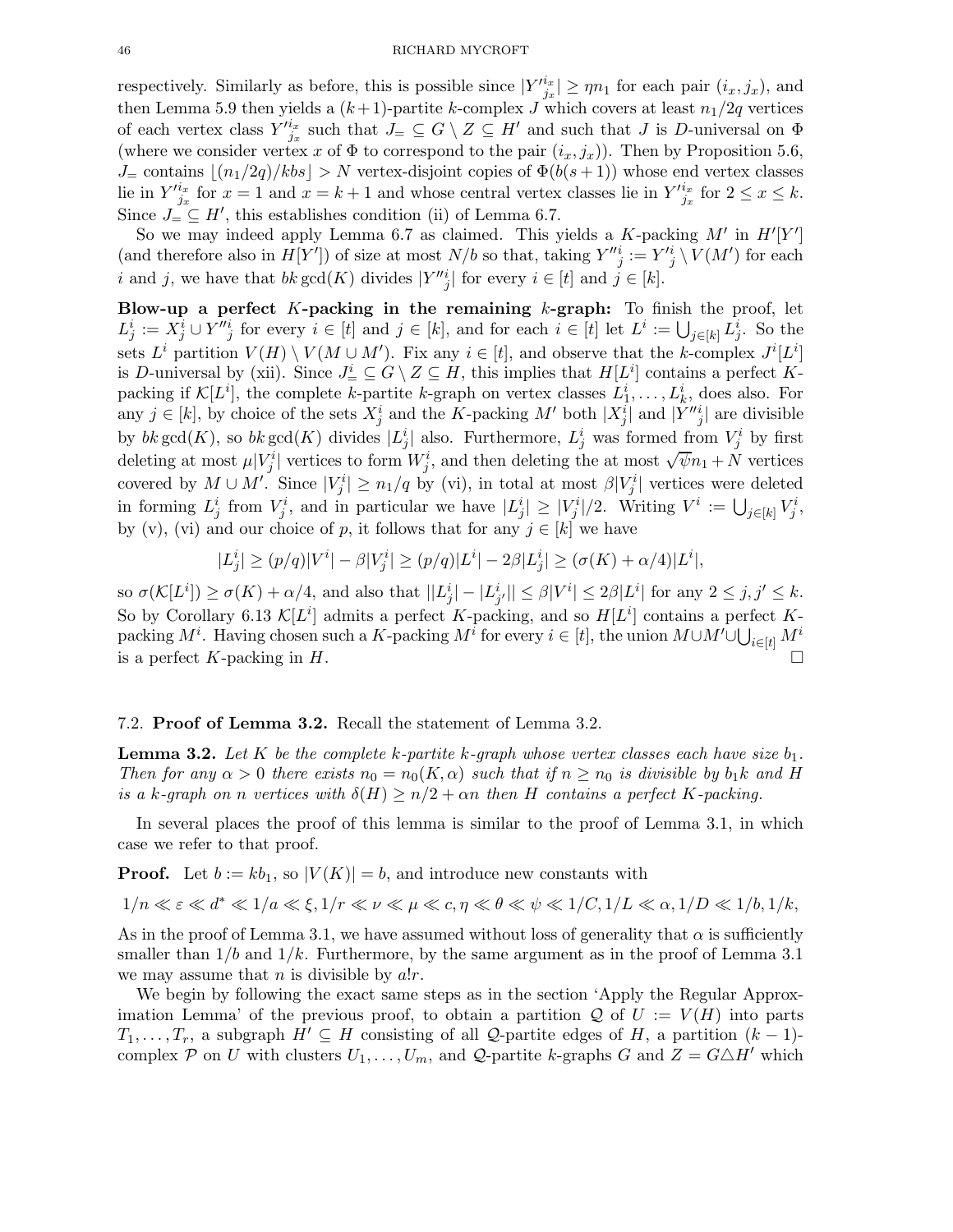respectively. Similarly as before, this is possible since  $|Y'^{i_x}_{j_x}| \ge \eta n_1$  for each pair  $(i_x, j_x)$ , and then Lemma 5.9 then yields a  $(k+1)$ -partite k-complex J which covers at least  $n_1/2q$  vertices of each vertex class  $Y'^{i_x}_{j_x}$  such that  $J_{\equiv} \subseteq G \setminus Z \subseteq H'$  and such that J is D-universal on  $\Phi$ (where we consider vertex x of  $\Phi$  to correspond to the pair  $(i_x, j_x)$ ). Then by Proposition 5.6,  $J_{\pm}$  contains  $\lfloor (n_1/2q)/kbs \rfloor > N$  vertex-disjoint copies of  $\Phi(b(s+1))$  whose end vertex classes lie in  $Y'^{i_x}_{j_x}$  for  $x = 1$  and  $x = k + 1$  and whose central vertex classes lie in  $Y'^{i_x}_{j_x}$  for  $2 \le x \le k$ . Since  $J = \subseteq H'$ , this establishes condition (ii) of Lemma 6.7.

So we may indeed apply Lemma 6.7 as claimed. This yields a  $K$ -packing  $M'$  in  $H'[Y']$ (and therefore also in  $H[Y']$ ) of size at most  $N/b$  so that, taking  $Y''^i_j := Y'^i_j \setminus V(M')$  for each i and j, we have that  $bk \gcd(K)$  divides  $|Y''_j|$  for every  $i \in [t]$  and  $j \in [k]$ .

Blow-up a perfect  $K$ -packing in the remaining  $k$ -graph: To finish the proof, let  $L_j^i := X_j^i \cup Y''_j$  for every  $i \in [t]$  and  $j \in [k]$ , and for each  $i \in [t]$  let  $L^i := \bigcup_{j \in [k]} L_j^i$ . So the sets  $L^i$  partition  $V(H) \setminus V(M \cup M')$ . Fix any  $i \in [t]$ , and observe that the k-complex  $J^i[L^i]$ is D-universal by (xii). Since  $J^i_{\equiv} \subseteq G \setminus Z \subseteq H$ , this implies that  $H[L^i]$  contains a perfect Kpacking if  $\mathcal{K}[L^i]$ , the complete k-partite k-graph on vertex classes  $L^i_1, \ldots, L^i_k$ , does also. For any  $j \in [k]$ , by choice of the sets  $X_j^i$  and the K-packing  $M'$  both  $|X_j^i|$  and  $|Y''_{j}|$  are divisible by  $bk \gcd(K)$ , so  $bk \gcd(K)$  divides  $|L_j^i|$  also. Furthermore,  $L_j^i$  was formed from  $V_j^i$  by first deleting at most  $\mu |V_j^i|$  vertices to form  $W_j^i$ , and then deleting the at most  $\sqrt{\psi}n_1 + N$  vertices covered by  $M \cup M'$ . Since  $|V_j^i| \geq n_1/q$  by (vi), in total at most  $\beta|V_j^i|$  vertices were deleted in forming  $L_j^i$  from  $V_j^i$ , and in particular we have  $|L_j^i| \geq |V_j^i|/2$ . Writing  $V^i := \bigcup_{j \in [k]} V_j^i$ , by (v), (vi) and our choice of p, it follows that for any  $j \in [k]$  we have

$$
|L_j^i| \ge (p/q)|V^i| - \beta |V_j^i| \ge (p/q)|L^i| - 2\beta |L_j^i| \ge (\sigma(K) + \alpha/4)|L^i|,
$$

so  $\sigma(\mathcal{K}[L^i]) \ge \sigma(K) + \alpha/4$ , and also that  $||L^i_j| - |L^i_{j'}|| \le \beta |V^i| \le 2\beta |L^i|$  for any  $2 \le j, j' \le k$ . So by Corollary 6.13  $\mathcal{K}[L^i]$  admits a perfect K-packing, and so  $H[L^i]$  contains a perfect Kpacking  $M^i$ . Having chosen such a K-packing  $M^i$  for every  $i \in [t]$ , the union  $M \cup M' \cup \bigcup_{i \in [t]} M^i$ is a perfect K-packing in H.

#### 7.2. Proof of Lemma 3.2. Recall the statement of Lemma 3.2.

**Lemma 3.2.** Let K be the complete k-partite k-graph whose vertex classes each have size  $b_1$ . Then for any  $\alpha > 0$  there exists  $n_0 = n_0(K, \alpha)$  such that if  $n \geq n_0$  is divisible by  $b_1k$  and H is a k-graph on n vertices with  $\delta(H) \ge n/2 + \alpha n$  then H contains a perfect K-packing.

In several places the proof of this lemma is similar to the proof of Lemma 3.1, in which case we refer to that proof.

**Proof.** Let  $b := kb_1$ , so  $|V(K)| = b$ , and introduce new constants with

$$
1/n \ll \varepsilon \ll d^* \ll 1/a \ll \xi, 1/r \ll \nu \ll \mu \ll c, \eta \ll \theta \ll \psi \ll 1/C, 1/L \ll \alpha, 1/D \ll 1/b, 1/k,
$$

As in the proof of Lemma 3.1, we have assumed without loss of generality that  $\alpha$  is sufficiently smaller than  $1/b$  and  $1/k$ . Furthermore, by the same argument as in the proof of Lemma 3.1 we may assume that  $n$  is divisible by  $a!r$ .

We begin by following the exact same steps as in the section 'Apply the Regular Approximation Lemma' of the previous proof, to obtain a partition  $\mathcal Q$  of  $U := V(H)$  into parts  $T_1, \ldots, T_r$ , a subgraph  $H' \subseteq H$  consisting of all Q-partite edges of H, a partition  $(k-1)$ complex P on U with clusters  $U_1, \ldots, U_m$ , and Q-partite k-graphs G and  $Z = G \triangle H'$  which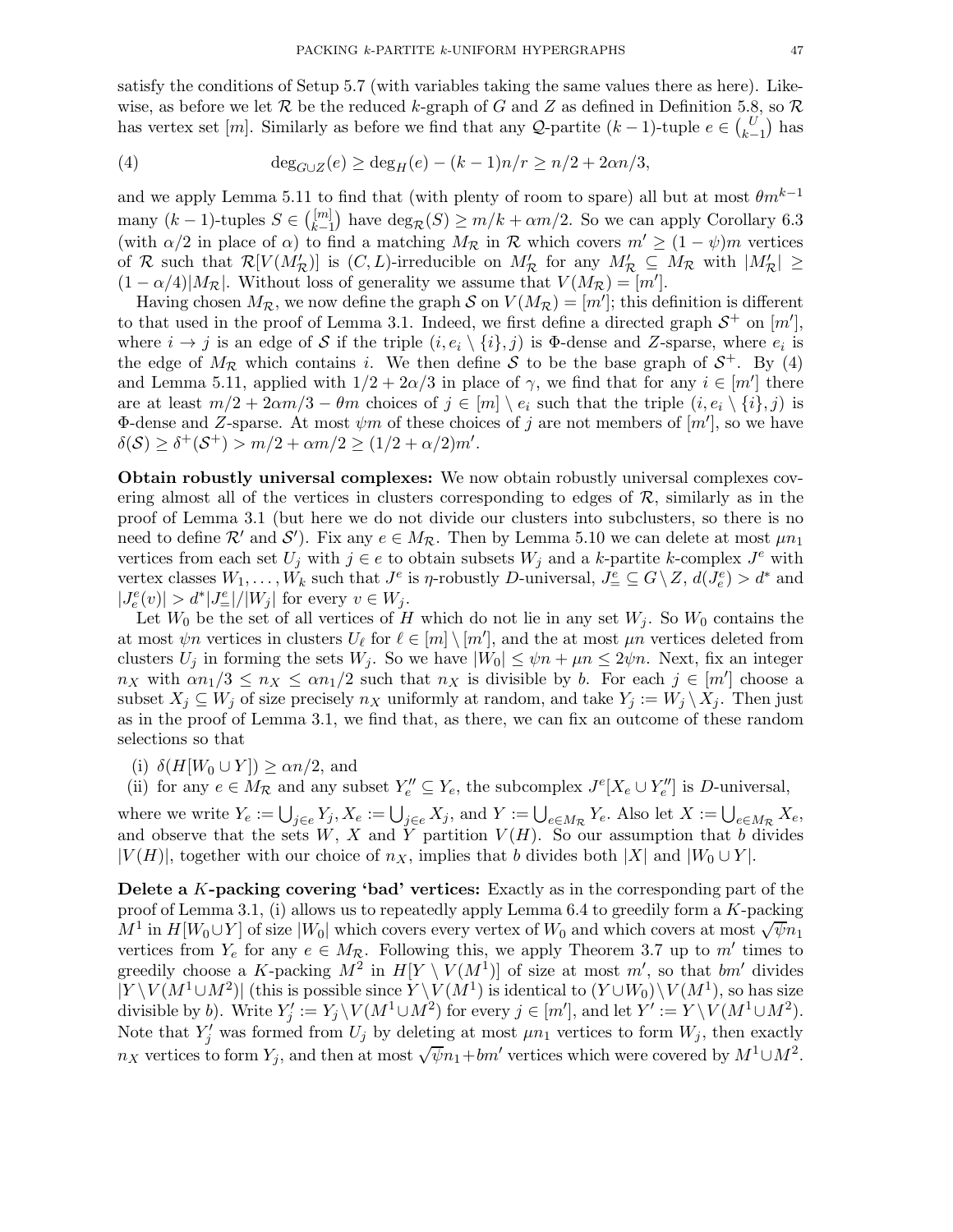satisfy the conditions of Setup 5.7 (with variables taking the same values there as here). Likewise, as before we let  $R$  be the reduced k-graph of G and Z as defined in Definition 5.8, so  $R$ has vertex set [m]. Similarly as before we find that any  $\mathcal{Q}$ -partite  $(k-1)$ -tuple  $e \in {U \choose k-1}$  has

(4) 
$$
\deg_{G \cup Z}(e) \ge \deg_H(e) - (k-1)n/r \ge n/2 + 2\alpha n/3,
$$

and we apply Lemma 5.11 to find that (with plenty of room to spare) all but at most  $\theta m^{k-1}$ many  $(k-1)$ -tuples  $S \in \binom{[m]}{k-1}$  $\binom{[m]}{k-1}$  have  $\deg_{\mathcal{R}}(S) \ge m/k + \alpha m/2$ . So we can apply Corollary 6.3 (with  $\alpha/2$  in place of  $\alpha$ ) to find a matching  $M_{\mathcal{R}}$  in  $\mathcal R$  which covers  $m' \geq (1 - \psi)m$  vertices of R such that  $\mathcal{R}[V(M'_{\mathcal{R}})]$  is  $(C, L)$ -irreducible on  $M'_{\mathcal{R}}$  for any  $M'_{\mathcal{R}} \subseteq M_{\mathcal{R}}$  with  $|M'_{\mathcal{R}}| \ge$  $(1 - \alpha/4)|M_{\mathcal{R}}|$ . Without loss of generality we assume that  $V(M_{\mathcal{R}}) = [m']$ .

Having chosen  $M_{\mathcal{R}}$ , we now define the graph S on  $V(M_{\mathcal{R}}) = [m']$ ; this definition is different to that used in the proof of Lemma 3.1. Indeed, we first define a directed graph  $S^+$  on  $[m']$ , where  $i \to j$  is an edge of S if the triple  $(i, e_i \setminus \{i\}, j)$  is  $\Phi$ -dense and Z-sparse, where  $e_i$  is the edge of  $M_{\mathcal{R}}$  which contains i. We then define S to be the base graph of  $S^+$ . By (4) and Lemma 5.11, applied with  $1/2 + 2\alpha/3$  in place of  $\gamma$ , we find that for any  $i \in [m']$  there are at least  $m/2 + 2\alpha m/3 - \theta m$  choices of  $j \in [m] \setminus e_i$  such that the triple  $(i, e_i \setminus \{i\}, j)$  is  $\Phi$ -dense and Z-sparse. At most  $\psi m$  of these choices of j are not members of  $[m']$ , so we have  $\delta(S) \ge \delta^+(S^+) > m/2 + \alpha m/2 \ge (1/2 + \alpha/2)m'.$ 

Obtain robustly universal complexes: We now obtain robustly universal complexes covering almost all of the vertices in clusters corresponding to edges of  $\mathcal{R}$ , similarly as in the proof of Lemma 3.1 (but here we do not divide our clusters into subclusters, so there is no need to define  $\mathcal{R}'$  and  $\mathcal{S}'$ ). Fix any  $e \in M_{\mathcal{R}}$ . Then by Lemma 5.10 we can delete at most  $\mu n_1$ vertices from each set  $U_j$  with  $j \in e$  to obtain subsets  $W_j$  and a k-partite k-complex  $J^e$  with vertex classes  $W_1, \ldots, W_k$  such that  $J^e$  is  $\eta$ -robustly D-universal,  $J^e_{\equiv} \subseteq G \setminus Z$ ,  $d(J^e_{\epsilon}) > d^*$  and  $|J_e^e(v)| > d^*|J_{=}^e|/|W_j|$  for every  $v \in W_j$ .

Let  $W_0$  be the set of all vertices of H which do not lie in any set  $W_j$ . So  $W_0$  contains the at most  $\psi$ n vertices in clusters  $U_{\ell}$  for  $\ell \in [m] \setminus [m']$ , and the at most  $\mu$ n vertices deleted from clusters  $U_j$  in forming the sets  $W_j$ . So we have  $|W_0| \leq \psi n + \mu n \leq 2\psi n$ . Next, fix an integer  $n_X$  with  $\alpha n_1/3 \leq n_X \leq \alpha n_1/2$  such that  $n_X$  is divisible by b. For each  $j \in [m']$  choose a subset  $X_j \subseteq W_j$  of size precisely  $n_X$  uniformly at random, and take  $Y_j := W_j \setminus X_j$ . Then just as in the proof of Lemma 3.1, we find that, as there, we can fix an outcome of these random selections so that

(i)  $\delta(H[W_0 \cup Y]) \ge \alpha n/2$ , and

(ii) for any  $e \in M_{\mathcal{R}}$  and any subset  $Y_e'' \subseteq Y_e$ , the subcomplex  $J^e[X_e \cup Y_e'']$  is D-universal,

where we write  $Y_e := \bigcup_{j \in e} Y_j$ ,  $X_e := \bigcup_{j \in e} X_j$ , and  $Y := \bigcup_{e \in M_{\mathcal{R}}} Y_e$ . Also let  $X := \bigcup_{e \in M_{\mathcal{R}}} X_e$ , and observe that the sets  $W, X$  and  $\dot{Y}$  partition  $V(H)$ . So our assumption that b divides  $|V(H)|$ , together with our choice of  $n_X$ , implies that b divides both  $|X|$  and  $|W_0 \cup Y|$ .

Delete a K-packing covering 'bad' vertices: Exactly as in the corresponding part of the proof of Lemma 3.1, (i) allows us to repeatedly apply Lemma 6.4 to greedily form a  $K$ -packing  $M^1$  in  $H[W_0 \cup Y]$  of size  $|W_0|$  which covers every vertex of  $W_0$  and which covers at most  $\sqrt{\psi n_1}$ vertices from  $Y_e$  for any  $e \in M_{\mathcal{R}}$ . Following this, we apply Theorem 3.7 up to m' times to greedily choose a K-packing  $M^2$  in  $H[Y \setminus V(M^1)]$  of size at most m', so that bm' divides  $|Y \setminus V(M^1 \cup M^2)|$  (this is possible since  $Y \setminus V(M^1)$  is identical to  $(Y \cup W_0) \setminus V(M^1)$ , so has size divisible by b). Write  $Y'_j := Y_j \setminus V(M^1 \cup M^2)$  for every  $j \in [m'],$  and let  $Y' := Y \setminus V(M^1 \cup M^2)$ . Note that  $Y'_j$  was formed from  $U_j$  by deleting at most  $\mu n_1$  vertices to form  $W_j$ , then exactly  $n_X$  vertices to form  $Y_j$ , and then at most  $\sqrt{\psi n_1 + b m'}$  vertices which were covered by  $M^1 \cup M^2$ .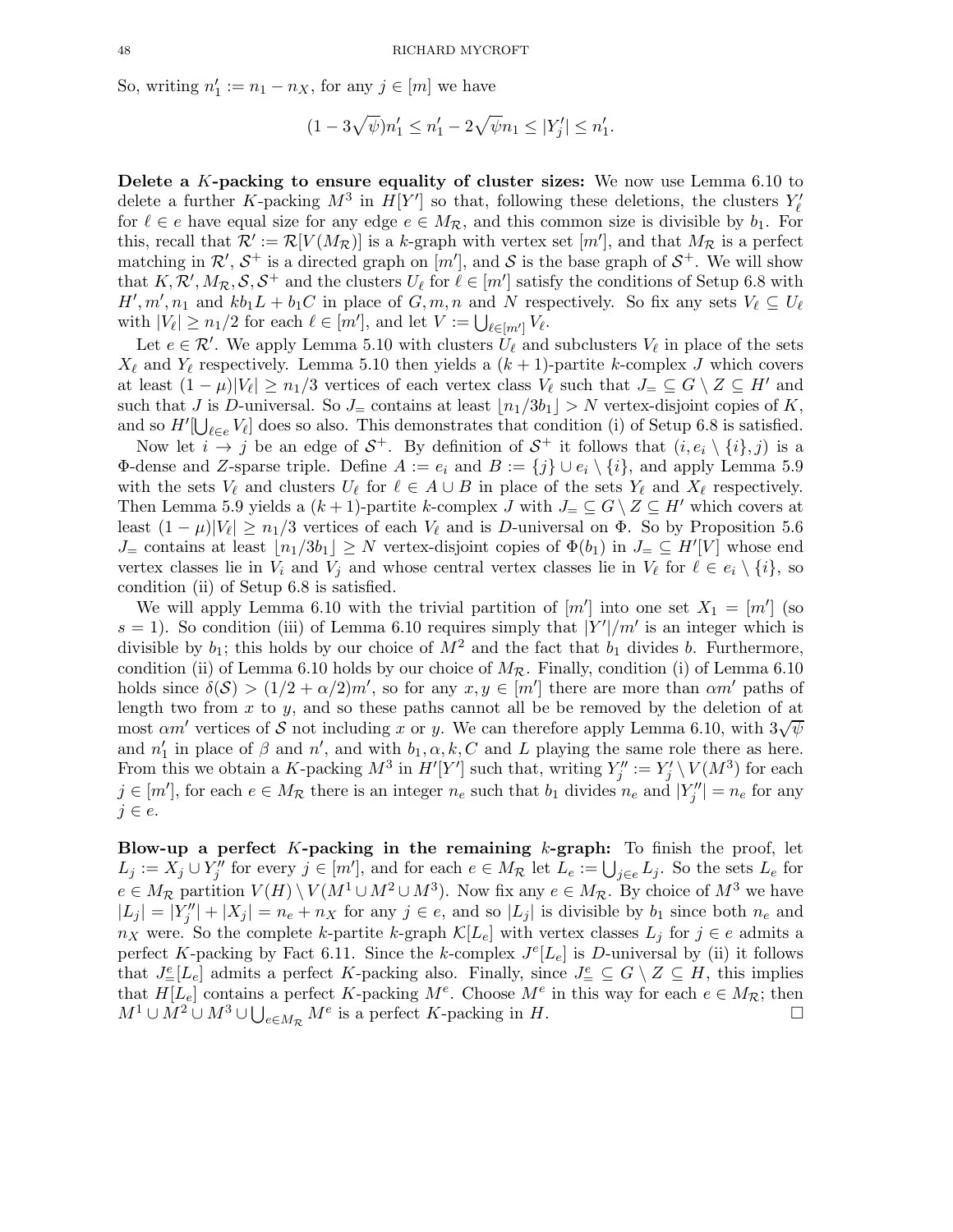So, writing  $n'_1 := n_1 - n_X$ , for any  $j \in [m]$  we have

 $(1 - 3\sqrt{\psi})n'_1 \leq n'_1 - 2\sqrt{\psi}n_1 \leq |Y'_j| \leq n'_1.$ 

Delete a K-packing to ensure equality of cluster sizes: We now use Lemma 6.10 to delete a further K-packing  $M^3$  in  $H[Y']$  so that, following these deletions, the clusters  $Y'_{\ell}$ for  $\ell \in e$  have equal size for any edge  $e \in M_{\mathcal{R}}$ , and this common size is divisible by  $b_1$ . For this, recall that  $\mathcal{R}' := \mathcal{R}[V(M_{\mathcal{R}})]$  is a k-graph with vertex set  $[m']$ , and that  $M_{\mathcal{R}}$  is a perfect matching in  $\mathcal{R}', \mathcal{S}^+$  is a directed graph on  $[m']$ , and  $\mathcal{S}$  is the base graph of  $\mathcal{S}^+$ . We will show that  $K, \mathcal{R}', M_{\mathcal{R}}, \mathcal{S}, \mathcal{S}^+$  and the clusters  $U_{\ell}$  for  $\ell \in [m']$  satisfy the conditions of Setup 6.8 with  $H', m', n_1$  and  $kb_1L + b_1C$  in place of  $G, m, n$  and N respectively. So fix any sets  $V_{\ell} \subseteq U_{\ell}$ with  $|V_{\ell}| \geq n_1/2$  for each  $\ell \in [m']$ , and let  $V := \bigcup_{\ell \in [m']} V_{\ell}$ .

Let  $e \in \mathcal{R}'$ . We apply Lemma 5.10 with clusters  $U_{\ell}$  and subclusters  $V_{\ell}$  in place of the sets  $X_{\ell}$  and  $Y_{\ell}$  respectively. Lemma 5.10 then yields a  $(k+1)$ -partite k-complex J which covers at least  $(1 - \mu)|V_{\ell}| \geq n_1/3$  vertices of each vertex class  $V_{\ell}$  such that  $J = \subseteq G \setminus Z \subseteq H'$  and such that J is D-universal. So  $J_{\pm}$  contains at least  $|n_1/3b_1| > N$  vertex-disjoint copies of K, and so  $H'[\bigcup_{\ell \in e} V_{\ell}]$  does so also. This demonstrates that condition (i) of Setup 6.8 is satisfied.

Now let  $i \to j$  be an edge of  $S^+$ . By definition of  $S^+$  it follows that  $(i, e_i \setminus \{i\}, j)$  is a  $Φ$ -dense and *Z*-sparse triple. Define  $A := e_i$  and  $B := \{j\} ∪ e_i ∖ \{i\}$ , and apply Lemma 5.9 with the sets  $V_{\ell}$  and clusters  $U_{\ell}$  for  $\ell \in A \cup B$  in place of the sets  $Y_{\ell}$  and  $X_{\ell}$  respectively. Then Lemma 5.9 yields a  $(k+1)$ -partite k-complex J with  $J_{=} \subseteq G \setminus Z \subseteq H'$  which covers at least  $(1 - \mu)|V_\ell| \ge n_1/3$  vertices of each  $V_\ell$  and is D-universal on  $\Phi$ . So by Proposition 5.6  $J_{\equiv}$  contains at least  $\lfloor n_1/3b_1 \rfloor \geq N$  vertex-disjoint copies of  $\Phi(b_1)$  in  $J_{\equiv} \subseteq H'[V]$  whose end vertex classes lie in  $V_i$  and  $V_j$  and whose central vertex classes lie in  $V_\ell$  for  $\ell \in e_i \setminus \{i\}$ , so condition (ii) of Setup 6.8 is satisfied.

We will apply Lemma 6.10 with the trivial partition of  $[m']$  into one set  $X_1 = [m']$  (so  $s = 1$ ). So condition (iii) of Lemma 6.10 requires simply that  $|Y'|/m'$  is an integer which is divisible by  $b_1$ ; this holds by our choice of  $M^2$  and the fact that  $b_1$  divides b. Furthermore, condition (ii) of Lemma 6.10 holds by our choice of  $M_{\mathcal{R}}$ . Finally, condition (i) of Lemma 6.10 holds since  $\delta(\mathcal{S}) > (1/2 + \alpha/2)m'$ , so for any  $x, y \in [m']$  there are more than  $\alpha m'$  paths of length two from  $x$  to  $y$ , and so these paths cannot all be be removed by the deletion of at most  $\alpha m'$  vertices of S not including x or y. We can therefore apply Lemma 6.10, with  $3\sqrt{\psi}$ and  $n'_1$  in place of  $\beta$  and  $n'$ , and with  $b_1, \alpha, k, C$  and L playing the same role there as here. From this we obtain a K-packing  $M^3$  in  $H'[Y']$  such that, writing  $Y''_j := Y'_j \setminus V(M^3)$  for each  $j \in [m']$ , for each  $e \in M_{\mathcal{R}}$  there is an integer  $n_e$  such that  $b_1$  divides  $n_e$  and  $|Y''_j| = n_e$  for any  $j \in e$ .

Blow-up a perfect  $K$ -packing in the remaining  $k$ -graph: To finish the proof, let  $L_j := X_j \cup Y''_j$  for every  $j \in [m']$ , and for each  $e \in M_{\mathcal{R}}$  let  $L_e := \bigcup_{j \in e} L_j$ . So the sets  $L_e$  for  $e \in M_{\mathcal{R}}$  partition  $V(H) \setminus V(M^1 \cup M^2 \cup M^3)$ . Now fix any  $e \in M_{\mathcal{R}}$ . By choice of  $M^3$  we have  $|L_j| = |Y''_j| + |X_j| = n_e + n_X$  for any  $j \in e$ , and so  $|L_j|$  is divisible by  $b_1$  since both  $n_e$  and  $n_X$  were. So the complete k-partite k-graph  $\mathcal{K}[L_e]$  with vertex classes  $L_i$  for  $j \in e$  admits a perfect K-packing by Fact 6.11. Since the k-complex  $J^{e}[L_{e}]$  is D-universal by (ii) it follows that  $J^e_{=}[L_e]$  admits a perfect K-packing also. Finally, since  $J^e_{=} \subseteq G \setminus Z \subseteq H$ , this implies that  $H[L_e]$  contains a perfect K-packing  $M^e$ . Choose  $M^e$  in this way for each  $e \in M_{\mathcal{R}}$ ; then  $M^1 \cup M^2 \cup M^3 \cup \bigcup_{e \in M_{\mathcal{R}}} M^e$  is a perfect K-packing in H.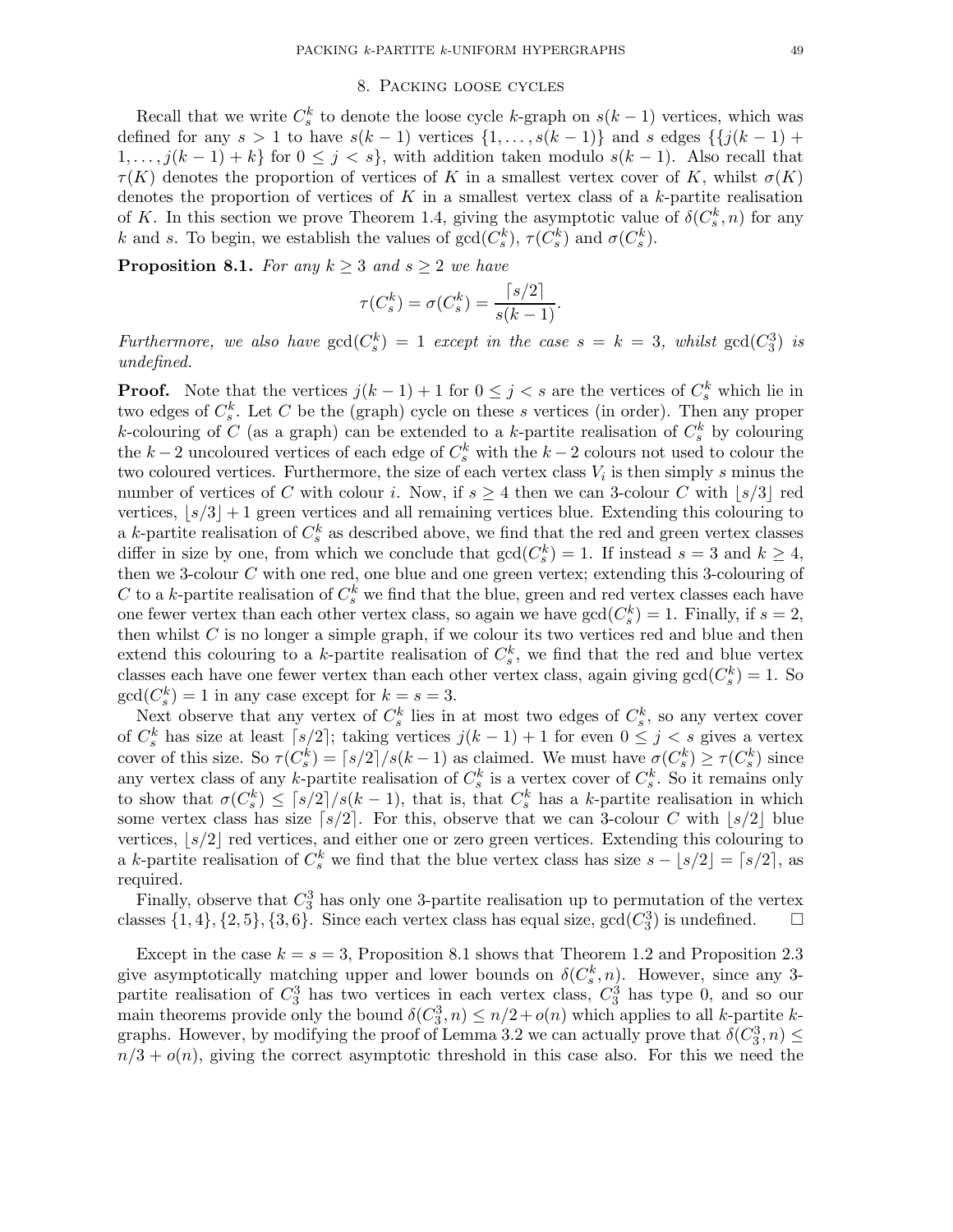# 8. Packing loose cycles

Recall that we write  $C_s^k$  to denote the loose cycle k-graph on  $s(k-1)$  vertices, which was defined for any  $s > 1$  to have  $s(k-1)$  vertices  $\{1, \ldots, s(k-1)\}$  and s edges  $\{\{j(k-1) +$  $1, \ldots, j(k-1) + k$  for  $0 \leq j \leq s$ , with addition taken modulo  $s(k-1)$ . Also recall that  $\tau(K)$  denotes the proportion of vertices of K in a smallest vertex cover of K, whilst  $\sigma(K)$ denotes the proportion of vertices of K in a smallest vertex class of a  $k$ -partite realisation of K. In this section we prove Theorem 1.4, giving the asymptotic value of  $\delta(C_s^k, n)$  for any k and s. To begin, we establish the values of  $gcd(C_s^k)$ ,  $\tau(C_s^k)$  and  $\sigma(C_s^k)$ .

**Proposition 8.1.** For any  $k \geq 3$  and  $s \geq 2$  we have

$$
\tau(C_s^k) = \sigma(C_s^k) = \frac{\lceil s/2 \rceil}{s(k-1)}.
$$

Furthermore, we also have  $gcd(C_s^k) = 1$  except in the case  $s = k = 3$ , whilst  $gcd(C_3^3)$  is undefined.

**Proof.** Note that the vertices  $j(k-1) + 1$  for  $0 \leq j < s$  are the vertices of  $C_s^k$  which lie in two edges of  $C_s^k$ . Let C be the (graph) cycle on these s vertices (in order). Then any proper k-colouring of C (as a graph) can be extended to a k-partite realisation of  $C_s^k$  by colouring the k – 2 uncoloured vertices of each edge of  $C_s^k$  with the k – 2 colours not used to colour the two coloured vertices. Furthermore, the size of each vertex class  $V_i$  is then simply s minus the number of vertices of C with colour i. Now, if  $s \geq 4$  then we can 3-colour C with  $|s/3|$  red vertices,  $|s/3| + 1$  green vertices and all remaining vertices blue. Extending this colouring to a k-partite realisation of  $C_s^k$  as described above, we find that the red and green vertex classes differ in size by one, from which we conclude that  $gcd(C_s^k) = 1$ . If instead  $s = 3$  and  $k \ge 4$ , then we 3-colour C with one red, one blue and one green vertex; extending this 3-colouring of C to a k-partite realisation of  $C_s^k$  we find that the blue, green and red vertex classes each have one fewer vertex than each other vertex class, so again we have  $gcd(C_s^k) = 1$ . Finally, if  $s = 2$ , then whilst  $C$  is no longer a simple graph, if we colour its two vertices red and blue and then extend this colouring to a k-partite realisation of  $C_s^k$ , we find that the red and blue vertex classes each have one fewer vertex than each other vertex class, again giving  $gcd(C_s^k) = 1$ . So  $gcd(C_s^k) = 1$  in any case except for  $k = s = 3$ . s

Next observe that any vertex of  $C_s^k$  lies in at most two edges of  $C_s^k$ , so any vertex cover of  $C_s^k$  has size at least  $[s/2]$ ; taking vertices  $j(k-1)+1$  for even  $0 \leq j \leq s$  gives a vertex cover of this size. So  $\tau(C_s^k) = \lceil s/2 \rceil / s(k-1)$  as claimed. We must have  $\sigma(C_s^k) \ge \tau(C_s^k)$  since any vertex class of any k-partite realisation of  $C_s^k$  is a vertex cover of  $C_s^k$ . So it remains only to show that  $\sigma(C_s^k) \leq \lceil s/2 \rceil / s(k-1)$ , that is, that  $C_s^k$  has a k-partite realisation in which some vertex class has size  $\lceil s/2 \rceil$ . For this, observe that we can 3-colour C with  $\lceil s/2 \rceil$  blue vertices,  $|s/2|$  red vertices, and either one or zero green vertices. Extending this colouring to a k-partite realisation of  $C_s^k$  we find that the blue vertex class has size  $s - \lfloor s/2 \rfloor = \lceil s/2 \rceil$ , as required.

Finally, observe that  $C_3^3$  has only one 3-partite realisation up to permutation of the vertex classes  $\{1,4\}, \{2,5\}, \{3,6\}$ . Since each vertex class has equal size,  $gcd(C_3^3)$  is undefined.  $\square$ 

Except in the case  $k = s = 3$ , Proposition 8.1 shows that Theorem 1.2 and Proposition 2.3 give asymptotically matching upper and lower bounds on  $\delta(C_s^k, n)$ . However, since any 3partite realisation of  $C_3^3$  has two vertices in each vertex class,  $C_3^3$  has type 0, and so our main theorems provide only the bound  $\delta(C_3^3, n) \leq n/2 + o(n)$  which applies to all k-partite kgraphs. However, by modifying the proof of Lemma 3.2 we can actually prove that  $\delta(C_3^3, n) \leq$  $n/3 + o(n)$ , giving the correct asymptotic threshold in this case also. For this we need the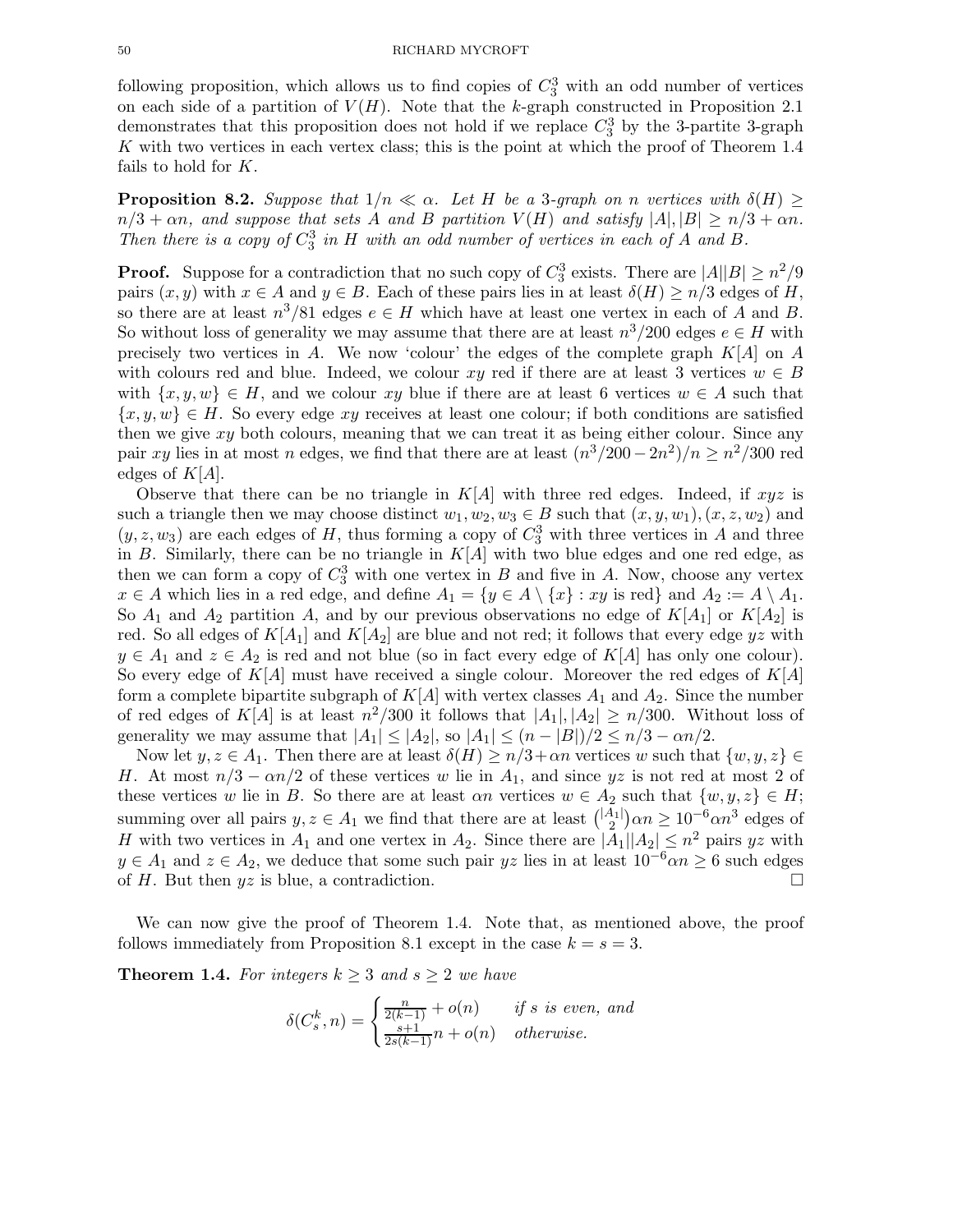following proposition, which allows us to find copies of  $C_3^3$  with an odd number of vertices on each side of a partition of  $V(H)$ . Note that the k-graph constructed in Proposition 2.1 demonstrates that this proposition does not hold if we replace  $C_3^3$  by the 3-partite 3-graph  $K$  with two vertices in each vertex class; this is the point at which the proof of Theorem 1.4 fails to hold for  $K$ .

**Proposition 8.2.** Suppose that  $1/n \ll \alpha$ . Let H be a 3-graph on n vertices with  $\delta(H) \geq$  $n/3 + \alpha n$ , and suppose that sets A and B partition  $V(H)$  and satisfy  $|A|, |B| \ge n/3 + \alpha n$ . Then there is a copy of  $C_3^3$  in H with an odd number of vertices in each of A and B.

**Proof.** Suppose for a contradiction that no such copy of  $C_3^3$  exists. There are  $|A||B| \ge n^2/9$ pairs  $(x, y)$  with  $x \in A$  and  $y \in B$ . Each of these pairs lies in at least  $\delta(H) \ge n/3$  edges of H, so there are at least  $n^3/81$  edges  $e \in H$  which have at least one vertex in each of A and B. So without loss of generality we may assume that there are at least  $n^3/200$  edges  $e \in H$  with precisely two vertices in  $A$ . We now 'colour' the edges of the complete graph  $K[A]$  on  $A$ with colours red and blue. Indeed, we colour xy red if there are at least 3 vertices  $w \in B$ with  $\{x, y, w\} \in H$ , and we colour xy blue if there are at least 6 vertices  $w \in A$  such that  ${x, y, w} \in H$ . So every edge xy receives at least one colour; if both conditions are satisfied then we give  $xy$  both colours, meaning that we can treat it as being either colour. Since any pair xy lies in at most n edges, we find that there are at least  $(n^3/200 - 2n^2)/n \ge n^2/300$  red edges of  $K[A]$ .

Observe that there can be no triangle in  $K[A]$  with three red edges. Indeed, if  $xyz$  is such a triangle then we may choose distinct  $w_1, w_2, w_3 \in B$  such that  $(x, y, w_1), (x, z, w_2)$  and  $(y, z, w_3)$  are each edges of H, thus forming a copy of  $C_3^3$  with three vertices in A and three in B. Similarly, there can be no triangle in  $K[A]$  with two blue edges and one red edge, as then we can form a copy of  $C_3^3$  with one vertex in B and five in A. Now, choose any vertex  $x \in A$  which lies in a red edge, and define  $A_1 = \{y \in A \setminus \{x\} : xy$  is red} and  $A_2 := A \setminus A_1$ . So  $A_1$  and  $A_2$  partition A, and by our previous observations no edge of  $K[A_1]$  or  $K[A_2]$  is red. So all edges of  $K[A_1]$  and  $K[A_2]$  are blue and not red; it follows that every edge yz with  $y \in A_1$  and  $z \in A_2$  is red and not blue (so in fact every edge of  $K[A]$  has only one colour). So every edge of  $K[A]$  must have received a single colour. Moreover the red edges of  $K[A]$ form a complete bipartite subgraph of  $K[A]$  with vertex classes  $A_1$  and  $A_2$ . Since the number of red edges of  $K[A]$  is at least  $n^2/300$  it follows that  $|A_1|, |A_2| \ge n/300$ . Without loss of generality we may assume that  $|A_1| \leq |A_2|$ , so  $|A_1| \leq (n - |B|)/2 \leq n/3 - \alpha n/2$ .

Now let  $y, z \in A_1$ . Then there are at least  $\delta(H) \geq n/3 + \alpha n$  vertices w such that  $\{w, y, z\} \in$ H. At most  $n/3 - \alpha n/2$  of these vertices w lie in  $A_1$ , and since yz is not red at most 2 of these vertices w lie in B. So there are at least  $\alpha n$  vertices  $w \in A_2$  such that  $\{w, y, z\} \in H$ ; summing over all pairs  $y, z \in A_1$  we find that there are at least  $\binom{|A_1|}{2}$  $\binom{4}{2} \alpha n \geq 10^{-6} \alpha n^3$  edges of H with two vertices in  $A_1$  and one vertex in  $A_2$ . Since there are  $|A_1||A_2| \leq n^2$  pairs yz with  $y \in A_1$  and  $z \in A_2$ , we deduce that some such pair  $yz$  lies in at least  $10^{-6}\alpha n \ge 6$  such edges of H. But then  $yz$  is blue, a contradiction. of  $H$ . But then  $yz$  is blue, a contradiction.

We can now give the proof of Theorem 1.4. Note that, as mentioned above, the proof follows immediately from Proposition 8.1 except in the case  $k = s = 3$ .

**Theorem 1.4.** For integers  $k \geq 3$  and  $s \geq 2$  we have

$$
\delta(C_s^k, n) = \begin{cases} \frac{n}{2(k-1)} + o(n) & \text{if } s \text{ is even, and} \\ \frac{s+1}{2s(k-1)}n + o(n) & \text{otherwise.} \end{cases}
$$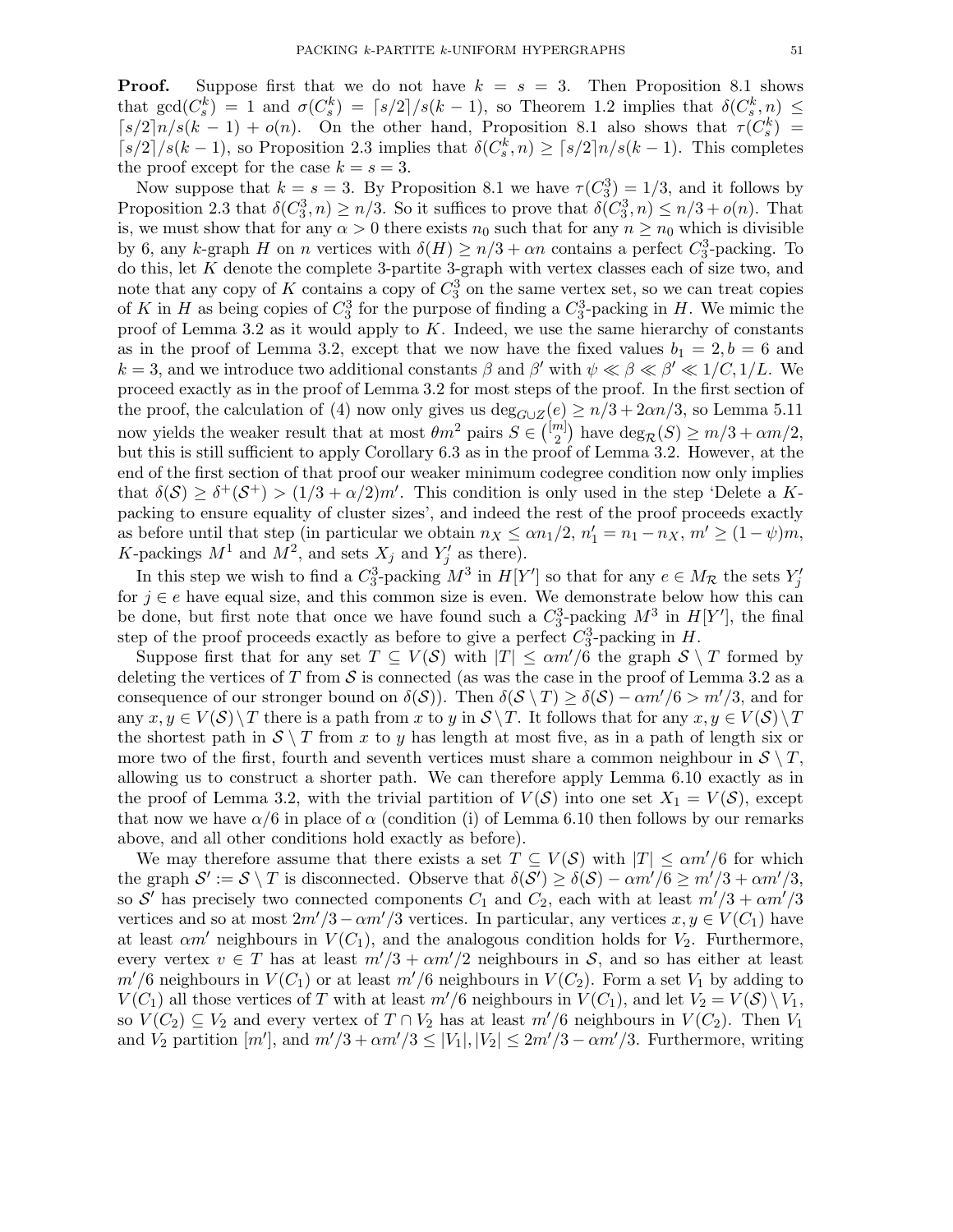**Proof.** Suppose first that we do not have  $k = s = 3$ . Then Proposition 8.1 shows that  $gcd(C_s^k) = 1$  and  $\sigma(C_s^k) = \lceil s/2 \rceil / s(k-1)$ , so Theorem 1.2 implies that  $\delta(C_s^k, n) \le$  $[s/2]n/s(k-1) + o(n)$ . On the other hand, Proposition 8.1 also shows that  $\tau(C_s^k)$  =  $\lceil s/2 \rceil / s(k-1)$ , so Proposition 2.3 implies that  $\delta(C_s^k, n) \geq \lceil s/2 \rceil n / s(k-1)$ . This completes the proof except for the case  $k = s = 3$ .

Now suppose that  $k = s = 3$ . By Proposition 8.1 we have  $\tau(C_3^3) = 1/3$ , and it follows by Proposition 2.3 that  $\delta(C_3^3, n) \ge n/3$ . So it suffices to prove that  $\delta(C_3^3, n) \le n/3 + o(n)$ . That is, we must show that for any  $\alpha > 0$  there exists  $n_0$  such that for any  $n \geq n_0$  which is divisible by 6, any k-graph H on n vertices with  $\delta(H) \ge n/3 + \alpha n$  contains a perfect  $C_3^3$ -packing. To do this, let K denote the complete 3-partite 3-graph with vertex classes each of size two, and note that any copy of K contains a copy of  $C_3^3$  on the same vertex set, so we can treat copies of K in H as being copies of  $C_3^3$  for the purpose of finding a  $C_3^3$ -packing in H. We mimic the proof of Lemma 3.2 as it would apply to  $K$ . Indeed, we use the same hierarchy of constants as in the proof of Lemma 3.2, except that we now have the fixed values  $b_1 = 2, b = 6$  and  $k = 3$ , and we introduce two additional constants  $\beta$  and  $\beta'$  with  $\psi \ll \beta \ll \beta' \ll 1/C, 1/L$ . We proceed exactly as in the proof of Lemma 3.2 for most steps of the proof. In the first section of the proof, the calculation of (4) now only gives us  $\deg_{G\cup Z}(e) \geq n/3 + 2\alpha n/3$ , so Lemma 5.11 now yields the weaker result that at most  $\theta m^2$  pairs  $S \in \binom{[m]}{2}$  $\binom{m}{2}$  have  $\deg_{\mathcal{R}}(S) \geq m/3 + \alpha m/2$ , but this is still sufficient to apply Corollary 6.3 as in the proof of Lemma 3.2. However, at the end of the first section of that proof our weaker minimum codegree condition now only implies that  $\delta(\mathcal{S}) \geq \delta^+(\mathcal{S}^+) > (1/3 + \alpha/2)m'$ . This condition is only used in the step 'Delete a Kpacking to ensure equality of cluster sizes', and indeed the rest of the proof proceeds exactly as before until that step (in particular we obtain  $n_X \le \alpha n_1/2$ ,  $n'_1 = n_1 - n_X$ ,  $m' \ge (1 - \psi)m$ , K-packings  $M^1$  and  $M^2$ , and sets  $X_j$  and  $Y'_j$  as there).

In this step we wish to find a  $C_3^3$ -packing  $M^3$  in  $H[Y']$  so that for any  $e \in M_{\mathcal{R}}$  the sets  $Y'_j$ for  $j \in e$  have equal size, and this common size is even. We demonstrate below how this can be done, but first note that once we have found such a  $C_3^3$ -packing  $M^3$  in  $H[Y']$ , the final step of the proof proceeds exactly as before to give a perfect  $C_3^3$ -packing in H.

Suppose first that for any set  $T \subseteq V(\mathcal{S})$  with  $|T| \le \alpha m'/6$  the graph  $\mathcal{S} \setminus T$  formed by deleting the vertices of T from S is connected (as was the case in the proof of Lemma 3.2 as a consequence of our stronger bound on  $\delta(S)$ ). Then  $\delta(S \setminus T) \geq \delta(S) - \alpha m'/6 > m'/3$ , and for any  $x, y \in V(S) \setminus T$  there is a path from x to y in  $S \setminus T$ . It follows that for any  $x, y \in V(S) \setminus T$ the shortest path in  $S \setminus T$  from x to y has length at most five, as in a path of length six or more two of the first, fourth and seventh vertices must share a common neighbour in  $S \setminus T$ , allowing us to construct a shorter path. We can therefore apply Lemma 6.10 exactly as in the proof of Lemma 3.2, with the trivial partition of  $V(S)$  into one set  $X_1 = V(S)$ , except that now we have  $\alpha/6$  in place of  $\alpha$  (condition (i) of Lemma 6.10 then follows by our remarks above, and all other conditions hold exactly as before).

We may therefore assume that there exists a set  $T \subseteq V(\mathcal{S})$  with  $|T| \leq \alpha m'/6$  for which the graph  $\mathcal{S}' := \mathcal{S} \setminus T$  is disconnected. Observe that  $\delta(\mathcal{S}') \geq \delta(\mathcal{S}) - \alpha m'/6 \geq m'/3 + \alpha m'/3$ , so S' has precisely two connected components  $C_1$  and  $C_2$ , each with at least  $m'/3 + \alpha m'/3$ vertices and so at most  $2m'/3 - \alpha m'/3$  vertices. In particular, any vertices  $x, y \in V(C_1)$  have at least  $\alpha m'$  neighbours in  $V(C_1)$ , and the analogous condition holds for  $V_2$ . Furthermore, every vertex  $v \in T$  has at least  $m'/3 + \alpha m'/2$  neighbours in S, and so has either at least  $m'/6$  neighbours in  $V(C_1)$  or at least  $m'/6$  neighbours in  $V(C_2)$ . Form a set  $V_1$  by adding to  $V(C_1)$  all those vertices of T with at least  $m'/6$  neighbours in  $V(C_1)$ , and let  $V_2 = V(S) \setminus V_1$ , so  $V(C_2) \subseteq V_2$  and every vertex of  $T \cap V_2$  has at least  $m'/6$  neighbours in  $V(C_2)$ . Then  $V_1$ and  $V_2$  partition  $[m']$ , and  $m'/3 + \alpha m'/3 \leq |V_1|, |V_2| \leq 2m'/3 - \alpha m'/3$ . Furthermore, writing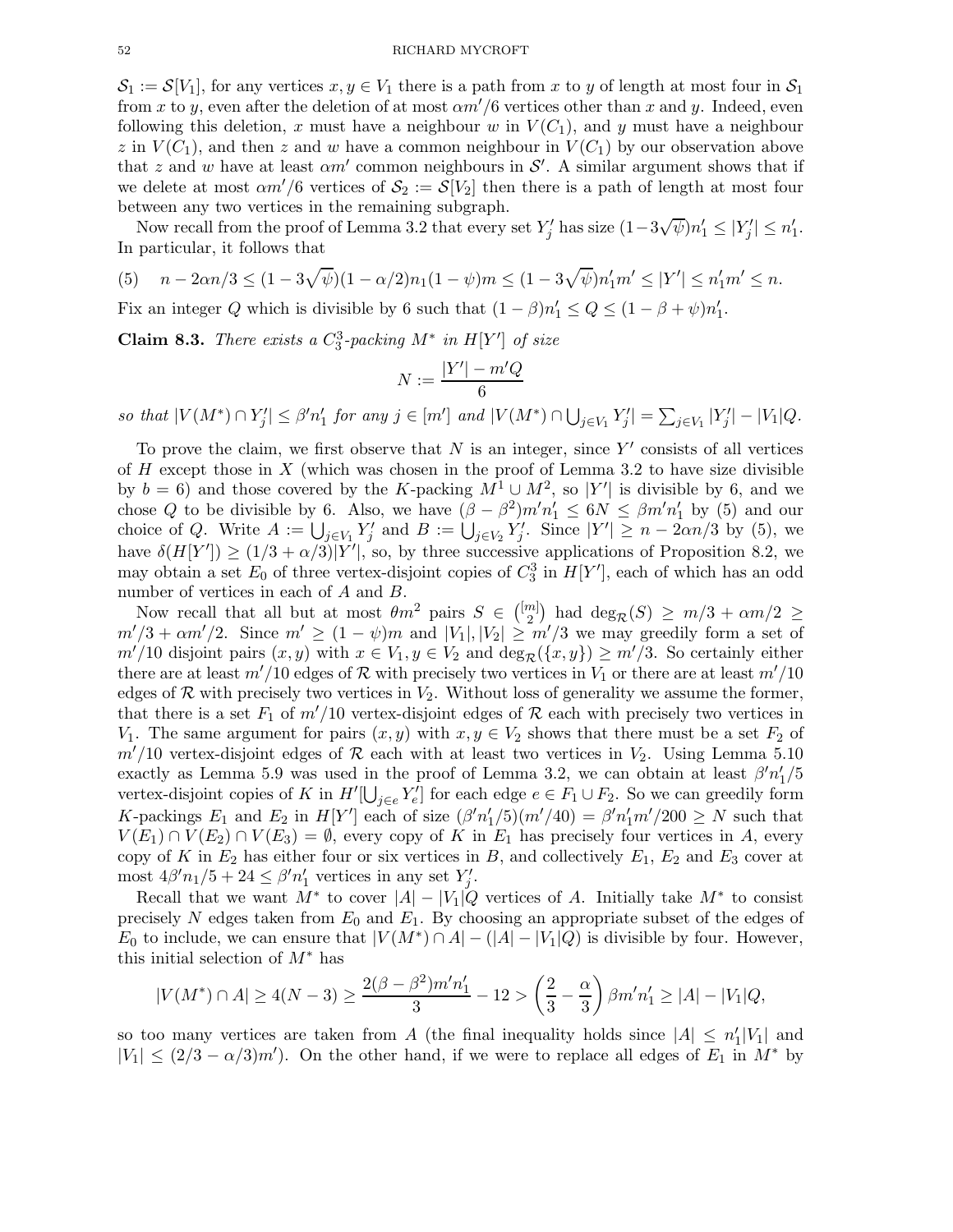#### 52 RICHARD MYCROFT

 $S_1 := \mathcal{S}[V_1]$ , for any vertices  $x, y \in V_1$  there is a path from x to y of length at most four in  $S_1$ from x to y, even after the deletion of at most  $\alpha m'/6$  vertices other than x and y. Indeed, even following this deletion, x must have a neighbour w in  $V(C_1)$ , and y must have a neighbour z in  $V(C_1)$ , and then z and w have a common neighbour in  $V(C_1)$  by our observation above that z and w have at least  $\alpha m'$  common neighbours in  $\mathcal{S}'$ . A similar argument shows that if we delete at most  $\alpha m'/6$  vertices of  $S_2 := S[V_2]$  then there is a path of length at most four between any two vertices in the remaining subgraph.

Now recall from the proof of Lemma 3.2 that every set  $Y'_j$  has size  $(1-3\sqrt{\psi})n'_1 \leq |Y'_j| \leq n'_1$ . In particular, it follows that

(5) 
$$
n - 2\alpha n/3 \le (1 - 3\sqrt{\psi})(1 - \alpha/2)n_1(1 - \psi)m \le (1 - 3\sqrt{\psi})n'_1m' \le |Y'| \le n'_1m' \le n
$$

Fix an integer Q which is divisible by 6 such that  $(1 - \beta)n'_1 \le Q \le (1 - \beta + \psi)n'_1$ .

**Claim 8.3.** There exists a  $C_3^3$ -packing  $M^*$  in  $H[Y']$  of size

$$
N:=\frac{|Y'|-m'Q}{6}
$$

so that  $|V(M^*) \cap Y'_j| \leq \beta' n'_1$  for any  $j \in [m']$  and  $|V(M^*) \cap \bigcup_{j \in V_1} Y'_j| = \sum_{j \in V_1} |Y'_j| - |V_1| Q$ .

To prove the claim, we first observe that  $N$  is an integer, since  $Y'$  consists of all vertices of  $H$  except those in  $X$  (which was chosen in the proof of Lemma 3.2 to have size divisible by  $b = 6$ ) and those covered by the K-packing  $M^1 \cup M^2$ , so |Y'| is divisible by 6, and we chose Q to be divisible by 6. Also, we have  $(\beta - \beta^2)m'n'_1 \leq 6N \leq \beta m'n'_1$  by (5) and our choice of Q. Write  $A := \bigcup_{j \in V_1} Y'_j$  and  $B := \bigcup_{j \in V_2} Y'_j$ . Since  $|Y'| \ge n - 2\alpha n/3$  by (5), we have  $\delta(H[Y']) \geq (1/3 + \alpha/3)|Y'|$ , so, by three successive applications of Proposition 8.2, we may obtain a set  $E_0$  of three vertex-disjoint copies of  $C_3^3$  in  $H[Y']$ , each of which has an odd number of vertices in each of A and B.

Now recall that all but at most  $\theta m^2$  pairs  $S \in \binom{[m]}{2}$  $\binom{m}{2}$  had  $\deg_{\mathcal{R}}(S) \geq m/3 + \alpha m/2 \geq$  $m'/3 + \alpha m'/2$ . Since  $m' \ge (1 - \psi)m$  and  $|V_1|, |V_2| \ge m'/3$  we may greedily form a set of  $m'/10$  disjoint pairs  $(x, y)$  with  $x \in V_1, y \in V_2$  and  $\deg_{\mathcal{R}}(\{x, y\}) \geq m'/3$ . So certainly either there are at least  $m'/10$  edges of R with precisely two vertices in  $V_1$  or there are at least  $m'/10$ edges of  $\mathcal R$  with precisely two vertices in  $V_2$ . Without loss of generality we assume the former, that there is a set  $F_1$  of  $m'/10$  vertex-disjoint edges of R each with precisely two vertices in V<sub>1</sub>. The same argument for pairs  $(x, y)$  with  $x, y \in V_2$  shows that there must be a set  $F_2$  of  $m'/10$  vertex-disjoint edges of R each with at least two vertices in  $V_2$ . Using Lemma 5.10 exactly as Lemma 5.9 was used in the proof of Lemma 3.2, we can obtain at least  $\beta' n_1'/5$ vertex-disjoint copies of K in  $H'[\bigcup_{j\in e} Y'_e]$  for each edge  $e \in F_1 \cup F_2$ . So we can greedily form K-packings  $E_1$  and  $E_2$  in  $H[Y']$  each of size  $(\beta' n'_1/5)(m'/40) = \beta' n'_1 m'/200 \ge N$  such that  $V(E_1) \cap V(E_2) \cap V(E_3) = \emptyset$ , every copy of K in  $E_1$  has precisely four vertices in A, every copy of K in  $E_2$  has either four or six vertices in B, and collectively  $E_1$ ,  $E_2$  and  $E_3$  cover at most  $4\beta' n_1/5 + 24 \leq \beta' n'_1$  vertices in any set  $Y'_j$ .

Recall that we want  $M^*$  to cover  $|A| - |V_1|Q$  vertices of A. Initially take  $M^*$  to consist precisely N edges taken from  $E_0$  and  $E_1$ . By choosing an appropriate subset of the edges of  $E_0$  to include, we can ensure that  $|V(M^*) \cap A| - (|A| - |V_1|Q)$  is divisible by four. However, this initial selection of  $M^*$  has

$$
|V(M^*) \cap A| \ge 4(N-3) \ge \frac{2(\beta - \beta^2)m'n'_1}{3} - 12 > \left(\frac{2}{3} - \frac{\alpha}{3}\right)\beta m'n'_1 \ge |A| - |V_1|Q,
$$

so too many vertices are taken from A (the final inequality holds since  $|A| \le n'_1 |V_1|$  and  $|V_1| \leq (2/3 - \alpha/3)m'$ ). On the other hand, if we were to replace all edges of  $E_1$  in  $M^*$  by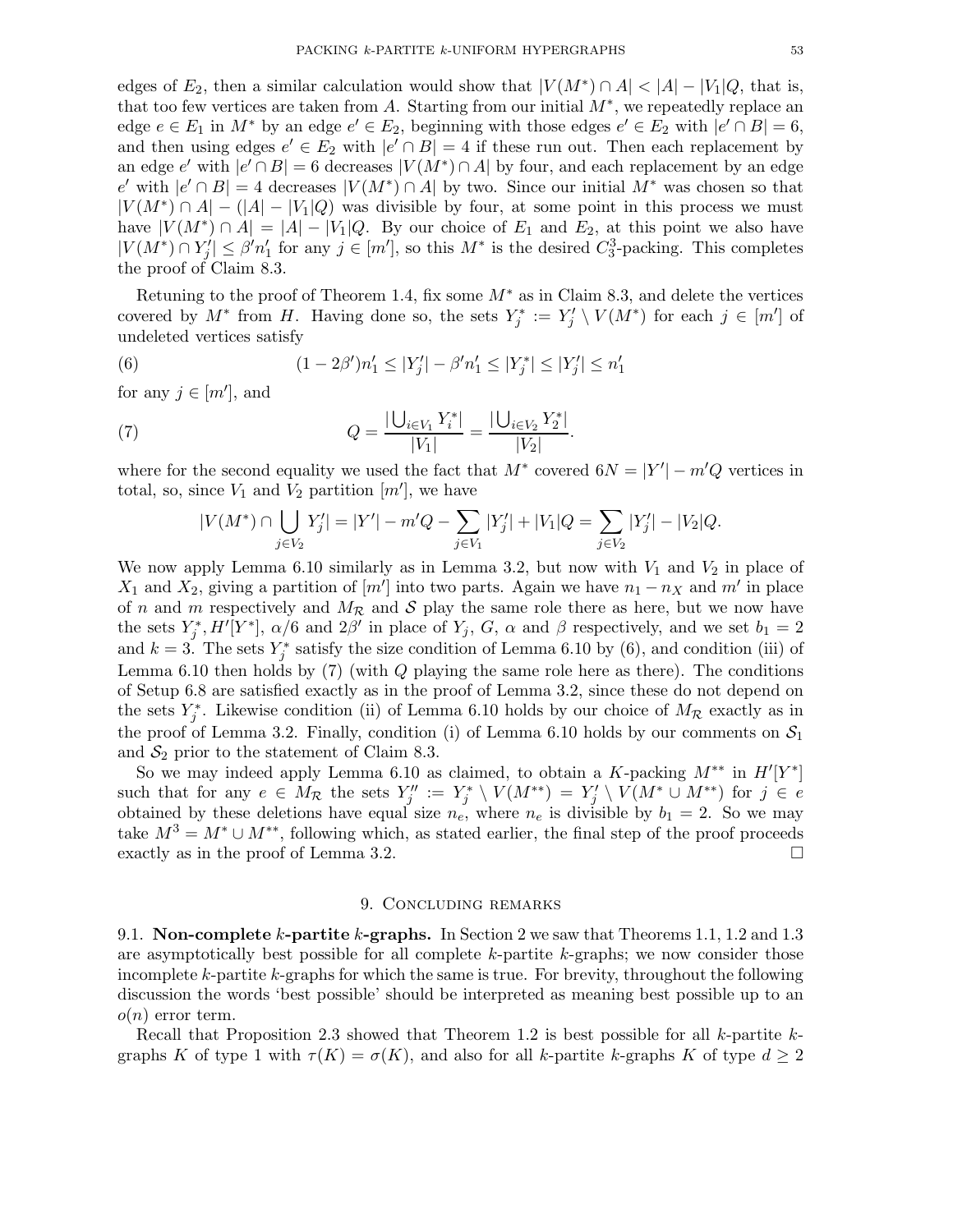edges of  $E_2$ , then a similar calculation would show that  $|V(M^*) \cap A| < |A| - |V_1|Q$ , that is, that too few vertices are taken from A. Starting from our initial  $M^*$ , we repeatedly replace an edge  $e \in E_1$  in  $M^*$  by an edge  $e' \in E_2$ , beginning with those edges  $e' \in E_2$  with  $|e' \cap B| = 6$ , and then using edges  $e' \in E_2$  with  $|e' \cap B| = 4$  if these run out. Then each replacement by an edge e' with  $|e' \cap B| = 6$  decreases  $|V(M^*) \cap A|$  by four, and each replacement by an edge  $e'$  with  $|e' \cap B| = 4$  decreases  $|V(M^*) \cap A|$  by two. Since our initial  $M^*$  was chosen so that  $|V(M^*) \cap A| - (|A| - |V_1|Q)$  was divisible by four, at some point in this process we must have  $|V(M^*) \cap A| = |A| - |V_1|Q$ . By our choice of  $E_1$  and  $E_2$ , at this point we also have  $|V(M^*) \cap Y'_j| \leq \beta' n'_1$  for any  $j \in [m']$ , so this  $M^*$  is the desired  $C_3^3$ -packing. This completes the proof of Claim 8.3.

Retuning to the proof of Theorem 1.4, fix some  $M^*$  as in Claim 8.3, and delete the vertices covered by  $M^*$  from H. Having done so, the sets  $Y_j^* := Y_j' \setminus V(M^*)$  for each  $j \in [m']$  of undeleted vertices satisfy

(6) 
$$
(1 - 2\beta')n'_1 \le |Y'_j| - \beta'n'_1 \le |Y'_j| \le |Y'_j| \le n'_1
$$

for any  $j \in [m']$ , and

(7) 
$$
Q = \frac{|\bigcup_{i \in V_1} Y_i^*|}{|V_1|} = \frac{|\bigcup_{i \in V_2} Y_2^*|}{|V_2|}.
$$

where for the second equality we used the fact that  $M^*$  covered  $6N = |Y'| - m'Q$  vertices in total, so, since  $V_1$  and  $V_2$  partition  $[m']$ , we have

$$
|V(M^*) \cap \bigcup_{j \in V_2} Y'_j| = |Y'| - m'Q - \sum_{j \in V_1} |Y'_j| + |V_1|Q = \sum_{j \in V_2} |Y'_j| - |V_2|Q.
$$

We now apply Lemma 6.10 similarly as in Lemma 3.2, but now with  $V_1$  and  $V_2$  in place of  $X_1$  and  $X_2$ , giving a partition of  $[m']$  into two parts. Again we have  $n_1 - n_X$  and  $m'$  in place of n and m respectively and  $M_{\mathcal{R}}$  and S play the same role there as here, but we now have the sets  $Y_j^*$ ,  $H'[Y^*]$ ,  $\alpha/6$  and  $2\beta'$  in place of  $Y_j$ ,  $G$ ,  $\alpha$  and  $\beta$  respectively, and we set  $b_1 = 2$ and  $k = 3$ . The sets  $Y_j^*$  satisfy the size condition of Lemma 6.10 by (6), and condition (iii) of Lemma 6.10 then holds by  $(7)$  (with  $Q$  playing the same role here as there). The conditions of Setup 6.8 are satisfied exactly as in the proof of Lemma 3.2, since these do not depend on the sets  $Y_j^*$ . Likewise condition (ii) of Lemma 6.10 holds by our choice of  $M_R$  exactly as in the proof of Lemma 3.2. Finally, condition (i) of Lemma 6.10 holds by our comments on  $S_1$ and  $S_2$  prior to the statement of Claim 8.3.

So we may indeed apply Lemma 6.10 as claimed, to obtain a K-packing  $M^{**}$  in  $H'[Y^*]$ such that for any  $e \in M_{\mathcal{R}}$  the sets  $Y''_j := Y^*_j \setminus V(M^{**}) = Y'_j \setminus V(M^* \cup M^{**})$  for  $j \in e$ obtained by these deletions have equal size  $n_e$ , where  $n_e$  is divisible by  $b_1 = 2$ . So we may take  $M^3 = M^* \cup M^{**}$ , following which, as stated earlier, the final step of the proof proceeds exactly as in the proof of Lemma 3.2. exactly as in the proof of Lemma 3.2.

#### 9. Concluding remarks

9.1. Non-complete k-partite k-graphs. In Section 2 we saw that Theorems 1.1, 1.2 and 1.3 are asymptotically best possible for all complete k-partite k-graphs; we now consider those incomplete k-partite k-graphs for which the same is true. For brevity, throughout the following discussion the words 'best possible' should be interpreted as meaning best possible up to an  $o(n)$  error term.

Recall that Proposition 2.3 showed that Theorem 1.2 is best possible for all  $k$ -partite  $k$ graphs K of type 1 with  $\tau(K) = \sigma(K)$ , and also for all k-partite k-graphs K of type  $d \geq 2$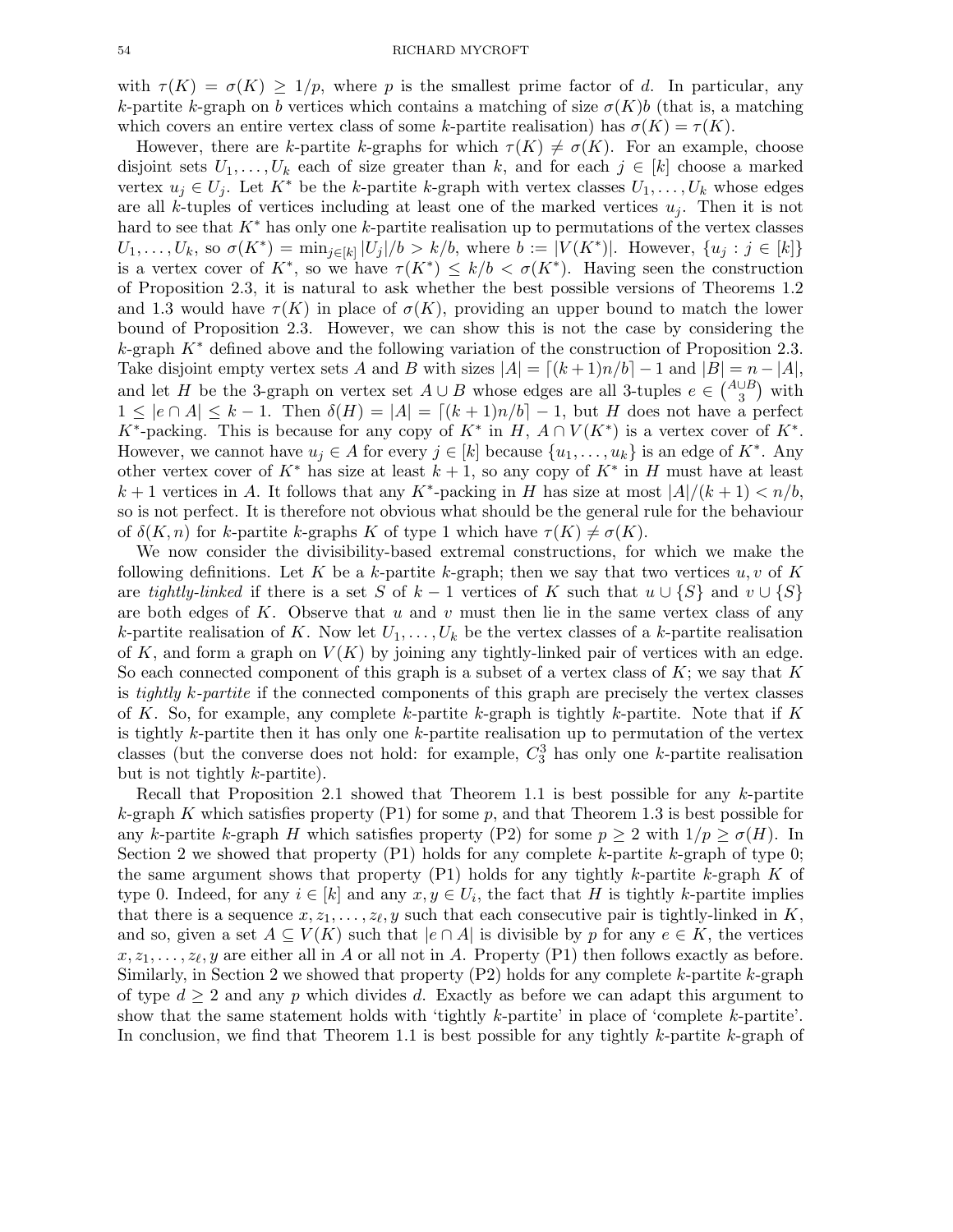with  $\tau(K) = \sigma(K) \geq 1/p$ , where p is the smallest prime factor of d. In particular, any k-partite k-graph on b vertices which contains a matching of size  $\sigma(K)b$  (that is, a matching which covers an entire vertex class of some k-partite realisation) has  $\sigma(K) = \tau(K)$ .

However, there are k-partite k-graphs for which  $\tau(K) \neq \sigma(K)$ . For an example, choose disjoint sets  $U_1, \ldots, U_k$  each of size greater than k, and for each  $j \in [k]$  choose a marked vertex  $u_j \in U_j$ . Let  $K^*$  be the k-partite k-graph with vertex classes  $U_1, \ldots, U_k$  whose edges are all k-tuples of vertices including at least one of the marked vertices  $u_i$ . Then it is not hard to see that  $K^*$  has only one k-partite realisation up to permutations of the vertex classes  $U_1, \ldots, U_k$ , so  $\sigma(K^*) = \min_{j \in [k]} |U_j|/b > k/b$ , where  $b := |V(K^*)|$ . However,  $\{u_j : j \in [k]\}$ is a vertex cover of  $K^*$ , so we have  $\tau(K^*) \leq k/b < \sigma(K^*)$ . Having seen the construction of Proposition 2.3, it is natural to ask whether the best possible versions of Theorems 1.2 and 1.3 would have  $\tau(K)$  in place of  $\sigma(K)$ , providing an upper bound to match the lower bound of Proposition 2.3. However, we can show this is not the case by considering the k-graph  $K^*$  defined above and the following variation of the construction of Proposition 2.3. Take disjoint empty vertex sets A and B with sizes  $|A| = [(k+1)n/b] - 1$  and  $|B| = n - |A|$ , and let H be the 3-graph on vertex set  $A \cup B$  whose edges are all 3-tuples  $e \in {A \cup B \choose 3}$  with  $1 \leq |e \cap A| \leq k-1$ . Then  $\delta(H) = |A| = [(k+1)n/b] - 1$ , but H does not have a perfect  $K^*$ -packing. This is because for any copy of  $K^*$  in  $H$ ,  $A \cap V(K^*)$  is a vertex cover of  $K^*$ . However, we cannot have  $u_j \in A$  for every  $j \in [k]$  because  $\{u_1, \ldots, u_k\}$  is an edge of  $K^*$ . Any other vertex cover of  $K^*$  has size at least  $k + 1$ , so any copy of  $K^*$  in H must have at least  $k+1$  vertices in A. It follows that any  $K^*$ -packing in H has size at most  $|A|/(k+1) < n/b$ , so is not perfect. It is therefore not obvious what should be the general rule for the behaviour of  $\delta(K, n)$  for k-partite k-graphs K of type 1 which have  $\tau(K) \neq \sigma(K)$ .

We now consider the divisibility-based extremal constructions, for which we make the following definitions. Let K be a k-partite k-graph; then we say that two vertices  $u, v$  of K are tightly-linked if there is a set S of  $k-1$  vertices of K such that  $u \cup \{S\}$  and  $v \cup \{S\}$ are both edges of K. Observe that u and v must then lie in the same vertex class of any k-partite realisation of K. Now let  $U_1, \ldots, U_k$  be the vertex classes of a k-partite realisation of K, and form a graph on  $V(K)$  by joining any tightly-linked pair of vertices with an edge. So each connected component of this graph is a subset of a vertex class of  $K$ ; we say that K is tightly k-partite if the connected components of this graph are precisely the vertex classes of K. So, for example, any complete k-partite k-graph is tightly k-partite. Note that if K is tightly k-partite then it has only one k-partite realisation up to permutation of the vertex classes (but the converse does not hold: for example,  $C_3^3$  has only one k-partite realisation but is not tightly k-partite).

Recall that Proposition 2.1 showed that Theorem 1.1 is best possible for any k-partite k-graph K which satisfies property  $(P1)$  for some p, and that Theorem 1.3 is best possible for any k-partite k-graph H which satisfies property (P2) for some  $p \geq 2$  with  $1/p \geq \sigma(H)$ . In Section 2 we showed that property  $(P1)$  holds for any complete k-partite k-graph of type 0; the same argument shows that property  $(P1)$  holds for any tightly k-partite k-graph K of type 0. Indeed, for any  $i \in [k]$  and any  $x, y \in U_i$ , the fact that H is tightly k-partite implies that there is a sequence  $x, z_1, \ldots, z_{\ell}, y$  such that each consecutive pair is tightly-linked in K, and so, given a set  $A \subseteq V(K)$  such that  $|e \cap A|$  is divisible by p for any  $e \in K$ , the vertices  $x, z_1, \ldots, z_\ell, y$  are either all in A or all not in A. Property (P1) then follows exactly as before. Similarly, in Section 2 we showed that property  $(P2)$  holds for any complete k-partite k-graph of type  $d \geq 2$  and any p which divides d. Exactly as before we can adapt this argument to show that the same statement holds with 'tightly k-partite' in place of 'complete k-partite'. In conclusion, we find that Theorem 1.1 is best possible for any tightly  $k$ -partite  $k$ -graph of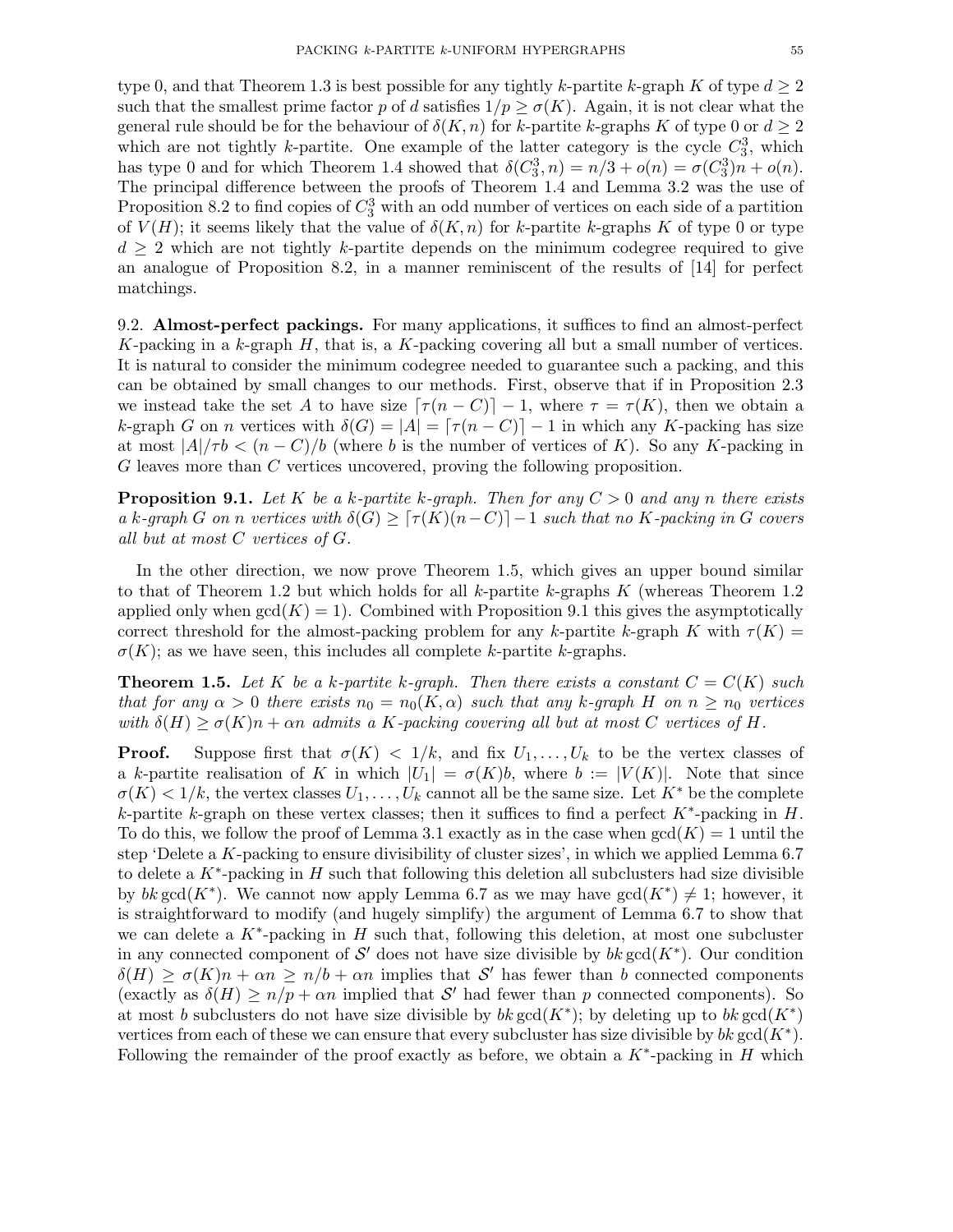type 0, and that Theorem 1.3 is best possible for any tightly k-partite k-graph K of type  $d \geq 2$ such that the smallest prime factor p of d satisfies  $1/p \geq \sigma(K)$ . Again, it is not clear what the general rule should be for the behaviour of  $\delta(K, n)$  for k-partite k-graphs K of type 0 or  $d \geq 2$ which are not tightly k-partite. One example of the latter category is the cycle  $C_3^3$ , which has type 0 and for which Theorem 1.4 showed that  $\delta(C_3^3, n) = n/3 + o(n) = \sigma(C_3^3)n + o(n)$ . The principal difference between the proofs of Theorem 1.4 and Lemma 3.2 was the use of Proposition 8.2 to find copies of  $C_3^3$  with an odd number of vertices on each side of a partition of  $V(H)$ ; it seems likely that the value of  $\delta(K, n)$  for k-partite k-graphs K of type 0 or type  $d \geq 2$  which are not tightly k-partite depends on the minimum codegree required to give an analogue of Proposition 8.2, in a manner reminiscent of the results of [14] for perfect matchings.

9.2. Almost-perfect packings. For many applications, it suffices to find an almost-perfect K-packing in a k-graph  $H$ , that is, a K-packing covering all but a small number of vertices. It is natural to consider the minimum codegree needed to guarantee such a packing, and this can be obtained by small changes to our methods. First, observe that if in Proposition 2.3 we instead take the set A to have size  $\lceil \tau (n - C) \rceil - 1$ , where  $\tau = \tau (K)$ , then we obtain a k-graph G on n vertices with  $\delta(G) = |A| = \lfloor \tau (n - C) \rfloor - 1$  in which any K-packing has size at most  $|A|/\tau b < (n - C)/b$  (where b is the number of vertices of K). So any K-packing in G leaves more than C vertices uncovered, proving the following proposition.

**Proposition 9.1.** Let K be a k-partite k-graph. Then for any  $C > 0$  and any n there exists a k-graph G on n vertices with  $\delta(G) \geq \lceil \tau(K)(n-C) \rceil - 1$  such that no K-packing in G covers all but at most C vertices of G.

In the other direction, we now prove Theorem 1.5, which gives an upper bound similar to that of Theorem 1.2 but which holds for all k-partite k-graphs  $K$  (whereas Theorem 1.2 applied only when  $gcd(K) = 1$ . Combined with Proposition 9.1 this gives the asymptotically correct threshold for the almost-packing problem for any k-partite k-graph K with  $\tau(K)$  =  $\sigma(K)$ ; as we have seen, this includes all complete k-partite k-graphs.

**Theorem 1.5.** Let K be a k-partite k-graph. Then there exists a constant  $C = C(K)$  such that for any  $\alpha > 0$  there exists  $n_0 = n_0(K, \alpha)$  such that any k-graph H on  $n \geq n_0$  vertices with  $\delta(H) \geq \sigma(K)n + \alpha n$  admits a K-packing covering all but at most C vertices of H.

**Proof.** Suppose first that  $\sigma(K) < 1/k$ , and fix  $U_1, \ldots, U_k$  to be the vertex classes of a k-partite realisation of K in which  $|U_1| = \sigma(K)b$ , where  $b := |V(K)|$ . Note that since  $\sigma(K) < 1/k$ , the vertex classes  $U_1, \ldots, U_k$  cannot all be the same size. Let  $K^*$  be the complete k-partite k-graph on these vertex classes; then it suffices to find a perfect  $K^*$ -packing in H. To do this, we follow the proof of Lemma 3.1 exactly as in the case when  $gcd(K) = 1$  until the step 'Delete a K-packing to ensure divisibility of cluster sizes', in which we applied Lemma 6.7 to delete a  $K^*$ -packing in  $H$  such that following this deletion all subclusters had size divisible by  $bk \gcd(K^*)$ . We cannot now apply Lemma 6.7 as we may have  $gcd(K^*) \neq 1$ ; however, it is straightforward to modify (and hugely simplify) the argument of Lemma 6.7 to show that we can delete a  $K^*$ -packing in  $H$  such that, following this deletion, at most one subcluster in any connected component of  $\mathcal{S}'$  does not have size divisible by  $bk \gcd(K^*)$ . Our condition  $\delta(H) \geq \sigma(K)n + \alpha n \geq n/b + \alpha n$  implies that S' has fewer than b connected components (exactly as  $\delta(H) \ge n/p + \alpha n$  implied that S' had fewer than p connected components). So at most b subclusters do not have size divisible by  $bk \gcd(K^*)$ ; by deleting up to  $bk \gcd(K^*)$ vertices from each of these we can ensure that every subcluster has size divisible by  $bk \gcd(K^*)$ . Following the remainder of the proof exactly as before, we obtain a  $K^*$ -packing in H which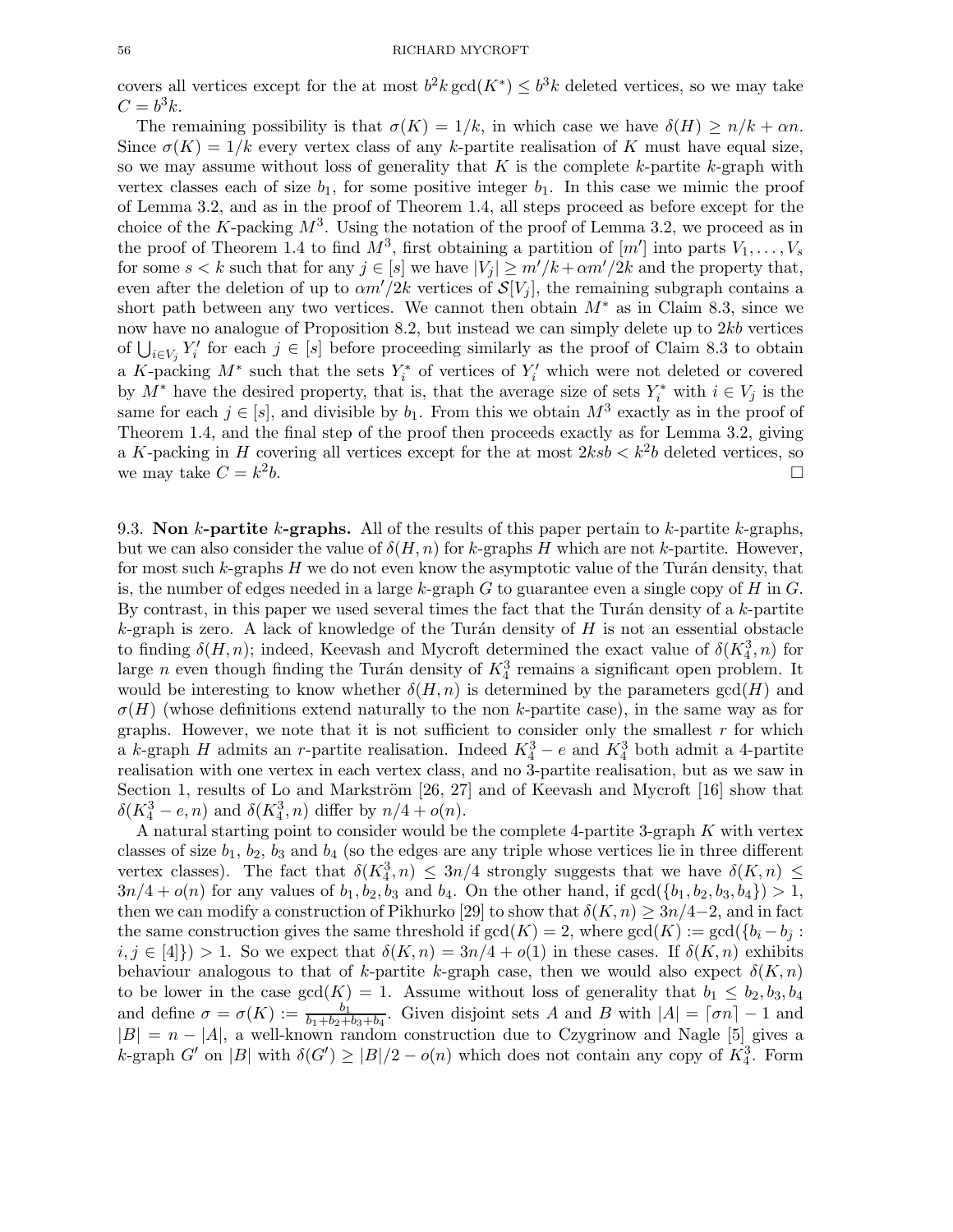covers all vertices except for the at most  $b^2 k \gcd(K^*) \leq b^3 k$  deleted vertices, so we may take  $C=b^3k$ .

The remaining possibility is that  $\sigma(K) = 1/k$ , in which case we have  $\delta(H) \ge n/k + \alpha n$ . Since  $\sigma(K) = 1/k$  every vertex class of any k-partite realisation of K must have equal size, so we may assume without loss of generality that K is the complete  $k$ -partite  $k$ -graph with vertex classes each of size  $b_1$ , for some positive integer  $b_1$ . In this case we mimic the proof of Lemma 3.2, and as in the proof of Theorem 1.4, all steps proceed as before except for the choice of the K-packing  $M^3$ . Using the notation of the proof of Lemma 3.2, we proceed as in the proof of Theorem 1.4 to find  $M^3$ , first obtaining a partition of  $[m']$  into parts  $V_1, \ldots, V_s$ for some  $s < k$  such that for any  $j \in [s]$  we have  $|V_j| \geq m'/k + \alpha m'/2k$  and the property that, even after the deletion of up to  $\alpha m'/2k$  vertices of  $\mathcal{S}[V_i]$ , the remaining subgraph contains a short path between any two vertices. We cannot then obtain  $M^*$  as in Claim 8.3, since we now have no analogue of Proposition 8.2, but instead we can simply delete up to  $2kb$  vertices of  $\bigcup_{i\in V_j} Y'_i$  for each  $j \in [s]$  before proceeding similarly as the proof of Claim 8.3 to obtain a K-packing  $M^*$  such that the sets  $Y_i^*$  of vertices of  $Y_i'$  which were not deleted or covered by  $M^*$  have the desired property, that is, that the average size of sets  $Y_i^*$  with  $i \in V_j$  is the same for each  $j \in [s]$ , and divisible by  $b_1$ . From this we obtain  $M^3$  exactly as in the proof of Theorem 1.4, and the final step of the proof then proceeds exactly as for Lemma 3.2, giving a K-packing in H covering all vertices except for the at most  $2ksb < k^2b$  deleted vertices, so we may take  $C = k^2$  $\mathbf{b}$ .

9.3. Non k-partite k-graphs. All of the results of this paper pertain to k-partite k-graphs, but we can also consider the value of  $\delta(H, n)$  for k-graphs H which are not k-partite. However, for most such  $k$ -graphs H we do not even know the asymptotic value of the Turán density, that is, the number of edges needed in a large k-graph  $G$  to guarantee even a single copy of  $H$  in  $G$ . By contrast, in this paper we used several times the fact that the Turán density of a  $k$ -partite  $k$ -graph is zero. A lack of knowledge of the Turán density of H is not an essential obstacle to finding  $\delta(H, n)$ ; indeed, Keevash and Mycroft determined the exact value of  $\delta(K_4^3, n)$  for large n even though finding the Turán density of  $K_4^3$  remains a significant open problem. It would be interesting to know whether  $\delta(H, n)$  is determined by the parameters  $gcd(H)$  and  $\sigma(H)$  (whose definitions extend naturally to the non k-partite case), in the same way as for graphs. However, we note that it is not sufficient to consider only the smallest  $r$  for which a k-graph H admits an r-partite realisation. Indeed  $K_4^3 - e$  and  $K_4^3$  both admit a 4-partite realisation with one vertex in each vertex class, and no 3-partite realisation, but as we saw in Section 1, results of Lo and Markström  $[26, 27]$  and of Keevash and Mycroft  $[16]$  show that  $\delta(K_4^3 - e, n)$  and  $\delta(K_4^3, n)$  differ by  $n/4 + o(n)$ .

A natural starting point to consider would be the complete 4-partite 3-graph K with vertex classes of size  $b_1$ ,  $b_2$ ,  $b_3$  and  $b_4$  (so the edges are any triple whose vertices lie in three different vertex classes). The fact that  $\delta(K_4^3, n) \leq 3n/4$  strongly suggests that we have  $\delta(K, n) \leq$  $3n/4 + o(n)$  for any values of  $b_1, b_2, b_3$  and  $b_4$ . On the other hand, if  $gcd({b_1, b_2, b_3, b_4}) > 1$ , then we can modify a construction of Pikhurko [29] to show that  $\delta(K, n) \geq 3n/4-2$ , and in fact the same construction gives the same threshold if  $gcd(K) = 2$ , where  $gcd(K) := gcd({b_i - b_i : b_i = b_i})$  $i, j \in [4]$ ) > 1. So we expect that  $\delta(K, n) = 3n/4 + o(1)$  in these cases. If  $\delta(K, n)$  exhibits behaviour analogous to that of k-partite k-graph case, then we would also expect  $\delta(K, n)$ to be lower in the case  $gcd(K) = 1$ . Assume without loss of generality that  $b_1 \leq b_2, b_3, b_4$ and define  $\sigma = \sigma(K) := \frac{b_1}{b_1+b_2+b_3+b_4}$ . Given disjoint sets A and B with  $|A| = \lceil \sigma n \rceil - 1$  and  $|B| = n - |A|$ , a well-known random construction due to Czygrinow and Nagle [5] gives a k-graph G' on |B| with  $\delta(G') \ge |B|/2 - o(n)$  which does not contain any copy of  $K_4^3$ . Form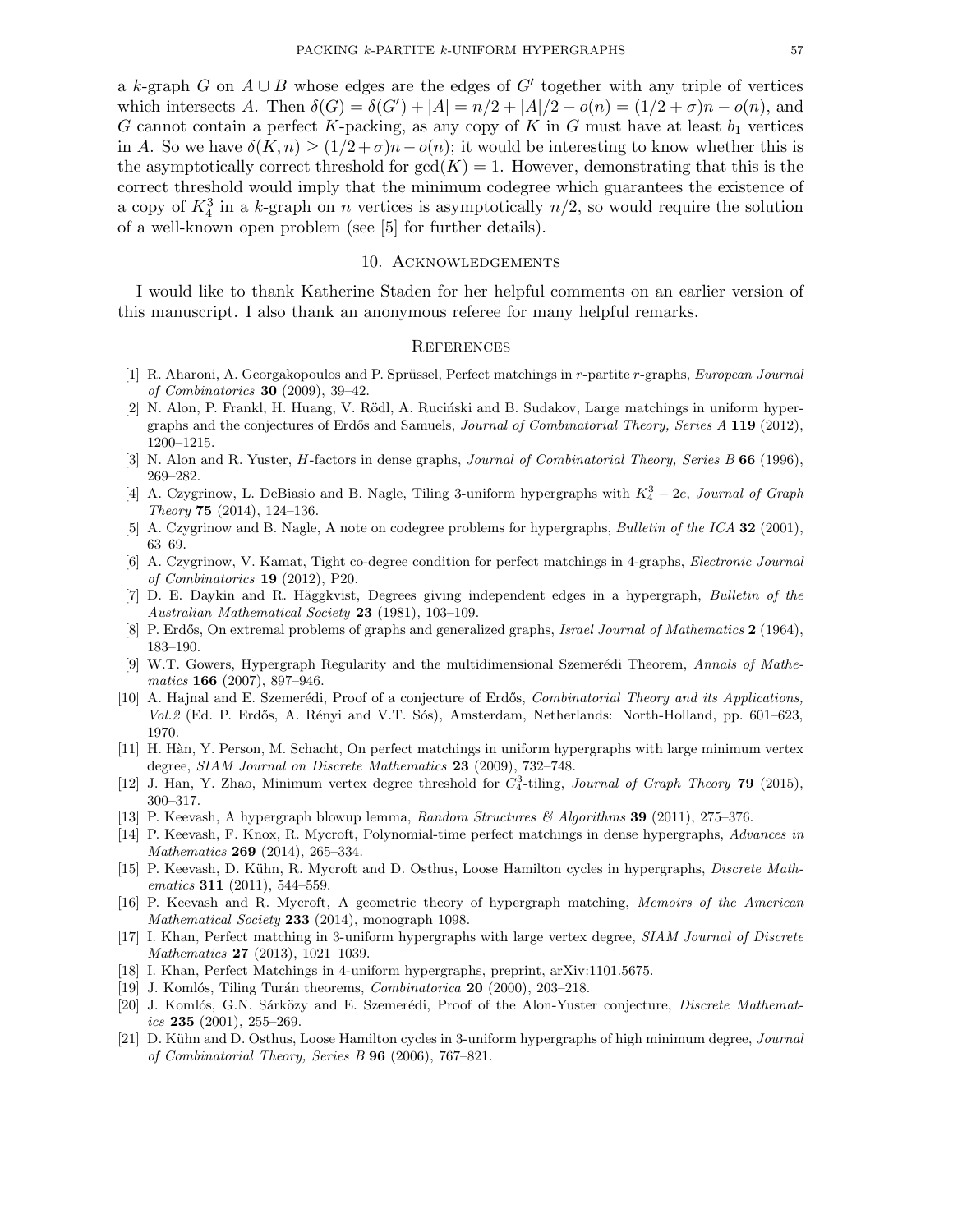a k-graph G on  $A \cup B$  whose edges are the edges of G' together with any triple of vertices which intersects A. Then  $\delta(G) = \delta(G') + |A| = n/2 + |A|/2 - o(n) = (1/2 + \sigma)n - o(n)$ , and G cannot contain a perfect K-packing, as any copy of K in G must have at least  $b_1$  vertices in A. So we have  $\delta(K, n) \geq (1/2 + \sigma)n - o(n)$ ; it would be interesting to know whether this is the asymptotically correct threshold for  $gcd(K) = 1$ . However, demonstrating that this is the correct threshold would imply that the minimum codegree which guarantees the existence of a copy of  $K_4^3$  in a k-graph on n vertices is asymptotically  $n/2$ , so would require the solution of a well-known open problem (see [5] for further details).

#### 10. Acknowledgements

I would like to thank Katherine Staden for her helpful comments on an earlier version of this manuscript. I also thank an anonymous referee for many helpful remarks.

#### **REFERENCES**

- [1] R. Aharoni, A. Georgakopoulos and P. Sprüssel, Perfect matchings in r-partite r-graphs, European Journal of Combinatorics 30 (2009), 39–42.
- [2] N. Alon, P. Frankl, H. Huang, V. Rödl, A. Ruciński and B. Sudakov, Large matchings in uniform hypergraphs and the conjectures of Erdős and Samuels, Journal of Combinatorial Theory, Series A 119 (2012), 1200–1215.
- [3] N. Alon and R. Yuster, *H*-factors in dense graphs, *Journal of Combinatorial Theory, Series B* 66 (1996), 269–282.
- [4] A. Czygrinow, L. DeBiasio and B. Nagle, Tiling 3-uniform hypergraphs with  $K_4^3 2e$ , Journal of Graph Theory 75  $(2014)$ , 124-136.
- [5] A. Czygrinow and B. Nagle, A note on codegree problems for hypergraphs, Bulletin of the ICA 32 (2001), 63–69.
- [6] A. Czygrinow, V. Kamat, Tight co-degree condition for perfect matchings in 4-graphs, Electronic Journal of Combinatorics 19 (2012), P20.
- [7] D. E. Daykin and R. Häggkvist, Degrees giving independent edges in a hypergraph, Bulletin of the Australian Mathematical Society 23 (1981), 103–109.
- [8] P. Erdős, On extremal problems of graphs and generalized graphs, Israel Journal of Mathematics 2 (1964), 183–190.
- [9] W.T. Gowers, Hypergraph Regularity and the multidimensional Szemerédi Theorem, Annals of Mathematics 166 (2007), 897–946.
- [10] A. Hajnal and E. Szemerédi, Proof of a conjecture of Erdős, Combinatorial Theory and its Applications, Vol.2 (Ed. P. Erdős, A. Rényi and V.T. Sós), Amsterdam, Netherlands: North-Holland, pp. 601–623, 1970.
- [11] H. H`an, Y. Person, M. Schacht, On perfect matchings in uniform hypergraphs with large minimum vertex degree, SIAM Journal on Discrete Mathematics 23 (2009), 732–748.
- [12] J. Han, Y. Zhao, Minimum vertex degree threshold for  $C_4^3$ -tiling, Journal of Graph Theory 79 (2015), 300–317.
- [13] P. Keevash, A hypergraph blowup lemma, Random Structures & Algorithms 39 (2011), 275–376.
- [14] P. Keevash, F. Knox, R. Mycroft, Polynomial-time perfect matchings in dense hypergraphs, Advances in Mathematics **269** (2014), 265–334.
- [15] P. Keevash, D. Kühn, R. Mycroft and D. Osthus, Loose Hamilton cycles in hypergraphs, Discrete Mathematics **311** (2011), 544–559.
- [16] P. Keevash and R. Mycroft, A geometric theory of hypergraph matching, Memoirs of the American Mathematical Society 233 (2014), monograph 1098.
- [17] I. Khan, Perfect matching in 3-uniform hypergraphs with large vertex degree, SIAM Journal of Discrete Mathematics 27 (2013), 1021–1039.
- [18] I. Khan, Perfect Matchings in 4-uniform hypergraphs, preprint, arXiv:1101.5675.
- [19] J. Komlós, Tiling Turán theorems, *Combinatorica* **20** (2000), 203–218.
- [20] J. Komlós, G.N. Sárközy and E. Szemerédi, Proof of the Alon-Yuster conjecture, *Discrete Mathemat*ics  $235$  (2001), 255-269.
- [21] D. Kühn and D. Osthus, Loose Hamilton cycles in 3-uniform hypergraphs of high minimum degree, Journal of Combinatorial Theory, Series B 96 (2006), 767–821.